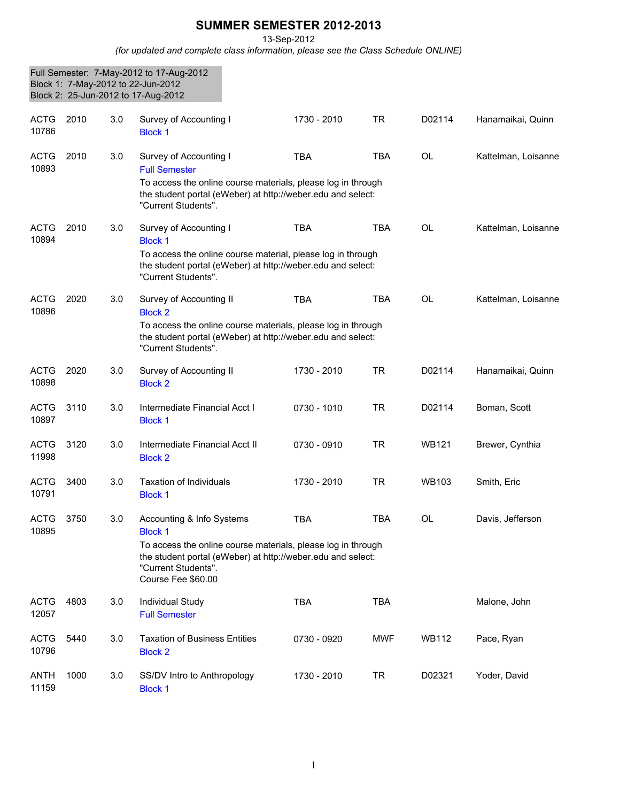## **SUMMER SEMESTER 2012-2013**

13-Sep-2012

*(for updated and complete class information, please see the Class Schedule ONLINE)*

|                      |      |     | Full Semester: 7-May-2012 to 17-Aug-2012<br>Block 1: 7-May-2012 to 22-Jun-2012<br>Block 2: 25-Jun-2012 to 17-Aug-2012                                                                                                   |             |            |              |                     |
|----------------------|------|-----|-------------------------------------------------------------------------------------------------------------------------------------------------------------------------------------------------------------------------|-------------|------------|--------------|---------------------|
| <b>ACTG</b><br>10786 | 2010 | 3.0 | Survey of Accounting I<br><b>Block 1</b>                                                                                                                                                                                | 1730 - 2010 | <b>TR</b>  | D02114       | Hanamaikai, Quinn   |
| <b>ACTG</b><br>10893 | 2010 | 3.0 | Survey of Accounting I<br><b>Full Semester</b><br>To access the online course materials, please log in through<br>the student portal (eWeber) at http://weber.edu and select:<br>"Current Students".                    | <b>TBA</b>  | <b>TBA</b> | <b>OL</b>    | Kattelman, Loisanne |
| <b>ACTG</b><br>10894 | 2010 | 3.0 | Survey of Accounting I<br><b>Block 1</b><br>To access the online course material, please log in through<br>the student portal (eWeber) at http://weber.edu and select:<br>"Current Students".                           | <b>TBA</b>  | <b>TBA</b> | <b>OL</b>    | Kattelman, Loisanne |
| <b>ACTG</b><br>10896 | 2020 | 3.0 | Survey of Accounting II<br><b>Block 2</b><br>To access the online course materials, please log in through<br>the student portal (eWeber) at http://weber.edu and select:<br>"Current Students".                         | <b>TBA</b>  | <b>TBA</b> | <b>OL</b>    | Kattelman, Loisanne |
| <b>ACTG</b><br>10898 | 2020 | 3.0 | Survey of Accounting II<br><b>Block 2</b>                                                                                                                                                                               | 1730 - 2010 | <b>TR</b>  | D02114       | Hanamaikai, Quinn   |
| <b>ACTG</b><br>10897 | 3110 | 3.0 | Intermediate Financial Acct I<br><b>Block 1</b>                                                                                                                                                                         | 0730 - 1010 | <b>TR</b>  | D02114       | Boman, Scott        |
| <b>ACTG</b><br>11998 | 3120 | 3.0 | Intermediate Financial Acct II<br><b>Block 2</b>                                                                                                                                                                        | 0730 - 0910 | <b>TR</b>  | <b>WB121</b> | Brewer, Cynthia     |
| <b>ACTG</b><br>10791 | 3400 | 3.0 | <b>Taxation of Individuals</b><br><b>Block 1</b>                                                                                                                                                                        | 1730 - 2010 | <b>TR</b>  | <b>WB103</b> | Smith, Eric         |
| <b>ACTG</b><br>10895 | 3750 | 3.0 | Accounting & Info Systems<br><b>Block 1</b><br>To access the online course materials, please log in through<br>the student portal (eWeber) at http://weber.edu and select:<br>"Current Students".<br>Course Fee \$60.00 | TBA         | <b>TBA</b> | OL           | Davis, Jefferson    |
| <b>ACTG</b><br>12057 | 4803 | 3.0 | Individual Study<br><b>Full Semester</b>                                                                                                                                                                                | <b>TBA</b>  | <b>TBA</b> |              | Malone, John        |
| <b>ACTG</b><br>10796 | 5440 | 3.0 | <b>Taxation of Business Entities</b><br><b>Block 2</b>                                                                                                                                                                  | 0730 - 0920 | <b>MWF</b> | <b>WB112</b> | Pace, Ryan          |
| <b>ANTH</b><br>11159 | 1000 | 3.0 | SS/DV Intro to Anthropology<br><b>Block 1</b>                                                                                                                                                                           | 1730 - 2010 | <b>TR</b>  | D02321       | Yoder, David        |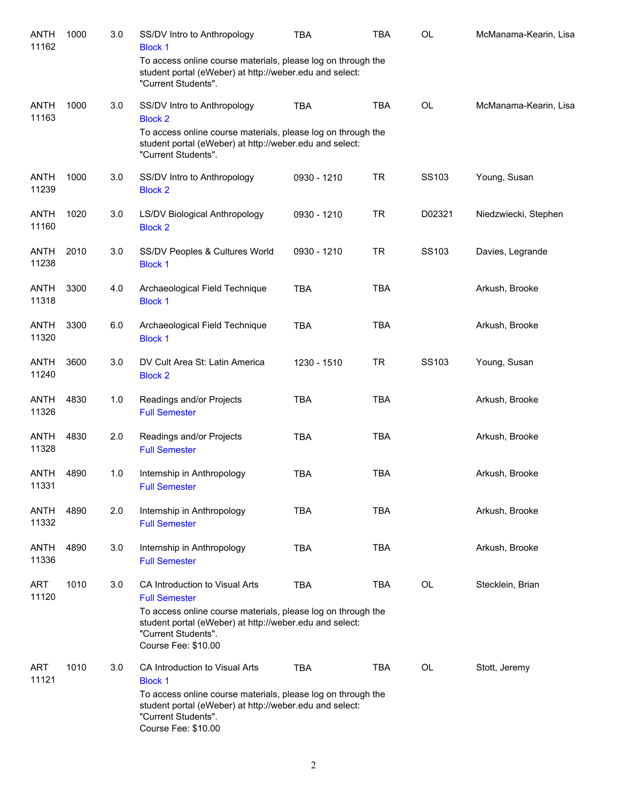| <b>ANTH</b><br>11162 | 1000 | 3.0 | SS/DV Intro to Anthropology<br><b>Block 1</b>                                                                                                                                                            | <b>TBA</b>  | <b>TBA</b> | <b>OL</b> | McManama-Kearin, Lisa |
|----------------------|------|-----|----------------------------------------------------------------------------------------------------------------------------------------------------------------------------------------------------------|-------------|------------|-----------|-----------------------|
|                      |      |     | To access online course materials, please log on through the<br>student portal (eWeber) at http://weber.edu and select:<br>"Current Students".                                                           |             |            |           |                       |
| <b>ANTH</b><br>11163 | 1000 | 3.0 | SS/DV Intro to Anthropology<br><b>Block 2</b>                                                                                                                                                            | <b>TBA</b>  | <b>TBA</b> | <b>OL</b> | McManama-Kearin, Lisa |
|                      |      |     | To access online course materials, please log on through the<br>student portal (eWeber) at http://weber.edu and select:<br>"Current Students".                                                           |             |            |           |                       |
| <b>ANTH</b><br>11239 | 1000 | 3.0 | SS/DV Intro to Anthropology<br><b>Block 2</b>                                                                                                                                                            | 0930 - 1210 | <b>TR</b>  | SS103     | Young, Susan          |
| <b>ANTH</b><br>11160 | 1020 | 3.0 | LS/DV Biological Anthropology<br><b>Block 2</b>                                                                                                                                                          | 0930 - 1210 | <b>TR</b>  | D02321    | Niedzwiecki, Stephen  |
| <b>ANTH</b><br>11238 | 2010 | 3.0 | SS/DV Peoples & Cultures World<br><b>Block 1</b>                                                                                                                                                         | 0930 - 1210 | <b>TR</b>  | SS103     | Davies, Legrande      |
| <b>ANTH</b><br>11318 | 3300 | 4.0 | Archaeological Field Technique<br><b>Block 1</b>                                                                                                                                                         | <b>TBA</b>  | <b>TBA</b> |           | Arkush, Brooke        |
| <b>ANTH</b><br>11320 | 3300 | 6.0 | Archaeological Field Technique<br><b>Block 1</b>                                                                                                                                                         | <b>TBA</b>  | <b>TBA</b> |           | Arkush, Brooke        |
| <b>ANTH</b><br>11240 | 3600 | 3.0 | DV Cult Area St: Latin America<br><b>Block 2</b>                                                                                                                                                         | 1230 - 1510 | <b>TR</b>  | SS103     | Young, Susan          |
| ANTH<br>11326        | 4830 | 1.0 | Readings and/or Projects<br><b>Full Semester</b>                                                                                                                                                         | <b>TBA</b>  | <b>TBA</b> |           | Arkush, Brooke        |
| ANTH<br>11328        | 4830 | 2.0 | Readings and/or Projects<br><b>Full Semester</b>                                                                                                                                                         | <b>TBA</b>  | <b>TBA</b> |           | Arkush, Brooke        |
| ANTH<br>11331        | 4890 | 1.0 | Internship in Anthropology<br><b>Full Semester</b>                                                                                                                                                       | <b>TBA</b>  | <b>TBA</b> |           | Arkush, Brooke        |
| <b>ANTH</b><br>11332 | 4890 | 2.0 | Internship in Anthropology<br><b>Full Semester</b>                                                                                                                                                       | <b>TBA</b>  | <b>TBA</b> |           | Arkush, Brooke        |
| <b>ANTH</b><br>11336 | 4890 | 3.0 | Internship in Anthropology<br><b>Full Semester</b>                                                                                                                                                       | <b>TBA</b>  | <b>TBA</b> |           | Arkush, Brooke        |
| <b>ART</b><br>11120  | 1010 | 3.0 | CA Introduction to Visual Arts<br><b>Full Semester</b><br>To access online course materials, please log on through the<br>student portal (eWeber) at http://weber.edu and select:<br>"Current Students". | <b>TBA</b>  | <b>TBA</b> | OL        | Stecklein, Brian      |
|                      |      |     | Course Fee: \$10.00                                                                                                                                                                                      |             |            |           |                       |
| ART<br>11121         | 1010 | 3.0 | CA Introduction to Visual Arts<br><b>Block 1</b>                                                                                                                                                         | <b>TBA</b>  | <b>TBA</b> | OL        | Stott, Jeremy         |
|                      |      |     | To access online course materials, please log on through the<br>student portal (eWeber) at http://weber.edu and select:<br>"Current Students".<br>Course Fee: \$10.00                                    |             |            |           |                       |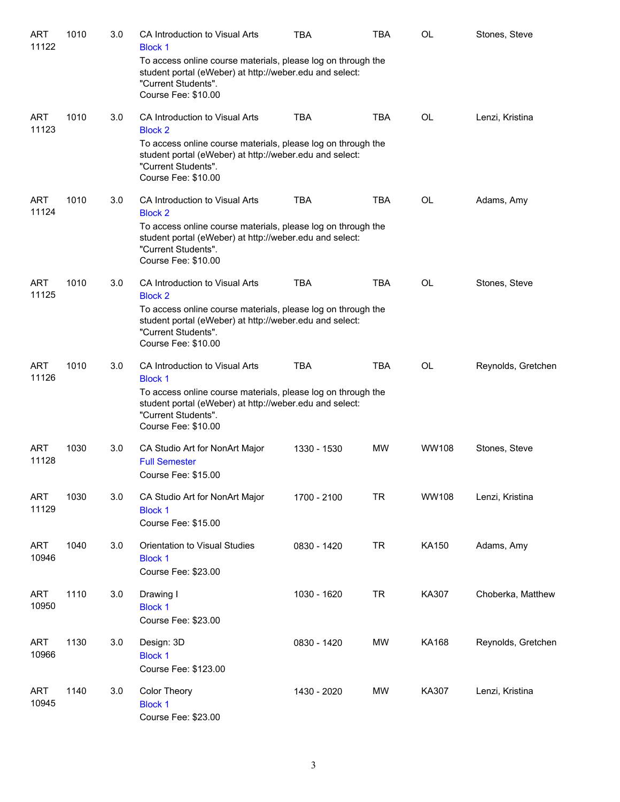| <b>ART</b><br>11122 | 1010 | 3.0 | CA Introduction to Visual Arts<br><b>Block 1</b>                                                                                                                      | <b>TBA</b>  | <b>TBA</b> | OL           | Stones, Steve      |
|---------------------|------|-----|-----------------------------------------------------------------------------------------------------------------------------------------------------------------------|-------------|------------|--------------|--------------------|
|                     |      |     | To access online course materials, please log on through the<br>student portal (eWeber) at http://weber.edu and select:<br>"Current Students".<br>Course Fee: \$10.00 |             |            |              |                    |
| ART<br>11123        | 1010 | 3.0 | CA Introduction to Visual Arts<br><b>Block 2</b>                                                                                                                      | <b>TBA</b>  | <b>TBA</b> | OL           | Lenzi, Kristina    |
|                     |      |     | To access online course materials, please log on through the<br>student portal (eWeber) at http://weber.edu and select:<br>"Current Students".<br>Course Fee: \$10.00 |             |            |              |                    |
| ART<br>11124        | 1010 | 3.0 | CA Introduction to Visual Arts<br><b>Block 2</b>                                                                                                                      | <b>TBA</b>  | <b>TBA</b> | OL           | Adams, Amy         |
|                     |      |     | To access online course materials, please log on through the<br>student portal (eWeber) at http://weber.edu and select:<br>"Current Students".<br>Course Fee: \$10.00 |             |            |              |                    |
| <b>ART</b><br>11125 | 1010 | 3.0 | CA Introduction to Visual Arts<br><b>Block 2</b>                                                                                                                      | <b>TBA</b>  | <b>TBA</b> | <b>OL</b>    | Stones, Steve      |
|                     |      |     | To access online course materials, please log on through the<br>student portal (eWeber) at http://weber.edu and select:<br>"Current Students".<br>Course Fee: \$10.00 |             |            |              |                    |
| ART<br>11126        | 1010 | 3.0 | CA Introduction to Visual Arts<br><b>Block 1</b>                                                                                                                      | <b>TBA</b>  | <b>TBA</b> | OL           | Reynolds, Gretchen |
|                     |      |     | To access online course materials, please log on through the<br>student portal (eWeber) at http://weber.edu and select:<br>"Current Students".<br>Course Fee: \$10.00 |             |            |              |                    |
| <b>ART</b><br>11128 | 1030 | 3.0 | CA Studio Art for NonArt Major<br><b>Full Semester</b><br>Course Fee: \$15.00                                                                                         | 1330 - 1530 | <b>MW</b>  | WW108        | Stones, Steve      |
| <b>ART</b><br>11129 | 1030 | 3.0 | CA Studio Art for NonArt Major<br><b>Block 1</b><br>Course Fee: \$15.00                                                                                               | 1700 - 2100 | <b>TR</b>  | <b>WW108</b> | Lenzi, Kristina    |
| <b>ART</b><br>10946 | 1040 | 3.0 | Orientation to Visual Studies<br><b>Block 1</b><br>Course Fee: \$23.00                                                                                                | 0830 - 1420 | <b>TR</b>  | KA150        | Adams, Amy         |
| <b>ART</b><br>10950 | 1110 | 3.0 | Drawing I<br><b>Block 1</b><br>Course Fee: \$23.00                                                                                                                    | 1030 - 1620 | <b>TR</b>  | KA307        | Choberka, Matthew  |
| ART<br>10966        | 1130 | 3.0 | Design: 3D<br><b>Block 1</b><br>Course Fee: \$123.00                                                                                                                  | 0830 - 1420 | <b>MW</b>  | KA168        | Reynolds, Gretchen |
| ART<br>10945        | 1140 | 3.0 | Color Theory<br><b>Block 1</b><br>Course Fee: \$23.00                                                                                                                 | 1430 - 2020 | <b>MW</b>  | KA307        | Lenzi, Kristina    |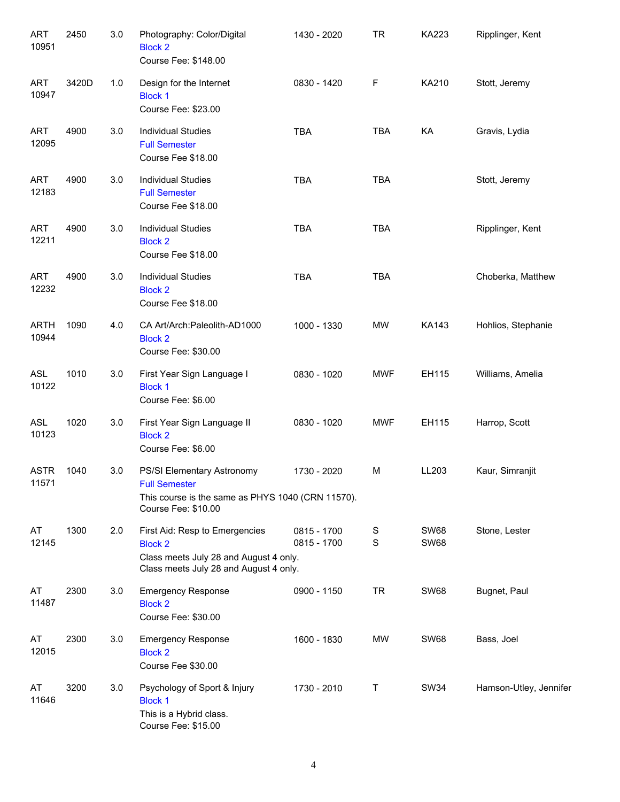| ART<br>10951         | 2450  | 3.0 | Photography: Color/Digital<br><b>Block 2</b><br>Course Fee: \$148.00                                                                 | 1430 - 2020                | <b>TR</b>                  | KA223                      | Ripplinger, Kent       |
|----------------------|-------|-----|--------------------------------------------------------------------------------------------------------------------------------------|----------------------------|----------------------------|----------------------------|------------------------|
| <b>ART</b><br>10947  | 3420D | 1.0 | Design for the Internet<br><b>Block 1</b><br>Course Fee: \$23.00                                                                     | 0830 - 1420                | F                          | KA210                      | Stott, Jeremy          |
| <b>ART</b><br>12095  | 4900  | 3.0 | <b>Individual Studies</b><br><b>Full Semester</b><br>Course Fee \$18.00                                                              | <b>TBA</b>                 | <b>TBA</b>                 | KA                         | Gravis, Lydia          |
| <b>ART</b><br>12183  | 4900  | 3.0 | <b>Individual Studies</b><br><b>Full Semester</b><br>Course Fee \$18.00                                                              | <b>TBA</b>                 | <b>TBA</b>                 |                            | Stott, Jeremy          |
| <b>ART</b><br>12211  | 4900  | 3.0 | <b>Individual Studies</b><br><b>Block 2</b><br>Course Fee \$18.00                                                                    | <b>TBA</b>                 | <b>TBA</b>                 |                            | Ripplinger, Kent       |
| <b>ART</b><br>12232  | 4900  | 3.0 | <b>Individual Studies</b><br><b>Block 2</b><br>Course Fee \$18.00                                                                    | <b>TBA</b>                 | <b>TBA</b>                 |                            | Choberka, Matthew      |
| <b>ARTH</b><br>10944 | 1090  | 4.0 | CA Art/Arch: Paleolith-AD1000<br><b>Block 2</b><br>Course Fee: \$30.00                                                               | 1000 - 1330                | MW                         | <b>KA143</b>               | Hohlios, Stephanie     |
| ASL<br>10122         | 1010  | 3.0 | First Year Sign Language I<br><b>Block 1</b><br>Course Fee: \$6.00                                                                   | 0830 - 1020                | <b>MWF</b>                 | EH115                      | Williams, Amelia       |
| <b>ASL</b><br>10123  | 1020  | 3.0 | First Year Sign Language II<br><b>Block 2</b><br>Course Fee: \$6.00                                                                  | 0830 - 1020                | <b>MWF</b>                 | EH115                      | Harrop, Scott          |
| <b>ASTR</b><br>11571 | 1040  | 3.0 | PS/SI Elementary Astronomy<br><b>Full Semester</b><br>This course is the same as PHYS 1040 (CRN 11570).<br>Course Fee: \$10.00       | 1730 - 2020                | M                          | LL203                      | Kaur, Simranjit        |
| AT<br>12145          | 1300  | 2.0 | First Aid: Resp to Emergencies<br><b>Block 2</b><br>Class meets July 28 and August 4 only.<br>Class meets July 28 and August 4 only. | 0815 - 1700<br>0815 - 1700 | $\mathbb S$<br>$\mathbf S$ | <b>SW68</b><br><b>SW68</b> | Stone, Lester          |
| AT<br>11487          | 2300  | 3.0 | <b>Emergency Response</b><br><b>Block 2</b><br>Course Fee: \$30.00                                                                   | 0900 - 1150                | <b>TR</b>                  | <b>SW68</b>                | Bugnet, Paul           |
| AT<br>12015          | 2300  | 3.0 | <b>Emergency Response</b><br><b>Block 2</b><br>Course Fee \$30.00                                                                    | 1600 - 1830                | MW                         | <b>SW68</b>                | Bass, Joel             |
| AT<br>11646          | 3200  | 3.0 | Psychology of Sport & Injury<br><b>Block 1</b><br>This is a Hybrid class.<br>Course Fee: \$15.00                                     | 1730 - 2010                | Τ                          | <b>SW34</b>                | Hamson-Utley, Jennifer |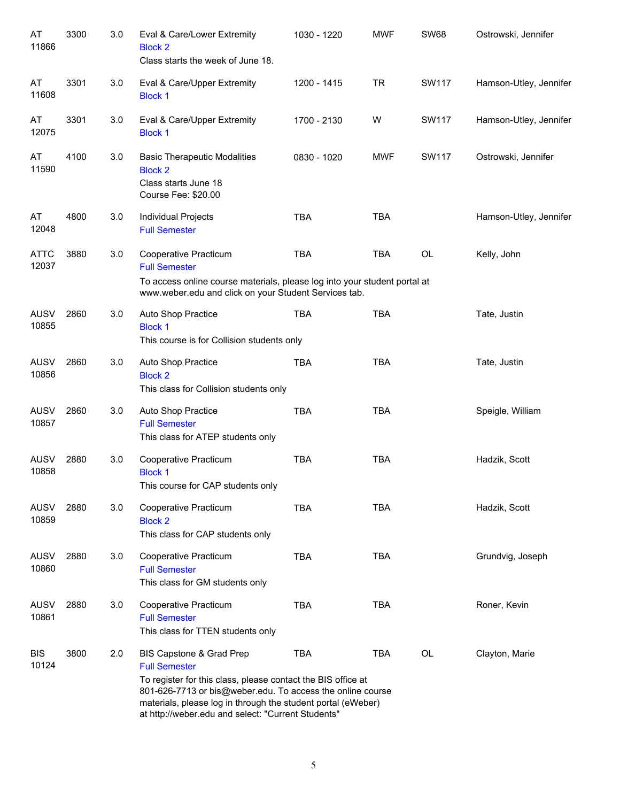| AT<br>11866          | 3300 | 3.0 | Eval & Care/Lower Extremity<br><b>Block 2</b><br>Class starts the week of June 18.                                                                                                                                                                                                                   | 1030 - 1220 | <b>MWF</b> | <b>SW68</b>  | Ostrowski, Jennifer    |
|----------------------|------|-----|------------------------------------------------------------------------------------------------------------------------------------------------------------------------------------------------------------------------------------------------------------------------------------------------------|-------------|------------|--------------|------------------------|
| AT<br>11608          | 3301 | 3.0 | Eval & Care/Upper Extremity<br><b>Block 1</b>                                                                                                                                                                                                                                                        | 1200 - 1415 | <b>TR</b>  | <b>SW117</b> | Hamson-Utley, Jennifer |
| AT<br>12075          | 3301 | 3.0 | Eval & Care/Upper Extremity<br><b>Block 1</b>                                                                                                                                                                                                                                                        | 1700 - 2130 | W          | SW117        | Hamson-Utley, Jennifer |
| AT<br>11590          | 4100 | 3.0 | <b>Basic Therapeutic Modalities</b><br><b>Block 2</b><br>Class starts June 18<br>Course Fee: \$20.00                                                                                                                                                                                                 | 0830 - 1020 | <b>MWF</b> | <b>SW117</b> | Ostrowski, Jennifer    |
| AT<br>12048          | 4800 | 3.0 | Individual Projects<br><b>Full Semester</b>                                                                                                                                                                                                                                                          | <b>TBA</b>  | <b>TBA</b> |              | Hamson-Utley, Jennifer |
| <b>ATTC</b><br>12037 | 3880 | 3.0 | Cooperative Practicum<br><b>Full Semester</b><br>To access online course materials, please log into your student portal at<br>www.weber.edu and click on your Student Services tab.                                                                                                                  | <b>TBA</b>  | <b>TBA</b> | <b>OL</b>    | Kelly, John            |
| <b>AUSV</b><br>10855 | 2860 | 3.0 | Auto Shop Practice<br><b>Block 1</b><br>This course is for Collision students only                                                                                                                                                                                                                   | <b>TBA</b>  | <b>TBA</b> |              | Tate, Justin           |
| <b>AUSV</b><br>10856 | 2860 | 3.0 | Auto Shop Practice<br><b>Block 2</b><br>This class for Collision students only                                                                                                                                                                                                                       | <b>TBA</b>  | <b>TBA</b> |              | Tate, Justin           |
| <b>AUSV</b><br>10857 | 2860 | 3.0 | Auto Shop Practice<br><b>Full Semester</b><br>This class for ATEP students only                                                                                                                                                                                                                      | <b>TBA</b>  | <b>TBA</b> |              | Speigle, William       |
| <b>AUSV</b><br>10858 | 2880 | 3.0 | Cooperative Practicum<br><b>Block 1</b><br>This course for CAP students only                                                                                                                                                                                                                         | <b>TBA</b>  | <b>TBA</b> |              | Hadzik, Scott          |
| AUSV<br>10859        | 2880 | 3.0 | Cooperative Practicum<br><b>Block 2</b><br>This class for CAP students only                                                                                                                                                                                                                          | <b>TBA</b>  | <b>TBA</b> |              | Hadzik, Scott          |
| <b>AUSV</b><br>10860 | 2880 | 3.0 | Cooperative Practicum<br><b>Full Semester</b><br>This class for GM students only                                                                                                                                                                                                                     | <b>TBA</b>  | <b>TBA</b> |              | Grundvig, Joseph       |
| <b>AUSV</b><br>10861 | 2880 | 3.0 | Cooperative Practicum<br><b>Full Semester</b><br>This class for TTEN students only                                                                                                                                                                                                                   | <b>TBA</b>  | <b>TBA</b> |              | Roner, Kevin           |
| <b>BIS</b><br>10124  | 3800 | 2.0 | BIS Capstone & Grad Prep<br><b>Full Semester</b><br>To register for this class, please contact the BIS office at<br>801-626-7713 or bis@weber.edu. To access the online course<br>materials, please log in through the student portal (eWeber)<br>at http://weber.edu and select: "Current Students" | <b>TBA</b>  | <b>TBA</b> | OL           | Clayton, Marie         |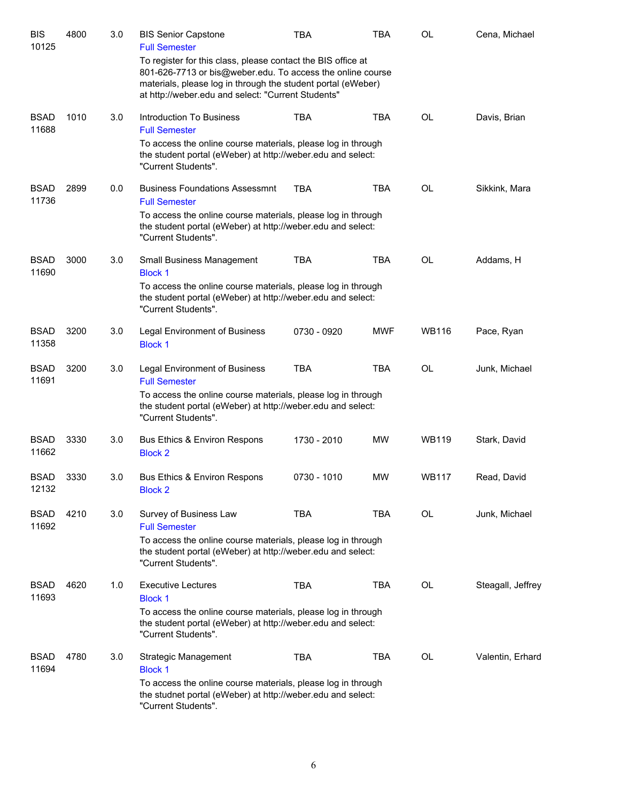| <b>BIS</b><br>10125  | 4800 | 3.0 | <b>BIS Senior Capstone</b><br><b>Full Semester</b>                                                                                                                                                                                               | TBA         | TBA        | OL           | Cena, Michael     |
|----------------------|------|-----|--------------------------------------------------------------------------------------------------------------------------------------------------------------------------------------------------------------------------------------------------|-------------|------------|--------------|-------------------|
|                      |      |     | To register for this class, please contact the BIS office at<br>801-626-7713 or bis@weber.edu. To access the online course<br>materials, please log in through the student portal (eWeber)<br>at http://weber.edu and select: "Current Students" |             |            |              |                   |
| <b>BSAD</b><br>11688 | 1010 | 3.0 | Introduction To Business                                                                                                                                                                                                                         | <b>TBA</b>  | <b>TBA</b> | <b>OL</b>    | Davis, Brian      |
|                      |      |     | <b>Full Semester</b><br>To access the online course materials, please log in through<br>the student portal (eWeber) at http://weber.edu and select:<br>"Current Students".                                                                       |             |            |              |                   |
| <b>BSAD</b><br>11736 | 2899 | 0.0 | <b>Business Foundations Assessmnt</b><br><b>Full Semester</b>                                                                                                                                                                                    | <b>TBA</b>  | <b>TBA</b> | <b>OL</b>    | Sikkink, Mara     |
|                      |      |     | To access the online course materials, please log in through<br>the student portal (eWeber) at http://weber.edu and select:<br>"Current Students".                                                                                               |             |            |              |                   |
| <b>BSAD</b><br>11690 | 3000 | 3.0 | <b>Small Business Management</b><br><b>Block 1</b>                                                                                                                                                                                               | TBA         | <b>TBA</b> | <b>OL</b>    | Addams, H         |
|                      |      |     | To access the online course materials, please log in through<br>the student portal (eWeber) at http://weber.edu and select:<br>"Current Students".                                                                                               |             |            |              |                   |
| <b>BSAD</b><br>11358 | 3200 | 3.0 | Legal Environment of Business<br><b>Block 1</b>                                                                                                                                                                                                  | 0730 - 0920 | <b>MWF</b> | <b>WB116</b> | Pace, Ryan        |
| <b>BSAD</b><br>11691 | 3200 | 3.0 | <b>Legal Environment of Business</b><br><b>Full Semester</b>                                                                                                                                                                                     | <b>TBA</b>  | <b>TBA</b> | <b>OL</b>    | Junk, Michael     |
|                      |      |     | To access the online course materials, please log in through<br>the student portal (eWeber) at http://weber.edu and select:<br>"Current Students".                                                                                               |             |            |              |                   |
| <b>BSAD</b><br>11662 | 3330 | 3.0 | Bus Ethics & Environ Respons<br><b>Block 2</b>                                                                                                                                                                                                   | 1730 - 2010 | <b>MW</b>  | <b>WB119</b> | Stark, David      |
| <b>BSAD</b><br>12132 | 3330 | 3.0 | Bus Ethics & Environ Respons<br><b>Block 2</b>                                                                                                                                                                                                   | 0730 - 1010 | <b>MW</b>  | <b>WB117</b> | Read, David       |
| <b>BSAD</b><br>11692 | 4210 | 3.0 | Survey of Business Law<br><b>Full Semester</b>                                                                                                                                                                                                   | <b>TBA</b>  | <b>TBA</b> | <b>OL</b>    | Junk, Michael     |
|                      |      |     | To access the online course materials, please log in through<br>the student portal (eWeber) at http://weber.edu and select:<br>"Current Students".                                                                                               |             |            |              |                   |
| <b>BSAD</b><br>11693 | 4620 | 1.0 | <b>Executive Lectures</b><br><b>Block 1</b>                                                                                                                                                                                                      | <b>TBA</b>  | <b>TBA</b> | OL           | Steagall, Jeffrey |
|                      |      |     | To access the online course materials, please log in through<br>the student portal (eWeber) at http://weber.edu and select:<br>"Current Students".                                                                                               |             |            |              |                   |
| <b>BSAD</b><br>11694 | 4780 | 3.0 | Strategic Management<br><b>Block 1</b>                                                                                                                                                                                                           | <b>TBA</b>  | <b>TBA</b> | <b>OL</b>    | Valentin, Erhard  |
|                      |      |     | To access the online course materials, please log in through<br>the studnet portal (eWeber) at http://weber.edu and select:<br>"Current Students".                                                                                               |             |            |              |                   |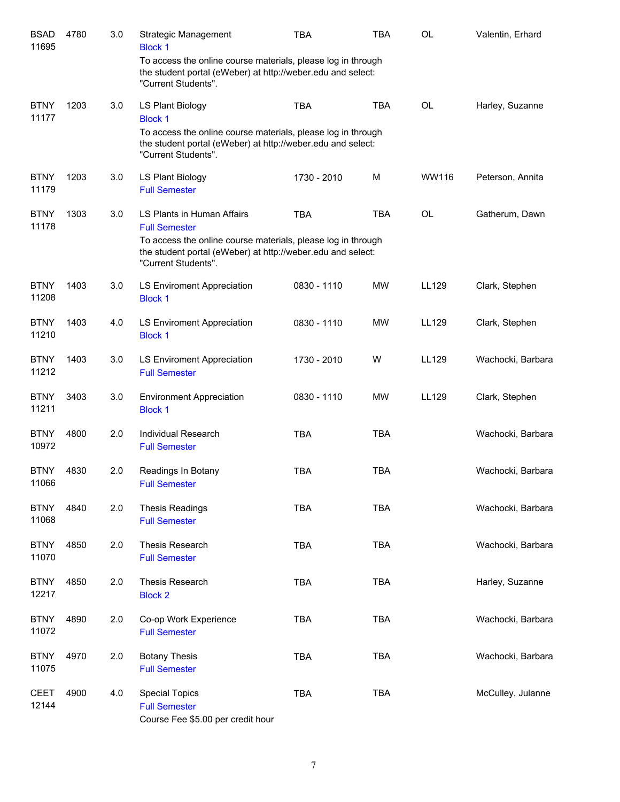| <b>BSAD</b><br>11695 | 4780 | 3.0 | Strategic Management<br><b>Block 1</b><br>To access the online course materials, please log in through                                             | <b>TBA</b>  | <b>TBA</b> | <b>OL</b> | Valentin, Erhard  |
|----------------------|------|-----|----------------------------------------------------------------------------------------------------------------------------------------------------|-------------|------------|-----------|-------------------|
|                      |      |     | the student portal (eWeber) at http://weber.edu and select:<br>"Current Students".                                                                 |             |            |           |                   |
| <b>BTNY</b><br>11177 | 1203 | 3.0 | LS Plant Biology<br><b>Block 1</b>                                                                                                                 | <b>TBA</b>  | <b>TBA</b> | <b>OL</b> | Harley, Suzanne   |
|                      |      |     | To access the online course materials, please log in through<br>the student portal (eWeber) at http://weber.edu and select:<br>"Current Students". |             |            |           |                   |
| <b>BTNY</b><br>11179 | 1203 | 3.0 | LS Plant Biology<br><b>Full Semester</b>                                                                                                           | 1730 - 2010 | M          | WW116     | Peterson, Annita  |
| <b>BTNY</b><br>11178 | 1303 | 3.0 | LS Plants in Human Affairs<br><b>Full Semester</b>                                                                                                 | <b>TBA</b>  | <b>TBA</b> | <b>OL</b> | Gatherum, Dawn    |
|                      |      |     | To access the online course materials, please log in through<br>the student portal (eWeber) at http://weber.edu and select:<br>"Current Students". |             |            |           |                   |
| <b>BTNY</b><br>11208 | 1403 | 3.0 | LS Enviroment Appreciation<br><b>Block 1</b>                                                                                                       | 0830 - 1110 | MW         | LL129     | Clark, Stephen    |
| <b>BTNY</b><br>11210 | 1403 | 4.0 | LS Enviroment Appreciation<br><b>Block 1</b>                                                                                                       | 0830 - 1110 | MW         | LL129     | Clark, Stephen    |
| <b>BTNY</b><br>11212 | 1403 | 3.0 | LS Enviroment Appreciation<br><b>Full Semester</b>                                                                                                 | 1730 - 2010 | W          | LL129     | Wachocki, Barbara |
| <b>BTNY</b><br>11211 | 3403 | 3.0 | <b>Environment Appreciation</b><br><b>Block 1</b>                                                                                                  | 0830 - 1110 | <b>MW</b>  | LL129     | Clark, Stephen    |
| <b>BTNY</b><br>10972 | 4800 | 2.0 | Individual Research<br><b>Full Semester</b>                                                                                                        | <b>TBA</b>  | <b>TBA</b> |           | Wachocki, Barbara |
| <b>BTNY</b><br>11066 | 4830 | 2.0 | Readings In Botany<br><b>Full Semester</b>                                                                                                         | <b>TBA</b>  | <b>TBA</b> |           | Wachocki, Barbara |
| <b>BTNY</b><br>11068 | 4840 | 2.0 | <b>Thesis Readings</b><br><b>Full Semester</b>                                                                                                     | TBA         | <b>TBA</b> |           | Wachocki, Barbara |
| <b>BTNY</b><br>11070 | 4850 | 2.0 | Thesis Research<br><b>Full Semester</b>                                                                                                            | <b>TBA</b>  | <b>TBA</b> |           | Wachocki, Barbara |
| <b>BTNY</b><br>12217 | 4850 | 2.0 | Thesis Research<br><b>Block 2</b>                                                                                                                  | <b>TBA</b>  | <b>TBA</b> |           | Harley, Suzanne   |
| <b>BTNY</b><br>11072 | 4890 | 2.0 | Co-op Work Experience<br><b>Full Semester</b>                                                                                                      | <b>TBA</b>  | <b>TBA</b> |           | Wachocki, Barbara |
| <b>BTNY</b><br>11075 | 4970 | 2.0 | <b>Botany Thesis</b><br><b>Full Semester</b>                                                                                                       | <b>TBA</b>  | <b>TBA</b> |           | Wachocki, Barbara |
| <b>CEET</b><br>12144 | 4900 | 4.0 | <b>Special Topics</b><br><b>Full Semester</b><br>Course Fee \$5.00 per credit hour                                                                 | <b>TBA</b>  | <b>TBA</b> |           | McCulley, Julanne |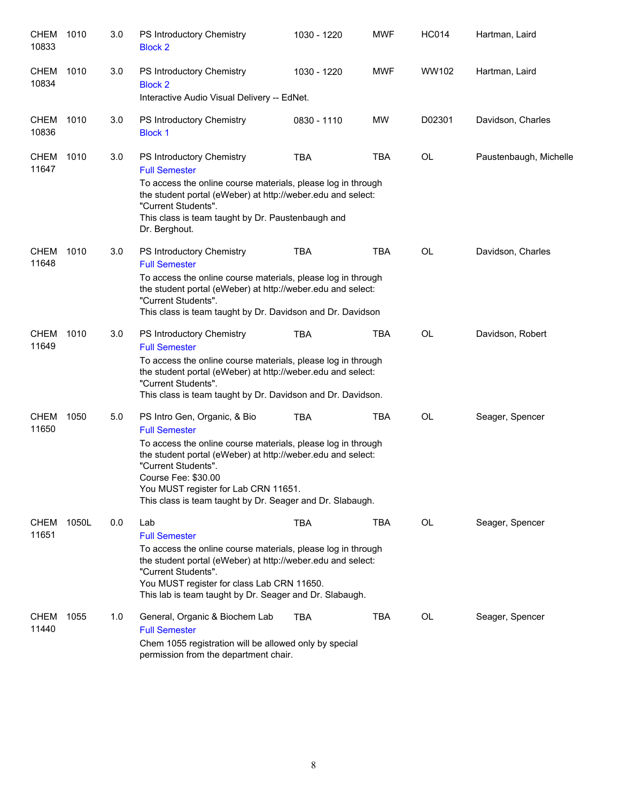| <b>CHEM</b><br>10833 | 1010  | 3.0 | PS Introductory Chemistry<br><b>Block 2</b>                                                                                                                                                                                                                                                                                            | 1030 - 1220 | <b>MWF</b> | <b>HC014</b> | Hartman, Laird         |
|----------------------|-------|-----|----------------------------------------------------------------------------------------------------------------------------------------------------------------------------------------------------------------------------------------------------------------------------------------------------------------------------------------|-------------|------------|--------------|------------------------|
| <b>CHEM</b><br>10834 | 1010  | 3.0 | PS Introductory Chemistry<br><b>Block 2</b><br>Interactive Audio Visual Delivery -- EdNet.                                                                                                                                                                                                                                             | 1030 - 1220 | <b>MWF</b> | WW102        | Hartman, Laird         |
|                      |       |     |                                                                                                                                                                                                                                                                                                                                        |             |            |              |                        |
| <b>CHEM</b><br>10836 | 1010  | 3.0 | PS Introductory Chemistry<br><b>Block 1</b>                                                                                                                                                                                                                                                                                            | 0830 - 1110 | <b>MW</b>  | D02301       | Davidson, Charles      |
| <b>CHEM</b><br>11647 | 1010  | 3.0 | PS Introductory Chemistry<br><b>Full Semester</b><br>To access the online course materials, please log in through<br>the student portal (eWeber) at http://weber.edu and select:<br>"Current Students".<br>This class is team taught by Dr. Paustenbaugh and<br>Dr. Berghout.                                                          | <b>TBA</b>  | <b>TBA</b> | OL           | Paustenbaugh, Michelle |
| <b>CHEM</b><br>11648 | 1010  | 3.0 | PS Introductory Chemistry<br><b>Full Semester</b><br>To access the online course materials, please log in through<br>the student portal (eWeber) at http://weber.edu and select:<br>"Current Students".<br>This class is team taught by Dr. Davidson and Dr. Davidson                                                                  | <b>TBA</b>  | <b>TBA</b> | <b>OL</b>    | Davidson, Charles      |
| <b>CHEM</b><br>11649 | 1010  | 3.0 | PS Introductory Chemistry<br><b>Full Semester</b><br>To access the online course materials, please log in through<br>the student portal (eWeber) at http://weber.edu and select:<br>"Current Students".<br>This class is team taught by Dr. Davidson and Dr. Davidson.                                                                 | <b>TBA</b>  | <b>TBA</b> | <b>OL</b>    | Davidson, Robert       |
| <b>CHEM</b><br>11650 | 1050  | 5.0 | PS Intro Gen, Organic, & Bio<br><b>Full Semester</b><br>To access the online course materials, please log in through<br>the student portal (eWeber) at http://weber.edu and select:<br>"Current Students".<br>Course Fee: \$30.00<br>You MUST register for Lab CRN 11651.<br>This class is team taught by Dr. Seager and Dr. Slabaugh. | <b>TBA</b>  | <b>TBA</b> | <b>OL</b>    | Seager, Spencer        |
| <b>CHEM</b><br>11651 | 1050L | 0.0 | Lab<br><b>Full Semester</b><br>To access the online course materials, please log in through<br>the student portal (eWeber) at http://weber.edu and select:<br>"Current Students".<br>You MUST register for class Lab CRN 11650.<br>This lab is team taught by Dr. Seager and Dr. Slabaugh.                                             | <b>TBA</b>  | TBA        | OL           | Seager, Spencer        |
| <b>CHEM</b><br>11440 | 1055  | 1.0 | General, Organic & Biochem Lab<br><b>Full Semester</b><br>Chem 1055 registration will be allowed only by special<br>permission from the department chair.                                                                                                                                                                              | <b>TBA</b>  | TBA        | OL           | Seager, Spencer        |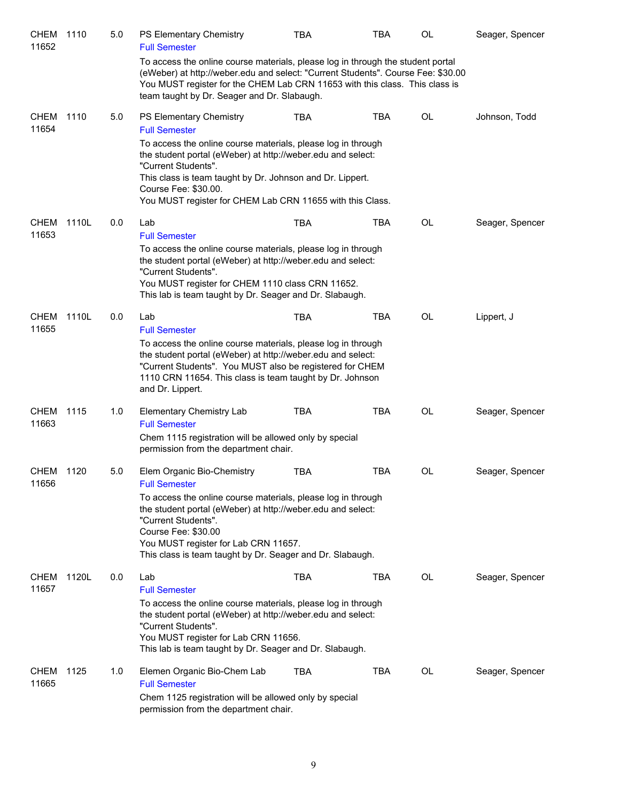| <b>CHEM</b><br>11652 | 1110  | 5.0 | PS Elementary Chemistry<br><b>Full Semester</b>                                                                                                                                                                                                                                                      | <b>TBA</b> | <b>TBA</b> | OL        | Seager, Spencer |
|----------------------|-------|-----|------------------------------------------------------------------------------------------------------------------------------------------------------------------------------------------------------------------------------------------------------------------------------------------------------|------------|------------|-----------|-----------------|
|                      |       |     | To access the online course materials, please log in through the student portal<br>(eWeber) at http://weber.edu and select: "Current Students". Course Fee: \$30.00<br>You MUST register for the CHEM Lab CRN 11653 with this class. This class is<br>team taught by Dr. Seager and Dr. Slabaugh.    |            |            |           |                 |
| <b>CHEM</b><br>11654 | 1110  | 5.0 | <b>PS Elementary Chemistry</b><br><b>Full Semester</b>                                                                                                                                                                                                                                               | <b>TBA</b> | <b>TBA</b> | OL        | Johnson, Todd   |
|                      |       |     | To access the online course materials, please log in through<br>the student portal (eWeber) at http://weber.edu and select:<br>"Current Students".<br>This class is team taught by Dr. Johnson and Dr. Lippert.<br>Course Fee: \$30.00.<br>You MUST register for CHEM Lab CRN 11655 with this Class. |            |            |           |                 |
| <b>CHEM</b>          | 1110L | 0.0 | Lab                                                                                                                                                                                                                                                                                                  | <b>TBA</b> | <b>TBA</b> | OL        | Seager, Spencer |
| 11653                |       |     | <b>Full Semester</b><br>To access the online course materials, please log in through<br>the student portal (eWeber) at http://weber.edu and select:<br>"Current Students".<br>You MUST register for CHEM 1110 class CRN 11652.<br>This lab is team taught by Dr. Seager and Dr. Slabaugh.            |            |            |           |                 |
| CHEM<br>11655        | 1110L | 0.0 | Lab                                                                                                                                                                                                                                                                                                  | <b>TBA</b> | <b>TBA</b> | OL        | Lippert, J      |
|                      |       |     | <b>Full Semester</b><br>To access the online course materials, please log in through<br>the student portal (eWeber) at http://weber.edu and select:<br>"Current Students". You MUST also be registered for CHEM<br>1110 CRN 11654. This class is team taught by Dr. Johnson<br>and Dr. Lippert.      |            |            |           |                 |
| CHEM<br>11663        | 1115  | 1.0 | <b>Elementary Chemistry Lab</b><br><b>Full Semester</b><br>Chem 1115 registration will be allowed only by special<br>permission from the department chair.                                                                                                                                           | <b>TBA</b> | TBA        | OL        | Seager, Spencer |
| CHEM<br>11656        | 1120  | 5.0 | Elem Organic Bio-Chemistry<br><b>Full Semester</b>                                                                                                                                                                                                                                                   | <b>TBA</b> | <b>TBA</b> | <b>OL</b> | Seager, Spencer |
|                      |       |     | To access the online course materials, please log in through<br>the student portal (eWeber) at http://weber.edu and select:<br>"Current Students".<br>Course Fee: \$30.00<br>You MUST register for Lab CRN 11657.<br>This class is team taught by Dr. Seager and Dr. Slabaugh.                       |            |            |           |                 |
| <b>CHEM</b><br>11657 | 1120L | 0.0 | Lab<br><b>Full Semester</b>                                                                                                                                                                                                                                                                          | <b>TBA</b> | <b>TBA</b> | OL        | Seager, Spencer |
|                      |       |     | To access the online course materials, please log in through<br>the student portal (eWeber) at http://weber.edu and select:<br>"Current Students".<br>You MUST register for Lab CRN 11656.<br>This lab is team taught by Dr. Seager and Dr. Slabaugh.                                                |            |            |           |                 |
| CHEM<br>11665        | 1125  | 1.0 | Elemen Organic Bio-Chem Lab<br><b>Full Semester</b><br>Chem 1125 registration will be allowed only by special                                                                                                                                                                                        | <b>TBA</b> | <b>TBA</b> | OL        | Seager, Spencer |
|                      |       |     | permission from the department chair.                                                                                                                                                                                                                                                                |            |            |           |                 |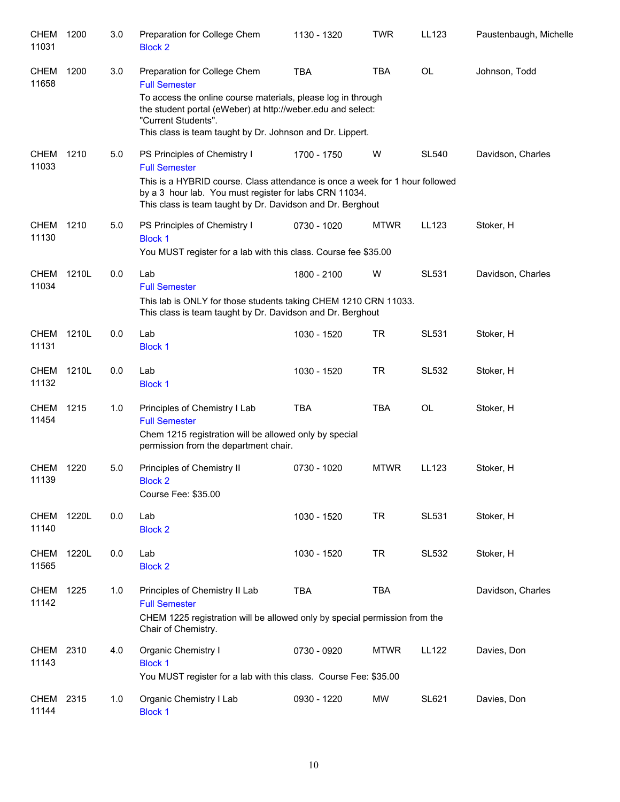| CHEM<br>11031        | 1200  | 3.0 | Preparation for College Chem<br><b>Block 2</b>                                                                                                                                                 | 1130 - 1320 | <b>TWR</b>  | LL123        | Paustenbaugh, Michelle |
|----------------------|-------|-----|------------------------------------------------------------------------------------------------------------------------------------------------------------------------------------------------|-------------|-------------|--------------|------------------------|
| <b>CHEM</b><br>11658 | 1200  | 3.0 | Preparation for College Chem<br><b>Full Semester</b><br>To access the online course materials, please log in through                                                                           | <b>TBA</b>  | <b>TBA</b>  | <b>OL</b>    | Johnson, Todd          |
|                      |       |     | the student portal (eWeber) at http://weber.edu and select:<br>"Current Students".<br>This class is team taught by Dr. Johnson and Dr. Lippert.                                                |             |             |              |                        |
| <b>CHEM</b><br>11033 | 1210  | 5.0 | PS Principles of Chemistry I<br><b>Full Semester</b><br>This is a HYBRID course. Class attendance is once a week for 1 hour followed<br>by a 3 hour lab. You must register for labs CRN 11034. | 1700 - 1750 | W           | <b>SL540</b> | Davidson, Charles      |
| <b>CHEM</b><br>11130 | 1210  | 5.0 | This class is team taught by Dr. Davidson and Dr. Berghout<br>PS Principles of Chemistry I<br><b>Block 1</b><br>You MUST register for a lab with this class. Course fee \$35.00                | 0730 - 1020 | <b>MTWR</b> | LL123        | Stoker, H              |
| <b>CHEM</b><br>11034 | 1210L | 0.0 | Lab<br><b>Full Semester</b><br>This lab is ONLY for those students taking CHEM 1210 CRN 11033.<br>This class is team taught by Dr. Davidson and Dr. Berghout                                   | 1800 - 2100 | W           | <b>SL531</b> | Davidson, Charles      |
| <b>CHEM</b><br>11131 | 1210L | 0.0 | Lab<br><b>Block 1</b>                                                                                                                                                                          | 1030 - 1520 | <b>TR</b>   | <b>SL531</b> | Stoker, H              |
| <b>CHEM</b><br>11132 | 1210L | 0.0 | Lab<br><b>Block 1</b>                                                                                                                                                                          | 1030 - 1520 | <b>TR</b>   | <b>SL532</b> | Stoker, H              |
| <b>CHEM</b><br>11454 | 1215  | 1.0 | Principles of Chemistry I Lab<br><b>Full Semester</b><br>Chem 1215 registration will be allowed only by special<br>permission from the department chair.                                       | <b>TBA</b>  | <b>TBA</b>  | <b>OL</b>    | Stoker, H              |
| <b>CHEM</b><br>11139 | 1220  | 5.0 | Principles of Chemistry II<br><b>Block 2</b><br>Course Fee: \$35.00                                                                                                                            | 0730 - 1020 | <b>MTWR</b> | LL123        | Stoker, H              |
| <b>CHEM</b><br>11140 | 1220L | 0.0 | Lab<br><b>Block 2</b>                                                                                                                                                                          | 1030 - 1520 | <b>TR</b>   | <b>SL531</b> | Stoker, H              |
| <b>CHEM</b><br>11565 | 1220L | 0.0 | Lab<br><b>Block 2</b>                                                                                                                                                                          | 1030 - 1520 | <b>TR</b>   | <b>SL532</b> | Stoker, H              |
| CHEM<br>11142        | 1225  | 1.0 | Principles of Chemistry II Lab<br><b>Full Semester</b><br>CHEM 1225 registration will be allowed only by special permission from the<br>Chair of Chemistry.                                    | <b>TBA</b>  | <b>TBA</b>  |              | Davidson, Charles      |
| <b>CHEM</b><br>11143 | 2310  | 4.0 | Organic Chemistry I<br><b>Block 1</b><br>You MUST register for a lab with this class. Course Fee: \$35.00                                                                                      | 0730 - 0920 | <b>MTWR</b> | <b>LL122</b> | Davies, Don            |
| CHEM<br>11144        | 2315  | 1.0 | Organic Chemistry I Lab<br><b>Block 1</b>                                                                                                                                                      | 0930 - 1220 | MW          | <b>SL621</b> | Davies, Don            |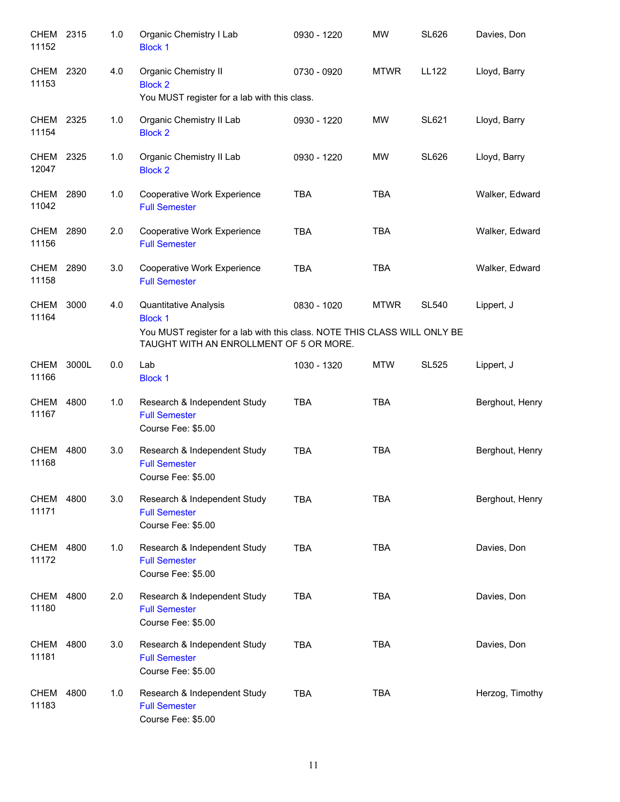| CHEM<br>11152        | 2315  | 1.0 | Organic Chemistry I Lab<br><b>Block 1</b>                                                                            | 0930 - 1220 | <b>MW</b>   | <b>SL626</b> | Davies, Don     |
|----------------------|-------|-----|----------------------------------------------------------------------------------------------------------------------|-------------|-------------|--------------|-----------------|
| <b>CHEM</b><br>11153 | 2320  | 4.0 | Organic Chemistry II<br><b>Block 2</b><br>You MUST register for a lab with this class.                               | 0730 - 0920 | <b>MTWR</b> | LL122        | Lloyd, Barry    |
| CHEM<br>11154        | 2325  | 1.0 | Organic Chemistry II Lab<br><b>Block 2</b>                                                                           | 0930 - 1220 | MW          | <b>SL621</b> | Lloyd, Barry    |
| CHEM 2325<br>12047   |       | 1.0 | Organic Chemistry II Lab<br><b>Block 2</b>                                                                           | 0930 - 1220 | MW          | <b>SL626</b> | Lloyd, Barry    |
| CHEM 2890<br>11042   |       | 1.0 | Cooperative Work Experience<br><b>Full Semester</b>                                                                  | <b>TBA</b>  | <b>TBA</b>  |              | Walker, Edward  |
| CHEM 2890<br>11156   |       | 2.0 | Cooperative Work Experience<br><b>Full Semester</b>                                                                  | <b>TBA</b>  | <b>TBA</b>  |              | Walker, Edward  |
| CHEM<br>11158        | 2890  | 3.0 | Cooperative Work Experience<br><b>Full Semester</b>                                                                  | <b>TBA</b>  | <b>TBA</b>  |              | Walker, Edward  |
| <b>CHEM</b><br>11164 | 3000  | 4.0 | Quantitative Analysis<br><b>Block 1</b>                                                                              | 0830 - 1020 | <b>MTWR</b> | <b>SL540</b> | Lippert, J      |
|                      |       |     | You MUST register for a lab with this class. NOTE THIS CLASS WILL ONLY BE<br>TAUGHT WITH AN ENROLLMENT OF 5 OR MORE. |             |             |              |                 |
| <b>CHEM</b><br>11166 | 3000L | 0.0 | Lab<br><b>Block 1</b>                                                                                                | 1030 - 1320 | <b>MTW</b>  | <b>SL525</b> | Lippert, J      |
| <b>CHEM</b><br>11167 | 4800  | 1.0 | Research & Independent Study<br><b>Full Semester</b><br>Course Fee: \$5.00                                           | <b>TBA</b>  | <b>TBA</b>  |              | Berghout, Henry |
| <b>CHEM</b><br>11168 | 4800  | 3.0 | Research & Independent Study<br><b>Full Semester</b><br>Course Fee: \$5.00                                           | <b>TBA</b>  | <b>TBA</b>  |              | Berghout, Henry |
| <b>CHEM</b><br>11171 | 4800  | 3.0 | Research & Independent Study<br><b>Full Semester</b><br>Course Fee: \$5.00                                           | <b>TBA</b>  | <b>TBA</b>  |              | Berghout, Henry |
| <b>CHEM</b><br>11172 | 4800  | 1.0 | Research & Independent Study<br><b>Full Semester</b><br>Course Fee: \$5.00                                           | <b>TBA</b>  | <b>TBA</b>  |              | Davies, Don     |
| CHEM<br>11180        | 4800  | 2.0 | Research & Independent Study<br><b>Full Semester</b><br>Course Fee: \$5.00                                           | <b>TBA</b>  | <b>TBA</b>  |              | Davies, Don     |
| <b>CHEM</b><br>11181 | 4800  | 3.0 | Research & Independent Study<br><b>Full Semester</b><br>Course Fee: \$5.00                                           | <b>TBA</b>  | <b>TBA</b>  |              | Davies, Don     |
| <b>CHEM</b><br>11183 | 4800  | 1.0 | Research & Independent Study<br><b>Full Semester</b><br>Course Fee: \$5.00                                           | <b>TBA</b>  | <b>TBA</b>  |              | Herzog, Timothy |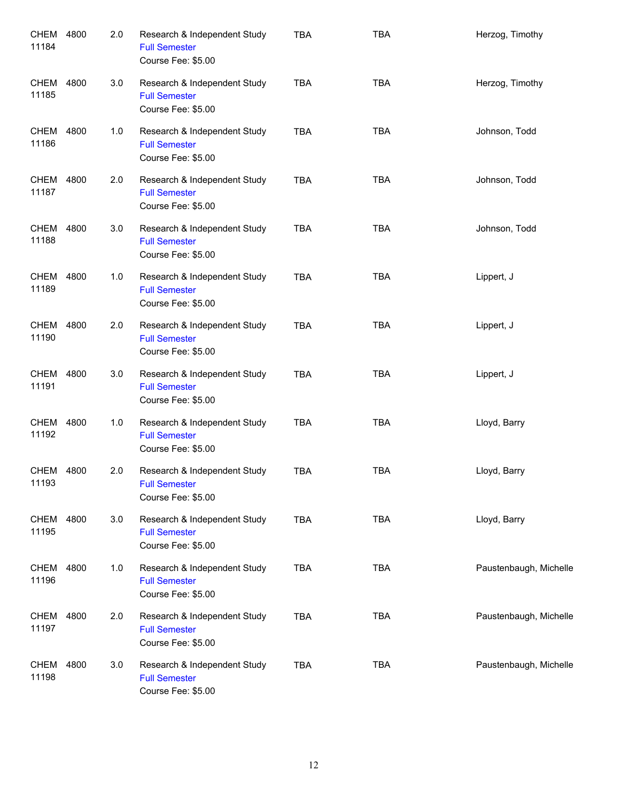| CHEM<br>11184        | 4800 | 2.0 | Research & Independent Study<br><b>Full Semester</b><br>Course Fee: \$5.00 | <b>TBA</b> | <b>TBA</b> | Herzog, Timothy        |
|----------------------|------|-----|----------------------------------------------------------------------------|------------|------------|------------------------|
| CHEM<br>11185        | 4800 | 3.0 | Research & Independent Study<br><b>Full Semester</b><br>Course Fee: \$5.00 | <b>TBA</b> | <b>TBA</b> | Herzog, Timothy        |
| CHEM<br>11186        | 4800 | 1.0 | Research & Independent Study<br><b>Full Semester</b><br>Course Fee: \$5.00 | <b>TBA</b> | <b>TBA</b> | Johnson, Todd          |
| CHEM<br>11187        | 4800 | 2.0 | Research & Independent Study<br><b>Full Semester</b><br>Course Fee: \$5.00 | <b>TBA</b> | <b>TBA</b> | Johnson, Todd          |
| CHEM<br>11188        | 4800 | 3.0 | Research & Independent Study<br><b>Full Semester</b><br>Course Fee: \$5.00 | <b>TBA</b> | <b>TBA</b> | Johnson, Todd          |
| <b>CHEM</b><br>11189 | 4800 | 1.0 | Research & Independent Study<br><b>Full Semester</b><br>Course Fee: \$5.00 | <b>TBA</b> | <b>TBA</b> | Lippert, J             |
| <b>CHEM</b><br>11190 | 4800 | 2.0 | Research & Independent Study<br><b>Full Semester</b><br>Course Fee: \$5.00 | <b>TBA</b> | <b>TBA</b> | Lippert, J             |
| <b>CHEM</b><br>11191 | 4800 | 3.0 | Research & Independent Study<br><b>Full Semester</b><br>Course Fee: \$5.00 | <b>TBA</b> | <b>TBA</b> | Lippert, J             |
| <b>CHEM</b><br>11192 | 4800 | 1.0 | Research & Independent Study<br><b>Full Semester</b><br>Course Fee: \$5.00 | <b>TBA</b> | <b>TBA</b> | Lloyd, Barry           |
| CHEM<br>11193        | 4800 | 2.0 | Research & Independent Study<br><b>Full Semester</b><br>Course Fee: \$5.00 | <b>TBA</b> | <b>TBA</b> | Lloyd, Barry           |
| CHEM<br>11195        | 4800 | 3.0 | Research & Independent Study<br><b>Full Semester</b><br>Course Fee: \$5.00 | <b>TBA</b> | <b>TBA</b> | Lloyd, Barry           |
| CHEM<br>11196        | 4800 | 1.0 | Research & Independent Study<br><b>Full Semester</b><br>Course Fee: \$5.00 | <b>TBA</b> | <b>TBA</b> | Paustenbaugh, Michelle |
| CHEM<br>11197        | 4800 | 2.0 | Research & Independent Study<br><b>Full Semester</b><br>Course Fee: \$5.00 | <b>TBA</b> | <b>TBA</b> | Paustenbaugh, Michelle |
| <b>CHEM</b><br>11198 | 4800 | 3.0 | Research & Independent Study<br><b>Full Semester</b><br>Course Fee: \$5.00 | <b>TBA</b> | <b>TBA</b> | Paustenbaugh, Michelle |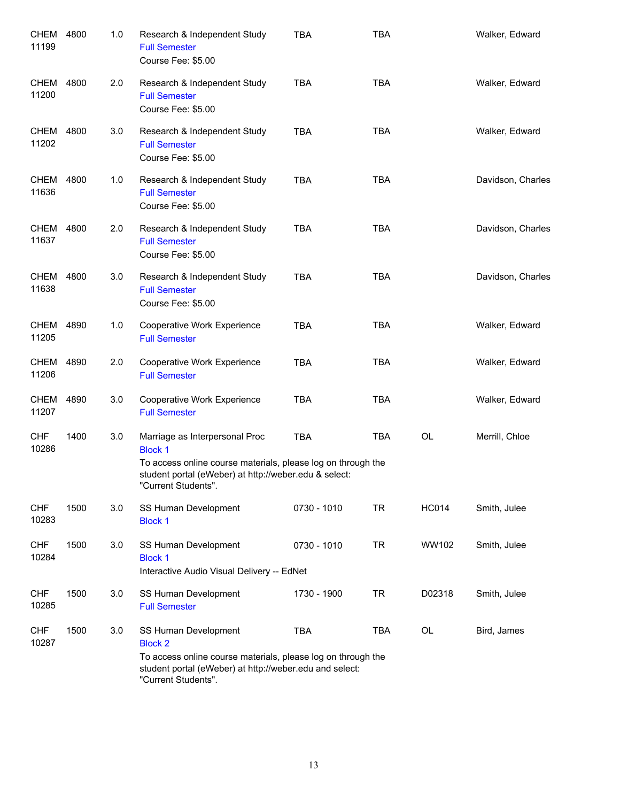| <b>CHEM</b><br>11199 | 4800 | 1.0 | Research & Independent Study<br><b>Full Semester</b><br>Course Fee: \$5.00                                                                                                                       | <b>TBA</b>  | <b>TBA</b> |              | Walker, Edward    |
|----------------------|------|-----|--------------------------------------------------------------------------------------------------------------------------------------------------------------------------------------------------|-------------|------------|--------------|-------------------|
| CHEM<br>11200        | 4800 | 2.0 | Research & Independent Study<br><b>Full Semester</b><br>Course Fee: \$5.00                                                                                                                       | <b>TBA</b>  | <b>TBA</b> |              | Walker, Edward    |
| CHEM<br>11202        | 4800 | 3.0 | Research & Independent Study<br><b>Full Semester</b><br>Course Fee: \$5.00                                                                                                                       | <b>TBA</b>  | <b>TBA</b> |              | Walker, Edward    |
| CHEM<br>11636        | 4800 | 1.0 | Research & Independent Study<br><b>Full Semester</b><br>Course Fee: \$5.00                                                                                                                       | <b>TBA</b>  | <b>TBA</b> |              | Davidson, Charles |
| CHEM<br>11637        | 4800 | 2.0 | Research & Independent Study<br><b>Full Semester</b><br>Course Fee: \$5.00                                                                                                                       | <b>TBA</b>  | <b>TBA</b> |              | Davidson, Charles |
| CHEM<br>11638        | 4800 | 3.0 | Research & Independent Study<br><b>Full Semester</b><br>Course Fee: \$5.00                                                                                                                       | <b>TBA</b>  | <b>TBA</b> |              | Davidson, Charles |
| <b>CHEM</b><br>11205 | 4890 | 1.0 | Cooperative Work Experience<br><b>Full Semester</b>                                                                                                                                              | <b>TBA</b>  | <b>TBA</b> |              | Walker, Edward    |
| CHEM<br>11206        | 4890 | 2.0 | Cooperative Work Experience<br><b>Full Semester</b>                                                                                                                                              | <b>TBA</b>  | <b>TBA</b> |              | Walker, Edward    |
| <b>CHEM</b><br>11207 | 4890 | 3.0 | Cooperative Work Experience<br><b>Full Semester</b>                                                                                                                                              | <b>TBA</b>  | <b>TBA</b> |              | Walker, Edward    |
| <b>CHF</b><br>10286  | 1400 | 3.0 | Marriage as Interpersonal Proc<br><b>Block 1</b><br>To access online course materials, please log on through the<br>student portal (eWeber) at http://weber.edu & select:<br>"Current Students". | <b>TBA</b>  | <b>TBA</b> | <b>OL</b>    | Merrill, Chloe    |
| <b>CHF</b><br>10283  | 1500 | 3.0 | SS Human Development<br><b>Block 1</b>                                                                                                                                                           | 0730 - 1010 | <b>TR</b>  | <b>HC014</b> | Smith, Julee      |
| <b>CHF</b><br>10284  | 1500 | 3.0 | SS Human Development<br><b>Block 1</b><br>Interactive Audio Visual Delivery -- EdNet                                                                                                             | 0730 - 1010 | <b>TR</b>  | WW102        | Smith, Julee      |
| <b>CHF</b><br>10285  | 1500 | 3.0 | SS Human Development<br><b>Full Semester</b>                                                                                                                                                     | 1730 - 1900 | <b>TR</b>  | D02318       | Smith, Julee      |
| <b>CHF</b><br>10287  | 1500 | 3.0 | SS Human Development<br><b>Block 2</b><br>To access online course materials, please log on through the<br>student portal (eWeber) at http://weber.edu and select:<br>"Current Students".         | <b>TBA</b>  | <b>TBA</b> | OL           | Bird, James       |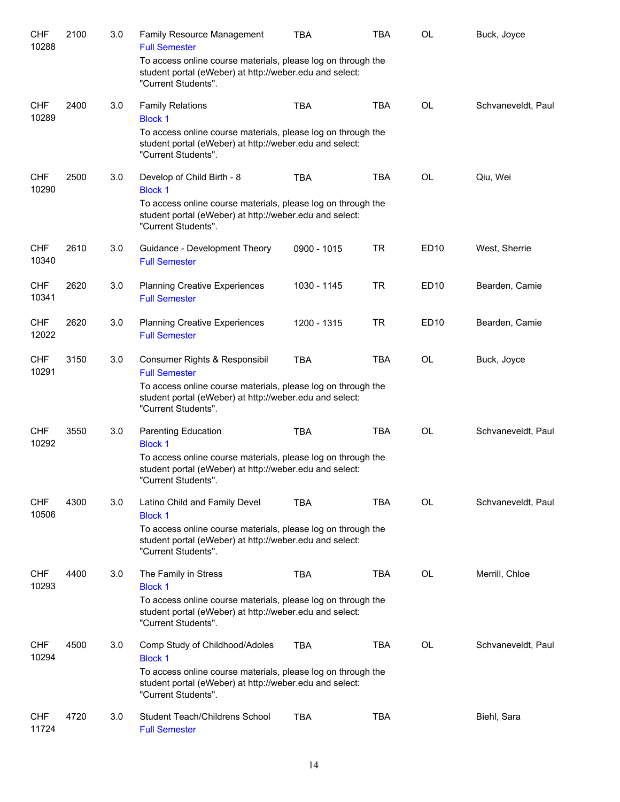| <b>CHF</b><br>10288 | 2100 | 3.0 | Family Resource Management<br><b>Full Semester</b>                                                                                             | <b>TBA</b>  | <b>TBA</b> | OL          | Buck, Joyce        |
|---------------------|------|-----|------------------------------------------------------------------------------------------------------------------------------------------------|-------------|------------|-------------|--------------------|
|                     |      |     | To access online course materials, please log on through the<br>student portal (eWeber) at http://weber.edu and select:<br>"Current Students". |             |            |             |                    |
| <b>CHF</b><br>10289 | 2400 | 3.0 | <b>Family Relations</b><br><b>Block 1</b>                                                                                                      | <b>TBA</b>  | <b>TBA</b> | <b>OL</b>   | Schvaneveldt, Paul |
|                     |      |     | To access online course materials, please log on through the<br>student portal (eWeber) at http://weber.edu and select:<br>"Current Students". |             |            |             |                    |
| <b>CHF</b><br>10290 | 2500 | 3.0 | Develop of Child Birth - 8<br><b>Block 1</b>                                                                                                   | <b>TBA</b>  | <b>TBA</b> | OL          | Qiu, Wei           |
|                     |      |     | To access online course materials, please log on through the<br>student portal (eWeber) at http://weber.edu and select:<br>"Current Students". |             |            |             |                    |
| <b>CHF</b><br>10340 | 2610 | 3.0 | Guidance - Development Theory<br><b>Full Semester</b>                                                                                          | 0900 - 1015 | <b>TR</b>  | ED10        | West, Sherrie      |
| <b>CHF</b><br>10341 | 2620 | 3.0 | <b>Planning Creative Experiences</b><br><b>Full Semester</b>                                                                                   | 1030 - 1145 | <b>TR</b>  | ED10        | Bearden, Camie     |
| <b>CHF</b><br>12022 | 2620 | 3.0 | <b>Planning Creative Experiences</b><br><b>Full Semester</b>                                                                                   | 1200 - 1315 | <b>TR</b>  | <b>ED10</b> | Bearden, Camie     |
| <b>CHF</b><br>10291 | 3150 | 3.0 | Consumer Rights & Responsibil<br><b>Full Semester</b>                                                                                          | <b>TBA</b>  | <b>TBA</b> | <b>OL</b>   | Buck, Joyce        |
|                     |      |     | To access online course materials, please log on through the<br>student portal (eWeber) at http://weber.edu and select:<br>"Current Students". |             |            |             |                    |
| <b>CHF</b><br>10292 | 3550 | 3.0 | Parenting Education<br><b>Block 1</b>                                                                                                          | <b>TBA</b>  | <b>TBA</b> | <b>OL</b>   | Schvaneveldt, Paul |
|                     |      |     | To access online course materials, please log on through the<br>student portal (eWeber) at http://weber.edu and select:<br>"Current Students". |             |            |             |                    |
| <b>CHF</b><br>10506 | 4300 | 3.0 | Latino Child and Family Devel<br><b>Block 1</b>                                                                                                | TBA         | TBA        | OL          | Schvaneveldt, Paul |
|                     |      |     | To access online course materials, please log on through the<br>student portal (eWeber) at http://weber.edu and select:<br>"Current Students". |             |            |             |                    |
| <b>CHF</b><br>10293 | 4400 | 3.0 | The Family in Stress<br><b>Block 1</b>                                                                                                         | TBA         | <b>TBA</b> | <b>OL</b>   | Merrill, Chloe     |
|                     |      |     | To access online course materials, please log on through the<br>student portal (eWeber) at http://weber.edu and select:<br>"Current Students". |             |            |             |                    |
| <b>CHF</b><br>10294 | 4500 | 3.0 | Comp Study of Childhood/Adoles<br><b>Block 1</b>                                                                                               | <b>TBA</b>  | <b>TBA</b> | OL          | Schvaneveldt, Paul |
|                     |      |     | To access online course materials, please log on through the<br>student portal (eWeber) at http://weber.edu and select:<br>"Current Students". |             |            |             |                    |
| <b>CHF</b><br>11724 | 4720 | 3.0 | Student Teach/Childrens School<br><b>Full Semester</b>                                                                                         | <b>TBA</b>  | <b>TBA</b> |             | Biehl, Sara        |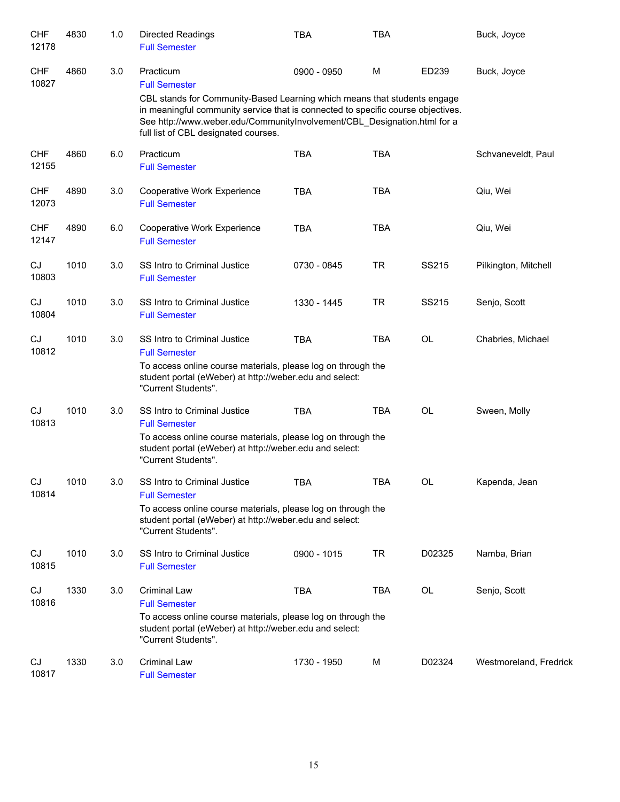| <b>CHF</b><br>12178 | 4830 | 1.0 | <b>Directed Readings</b><br><b>Full Semester</b>                                                                                                                                                                                                                                 | <b>TBA</b>  | TBA        |              | Buck, Joyce            |
|---------------------|------|-----|----------------------------------------------------------------------------------------------------------------------------------------------------------------------------------------------------------------------------------------------------------------------------------|-------------|------------|--------------|------------------------|
| <b>CHF</b><br>10827 | 4860 | 3.0 | Practicum<br><b>Full Semester</b>                                                                                                                                                                                                                                                | 0900 - 0950 | M          | ED239        | Buck, Joyce            |
|                     |      |     | CBL stands for Community-Based Learning which means that students engage<br>in meaningful community service that is connected to specific course objectives.<br>See http://www.weber.edu/CommunityInvolvement/CBL_Designation.html for a<br>full list of CBL designated courses. |             |            |              |                        |
| <b>CHF</b><br>12155 | 4860 | 6.0 | Practicum<br><b>Full Semester</b>                                                                                                                                                                                                                                                | <b>TBA</b>  | <b>TBA</b> |              | Schvaneveldt, Paul     |
| <b>CHF</b><br>12073 | 4890 | 3.0 | Cooperative Work Experience<br><b>Full Semester</b>                                                                                                                                                                                                                              | <b>TBA</b>  | <b>TBA</b> |              | Qiu, Wei               |
| <b>CHF</b><br>12147 | 4890 | 6.0 | Cooperative Work Experience<br><b>Full Semester</b>                                                                                                                                                                                                                              | <b>TBA</b>  | <b>TBA</b> |              | Qiu, Wei               |
| CJ<br>10803         | 1010 | 3.0 | SS Intro to Criminal Justice<br><b>Full Semester</b>                                                                                                                                                                                                                             | 0730 - 0845 | <b>TR</b>  | <b>SS215</b> | Pilkington, Mitchell   |
| CJ<br>10804         | 1010 | 3.0 | SS Intro to Criminal Justice<br><b>Full Semester</b>                                                                                                                                                                                                                             | 1330 - 1445 | <b>TR</b>  | SS215        | Senjo, Scott           |
| CJ<br>10812         | 1010 | 3.0 | SS Intro to Criminal Justice<br><b>Full Semester</b>                                                                                                                                                                                                                             | <b>TBA</b>  | <b>TBA</b> | <b>OL</b>    | Chabries, Michael      |
|                     |      |     | To access online course materials, please log on through the<br>student portal (eWeber) at http://weber.edu and select:<br>"Current Students".                                                                                                                                   |             |            |              |                        |
| CJ<br>10813         | 1010 | 3.0 | SS Intro to Criminal Justice<br><b>Full Semester</b>                                                                                                                                                                                                                             | <b>TBA</b>  | <b>TBA</b> | OL           | Sween, Molly           |
|                     |      |     | To access online course materials, please log on through the<br>student portal (eWeber) at http://weber.edu and select:<br>"Current Students".                                                                                                                                   |             |            |              |                        |
| CJ<br>10814         | 1010 | 3.0 | SS Intro to Criminal Justice<br><b>Full Semester</b>                                                                                                                                                                                                                             | <b>TBA</b>  | <b>TBA</b> | OL           | Kapenda, Jean          |
|                     |      |     | To access online course materials, please log on through the<br>student portal (eWeber) at http://weber.edu and select:<br>"Current Students".                                                                                                                                   |             |            |              |                        |
| CJ<br>10815         | 1010 | 3.0 | SS Intro to Criminal Justice<br><b>Full Semester</b>                                                                                                                                                                                                                             | 0900 - 1015 | <b>TR</b>  | D02325       | Namba, Brian           |
| CJ<br>10816         | 1330 | 3.0 | <b>Criminal Law</b><br><b>Full Semester</b>                                                                                                                                                                                                                                      | <b>TBA</b>  | <b>TBA</b> | OL           | Senjo, Scott           |
|                     |      |     | To access online course materials, please log on through the<br>student portal (eWeber) at http://weber.edu and select:<br>"Current Students".                                                                                                                                   |             |            |              |                        |
| CJ<br>10817         | 1330 | 3.0 | <b>Criminal Law</b><br><b>Full Semester</b>                                                                                                                                                                                                                                      | 1730 - 1950 | M          | D02324       | Westmoreland, Fredrick |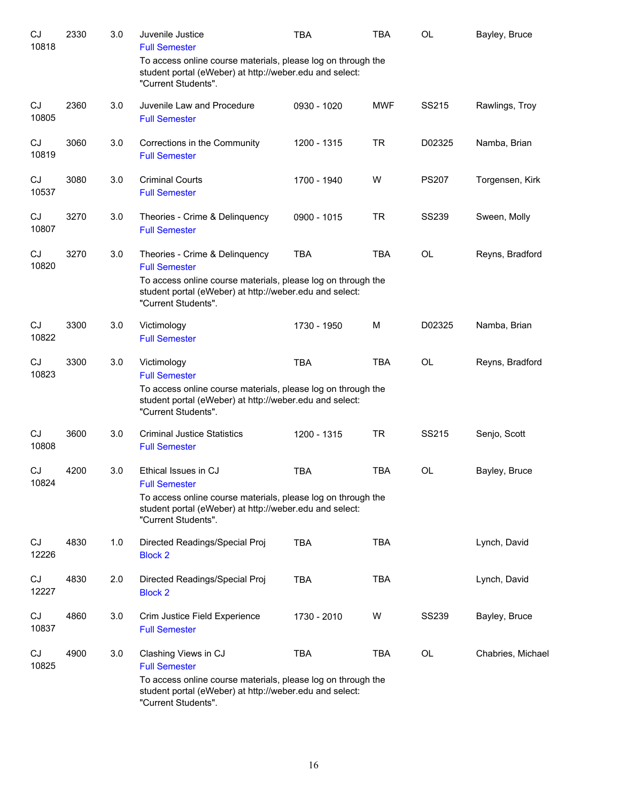| CJ<br>10818 | 2330 | 3.0 | Juvenile Justice<br><b>Full Semester</b>                                                                                                       | <b>TBA</b>  | <b>TBA</b> | OL           | Bayley, Bruce     |
|-------------|------|-----|------------------------------------------------------------------------------------------------------------------------------------------------|-------------|------------|--------------|-------------------|
|             |      |     | To access online course materials, please log on through the<br>student portal (eWeber) at http://weber.edu and select:<br>"Current Students". |             |            |              |                   |
| CJ<br>10805 | 2360 | 3.0 | Juvenile Law and Procedure<br><b>Full Semester</b>                                                                                             | 0930 - 1020 | <b>MWF</b> | SS215        | Rawlings, Troy    |
| CJ<br>10819 | 3060 | 3.0 | Corrections in the Community<br><b>Full Semester</b>                                                                                           | 1200 - 1315 | <b>TR</b>  | D02325       | Namba, Brian      |
| CJ<br>10537 | 3080 | 3.0 | <b>Criminal Courts</b><br><b>Full Semester</b>                                                                                                 | 1700 - 1940 | W          | <b>PS207</b> | Torgensen, Kirk   |
| CJ<br>10807 | 3270 | 3.0 | Theories - Crime & Delinquency<br><b>Full Semester</b>                                                                                         | 0900 - 1015 | <b>TR</b>  | <b>SS239</b> | Sween, Molly      |
| CJ<br>10820 | 3270 | 3.0 | Theories - Crime & Delinquency<br><b>Full Semester</b>                                                                                         | <b>TBA</b>  | <b>TBA</b> | <b>OL</b>    | Reyns, Bradford   |
|             |      |     | To access online course materials, please log on through the<br>student portal (eWeber) at http://weber.edu and select:<br>"Current Students". |             |            |              |                   |
| CJ<br>10822 | 3300 | 3.0 | Victimology<br><b>Full Semester</b>                                                                                                            | 1730 - 1950 | M          | D02325       | Namba, Brian      |
| CJ<br>10823 | 3300 | 3.0 | Victimology<br><b>Full Semester</b>                                                                                                            | <b>TBA</b>  | <b>TBA</b> | <b>OL</b>    | Reyns, Bradford   |
|             |      |     | To access online course materials, please log on through the<br>student portal (eWeber) at http://weber.edu and select:<br>"Current Students". |             |            |              |                   |
| CJ<br>10808 | 3600 | 3.0 | <b>Criminal Justice Statistics</b><br><b>Full Semester</b>                                                                                     | 1200 - 1315 | <b>TR</b>  | SS215        | Senjo, Scott      |
| CJ<br>10824 | 4200 | 3.0 | Ethical Issues in CJ<br><b>Full Semester</b>                                                                                                   | <b>TBA</b>  | <b>TBA</b> | <b>OL</b>    | Bayley, Bruce     |
|             |      |     | To access online course materials, please log on through the<br>student portal (eWeber) at http://weber.edu and select:<br>"Current Students". |             |            |              |                   |
| CJ<br>12226 | 4830 | 1.0 | Directed Readings/Special Proj<br><b>Block 2</b>                                                                                               | <b>TBA</b>  | <b>TBA</b> |              | Lynch, David      |
| CJ<br>12227 | 4830 | 2.0 | Directed Readings/Special Proj<br><b>Block 2</b>                                                                                               | <b>TBA</b>  | <b>TBA</b> |              | Lynch, David      |
| CJ<br>10837 | 4860 | 3.0 | Crim Justice Field Experience<br><b>Full Semester</b>                                                                                          | 1730 - 2010 | W          | <b>SS239</b> | Bayley, Bruce     |
| CJ<br>10825 | 4900 | 3.0 | Clashing Views in CJ<br><b>Full Semester</b><br>To access online course materials, please log on through the                                   | <b>TBA</b>  | <b>TBA</b> | OL           | Chabries, Michael |
|             |      |     | student portal (eWeber) at http://weber.edu and select:<br>"Current Students".                                                                 |             |            |              |                   |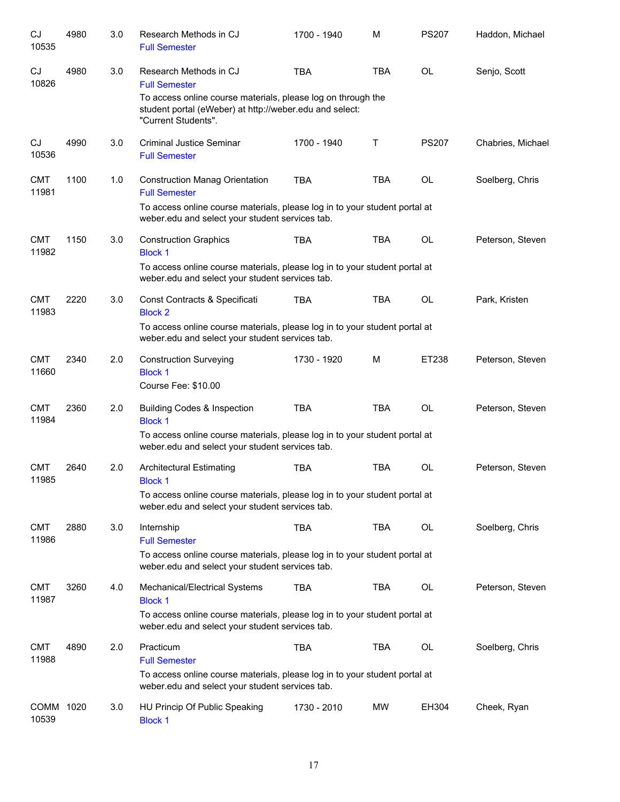| CJ<br>10535         | 4980 | 3.0 | Research Methods in CJ<br><b>Full Semester</b>                                                                                | 1700 - 1940 | M          | <b>PS207</b> | Haddon, Michael   |
|---------------------|------|-----|-------------------------------------------------------------------------------------------------------------------------------|-------------|------------|--------------|-------------------|
| CJ<br>10826         | 4980 | 3.0 | Research Methods in CJ<br><b>Full Semester</b><br>To access online course materials, please log on through the                | <b>TBA</b>  | <b>TBA</b> | <b>OL</b>    | Senjo, Scott      |
|                     |      |     | student portal (eWeber) at http://weber.edu and select:<br>"Current Students".                                                |             |            |              |                   |
| <b>CJ</b><br>10536  | 4990 | 3.0 | <b>Criminal Justice Seminar</b><br><b>Full Semester</b>                                                                       | 1700 - 1940 | T.         | <b>PS207</b> | Chabries, Michael |
| <b>CMT</b><br>11981 | 1100 | 1.0 | <b>Construction Manag Orientation</b><br><b>Full Semester</b>                                                                 | <b>TBA</b>  | <b>TBA</b> | <b>OL</b>    | Soelberg, Chris   |
|                     |      |     | To access online course materials, please log in to your student portal at<br>weber.edu and select your student services tab. |             |            |              |                   |
| <b>CMT</b><br>11982 | 1150 | 3.0 | <b>Construction Graphics</b><br><b>Block 1</b>                                                                                | <b>TBA</b>  | <b>TBA</b> | <b>OL</b>    | Peterson, Steven  |
|                     |      |     | To access online course materials, please log in to your student portal at<br>weber.edu and select your student services tab. |             |            |              |                   |
| <b>CMT</b><br>11983 | 2220 | 3.0 | Const Contracts & Specificati<br><b>Block 2</b>                                                                               | <b>TBA</b>  | <b>TBA</b> | <b>OL</b>    | Park, Kristen     |
|                     |      |     | To access online course materials, please log in to your student portal at<br>weber.edu and select your student services tab. |             |            |              |                   |
| <b>CMT</b><br>11660 | 2340 | 2.0 | <b>Construction Surveying</b><br><b>Block 1</b><br>Course Fee: \$10.00                                                        | 1730 - 1920 | M          | ET238        | Peterson, Steven  |
| <b>CMT</b><br>11984 | 2360 | 2.0 | <b>Building Codes &amp; Inspection</b><br><b>Block 1</b>                                                                      | <b>TBA</b>  | <b>TBA</b> | <b>OL</b>    | Peterson, Steven  |
|                     |      |     | To access online course materials, please log in to your student portal at<br>weber.edu and select your student services tab. |             |            |              |                   |
| <b>CMT</b><br>11985 | 2640 | 2.0 | <b>Architectural Estimating</b><br>Block 1                                                                                    | <b>TBA</b>  | <b>TBA</b> | <b>OL</b>    | Peterson, Steven  |
|                     |      |     | To access online course materials, please log in to your student portal at<br>weber.edu and select your student services tab. |             |            |              |                   |
| <b>CMT</b><br>11986 | 2880 | 3.0 | Internship<br><b>Full Semester</b>                                                                                            | <b>TBA</b>  | <b>TBA</b> | OL           | Soelberg, Chris   |
|                     |      |     | To access online course materials, please log in to your student portal at<br>weber.edu and select your student services tab. |             |            |              |                   |
| <b>CMT</b><br>11987 | 3260 | 4.0 | Mechanical/Electrical Systems<br><b>Block 1</b>                                                                               | <b>TBA</b>  | <b>TBA</b> | OL           | Peterson, Steven  |
|                     |      |     | To access online course materials, please log in to your student portal at<br>weber.edu and select your student services tab. |             |            |              |                   |
| <b>CMT</b><br>11988 | 4890 | 2.0 | Practicum<br><b>Full Semester</b>                                                                                             | <b>TBA</b>  | TBA        | OL           | Soelberg, Chris   |
|                     |      |     | To access online course materials, please log in to your student portal at<br>weber.edu and select your student services tab. |             |            |              |                   |
| COMM 1020<br>10539  |      | 3.0 | HU Princip Of Public Speaking<br><b>Block 1</b>                                                                               | 1730 - 2010 | <b>MW</b>  | EH304        | Cheek, Ryan       |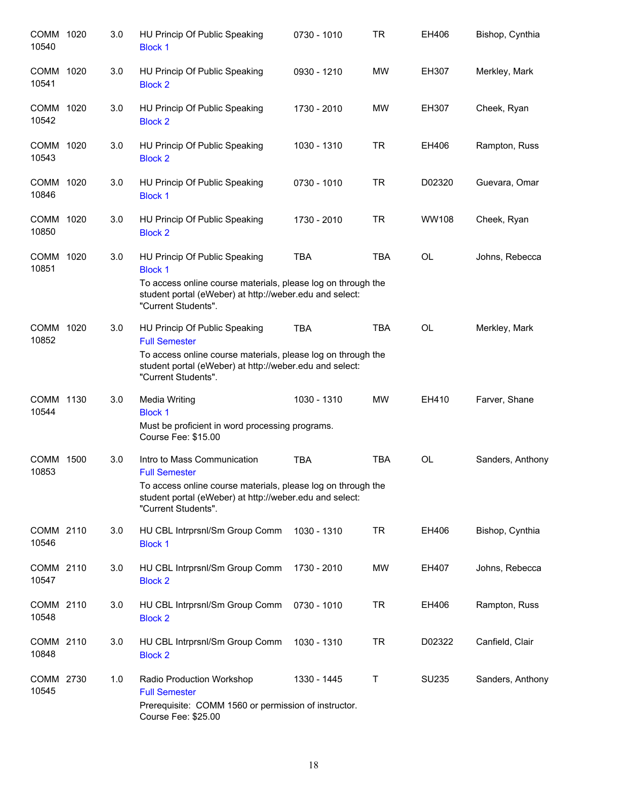| COMM 1020<br>10540 | 3.0 | HU Princip Of Public Speaking<br><b>Block 1</b>                                                                                                                                                         | 0730 - 1010 | <b>TR</b>  | EH406        | Bishop, Cynthia  |
|--------------------|-----|---------------------------------------------------------------------------------------------------------------------------------------------------------------------------------------------------------|-------------|------------|--------------|------------------|
| COMM 1020<br>10541 | 3.0 | HU Princip Of Public Speaking<br><b>Block 2</b>                                                                                                                                                         | 0930 - 1210 | <b>MW</b>  | <b>EH307</b> | Merkley, Mark    |
| COMM 1020<br>10542 | 3.0 | HU Princip Of Public Speaking<br><b>Block 2</b>                                                                                                                                                         | 1730 - 2010 | MW         | EH307        | Cheek, Ryan      |
| COMM 1020<br>10543 | 3.0 | HU Princip Of Public Speaking<br><b>Block 2</b>                                                                                                                                                         | 1030 - 1310 | <b>TR</b>  | EH406        | Rampton, Russ    |
| COMM 1020<br>10846 | 3.0 | HU Princip Of Public Speaking<br><b>Block 1</b>                                                                                                                                                         | 0730 - 1010 | <b>TR</b>  | D02320       | Guevara, Omar    |
| COMM 1020<br>10850 | 3.0 | HU Princip Of Public Speaking<br><b>Block 2</b>                                                                                                                                                         | 1730 - 2010 | <b>TR</b>  | <b>WW108</b> | Cheek, Ryan      |
| COMM 1020<br>10851 | 3.0 | HU Princip Of Public Speaking<br><b>Block 1</b><br>To access online course materials, please log on through the<br>student portal (eWeber) at http://weber.edu and select:<br>"Current Students".       | <b>TBA</b>  | <b>TBA</b> | <b>OL</b>    | Johns, Rebecca   |
| COMM 1020<br>10852 | 3.0 | HU Princip Of Public Speaking<br><b>Full Semester</b><br>To access online course materials, please log on through the<br>student portal (eWeber) at http://weber.edu and select:<br>"Current Students". | <b>TBA</b>  | <b>TBA</b> | <b>OL</b>    | Merkley, Mark    |
| COMM 1130<br>10544 | 3.0 | <b>Media Writing</b><br><b>Block 1</b><br>Must be proficient in word processing programs.<br>Course Fee: \$15.00                                                                                        | 1030 - 1310 | <b>MW</b>  | EH410        | Farver, Shane    |
| COMM 1500<br>10853 | 3.0 | Intro to Mass Communication<br><b>Full Semester</b><br>To access online course materials, please log on through the<br>student portal (eWeber) at http://weber.edu and select:<br>"Current Students".   | <b>TBA</b>  | <b>TBA</b> | OL           | Sanders, Anthony |
| COMM 2110<br>10546 | 3.0 | HU CBL Intrprsnl/Sm Group Comm<br><b>Block 1</b>                                                                                                                                                        | 1030 - 1310 | <b>TR</b>  | EH406        | Bishop, Cynthia  |
| COMM 2110<br>10547 | 3.0 | HU CBL Intrprsnl/Sm Group Comm<br><b>Block 2</b>                                                                                                                                                        | 1730 - 2010 | <b>MW</b>  | EH407        | Johns, Rebecca   |
| COMM 2110<br>10548 | 3.0 | HU CBL Intrprsnl/Sm Group Comm<br><b>Block 2</b>                                                                                                                                                        | 0730 - 1010 | TR         | EH406        | Rampton, Russ    |
| COMM 2110<br>10848 | 3.0 | HU CBL Intrprsnl/Sm Group Comm<br><b>Block 2</b>                                                                                                                                                        | 1030 - 1310 | <b>TR</b>  | D02322       | Canfield, Clair  |
| COMM 2730<br>10545 | 1.0 | Radio Production Workshop<br><b>Full Semester</b><br>Prerequisite: COMM 1560 or permission of instructor.<br>Course Fee: \$25.00                                                                        | 1330 - 1445 | Τ          | SU235        | Sanders, Anthony |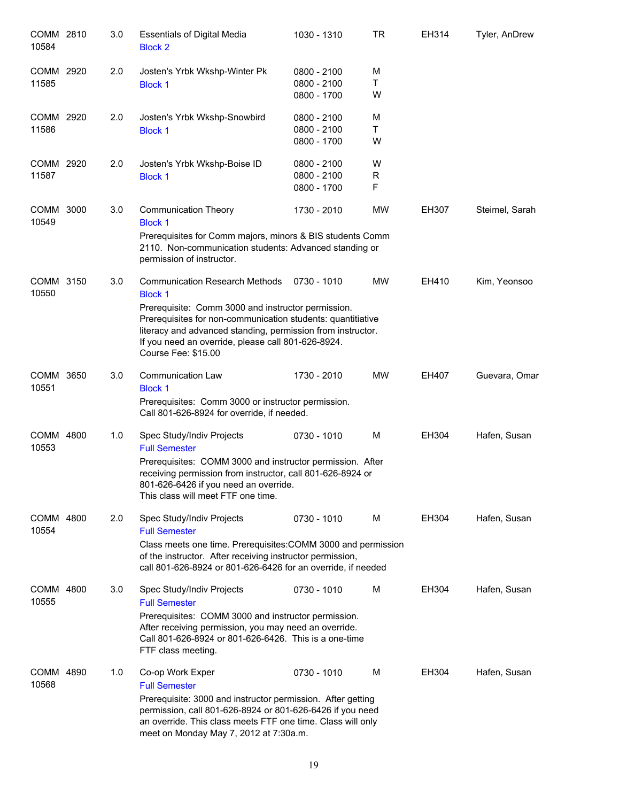| COMM 2810<br>10584 | 3.0 | <b>Essentials of Digital Media</b><br><b>Block 2</b>                                                                                                                                                                                                          | 1030 - 1310                | TR        | EH314 | Tyler, AnDrew  |
|--------------------|-----|---------------------------------------------------------------------------------------------------------------------------------------------------------------------------------------------------------------------------------------------------------------|----------------------------|-----------|-------|----------------|
| COMM 2920<br>11585 | 2.0 | Josten's Yrbk Wkshp-Winter Pk<br><b>Block 1</b>                                                                                                                                                                                                               | 0800 - 2100<br>0800 - 2100 | M<br>Τ    |       |                |
|                    |     |                                                                                                                                                                                                                                                               | 0800 - 1700                | W         |       |                |
| COMM 2920          | 2.0 | Josten's Yrbk Wkshp-Snowbird                                                                                                                                                                                                                                  | 0800 - 2100                | M         |       |                |
| 11586              |     | <b>Block 1</b>                                                                                                                                                                                                                                                | 0800 - 2100<br>0800 - 1700 | T<br>W    |       |                |
| COMM 2920          | 2.0 | Josten's Yrbk Wkshp-Boise ID                                                                                                                                                                                                                                  | 0800 - 2100                | W         |       |                |
| 11587              |     | <b>Block 1</b>                                                                                                                                                                                                                                                | 0800 - 2100                | R         |       |                |
|                    |     |                                                                                                                                                                                                                                                               | 0800 - 1700                | F         |       |                |
| COMM 3000<br>10549 | 3.0 | <b>Communication Theory</b><br><b>Block 1</b>                                                                                                                                                                                                                 | 1730 - 2010                | MW        | EH307 | Steimel, Sarah |
|                    |     | Prerequisites for Comm majors, minors & BIS students Comm<br>2110. Non-communication students: Advanced standing or<br>permission of instructor.                                                                                                              |                            |           |       |                |
| COMM 3150<br>10550 | 3.0 | <b>Communication Research Methods</b><br><b>Block 1</b>                                                                                                                                                                                                       | 0730 - 1010                | MW        | EH410 | Kim, Yeonsoo   |
|                    |     | Prerequisite: Comm 3000 and instructor permission.<br>Prerequisites for non-communication students: quantitiative<br>literacy and advanced standing, permission from instructor.<br>If you need an override, please call 801-626-8924.<br>Course Fee: \$15.00 |                            |           |       |                |
| COMM 3650<br>10551 | 3.0 | Communication Law<br><b>Block 1</b>                                                                                                                                                                                                                           | 1730 - 2010                | <b>MW</b> | EH407 | Guevara, Omar  |
|                    |     | Prerequisites: Comm 3000 or instructor permission.<br>Call 801-626-8924 for override, if needed.                                                                                                                                                              |                            |           |       |                |
| COMM 4800<br>10553 | 1.0 | Spec Study/Indiv Projects<br><b>Full Semester</b>                                                                                                                                                                                                             | 0730 - 1010                | м         | EH304 | Hafen, Susan   |
|                    |     | Prerequisites: COMM 3000 and instructor permission. After<br>receiving permission from instructor, call 801-626-8924 or<br>801-626-6426 if you need an override.<br>This class will meet FTF one time.                                                        |                            |           |       |                |
| COMM 4800<br>10554 | 2.0 | Spec Study/Indiv Projects<br><b>Full Semester</b>                                                                                                                                                                                                             | 0730 - 1010                | м         | EH304 | Hafen, Susan   |
|                    |     | Class meets one time. Prerequisites: COMM 3000 and permission<br>of the instructor. After receiving instructor permission,<br>call 801-626-8924 or 801-626-6426 for an override, if needed                                                                    |                            |           |       |                |
| COMM 4800<br>10555 | 3.0 | Spec Study/Indiv Projects<br><b>Full Semester</b>                                                                                                                                                                                                             | 0730 - 1010                | M         | EH304 | Hafen, Susan   |
|                    |     | Prerequisites: COMM 3000 and instructor permission.<br>After receiving permission, you may need an override.<br>Call 801-626-8924 or 801-626-6426. This is a one-time<br>FTF class meeting.                                                                   |                            |           |       |                |
| COMM 4890<br>10568 | 1.0 | Co-op Work Exper<br><b>Full Semester</b>                                                                                                                                                                                                                      | 0730 - 1010                | м         | EH304 | Hafen, Susan   |
|                    |     | Prerequisite: 3000 and instructor permission. After getting<br>permission, call 801-626-8924 or 801-626-6426 if you need<br>an override. This class meets FTF one time. Class will only<br>meet on Monday May 7, 2012 at 7:30a.m.                             |                            |           |       |                |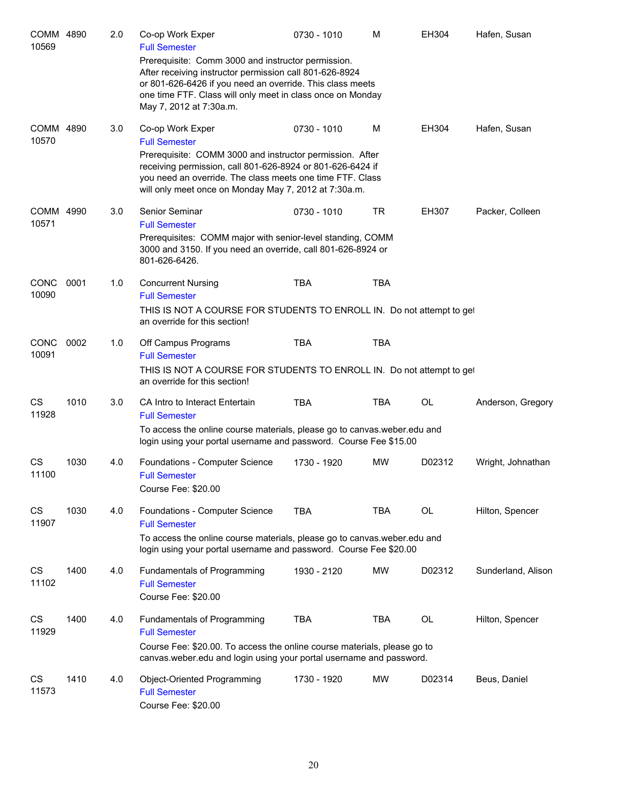| COMM 4890<br>10569   |      | 2.0 | Co-op Work Exper<br><b>Full Semester</b><br>Prerequisite: Comm 3000 and instructor permission.<br>After receiving instructor permission call 801-626-8924<br>or 801-626-6426 if you need an override. This class meets                                                                   | 0730 - 1010 | M          | EH304        | Hafen, Susan       |
|----------------------|------|-----|------------------------------------------------------------------------------------------------------------------------------------------------------------------------------------------------------------------------------------------------------------------------------------------|-------------|------------|--------------|--------------------|
|                      |      |     | one time FTF. Class will only meet in class once on Monday<br>May 7, 2012 at 7:30a.m.                                                                                                                                                                                                    |             |            |              |                    |
| COMM 4890<br>10570   |      | 3.0 | Co-op Work Exper<br><b>Full Semester</b><br>Prerequisite: COMM 3000 and instructor permission. After<br>receiving permission, call 801-626-8924 or 801-626-6424 if<br>you need an override. The class meets one time FTF. Class<br>will only meet once on Monday May 7, 2012 at 7:30a.m. | 0730 - 1010 | м          | EH304        | Hafen, Susan       |
| COMM 4990<br>10571   |      | 3.0 | Senior Seminar<br><b>Full Semester</b><br>Prerequisites: COMM major with senior-level standing, COMM<br>3000 and 3150. If you need an override, call 801-626-8924 or<br>801-626-6426.                                                                                                    | 0730 - 1010 | <b>TR</b>  | <b>EH307</b> | Packer, Colleen    |
| <b>CONC</b><br>10090 | 0001 | 1.0 | <b>Concurrent Nursing</b><br><b>Full Semester</b><br>THIS IS NOT A COURSE FOR STUDENTS TO ENROLL IN. Do not attempt to get<br>an override for this section!                                                                                                                              | <b>TBA</b>  | <b>TBA</b> |              |                    |
| <b>CONC</b><br>10091 | 0002 | 1.0 | Off Campus Programs<br><b>Full Semester</b><br>THIS IS NOT A COURSE FOR STUDENTS TO ENROLL IN. Do not attempt to get<br>an override for this section!                                                                                                                                    | <b>TBA</b>  | <b>TBA</b> |              |                    |
| CS<br>11928          | 1010 | 3.0 | CA Intro to Interact Entertain<br><b>Full Semester</b><br>To access the online course materials, please go to canvas weber edu and<br>login using your portal username and password. Course Fee \$15.00                                                                                  | <b>TBA</b>  | TBA        | OL           | Anderson, Gregory  |
| CS<br>11100          | 1030 | 4.0 | Foundations - Computer Science<br><b>Full Semester</b><br>Course Fee: \$20.00                                                                                                                                                                                                            | 1730 - 1920 | <b>MW</b>  | D02312       | Wright, Johnathan  |
| CS<br>11907          | 1030 | 4.0 | Foundations - Computer Science<br><b>Full Semester</b><br>To access the online course materials, please go to canvas.weber.edu and<br>login using your portal username and password. Course Fee \$20.00                                                                                  | <b>TBA</b>  | <b>TBA</b> | OL           | Hilton, Spencer    |
| CS<br>11102          | 1400 | 4.0 | <b>Fundamentals of Programming</b><br><b>Full Semester</b><br>Course Fee: \$20.00                                                                                                                                                                                                        | 1930 - 2120 | MW         | D02312       | Sunderland, Alison |
| CS<br>11929          | 1400 | 4.0 | Fundamentals of Programming<br><b>Full Semester</b><br>Course Fee: \$20.00. To access the online course materials, please go to<br>canvas.weber.edu and login using your portal username and password.                                                                                   | <b>TBA</b>  | TBA        | OL           | Hilton, Spencer    |
| CS<br>11573          | 1410 | 4.0 | Object-Oriented Programming<br><b>Full Semester</b><br>Course Fee: \$20.00                                                                                                                                                                                                               | 1730 - 1920 | MW         | D02314       | Beus, Daniel       |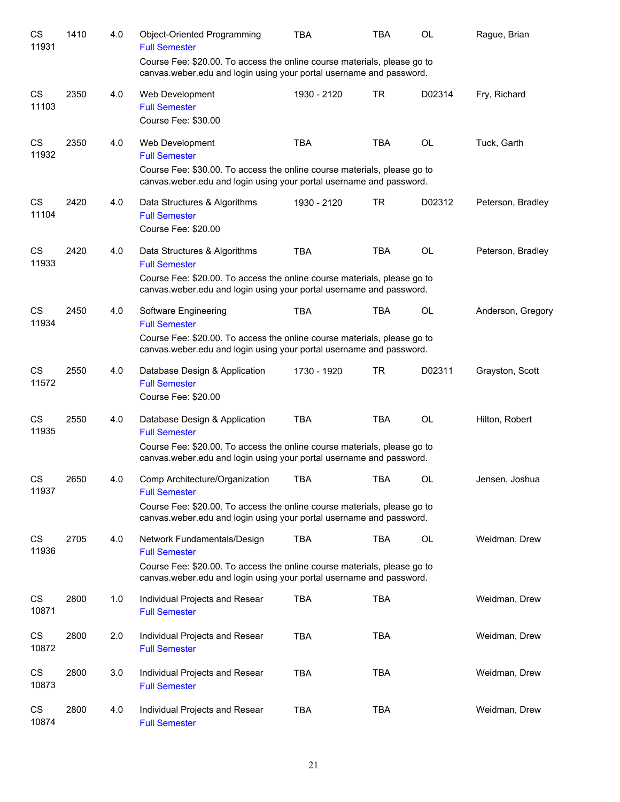| CS<br>11931 | 1410 | 4.0 | Object-Oriented Programming<br><b>Full Semester</b>                                                                                                                                                       | <b>TBA</b>  | <b>TBA</b> | OL        | Rague, Brian      |
|-------------|------|-----|-----------------------------------------------------------------------------------------------------------------------------------------------------------------------------------------------------------|-------------|------------|-----------|-------------------|
|             |      |     | Course Fee: \$20.00. To access the online course materials, please go to<br>canvas.weber.edu and login using your portal username and password.                                                           |             |            |           |                   |
| CS<br>11103 | 2350 | 4.0 | Web Development<br><b>Full Semester</b><br>Course Fee: \$30.00                                                                                                                                            | 1930 - 2120 | <b>TR</b>  | D02314    | Fry, Richard      |
| CS<br>11932 | 2350 | 4.0 | Web Development<br><b>Full Semester</b><br>Course Fee: \$30.00. To access the online course materials, please go to<br>canvas weber edu and login using your portal username and password.                | <b>TBA</b>  | <b>TBA</b> | <b>OL</b> | Tuck, Garth       |
| CS<br>11104 | 2420 | 4.0 | Data Structures & Algorithms<br><b>Full Semester</b><br>Course Fee: \$20.00                                                                                                                               | 1930 - 2120 | <b>TR</b>  | D02312    | Peterson, Bradley |
| CS<br>11933 | 2420 | 4.0 | Data Structures & Algorithms<br><b>Full Semester</b><br>Course Fee: \$20.00. To access the online course materials, please go to<br>canvas weber edu and login using your portal username and password.   | <b>TBA</b>  | <b>TBA</b> | <b>OL</b> | Peterson, Bradley |
| CS<br>11934 | 2450 | 4.0 | Software Engineering<br><b>Full Semester</b><br>Course Fee: \$20.00. To access the online course materials, please go to<br>canvas weber edu and login using your portal username and password.           | <b>TBA</b>  | <b>TBA</b> | OL        | Anderson, Gregory |
| CS<br>11572 | 2550 | 4.0 | Database Design & Application<br><b>Full Semester</b><br>Course Fee: \$20.00                                                                                                                              | 1730 - 1920 | <b>TR</b>  | D02311    | Grayston, Scott   |
| CS<br>11935 | 2550 | 4.0 | Database Design & Application<br><b>Full Semester</b><br>Course Fee: \$20.00. To access the online course materials, please go to<br>canvas weber edu and login using your portal username and password.  | <b>TBA</b>  | <b>TBA</b> | <b>OL</b> | Hilton, Robert    |
| CS<br>11937 | 2650 | 4.0 | Comp Architecture/Organization<br><b>Full Semester</b><br>Course Fee: \$20.00. To access the online course materials, please go to<br>canvas.weber.edu and login using your portal username and password. | <b>TBA</b>  | <b>TBA</b> | OL        | Jensen, Joshua    |
| CS<br>11936 | 2705 | 4.0 | Network Fundamentals/Design<br><b>Full Semester</b><br>Course Fee: \$20.00. To access the online course materials, please go to<br>canvas.weber.edu and login using your portal username and password.    | <b>TBA</b>  | <b>TBA</b> | OL        | Weidman, Drew     |
| CS<br>10871 | 2800 | 1.0 | Individual Projects and Resear<br><b>Full Semester</b>                                                                                                                                                    | <b>TBA</b>  | <b>TBA</b> |           | Weidman, Drew     |
| CS<br>10872 | 2800 | 2.0 | Individual Projects and Resear<br><b>Full Semester</b>                                                                                                                                                    | <b>TBA</b>  | <b>TBA</b> |           | Weidman, Drew     |
| CS<br>10873 | 2800 | 3.0 | Individual Projects and Resear<br><b>Full Semester</b>                                                                                                                                                    | <b>TBA</b>  | <b>TBA</b> |           | Weidman, Drew     |
| CS<br>10874 | 2800 | 4.0 | Individual Projects and Resear<br><b>Full Semester</b>                                                                                                                                                    | <b>TBA</b>  | <b>TBA</b> |           | Weidman, Drew     |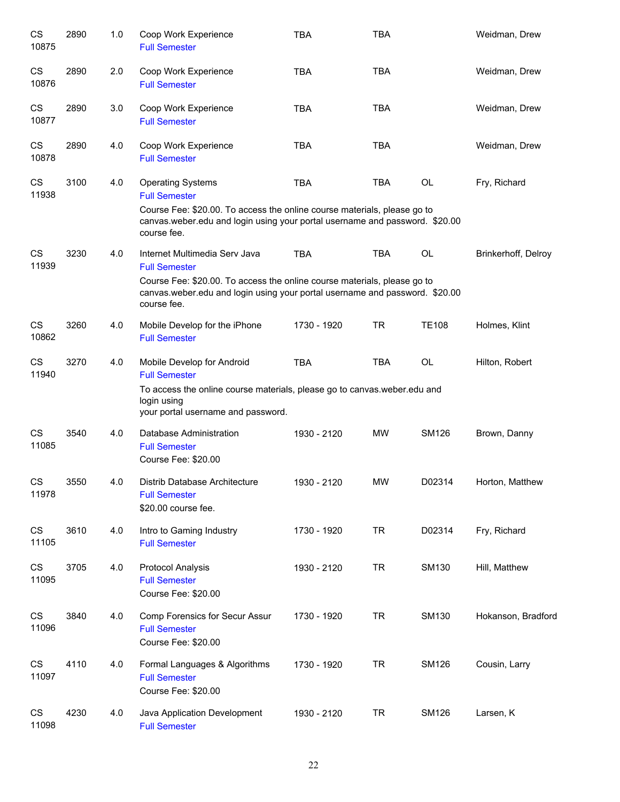| CS<br>10875        | 2890 | 1.0 | Coop Work Experience<br><b>Full Semester</b>                                                                                                                                                                                                   | <b>TBA</b>  | <b>TBA</b> |              | Weidman, Drew       |
|--------------------|------|-----|------------------------------------------------------------------------------------------------------------------------------------------------------------------------------------------------------------------------------------------------|-------------|------------|--------------|---------------------|
| CS<br>10876        | 2890 | 2.0 | Coop Work Experience<br><b>Full Semester</b>                                                                                                                                                                                                   | <b>TBA</b>  | <b>TBA</b> |              | Weidman, Drew       |
| CS<br>10877        | 2890 | 3.0 | Coop Work Experience<br><b>Full Semester</b>                                                                                                                                                                                                   | <b>TBA</b>  | <b>TBA</b> |              | Weidman, Drew       |
| CS<br>10878        | 2890 | 4.0 | Coop Work Experience<br><b>Full Semester</b>                                                                                                                                                                                                   | <b>TBA</b>  | <b>TBA</b> |              | Weidman, Drew       |
| CS<br>11938        | 3100 | 4.0 | <b>Operating Systems</b><br><b>Full Semester</b><br>Course Fee: \$20.00. To access the online course materials, please go to<br>canvas.weber.edu and login using your portal username and password. \$20.00                                    | <b>TBA</b>  | <b>TBA</b> | <b>OL</b>    | Fry, Richard        |
| CS<br>11939        | 3230 | 4.0 | course fee.<br>Internet Multimedia Serv Java<br><b>Full Semester</b><br>Course Fee: \$20.00. To access the online course materials, please go to<br>canvas.weber.edu and login using your portal username and password. \$20.00<br>course fee. | <b>TBA</b>  | <b>TBA</b> | <b>OL</b>    | Brinkerhoff, Delroy |
| <b>CS</b><br>10862 | 3260 | 4.0 | Mobile Develop for the iPhone<br><b>Full Semester</b>                                                                                                                                                                                          | 1730 - 1920 | <b>TR</b>  | <b>TE108</b> | Holmes, Klint       |
| CS<br>11940        | 3270 | 4.0 | Mobile Develop for Android<br><b>Full Semester</b><br>To access the online course materials, please go to canvas weber edu and<br>login using<br>your portal username and password.                                                            | <b>TBA</b>  | <b>TBA</b> | <b>OL</b>    | Hilton, Robert      |
| <b>CS</b><br>11085 | 3540 | 4.0 | Database Administration<br><b>Full Semester</b><br>Course Fee: \$20.00                                                                                                                                                                         | 1930 - 2120 | <b>MW</b>  | <b>SM126</b> | Brown, Danny        |
| CS<br>11978        | 3550 | 4.0 | Distrib Database Architecture<br><b>Full Semester</b><br>\$20.00 course fee.                                                                                                                                                                   | 1930 - 2120 | MW         | D02314       | Horton, Matthew     |
| CS<br>11105        | 3610 | 4.0 | Intro to Gaming Industry<br><b>Full Semester</b>                                                                                                                                                                                               | 1730 - 1920 | <b>TR</b>  | D02314       | Fry, Richard        |
| CS<br>11095        | 3705 | 4.0 | <b>Protocol Analysis</b><br><b>Full Semester</b><br>Course Fee: \$20.00                                                                                                                                                                        | 1930 - 2120 | <b>TR</b>  | SM130        | Hill, Matthew       |
| CS<br>11096        | 3840 | 4.0 | Comp Forensics for Secur Assur<br><b>Full Semester</b><br>Course Fee: \$20.00                                                                                                                                                                  | 1730 - 1920 | <b>TR</b>  | SM130        | Hokanson, Bradford  |
| CS<br>11097        | 4110 | 4.0 | Formal Languages & Algorithms<br><b>Full Semester</b><br>Course Fee: \$20.00                                                                                                                                                                   | 1730 - 1920 | <b>TR</b>  | <b>SM126</b> | Cousin, Larry       |
| <b>CS</b><br>11098 | 4230 | 4.0 | Java Application Development<br><b>Full Semester</b>                                                                                                                                                                                           | 1930 - 2120 | <b>TR</b>  | <b>SM126</b> | Larsen, K           |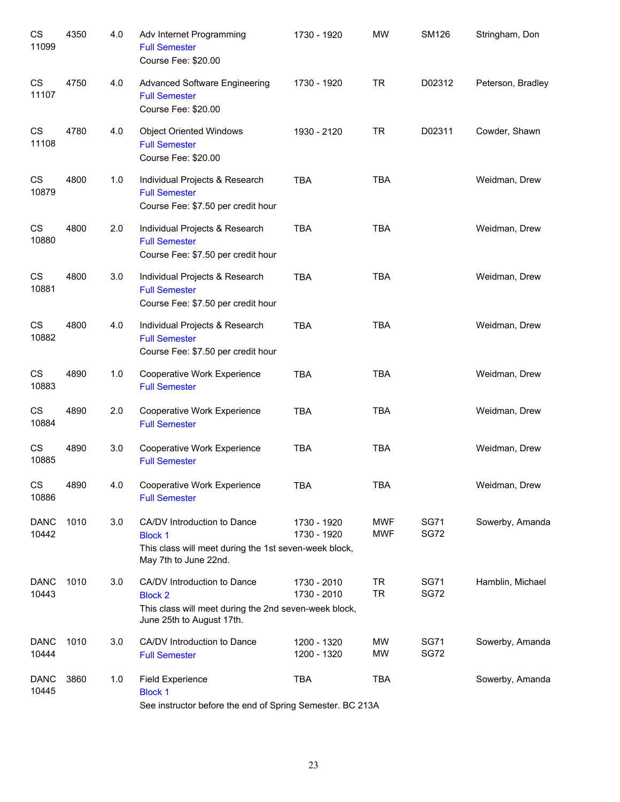| CS<br>11099          | 4350 | 4.0 | Adv Internet Programming<br><b>Full Semester</b><br>Course Fee: \$20.00                                                             | 1730 - 1920                | <b>MW</b>              | <b>SM126</b>               | Stringham, Don    |
|----------------------|------|-----|-------------------------------------------------------------------------------------------------------------------------------------|----------------------------|------------------------|----------------------------|-------------------|
| CS<br>11107          | 4750 | 4.0 | <b>Advanced Software Engineering</b><br><b>Full Semester</b><br>Course Fee: \$20.00                                                 | 1730 - 1920                | <b>TR</b>              | D02312                     | Peterson, Bradley |
| CS<br>11108          | 4780 | 4.0 | <b>Object Oriented Windows</b><br><b>Full Semester</b><br>Course Fee: \$20.00                                                       | 1930 - 2120                | <b>TR</b>              | D02311                     | Cowder, Shawn     |
| CS<br>10879          | 4800 | 1.0 | Individual Projects & Research<br><b>Full Semester</b><br>Course Fee: \$7.50 per credit hour                                        | <b>TBA</b>                 | <b>TBA</b>             |                            | Weidman, Drew     |
| CS<br>10880          | 4800 | 2.0 | Individual Projects & Research<br><b>Full Semester</b><br>Course Fee: \$7.50 per credit hour                                        | <b>TBA</b>                 | <b>TBA</b>             |                            | Weidman, Drew     |
| CS<br>10881          | 4800 | 3.0 | Individual Projects & Research<br><b>Full Semester</b><br>Course Fee: \$7.50 per credit hour                                        | <b>TBA</b>                 | <b>TBA</b>             |                            | Weidman, Drew     |
| CS<br>10882          | 4800 | 4.0 | Individual Projects & Research<br><b>Full Semester</b><br>Course Fee: \$7.50 per credit hour                                        | <b>TBA</b>                 | <b>TBA</b>             |                            | Weidman, Drew     |
| CS<br>10883          | 4890 | 1.0 | Cooperative Work Experience<br><b>Full Semester</b>                                                                                 | <b>TBA</b>                 | <b>TBA</b>             |                            | Weidman, Drew     |
| CS<br>10884          | 4890 | 2.0 | Cooperative Work Experience<br><b>Full Semester</b>                                                                                 | <b>TBA</b>                 | <b>TBA</b>             |                            | Weidman, Drew     |
| CS<br>10885          | 4890 | 3.0 | Cooperative Work Experience<br><b>Full Semester</b>                                                                                 | <b>TBA</b>                 | <b>TBA</b>             |                            | Weidman, Drew     |
| CS<br>10886          | 4890 | 4.0 | Cooperative Work Experience<br><b>Full Semester</b>                                                                                 | TBA                        | TBA                    |                            | Weidman, Drew     |
| <b>DANC</b><br>10442 | 1010 | 3.0 | CA/DV Introduction to Dance<br><b>Block 1</b><br>This class will meet during the 1st seven-week block,<br>May 7th to June 22nd.     | 1730 - 1920<br>1730 - 1920 | <b>MWF</b><br>MWF      | <b>SG71</b><br><b>SG72</b> | Sowerby, Amanda   |
| <b>DANC</b><br>10443 | 1010 | 3.0 | CA/DV Introduction to Dance<br><b>Block 2</b><br>This class will meet during the 2nd seven-week block,<br>June 25th to August 17th. | 1730 - 2010<br>1730 - 2010 | <b>TR</b><br><b>TR</b> | <b>SG71</b><br><b>SG72</b> | Hamblin, Michael  |
| <b>DANC</b><br>10444 | 1010 | 3.0 | CA/DV Introduction to Dance<br><b>Full Semester</b>                                                                                 | 1200 - 1320<br>1200 - 1320 | MW<br><b>MW</b>        | <b>SG71</b><br><b>SG72</b> | Sowerby, Amanda   |
| <b>DANC</b><br>10445 | 3860 | 1.0 | <b>Field Experience</b><br><b>Block 1</b><br>See instructor before the end of Spring Semester. BC 213A                              | <b>TBA</b>                 | <b>TBA</b>             |                            | Sowerby, Amanda   |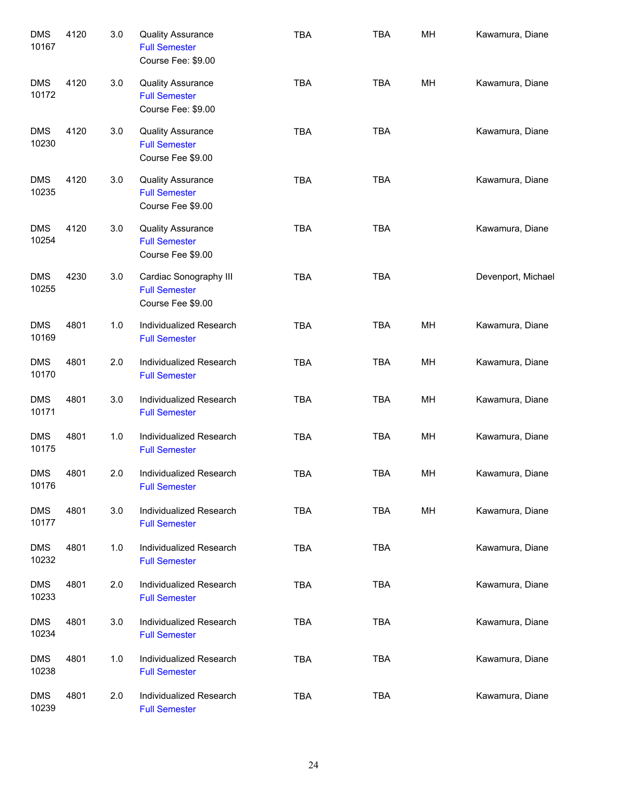| <b>DMS</b><br>10167 | 4120 | 3.0 | <b>Quality Assurance</b><br><b>Full Semester</b><br>Course Fee: \$9.00 | <b>TBA</b> | <b>TBA</b> | MH | Kawamura, Diane    |
|---------------------|------|-----|------------------------------------------------------------------------|------------|------------|----|--------------------|
| <b>DMS</b><br>10172 | 4120 | 3.0 | <b>Quality Assurance</b><br><b>Full Semester</b><br>Course Fee: \$9.00 | <b>TBA</b> | <b>TBA</b> | MH | Kawamura, Diane    |
| <b>DMS</b><br>10230 | 4120 | 3.0 | <b>Quality Assurance</b><br><b>Full Semester</b><br>Course Fee \$9.00  | <b>TBA</b> | <b>TBA</b> |    | Kawamura, Diane    |
| <b>DMS</b><br>10235 | 4120 | 3.0 | <b>Quality Assurance</b><br><b>Full Semester</b><br>Course Fee \$9.00  | <b>TBA</b> | <b>TBA</b> |    | Kawamura, Diane    |
| <b>DMS</b><br>10254 | 4120 | 3.0 | <b>Quality Assurance</b><br><b>Full Semester</b><br>Course Fee \$9.00  | <b>TBA</b> | <b>TBA</b> |    | Kawamura, Diane    |
| <b>DMS</b><br>10255 | 4230 | 3.0 | Cardiac Sonography III<br><b>Full Semester</b><br>Course Fee \$9.00    | <b>TBA</b> | <b>TBA</b> |    | Devenport, Michael |
| <b>DMS</b><br>10169 | 4801 | 1.0 | Individualized Research<br><b>Full Semester</b>                        | <b>TBA</b> | <b>TBA</b> | MH | Kawamura, Diane    |
| <b>DMS</b><br>10170 | 4801 | 2.0 | Individualized Research<br><b>Full Semester</b>                        | <b>TBA</b> | <b>TBA</b> | MH | Kawamura, Diane    |
| <b>DMS</b><br>10171 | 4801 | 3.0 | Individualized Research<br><b>Full Semester</b>                        | <b>TBA</b> | <b>TBA</b> | MH | Kawamura, Diane    |
| <b>DMS</b><br>10175 | 4801 | 1.0 | Individualized Research<br><b>Full Semester</b>                        | <b>TBA</b> | <b>TBA</b> | MH | Kawamura, Diane    |
| <b>DMS</b><br>10176 | 4801 | 2.0 | Individualized Research<br><b>Full Semester</b>                        | <b>TBA</b> | <b>TBA</b> | МH | Kawamura, Diane    |
| <b>DMS</b><br>10177 | 4801 | 3.0 | Individualized Research<br><b>Full Semester</b>                        | <b>TBA</b> | <b>TBA</b> | MH | Kawamura, Diane    |
| <b>DMS</b><br>10232 | 4801 | 1.0 | Individualized Research<br><b>Full Semester</b>                        | <b>TBA</b> | <b>TBA</b> |    | Kawamura, Diane    |
| <b>DMS</b><br>10233 | 4801 | 2.0 | Individualized Research<br><b>Full Semester</b>                        | <b>TBA</b> | <b>TBA</b> |    | Kawamura, Diane    |
| <b>DMS</b><br>10234 | 4801 | 3.0 | Individualized Research<br><b>Full Semester</b>                        | <b>TBA</b> | <b>TBA</b> |    | Kawamura, Diane    |
| <b>DMS</b><br>10238 | 4801 | 1.0 | Individualized Research<br><b>Full Semester</b>                        | <b>TBA</b> | <b>TBA</b> |    | Kawamura, Diane    |
| <b>DMS</b><br>10239 | 4801 | 2.0 | Individualized Research<br><b>Full Semester</b>                        | <b>TBA</b> | <b>TBA</b> |    | Kawamura, Diane    |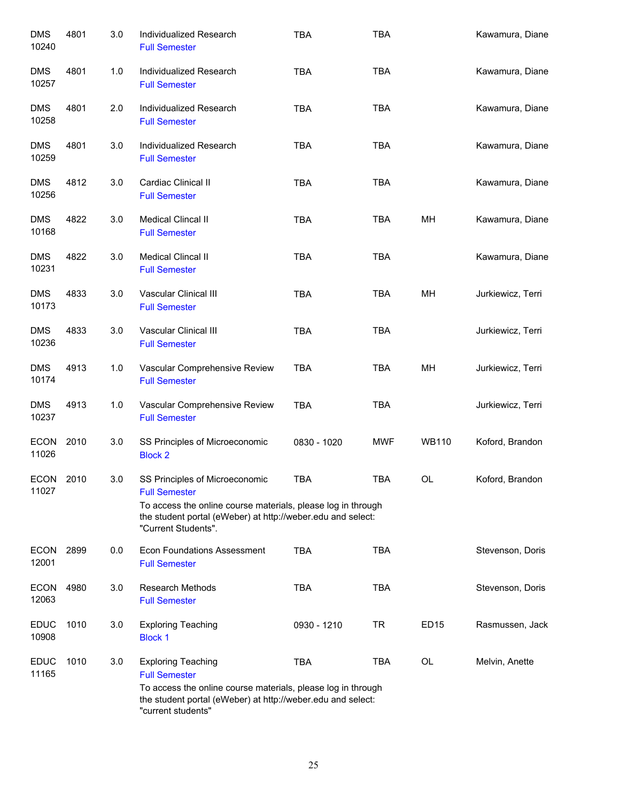| <b>DMS</b><br>10240  | 4801 | 3.0 | Individualized Research<br><b>Full Semester</b>                                                                                                    | <b>TBA</b>  | <b>TBA</b> |              | Kawamura, Diane   |
|----------------------|------|-----|----------------------------------------------------------------------------------------------------------------------------------------------------|-------------|------------|--------------|-------------------|
| <b>DMS</b><br>10257  | 4801 | 1.0 | Individualized Research<br><b>Full Semester</b>                                                                                                    | <b>TBA</b>  | <b>TBA</b> |              | Kawamura, Diane   |
| <b>DMS</b><br>10258  | 4801 | 2.0 | Individualized Research<br><b>Full Semester</b>                                                                                                    | <b>TBA</b>  | <b>TBA</b> |              | Kawamura, Diane   |
| <b>DMS</b><br>10259  | 4801 | 3.0 | Individualized Research<br><b>Full Semester</b>                                                                                                    | <b>TBA</b>  | <b>TBA</b> |              | Kawamura, Diane   |
| <b>DMS</b><br>10256  | 4812 | 3.0 | Cardiac Clinical II<br><b>Full Semester</b>                                                                                                        | <b>TBA</b>  | <b>TBA</b> |              | Kawamura, Diane   |
| <b>DMS</b><br>10168  | 4822 | 3.0 | Medical Clincal II<br><b>Full Semester</b>                                                                                                         | <b>TBA</b>  | <b>TBA</b> | MН           | Kawamura, Diane   |
| <b>DMS</b><br>10231  | 4822 | 3.0 | Medical Clincal II<br><b>Full Semester</b>                                                                                                         | <b>TBA</b>  | <b>TBA</b> |              | Kawamura, Diane   |
| <b>DMS</b><br>10173  | 4833 | 3.0 | Vascular Clinical III<br><b>Full Semester</b>                                                                                                      | <b>TBA</b>  | <b>TBA</b> | MH           | Jurkiewicz, Terri |
| <b>DMS</b><br>10236  | 4833 | 3.0 | Vascular Clinical III<br><b>Full Semester</b>                                                                                                      | <b>TBA</b>  | <b>TBA</b> |              | Jurkiewicz, Terri |
| <b>DMS</b><br>10174  | 4913 | 1.0 | Vascular Comprehensive Review<br><b>Full Semester</b>                                                                                              | <b>TBA</b>  | <b>TBA</b> | MH           | Jurkiewicz, Terri |
| <b>DMS</b><br>10237  | 4913 | 1.0 | Vascular Comprehensive Review<br><b>Full Semester</b>                                                                                              | <b>TBA</b>  | <b>TBA</b> |              | Jurkiewicz, Terri |
| <b>ECON</b><br>11026 | 2010 | 3.0 | SS Principles of Microeconomic<br><b>Block 2</b>                                                                                                   | 0830 - 1020 | <b>MWF</b> | <b>WB110</b> | Koford, Brandon   |
| ECON<br>11027        | 2010 | 3.0 | SS Principles of Microeconomic<br><b>Full Semester</b>                                                                                             | <b>TBA</b>  | <b>TBA</b> | OL           | Koford, Brandon   |
|                      |      |     | To access the online course materials, please log in through<br>the student portal (eWeber) at http://weber.edu and select:<br>"Current Students". |             |            |              |                   |
| <b>ECON</b><br>12001 | 2899 | 0.0 | <b>Econ Foundations Assessment</b><br><b>Full Semester</b>                                                                                         | <b>TBA</b>  | <b>TBA</b> |              | Stevenson, Doris  |
| <b>ECON</b><br>12063 | 4980 | 3.0 | <b>Research Methods</b><br><b>Full Semester</b>                                                                                                    | <b>TBA</b>  | <b>TBA</b> |              | Stevenson, Doris  |
| <b>EDUC</b><br>10908 | 1010 | 3.0 | <b>Exploring Teaching</b><br><b>Block 1</b>                                                                                                        | 0930 - 1210 | TR         | ED15         | Rasmussen, Jack   |
| <b>EDUC</b><br>11165 | 1010 | 3.0 | <b>Exploring Teaching</b><br><b>Full Semester</b>                                                                                                  | <b>TBA</b>  | <b>TBA</b> | OL           | Melvin, Anette    |
|                      |      |     | To access the online course materials, please log in through<br>the student portal (eWeber) at http://weber.edu and select:<br>"current students"  |             |            |              |                   |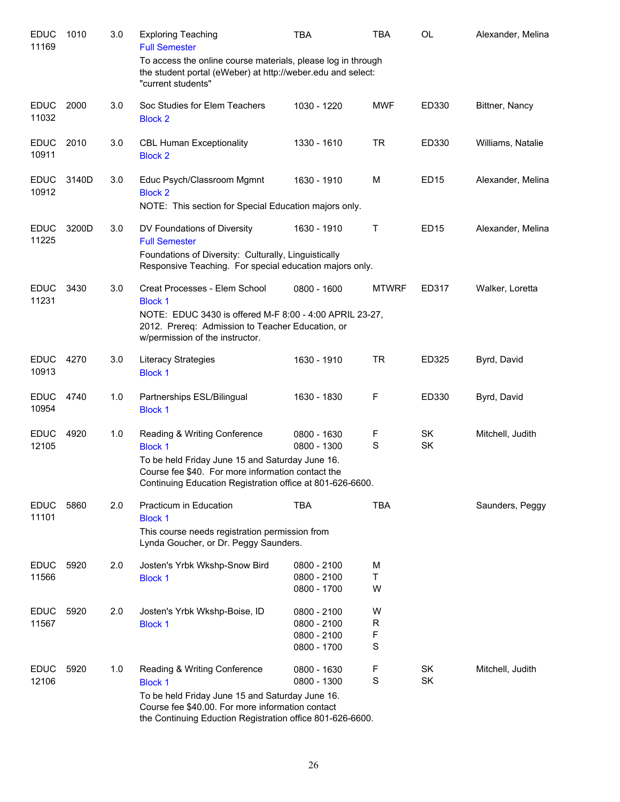| <b>EDUC</b><br>11169 | 1010  | 3.0 | <b>Exploring Teaching</b><br><b>Full Semester</b>                                                                                                                                                                   | <b>TBA</b>                                               | TBA                         | <b>OL</b>   | Alexander, Melina |
|----------------------|-------|-----|---------------------------------------------------------------------------------------------------------------------------------------------------------------------------------------------------------------------|----------------------------------------------------------|-----------------------------|-------------|-------------------|
|                      |       |     | To access the online course materials, please log in through<br>the student portal (eWeber) at http://weber.edu and select:<br>"current students"                                                                   |                                                          |                             |             |                   |
| <b>EDUC</b><br>11032 | 2000  | 3.0 | Soc Studies for Elem Teachers<br><b>Block 2</b>                                                                                                                                                                     | 1030 - 1220                                              | MWF                         | ED330       | Bittner, Nancy    |
| <b>EDUC</b><br>10911 | 2010  | 3.0 | <b>CBL Human Exceptionality</b><br><b>Block 2</b>                                                                                                                                                                   | 1330 - 1610                                              | <b>TR</b>                   | ED330       | Williams, Natalie |
| <b>EDUC</b><br>10912 | 3140D | 3.0 | Educ Psych/Classroom Mgmnt<br><b>Block 2</b><br>NOTE: This section for Special Education majors only.                                                                                                               | 1630 - 1910                                              | M                           | ED15        | Alexander, Melina |
| <b>EDUC</b><br>11225 | 3200D | 3.0 | DV Foundations of Diversity<br><b>Full Semester</b><br>Foundations of Diversity: Culturally, Linguistically<br>Responsive Teaching. For special education majors only.                                              | 1630 - 1910                                              | Τ                           | <b>ED15</b> | Alexander, Melina |
| <b>EDUC</b><br>11231 | 3430  | 3.0 | Creat Processes - Elem School<br><b>Block 1</b><br>NOTE: EDUC 3430 is offered M-F 8:00 - 4:00 APRIL 23-27,<br>2012. Prereq: Admission to Teacher Education, or<br>w/permission of the instructor.                   | 0800 - 1600                                              | <b>MTWRF</b>                | ED317       | Walker, Loretta   |
| <b>EDUC</b><br>10913 | 4270  | 3.0 | Literacy Strategies<br><b>Block 1</b>                                                                                                                                                                               | 1630 - 1910                                              | <b>TR</b>                   | ED325       | Byrd, David       |
| <b>EDUC</b><br>10954 | 4740  | 1.0 | Partnerships ESL/Bilingual<br><b>Block 1</b>                                                                                                                                                                        | 1630 - 1830                                              | F                           | ED330       | Byrd, David       |
| <b>EDUC</b><br>12105 | 4920  | 1.0 | Reading & Writing Conference<br><b>Block 1</b><br>To be held Friday June 15 and Saturday June 16.<br>Course fee \$40. For more information contact the<br>Continuing Education Registration office at 801-626-6600. | 0800 - 1630<br>0800 - 1300                               | F<br>S                      | SK<br>SK    | Mitchell, Judith  |
| <b>EDUC</b><br>11101 | 5860  | 2.0 | Practicum in Education<br><b>Block 1</b><br>This course needs registration permission from<br>Lynda Goucher, or Dr. Peggy Saunders.                                                                                 | TBA                                                      | <b>TBA</b>                  |             | Saunders, Peggy   |
| <b>EDUC</b><br>11566 | 5920  | 2.0 | Josten's Yrbk Wkshp-Snow Bird<br><b>Block 1</b>                                                                                                                                                                     | 0800 - 2100<br>0800 - 2100<br>0800 - 1700                | M<br>Τ<br>W                 |             |                   |
| <b>EDUC</b><br>11567 | 5920  | 2.0 | Josten's Yrbk Wkshp-Boise, ID<br><b>Block 1</b>                                                                                                                                                                     | 0800 - 2100<br>0800 - 2100<br>0800 - 2100<br>0800 - 1700 | W<br>$\mathsf{R}$<br>F<br>S |             |                   |
| <b>EDUC</b><br>12106 | 5920  | 1.0 | Reading & Writing Conference<br><b>Block 1</b><br>To be held Friday June 15 and Saturday June 16.<br>Course fee \$40.00. For more information contact<br>the Continuing Eduction Registration office 801-626-6600.  | 0800 - 1630<br>0800 - 1300                               | F<br>S                      | SK<br>SK    | Mitchell, Judith  |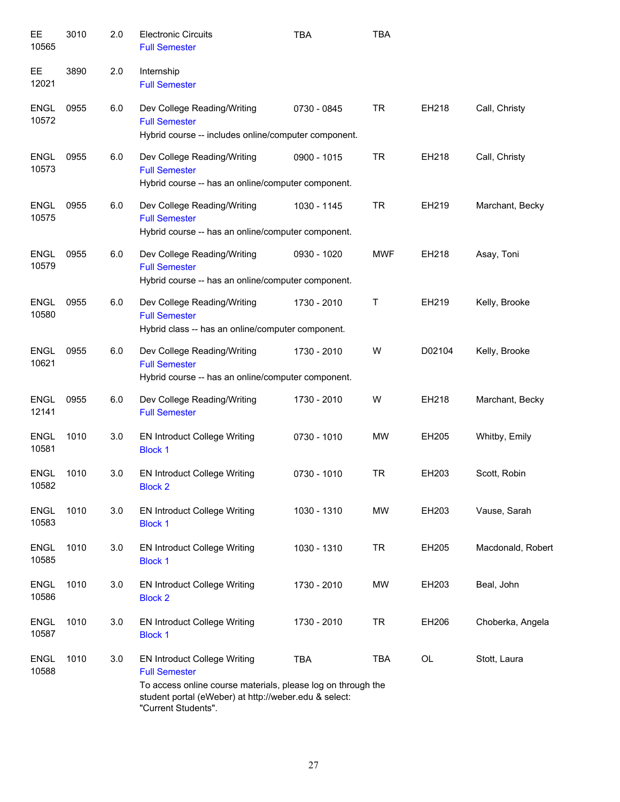| EE<br>10565          | 3010 | 2.0 | <b>Electronic Circuits</b><br><b>Full Semester</b>                                                                                                                                                          | <b>TBA</b>  | <b>TBA</b> |        |                   |
|----------------------|------|-----|-------------------------------------------------------------------------------------------------------------------------------------------------------------------------------------------------------------|-------------|------------|--------|-------------------|
| EЕ<br>12021          | 3890 | 2.0 | Internship<br><b>Full Semester</b>                                                                                                                                                                          |             |            |        |                   |
| <b>ENGL</b><br>10572 | 0955 | 6.0 | Dev College Reading/Writing<br><b>Full Semester</b><br>Hybrid course -- includes online/computer component.                                                                                                 | 0730 - 0845 | <b>TR</b>  | EH218  | Call, Christy     |
| <b>ENGL</b><br>10573 | 0955 | 6.0 | Dev College Reading/Writing<br><b>Full Semester</b><br>Hybrid course -- has an online/computer component.                                                                                                   | 0900 - 1015 | <b>TR</b>  | EH218  | Call, Christy     |
| <b>ENGL</b><br>10575 | 0955 | 6.0 | Dev College Reading/Writing<br><b>Full Semester</b><br>Hybrid course -- has an online/computer component.                                                                                                   | 1030 - 1145 | <b>TR</b>  | EH219  | Marchant, Becky   |
| <b>ENGL</b><br>10579 | 0955 | 6.0 | Dev College Reading/Writing<br><b>Full Semester</b><br>Hybrid course -- has an online/computer component.                                                                                                   | 0930 - 1020 | <b>MWF</b> | EH218  | Asay, Toni        |
| <b>ENGL</b><br>10580 | 0955 | 6.0 | Dev College Reading/Writing<br><b>Full Semester</b><br>Hybrid class -- has an online/computer component.                                                                                                    | 1730 - 2010 | Т          | EH219  | Kelly, Brooke     |
| <b>ENGL</b><br>10621 | 0955 | 6.0 | Dev College Reading/Writing<br><b>Full Semester</b><br>Hybrid course -- has an online/computer component.                                                                                                   | 1730 - 2010 | W          | D02104 | Kelly, Brooke     |
| <b>ENGL</b><br>12141 | 0955 | 6.0 | Dev College Reading/Writing<br><b>Full Semester</b>                                                                                                                                                         | 1730 - 2010 | W          | EH218  | Marchant, Becky   |
| <b>ENGL</b><br>10581 | 1010 | 3.0 | <b>EN Introduct College Writing</b><br><b>Block 1</b>                                                                                                                                                       | 0730 - 1010 | <b>MW</b>  | EH205  | Whitby, Emily     |
| <b>ENGL</b><br>10582 | 1010 | 3.0 | <b>EN Introduct College Writing</b><br><b>Block 2</b>                                                                                                                                                       | 0730 - 1010 | <b>TR</b>  | EH203  | Scott, Robin      |
| <b>ENGL</b><br>10583 | 1010 | 3.0 | <b>EN Introduct College Writing</b><br><b>Block 1</b>                                                                                                                                                       | 1030 - 1310 | <b>MW</b>  | EH203  | Vause, Sarah      |
| <b>ENGL</b><br>10585 | 1010 | 3.0 | <b>EN Introduct College Writing</b><br><b>Block 1</b>                                                                                                                                                       | 1030 - 1310 | <b>TR</b>  | EH205  | Macdonald, Robert |
| <b>ENGL</b><br>10586 | 1010 | 3.0 | <b>EN Introduct College Writing</b><br><b>Block 2</b>                                                                                                                                                       | 1730 - 2010 | <b>MW</b>  | EH203  | Beal, John        |
| <b>ENGL</b><br>10587 | 1010 | 3.0 | <b>EN Introduct College Writing</b><br><b>Block 1</b>                                                                                                                                                       | 1730 - 2010 | <b>TR</b>  | EH206  | Choberka, Angela  |
| <b>ENGL</b><br>10588 | 1010 | 3.0 | <b>EN Introduct College Writing</b><br><b>Full Semester</b><br>To access online course materials, please log on through the<br>student portal (eWeber) at http://weber.edu & select:<br>"Current Students". | <b>TBA</b>  | <b>TBA</b> | OL     | Stott, Laura      |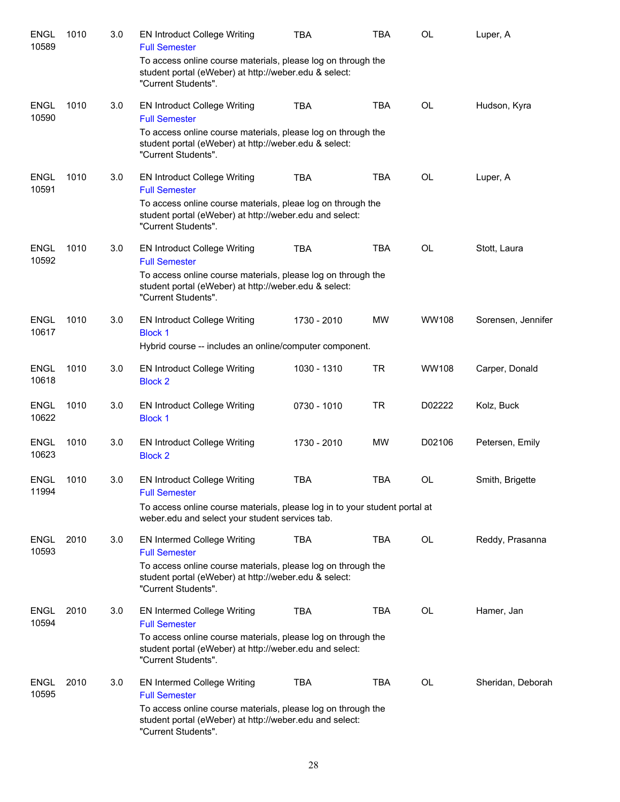| <b>ENGL</b><br>10589          | 1010 | 3.0 | <b>EN Introduct College Writing</b><br><b>Full Semester</b>                                                                                    | <b>TBA</b>  | <b>TBA</b> | OL        | Luper, A           |
|-------------------------------|------|-----|------------------------------------------------------------------------------------------------------------------------------------------------|-------------|------------|-----------|--------------------|
|                               |      |     | To access online course materials, please log on through the<br>student portal (eWeber) at http://weber.edu & select:<br>"Current Students".   |             |            |           |                    |
| <b>ENGL</b><br>10590          | 1010 | 3.0 | <b>EN Introduct College Writing</b><br><b>Full Semester</b>                                                                                    | <b>TBA</b>  | <b>TBA</b> | <b>OL</b> | Hudson, Kyra       |
|                               |      |     | To access online course materials, please log on through the<br>student portal (eWeber) at http://weber.edu & select:<br>"Current Students".   |             |            |           |                    |
| <b>ENGL</b><br>10591          | 1010 | 3.0 | <b>EN Introduct College Writing</b><br><b>Full Semester</b>                                                                                    | <b>TBA</b>  | <b>TBA</b> | OL        | Luper, A           |
|                               |      |     | To access online course materials, pleae log on through the<br>student portal (eWeber) at http://weber.edu and select:<br>"Current Students".  |             |            |           |                    |
| <b>ENGL</b><br>10592          | 1010 | 3.0 | <b>EN Introduct College Writing</b><br><b>Full Semester</b>                                                                                    | <b>TBA</b>  | <b>TBA</b> | <b>OL</b> | Stott, Laura       |
|                               |      |     | To access online course materials, please log on through the<br>student portal (eWeber) at http://weber.edu & select:<br>"Current Students".   |             |            |           |                    |
| <b>ENGL</b><br>10617          | 1010 | 3.0 | <b>EN Introduct College Writing</b><br><b>Block 1</b><br>Hybrid course -- includes an online/computer component.                               | 1730 - 2010 | <b>MW</b>  | WW108     | Sorensen, Jennifer |
| <b>ENGL</b>                   | 1010 | 3.0 | <b>EN Introduct College Writing</b>                                                                                                            | 1030 - 1310 | <b>TR</b>  | WW108     | Carper, Donald     |
| 10618<br><b>ENGL</b><br>10622 | 1010 | 3.0 | <b>Block 2</b><br><b>EN Introduct College Writing</b><br><b>Block 1</b>                                                                        | 0730 - 1010 | <b>TR</b>  | D02222    | Kolz, Buck         |
| <b>ENGL</b><br>10623          | 1010 | 3.0 | <b>EN Introduct College Writing</b><br><b>Block 2</b>                                                                                          | 1730 - 2010 | <b>MW</b>  | D02106    | Petersen, Emily    |
| <b>ENGL</b><br>11994          | 1010 | 3.0 | <b>EN Introduct College Writing</b><br><b>Full Semester</b>                                                                                    | TBA         | <b>TBA</b> | OL        | Smith, Brigette    |
|                               |      |     | To access online course materials, please log in to your student portal at<br>weber.edu and select your student services tab.                  |             |            |           |                    |
| <b>ENGL</b><br>10593          | 2010 | 3.0 | <b>EN Intermed College Writing</b><br><b>Full Semester</b>                                                                                     | <b>TBA</b>  | <b>TBA</b> | OL        | Reddy, Prasanna    |
|                               |      |     | To access online course materials, please log on through the<br>student portal (eWeber) at http://weber.edu & select:<br>"Current Students".   |             |            |           |                    |
| <b>ENGL</b><br>10594          | 2010 | 3.0 | <b>EN Intermed College Writing</b><br><b>Full Semester</b>                                                                                     | <b>TBA</b>  | <b>TBA</b> | <b>OL</b> | Hamer, Jan         |
|                               |      |     | To access online course materials, please log on through the<br>student portal (eWeber) at http://weber.edu and select:<br>"Current Students". |             |            |           |                    |
| <b>ENGL</b><br>10595          | 2010 | 3.0 | <b>EN Intermed College Writing</b><br><b>Full Semester</b>                                                                                     | <b>TBA</b>  | <b>TBA</b> | OL        | Sheridan, Deborah  |
|                               |      |     | To access online course materials, please log on through the<br>student portal (eWeber) at http://weber.edu and select:<br>"Current Students". |             |            |           |                    |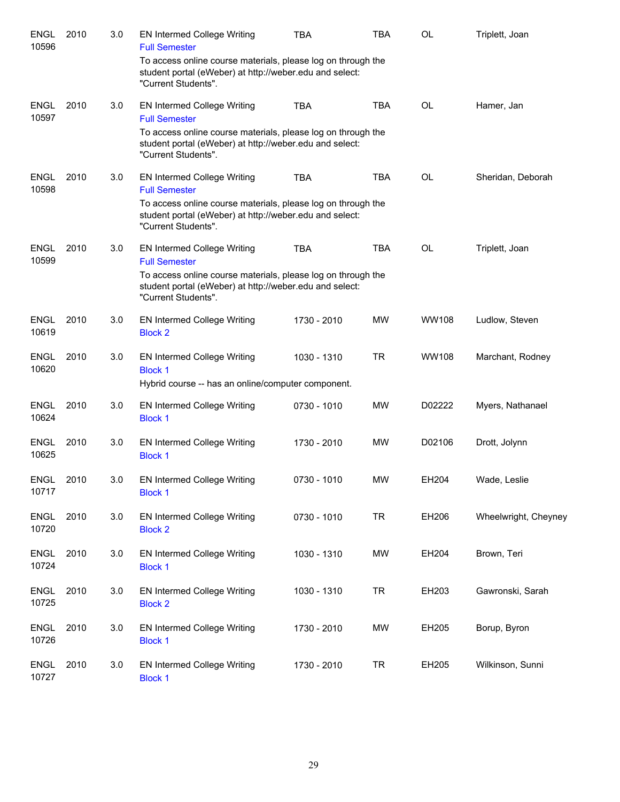| <b>ENGL</b><br>10596 | 2010 | 3.0 | <b>EN Intermed College Writing</b><br><b>Full Semester</b><br>To access online course materials, please log on through the<br>student portal (eWeber) at http://weber.edu and select:<br>"Current Students". | <b>TBA</b>  | <b>TBA</b> | OL           | Triplett, Joan       |
|----------------------|------|-----|--------------------------------------------------------------------------------------------------------------------------------------------------------------------------------------------------------------|-------------|------------|--------------|----------------------|
| <b>ENGL</b><br>10597 | 2010 | 3.0 | <b>EN Intermed College Writing</b><br><b>Full Semester</b><br>To access online course materials, please log on through the<br>student portal (eWeber) at http://weber.edu and select:<br>"Current Students". | <b>TBA</b>  | <b>TBA</b> | <b>OL</b>    | Hamer, Jan           |
| <b>ENGL</b><br>10598 | 2010 | 3.0 | <b>EN Intermed College Writing</b><br><b>Full Semester</b><br>To access online course materials, please log on through the<br>student portal (eWeber) at http://weber.edu and select:<br>"Current Students". | <b>TBA</b>  | <b>TBA</b> | <b>OL</b>    | Sheridan, Deborah    |
| <b>ENGL</b><br>10599 | 2010 | 3.0 | EN Intermed College Writing<br><b>Full Semester</b><br>To access online course materials, please log on through the<br>student portal (eWeber) at http://weber.edu and select:<br>"Current Students".        | <b>TBA</b>  | <b>TBA</b> | <b>OL</b>    | Triplett, Joan       |
| <b>ENGL</b><br>10619 | 2010 | 3.0 | <b>EN Intermed College Writing</b><br><b>Block 2</b>                                                                                                                                                         | 1730 - 2010 | <b>MW</b>  | <b>WW108</b> | Ludlow, Steven       |
| <b>ENGL</b><br>10620 | 2010 | 3.0 | <b>EN Intermed College Writing</b><br><b>Block 1</b><br>Hybrid course -- has an online/computer component.                                                                                                   | 1030 - 1310 | <b>TR</b>  | <b>WW108</b> | Marchant, Rodney     |
| <b>ENGL</b><br>10624 | 2010 | 3.0 | <b>EN Intermed College Writing</b><br><b>Block 1</b>                                                                                                                                                         | 0730 - 1010 | <b>MW</b>  | D02222       | Myers, Nathanael     |
| <b>ENGL</b><br>10625 | 2010 | 3.0 | EN Intermed College Writing<br><b>Block 1</b>                                                                                                                                                                | 1730 - 2010 | <b>MW</b>  | D02106       | Drott, Jolynn        |
| ENGL<br>10717        | 2010 | 3.0 | <b>EN Intermed College Writing</b><br><b>Block 1</b>                                                                                                                                                         | 0730 - 1010 | MW         | EH204        | Wade, Leslie         |
| <b>ENGL</b><br>10720 | 2010 | 3.0 | <b>EN Intermed College Writing</b><br><b>Block 2</b>                                                                                                                                                         | 0730 - 1010 | <b>TR</b>  | EH206        | Wheelwright, Cheyney |
| <b>ENGL</b><br>10724 | 2010 | 3.0 | EN Intermed College Writing<br><b>Block 1</b>                                                                                                                                                                | 1030 - 1310 | MW         | EH204        | Brown, Teri          |
| <b>ENGL</b><br>10725 | 2010 | 3.0 | EN Intermed College Writing<br><b>Block 2</b>                                                                                                                                                                | 1030 - 1310 | <b>TR</b>  | EH203        | Gawronski, Sarah     |
| <b>ENGL</b><br>10726 | 2010 | 3.0 | EN Intermed College Writing<br><b>Block 1</b>                                                                                                                                                                | 1730 - 2010 | MW         | EH205        | Borup, Byron         |
| <b>ENGL</b><br>10727 | 2010 | 3.0 | EN Intermed College Writing<br><b>Block 1</b>                                                                                                                                                                | 1730 - 2010 | <b>TR</b>  | EH205        | Wilkinson, Sunni     |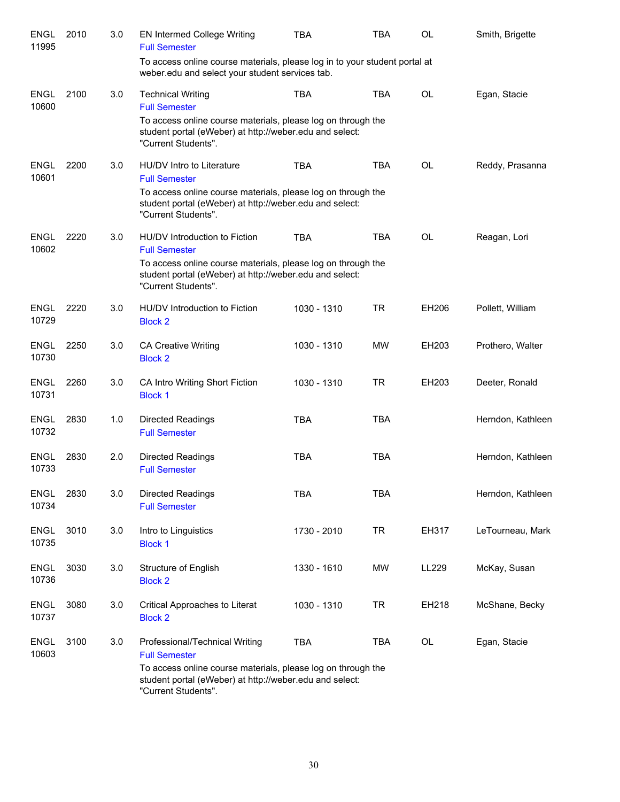| <b>ENGL</b><br>11995 | 2010 | 3.0 | <b>EN Intermed College Writing</b><br><b>Full Semester</b>                                                                                                                                               | <b>TBA</b>  | <b>TBA</b> | OL        | Smith, Brigette   |
|----------------------|------|-----|----------------------------------------------------------------------------------------------------------------------------------------------------------------------------------------------------------|-------------|------------|-----------|-------------------|
|                      |      |     | To access online course materials, please log in to your student portal at<br>weber.edu and select your student services tab.                                                                            |             |            |           |                   |
| <b>ENGL</b><br>10600 | 2100 | 3.0 | <b>Technical Writing</b><br><b>Full Semester</b><br>To access online course materials, please log on through the<br>student portal (eWeber) at http://weber.edu and select:<br>"Current Students".       | <b>TBA</b>  | <b>TBA</b> | <b>OL</b> | Egan, Stacie      |
| <b>ENGL</b><br>10601 | 2200 | 3.0 | HU/DV Intro to Literature<br><b>Full Semester</b><br>To access online course materials, please log on through the<br>student portal (eWeber) at http://weber.edu and select:<br>"Current Students".      | <b>TBA</b>  | <b>TBA</b> | <b>OL</b> | Reddy, Prasanna   |
| <b>ENGL</b><br>10602 | 2220 | 3.0 | HU/DV Introduction to Fiction<br><b>Full Semester</b><br>To access online course materials, please log on through the<br>student portal (eWeber) at http://weber.edu and select:<br>"Current Students".  | <b>TBA</b>  | <b>TBA</b> | <b>OL</b> | Reagan, Lori      |
| <b>ENGL</b><br>10729 | 2220 | 3.0 | HU/DV Introduction to Fiction<br><b>Block 2</b>                                                                                                                                                          | 1030 - 1310 | <b>TR</b>  | EH206     | Pollett, William  |
| ENGL<br>10730        | 2250 | 3.0 | <b>CA Creative Writing</b><br><b>Block 2</b>                                                                                                                                                             | 1030 - 1310 | <b>MW</b>  | EH203     | Prothero, Walter  |
| <b>ENGL</b><br>10731 | 2260 | 3.0 | CA Intro Writing Short Fiction<br><b>Block 1</b>                                                                                                                                                         | 1030 - 1310 | <b>TR</b>  | EH203     | Deeter, Ronald    |
| <b>ENGL</b><br>10732 | 2830 | 1.0 | <b>Directed Readings</b><br><b>Full Semester</b>                                                                                                                                                         | <b>TBA</b>  | <b>TBA</b> |           | Herndon, Kathleen |
| <b>ENGL</b><br>10733 | 2830 | 2.0 | <b>Directed Readings</b><br><b>Full Semester</b>                                                                                                                                                         | <b>TBA</b>  | <b>TBA</b> |           | Herndon, Kathleen |
| <b>ENGL</b><br>10734 | 2830 | 3.0 | <b>Directed Readings</b><br><b>Full Semester</b>                                                                                                                                                         | <b>TBA</b>  | <b>TBA</b> |           | Herndon, Kathleen |
| <b>ENGL</b><br>10735 | 3010 | 3.0 | Intro to Linguistics<br><b>Block 1</b>                                                                                                                                                                   | 1730 - 2010 | <b>TR</b>  | EH317     | LeTourneau, Mark  |
| <b>ENGL</b><br>10736 | 3030 | 3.0 | Structure of English<br><b>Block 2</b>                                                                                                                                                                   | 1330 - 1610 | MW         | LL229     | McKay, Susan      |
| <b>ENGL</b><br>10737 | 3080 | 3.0 | Critical Approaches to Literat<br><b>Block 2</b>                                                                                                                                                         | 1030 - 1310 | <b>TR</b>  | EH218     | McShane, Becky    |
| <b>ENGL</b><br>10603 | 3100 | 3.0 | Professional/Technical Writing<br><b>Full Semester</b><br>To access online course materials, please log on through the<br>student portal (eWeber) at http://weber.edu and select:<br>"Current Students". | <b>TBA</b>  | <b>TBA</b> | OL        | Egan, Stacie      |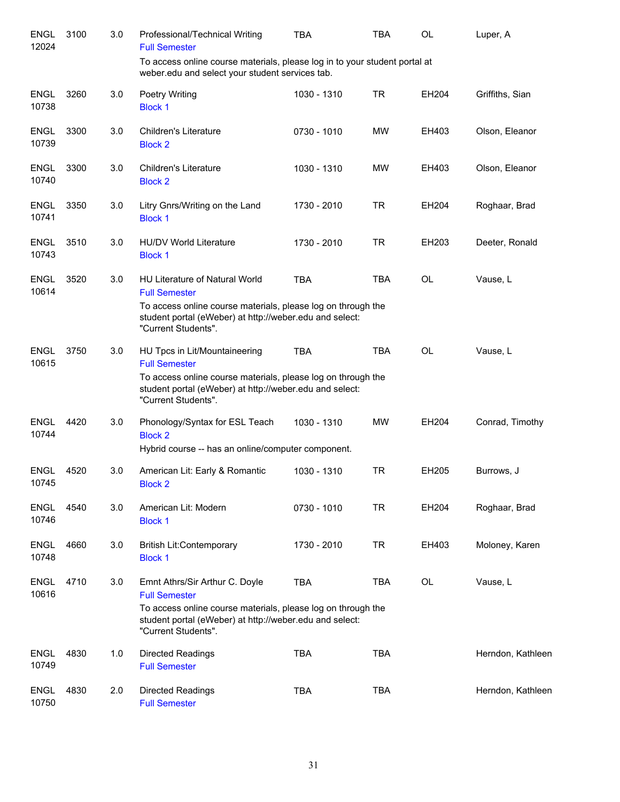| <b>ENGL</b><br>12024 | 3100 | 3.0 | Professional/Technical Writing<br><b>Full Semester</b>                                                                                                                                                  | <b>TBA</b>  | <b>TBA</b> | <b>OL</b> | Luper, A          |
|----------------------|------|-----|---------------------------------------------------------------------------------------------------------------------------------------------------------------------------------------------------------|-------------|------------|-----------|-------------------|
|                      |      |     | To access online course materials, please log in to your student portal at<br>weber.edu and select your student services tab.                                                                           |             |            |           |                   |
| <b>ENGL</b><br>10738 | 3260 | 3.0 | Poetry Writing<br><b>Block 1</b>                                                                                                                                                                        | 1030 - 1310 | <b>TR</b>  | EH204     | Griffiths, Sian   |
| <b>ENGL</b><br>10739 | 3300 | 3.0 | <b>Children's Literature</b><br><b>Block 2</b>                                                                                                                                                          | 0730 - 1010 | <b>MW</b>  | EH403     | Olson, Eleanor    |
| <b>ENGL</b><br>10740 | 3300 | 3.0 | <b>Children's Literature</b><br><b>Block 2</b>                                                                                                                                                          | 1030 - 1310 | <b>MW</b>  | EH403     | Olson, Eleanor    |
| <b>ENGL</b><br>10741 | 3350 | 3.0 | Litry Gnrs/Writing on the Land<br><b>Block 1</b>                                                                                                                                                        | 1730 - 2010 | <b>TR</b>  | EH204     | Roghaar, Brad     |
| <b>ENGL</b><br>10743 | 3510 | 3.0 | <b>HU/DV World Literature</b><br><b>Block 1</b>                                                                                                                                                         | 1730 - 2010 | <b>TR</b>  | EH203     | Deeter, Ronald    |
| <b>ENGL</b><br>10614 | 3520 | 3.0 | <b>HU Literature of Natural World</b><br><b>Full Semester</b>                                                                                                                                           | <b>TBA</b>  | <b>TBA</b> | <b>OL</b> | Vause, L          |
|                      |      |     | To access online course materials, please log on through the<br>student portal (eWeber) at http://weber.edu and select:<br>"Current Students".                                                          |             |            |           |                   |
| <b>ENGL</b><br>10615 | 3750 | 3.0 | HU Tpcs in Lit/Mountaineering<br><b>Full Semester</b><br>To access online course materials, please log on through the<br>student portal (eWeber) at http://weber.edu and select:<br>"Current Students". | <b>TBA</b>  | <b>TBA</b> | OL        | Vause, L          |
| <b>ENGL</b><br>10744 | 4420 | 3.0 | Phonology/Syntax for ESL Teach<br><b>Block 2</b><br>Hybrid course -- has an online/computer component.                                                                                                  | 1030 - 1310 | <b>MW</b>  | EH204     | Conrad, Timothy   |
| <b>ENGL</b><br>10745 | 4520 | 3.0 | American Lit: Early & Romantic<br><b>Block 2</b>                                                                                                                                                        | 1030 - 1310 | <b>TR</b>  | EH205     | Burrows, J        |
| <b>ENGL</b><br>10746 | 4540 | 3.0 | American Lit: Modern<br><b>Block 1</b>                                                                                                                                                                  | 0730 - 1010 | TR         | EH204     | Roghaar, Brad     |
| <b>ENGL</b><br>10748 | 4660 | 3.0 | <b>British Lit:Contemporary</b><br><b>Block 1</b>                                                                                                                                                       | 1730 - 2010 | <b>TR</b>  | EH403     | Moloney, Karen    |
| <b>ENGL</b><br>10616 | 4710 | 3.0 | Emnt Athrs/Sir Arthur C. Doyle<br><b>Full Semester</b>                                                                                                                                                  | <b>TBA</b>  | <b>TBA</b> | OL        | Vause, L          |
|                      |      |     | To access online course materials, please log on through the<br>student portal (eWeber) at http://weber.edu and select:<br>"Current Students".                                                          |             |            |           |                   |
| <b>ENGL</b><br>10749 | 4830 | 1.0 | <b>Directed Readings</b><br><b>Full Semester</b>                                                                                                                                                        | <b>TBA</b>  | <b>TBA</b> |           | Herndon, Kathleen |
| <b>ENGL</b><br>10750 | 4830 | 2.0 | <b>Directed Readings</b><br><b>Full Semester</b>                                                                                                                                                        | <b>TBA</b>  | <b>TBA</b> |           | Herndon, Kathleen |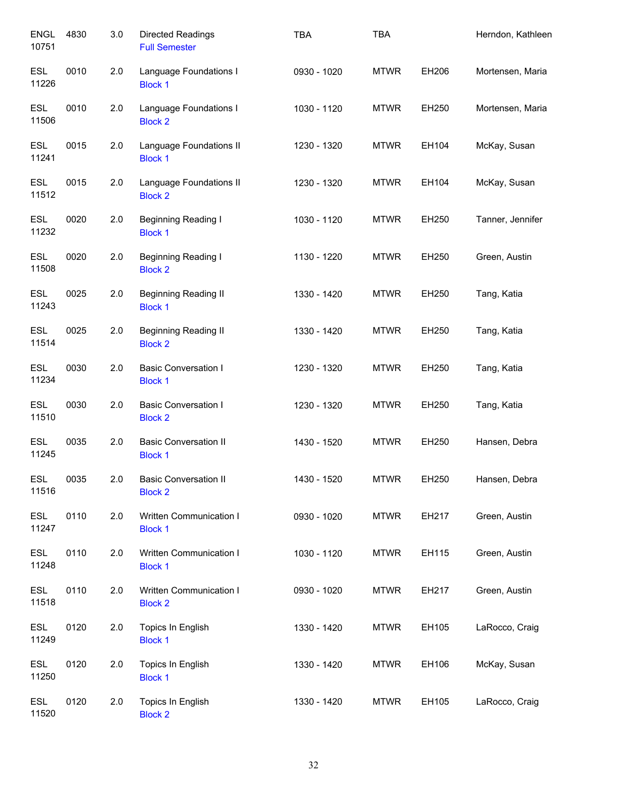| <b>ENGL</b><br>10751 | 4830 | 3.0 | <b>Directed Readings</b><br><b>Full Semester</b> | <b>TBA</b>  | <b>TBA</b>  |       | Herndon, Kathleen |
|----------------------|------|-----|--------------------------------------------------|-------------|-------------|-------|-------------------|
| <b>ESL</b><br>11226  | 0010 | 2.0 | Language Foundations I<br><b>Block 1</b>         | 0930 - 1020 | <b>MTWR</b> | EH206 | Mortensen, Maria  |
| <b>ESL</b><br>11506  | 0010 | 2.0 | Language Foundations I<br><b>Block 2</b>         | 1030 - 1120 | <b>MTWR</b> | EH250 | Mortensen, Maria  |
| <b>ESL</b><br>11241  | 0015 | 2.0 | Language Foundations II<br><b>Block 1</b>        | 1230 - 1320 | <b>MTWR</b> | EH104 | McKay, Susan      |
| <b>ESL</b><br>11512  | 0015 | 2.0 | Language Foundations II<br><b>Block 2</b>        | 1230 - 1320 | <b>MTWR</b> | EH104 | McKay, Susan      |
| <b>ESL</b><br>11232  | 0020 | 2.0 | <b>Beginning Reading I</b><br><b>Block 1</b>     | 1030 - 1120 | <b>MTWR</b> | EH250 | Tanner, Jennifer  |
| <b>ESL</b><br>11508  | 0020 | 2.0 | Beginning Reading I<br><b>Block 2</b>            | 1130 - 1220 | <b>MTWR</b> | EH250 | Green, Austin     |
| <b>ESL</b><br>11243  | 0025 | 2.0 | <b>Beginning Reading II</b><br><b>Block 1</b>    | 1330 - 1420 | <b>MTWR</b> | EH250 | Tang, Katia       |
| <b>ESL</b><br>11514  | 0025 | 2.0 | <b>Beginning Reading II</b><br><b>Block 2</b>    | 1330 - 1420 | <b>MTWR</b> | EH250 | Tang, Katia       |
| <b>ESL</b><br>11234  | 0030 | 2.0 | <b>Basic Conversation I</b><br><b>Block 1</b>    | 1230 - 1320 | <b>MTWR</b> | EH250 | Tang, Katia       |
| <b>ESL</b><br>11510  | 0030 | 2.0 | <b>Basic Conversation I</b><br><b>Block 2</b>    | 1230 - 1320 | <b>MTWR</b> | EH250 | Tang, Katia       |
| <b>ESL</b><br>11245  | 0035 | 2.0 | <b>Basic Conversation II</b><br><b>Block 1</b>   | 1430 - 1520 | <b>MTWR</b> | EH250 | Hansen, Debra     |
| ESL<br>11516         | 0035 | 2.0 | <b>Basic Conversation II</b><br><b>Block 2</b>   | 1430 - 1520 | <b>MTWR</b> | EH250 | Hansen, Debra     |
| <b>ESL</b><br>11247  | 0110 | 2.0 | Written Communication I<br><b>Block 1</b>        | 0930 - 1020 | <b>MTWR</b> | EH217 | Green, Austin     |
| <b>ESL</b><br>11248  | 0110 | 2.0 | Written Communication I<br><b>Block 1</b>        | 1030 - 1120 | <b>MTWR</b> | EH115 | Green, Austin     |
| ESL<br>11518         | 0110 | 2.0 | Written Communication I<br><b>Block 2</b>        | 0930 - 1020 | <b>MTWR</b> | EH217 | Green, Austin     |
| <b>ESL</b><br>11249  | 0120 | 2.0 | Topics In English<br><b>Block 1</b>              | 1330 - 1420 | <b>MTWR</b> | EH105 | LaRocco, Craig    |
| <b>ESL</b><br>11250  | 0120 | 2.0 | Topics In English<br><b>Block 1</b>              | 1330 - 1420 | <b>MTWR</b> | EH106 | McKay, Susan      |
| <b>ESL</b><br>11520  | 0120 | 2.0 | Topics In English<br><b>Block 2</b>              | 1330 - 1420 | <b>MTWR</b> | EH105 | LaRocco, Craig    |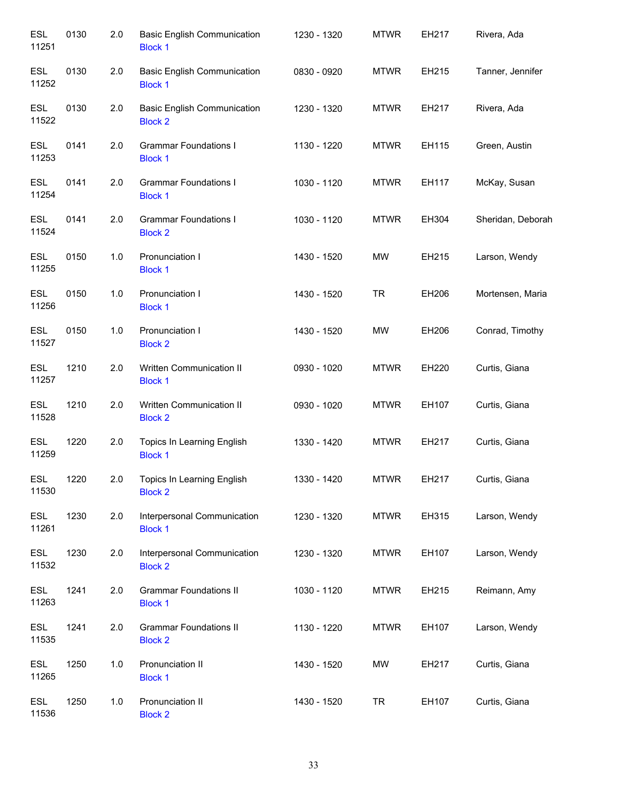| <b>ESL</b><br>11251 | 0130 | 2.0 | <b>Basic English Communication</b><br><b>Block 1</b> | 1230 - 1320 | <b>MTWR</b> | EH217 | Rivera, Ada       |
|---------------------|------|-----|------------------------------------------------------|-------------|-------------|-------|-------------------|
| <b>ESL</b><br>11252 | 0130 | 2.0 | <b>Basic English Communication</b><br><b>Block 1</b> | 0830 - 0920 | <b>MTWR</b> | EH215 | Tanner, Jennifer  |
| <b>ESL</b><br>11522 | 0130 | 2.0 | <b>Basic English Communication</b><br><b>Block 2</b> | 1230 - 1320 | <b>MTWR</b> | EH217 | Rivera, Ada       |
| <b>ESL</b><br>11253 | 0141 | 2.0 | <b>Grammar Foundations I</b><br><b>Block 1</b>       | 1130 - 1220 | <b>MTWR</b> | EH115 | Green, Austin     |
| <b>ESL</b><br>11254 | 0141 | 2.0 | <b>Grammar Foundations I</b><br><b>Block 1</b>       | 1030 - 1120 | <b>MTWR</b> | EH117 | McKay, Susan      |
| <b>ESL</b><br>11524 | 0141 | 2.0 | <b>Grammar Foundations I</b><br><b>Block 2</b>       | 1030 - 1120 | <b>MTWR</b> | EH304 | Sheridan, Deborah |
| <b>ESL</b><br>11255 | 0150 | 1.0 | Pronunciation I<br><b>Block 1</b>                    | 1430 - 1520 | MW          | EH215 | Larson, Wendy     |
| <b>ESL</b><br>11256 | 0150 | 1.0 | Pronunciation I<br><b>Block 1</b>                    | 1430 - 1520 | <b>TR</b>   | EH206 | Mortensen, Maria  |
| <b>ESL</b><br>11527 | 0150 | 1.0 | Pronunciation I<br><b>Block 2</b>                    | 1430 - 1520 | MW          | EH206 | Conrad, Timothy   |
| <b>ESL</b><br>11257 | 1210 | 2.0 | Written Communication II<br><b>Block 1</b>           | 0930 - 1020 | <b>MTWR</b> | EH220 | Curtis, Giana     |
| <b>ESL</b><br>11528 | 1210 | 2.0 | Written Communication II<br><b>Block 2</b>           | 0930 - 1020 | <b>MTWR</b> | EH107 | Curtis, Giana     |
| ESL<br>11259        | 1220 | 2.0 | Topics In Learning English<br><b>Block 1</b>         | 1330 - 1420 | <b>MTWR</b> | EH217 | Curtis, Giana     |
| <b>ESL</b><br>11530 | 1220 | 2.0 | Topics In Learning English<br><b>Block 2</b>         | 1330 - 1420 | <b>MTWR</b> | EH217 | Curtis, Giana     |
| <b>ESL</b><br>11261 | 1230 | 2.0 | Interpersonal Communication<br><b>Block 1</b>        | 1230 - 1320 | <b>MTWR</b> | EH315 | Larson, Wendy     |
| <b>ESL</b><br>11532 | 1230 | 2.0 | Interpersonal Communication<br><b>Block 2</b>        | 1230 - 1320 | <b>MTWR</b> | EH107 | Larson, Wendy     |
| <b>ESL</b><br>11263 | 1241 | 2.0 | <b>Grammar Foundations II</b><br><b>Block 1</b>      | 1030 - 1120 | <b>MTWR</b> | EH215 | Reimann, Amy      |
| <b>ESL</b><br>11535 | 1241 | 2.0 | <b>Grammar Foundations II</b><br><b>Block 2</b>      | 1130 - 1220 | <b>MTWR</b> | EH107 | Larson, Wendy     |
| <b>ESL</b><br>11265 | 1250 | 1.0 | Pronunciation II<br><b>Block 1</b>                   | 1430 - 1520 | MW          | EH217 | Curtis, Giana     |
| <b>ESL</b><br>11536 | 1250 | 1.0 | Pronunciation II<br><b>Block 2</b>                   | 1430 - 1520 | <b>TR</b>   | EH107 | Curtis, Giana     |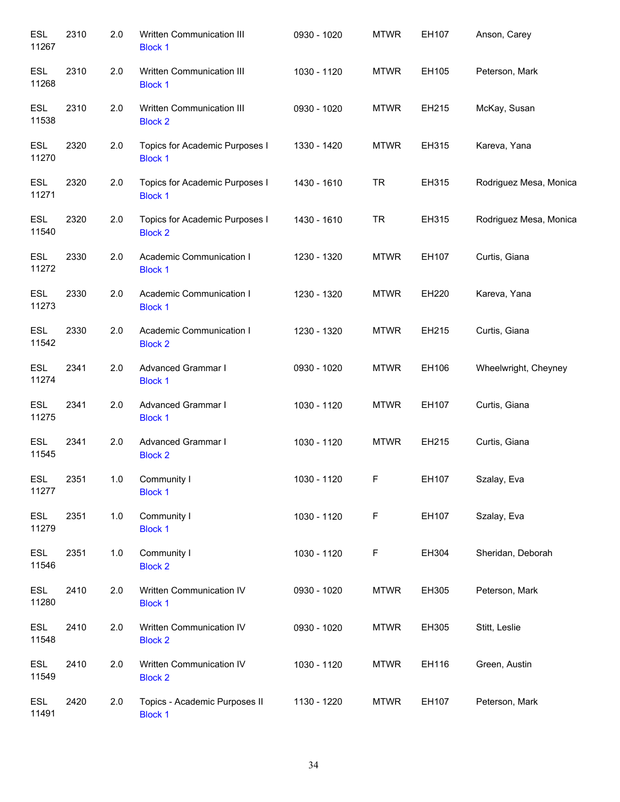| <b>ESL</b><br>11267 | 2310 | 2.0 | Written Communication III<br><b>Block 1</b>      | 0930 - 1020 | <b>MTWR</b> | EH107 | Anson, Carey           |
|---------------------|------|-----|--------------------------------------------------|-------------|-------------|-------|------------------------|
| <b>ESL</b><br>11268 | 2310 | 2.0 | Written Communication III<br><b>Block 1</b>      | 1030 - 1120 | <b>MTWR</b> | EH105 | Peterson, Mark         |
| <b>ESL</b><br>11538 | 2310 | 2.0 | Written Communication III<br><b>Block 2</b>      | 0930 - 1020 | <b>MTWR</b> | EH215 | McKay, Susan           |
| <b>ESL</b><br>11270 | 2320 | 2.0 | Topics for Academic Purposes I<br><b>Block 1</b> | 1330 - 1420 | <b>MTWR</b> | EH315 | Kareva, Yana           |
| <b>ESL</b><br>11271 | 2320 | 2.0 | Topics for Academic Purposes I<br><b>Block 1</b> | 1430 - 1610 | <b>TR</b>   | EH315 | Rodriguez Mesa, Monica |
| <b>ESL</b><br>11540 | 2320 | 2.0 | Topics for Academic Purposes I<br><b>Block 2</b> | 1430 - 1610 | <b>TR</b>   | EH315 | Rodriguez Mesa, Monica |
| <b>ESL</b><br>11272 | 2330 | 2.0 | Academic Communication I<br><b>Block 1</b>       | 1230 - 1320 | <b>MTWR</b> | EH107 | Curtis, Giana          |
| <b>ESL</b><br>11273 | 2330 | 2.0 | Academic Communication I<br><b>Block 1</b>       | 1230 - 1320 | <b>MTWR</b> | EH220 | Kareva, Yana           |
| <b>ESL</b><br>11542 | 2330 | 2.0 | Academic Communication I<br><b>Block 2</b>       | 1230 - 1320 | <b>MTWR</b> | EH215 | Curtis, Giana          |
| <b>ESL</b><br>11274 | 2341 | 2.0 | Advanced Grammar I<br><b>Block 1</b>             | 0930 - 1020 | <b>MTWR</b> | EH106 | Wheelwright, Cheyney   |
| <b>ESL</b><br>11275 | 2341 | 2.0 | Advanced Grammar I<br><b>Block 1</b>             | 1030 - 1120 | <b>MTWR</b> | EH107 | Curtis, Giana          |
| <b>ESL</b><br>11545 | 2341 | 2.0 | Advanced Grammar I<br><b>Block 2</b>             | 1030 - 1120 | <b>MTWR</b> | EH215 | Curtis, Giana          |
| <b>ESL</b><br>11277 | 2351 | 1.0 | Community I<br><b>Block 1</b>                    | 1030 - 1120 | F           | EH107 | Szalay, Eva            |
| <b>ESL</b><br>11279 | 2351 | 1.0 | Community I<br><b>Block 1</b>                    | 1030 - 1120 | F           | EH107 | Szalay, Eva            |
| <b>ESL</b><br>11546 | 2351 | 1.0 | Community I<br><b>Block 2</b>                    | 1030 - 1120 | F           | EH304 | Sheridan, Deborah      |
| <b>ESL</b><br>11280 | 2410 | 2.0 | Written Communication IV<br><b>Block 1</b>       | 0930 - 1020 | <b>MTWR</b> | EH305 | Peterson, Mark         |
| <b>ESL</b><br>11548 | 2410 | 2.0 | Written Communication IV<br><b>Block 2</b>       | 0930 - 1020 | <b>MTWR</b> | EH305 | Stitt, Leslie          |
| ESL<br>11549        | 2410 | 2.0 | Written Communication IV<br><b>Block 2</b>       | 1030 - 1120 | <b>MTWR</b> | EH116 | Green, Austin          |
| <b>ESL</b><br>11491 | 2420 | 2.0 | Topics - Academic Purposes II<br><b>Block 1</b>  | 1130 - 1220 | <b>MTWR</b> | EH107 | Peterson, Mark         |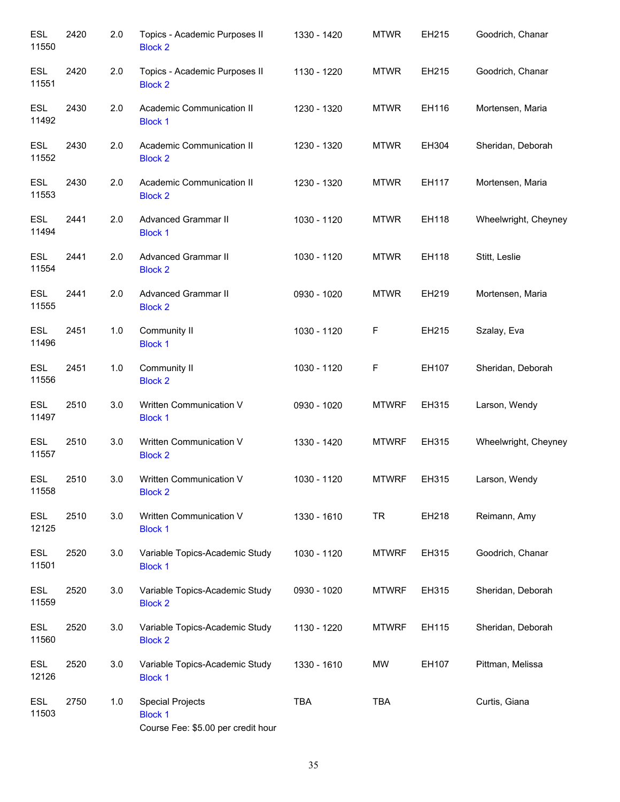| <b>ESL</b><br>11550 | 2420 | 2.0 | Topics - Academic Purposes II<br><b>Block 2</b>                                 | 1330 - 1420 | <b>MTWR</b>  | EH215 | Goodrich, Chanar     |
|---------------------|------|-----|---------------------------------------------------------------------------------|-------------|--------------|-------|----------------------|
| <b>ESL</b><br>11551 | 2420 | 2.0 | Topics - Academic Purposes II<br><b>Block 2</b>                                 | 1130 - 1220 | <b>MTWR</b>  | EH215 | Goodrich, Chanar     |
| <b>ESL</b><br>11492 | 2430 | 2.0 | Academic Communication II<br><b>Block 1</b>                                     | 1230 - 1320 | <b>MTWR</b>  | EH116 | Mortensen, Maria     |
| <b>ESL</b><br>11552 | 2430 | 2.0 | Academic Communication II<br><b>Block 2</b>                                     | 1230 - 1320 | <b>MTWR</b>  | EH304 | Sheridan, Deborah    |
| <b>ESL</b><br>11553 | 2430 | 2.0 | Academic Communication II<br><b>Block 2</b>                                     | 1230 - 1320 | <b>MTWR</b>  | EH117 | Mortensen, Maria     |
| <b>ESL</b><br>11494 | 2441 | 2.0 | <b>Advanced Grammar II</b><br><b>Block 1</b>                                    | 1030 - 1120 | <b>MTWR</b>  | EH118 | Wheelwright, Cheyney |
| <b>ESL</b><br>11554 | 2441 | 2.0 | <b>Advanced Grammar II</b><br><b>Block 2</b>                                    | 1030 - 1120 | <b>MTWR</b>  | EH118 | Stitt, Leslie        |
| <b>ESL</b><br>11555 | 2441 | 2.0 | <b>Advanced Grammar II</b><br><b>Block 2</b>                                    | 0930 - 1020 | <b>MTWR</b>  | EH219 | Mortensen, Maria     |
| <b>ESL</b><br>11496 | 2451 | 1.0 | Community II<br><b>Block 1</b>                                                  | 1030 - 1120 | F            | EH215 | Szalay, Eva          |
| <b>ESL</b><br>11556 | 2451 | 1.0 | Community II<br><b>Block 2</b>                                                  | 1030 - 1120 | F            | EH107 | Sheridan, Deborah    |
| <b>ESL</b><br>11497 | 2510 | 3.0 | Written Communication V<br><b>Block 1</b>                                       | 0930 - 1020 | <b>MTWRF</b> | EH315 | Larson, Wendy        |
| <b>ESL</b><br>11557 | 2510 | 3.0 | Written Communication V<br><b>Block 2</b>                                       | 1330 - 1420 | <b>MTWRF</b> | EH315 | Wheelwright, Cheyney |
| <b>ESL</b><br>11558 | 2510 | 3.0 | Written Communication V<br><b>Block 2</b>                                       | 1030 - 1120 | <b>MTWRF</b> | EH315 | Larson, Wendy        |
| <b>ESL</b><br>12125 | 2510 | 3.0 | Written Communication V<br><b>Block 1</b>                                       | 1330 - 1610 | <b>TR</b>    | EH218 | Reimann, Amy         |
| <b>ESL</b><br>11501 | 2520 | 3.0 | Variable Topics-Academic Study<br><b>Block 1</b>                                | 1030 - 1120 | <b>MTWRF</b> | EH315 | Goodrich, Chanar     |
| <b>ESL</b><br>11559 | 2520 | 3.0 | Variable Topics-Academic Study<br><b>Block 2</b>                                | 0930 - 1020 | <b>MTWRF</b> | EH315 | Sheridan, Deborah    |
| <b>ESL</b><br>11560 | 2520 | 3.0 | Variable Topics-Academic Study<br><b>Block 2</b>                                | 1130 - 1220 | <b>MTWRF</b> | EH115 | Sheridan, Deborah    |
| <b>ESL</b><br>12126 | 2520 | 3.0 | Variable Topics-Academic Study<br><b>Block 1</b>                                | 1330 - 1610 | MW           | EH107 | Pittman, Melissa     |
| <b>ESL</b><br>11503 | 2750 | 1.0 | <b>Special Projects</b><br><b>Block 1</b><br>Course Fee: \$5.00 per credit hour | <b>TBA</b>  | <b>TBA</b>   |       | Curtis, Giana        |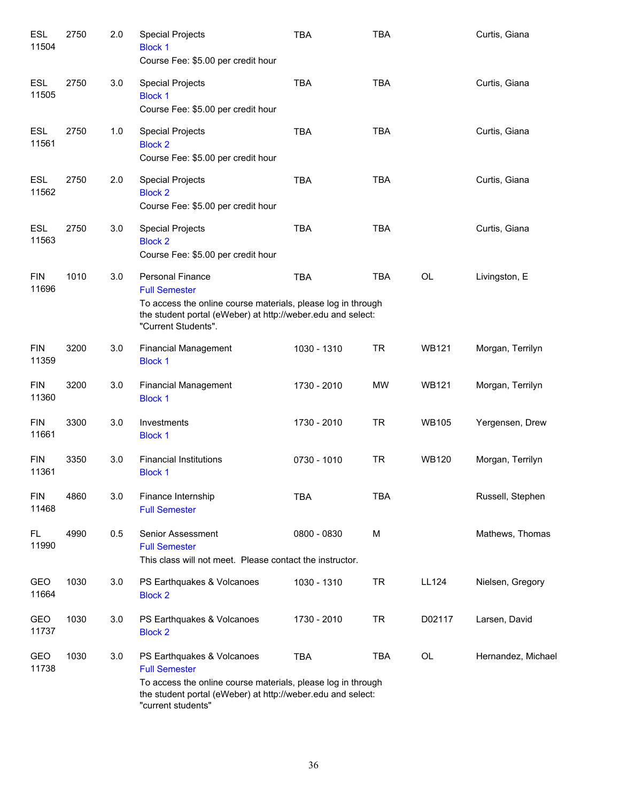| <b>ESL</b><br>11504 | 2750 | 2.0 | <b>Special Projects</b><br><b>Block 1</b><br>Course Fee: \$5.00 per credit hour                                                                                                                         | <b>TBA</b>  | <b>TBA</b> |              | Curtis, Giana      |
|---------------------|------|-----|---------------------------------------------------------------------------------------------------------------------------------------------------------------------------------------------------------|-------------|------------|--------------|--------------------|
| <b>ESL</b><br>11505 | 2750 | 3.0 | <b>Special Projects</b><br><b>Block 1</b><br>Course Fee: \$5.00 per credit hour                                                                                                                         | <b>TBA</b>  | <b>TBA</b> |              | Curtis, Giana      |
| <b>ESL</b><br>11561 | 2750 | 1.0 | <b>Special Projects</b><br><b>Block 2</b><br>Course Fee: \$5.00 per credit hour                                                                                                                         | <b>TBA</b>  | <b>TBA</b> |              | Curtis, Giana      |
| ESL<br>11562        | 2750 | 2.0 | <b>Special Projects</b><br><b>Block 2</b><br>Course Fee: \$5.00 per credit hour                                                                                                                         | <b>TBA</b>  | <b>TBA</b> |              | Curtis, Giana      |
| ESL<br>11563        | 2750 | 3.0 | <b>Special Projects</b><br><b>Block 2</b><br>Course Fee: \$5.00 per credit hour                                                                                                                         | <b>TBA</b>  | <b>TBA</b> |              | Curtis, Giana      |
| <b>FIN</b><br>11696 | 1010 | 3.0 | <b>Personal Finance</b><br><b>Full Semester</b><br>To access the online course materials, please log in through<br>the student portal (eWeber) at http://weber.edu and select:<br>"Current Students".   | <b>TBA</b>  | <b>TBA</b> | <b>OL</b>    | Livingston, E      |
| <b>FIN</b><br>11359 | 3200 | 3.0 | <b>Financial Management</b><br><b>Block 1</b>                                                                                                                                                           | 1030 - 1310 | <b>TR</b>  | <b>WB121</b> | Morgan, Terrilyn   |
| <b>FIN</b><br>11360 | 3200 | 3.0 | <b>Financial Management</b><br><b>Block 1</b>                                                                                                                                                           | 1730 - 2010 | <b>MW</b>  | <b>WB121</b> | Morgan, Terrilyn   |
| <b>FIN</b><br>11661 | 3300 | 3.0 | Investments<br><b>Block 1</b>                                                                                                                                                                           | 1730 - 2010 | <b>TR</b>  | <b>WB105</b> | Yergensen, Drew    |
| <b>FIN</b><br>11361 | 3350 | 3.0 | <b>Financial Institutions</b><br><b>Block 1</b>                                                                                                                                                         | 0730 - 1010 | <b>TR</b>  | <b>WB120</b> | Morgan, Terrilyn   |
| <b>FIN</b><br>11468 | 4860 | 3.0 | Finance Internship<br><b>Full Semester</b>                                                                                                                                                              | <b>TBA</b>  | <b>TBA</b> |              | Russell, Stephen   |
| FL<br>11990         | 4990 | 0.5 | Senior Assessment<br><b>Full Semester</b><br>This class will not meet. Please contact the instructor.                                                                                                   | 0800 - 0830 | M          |              | Mathews, Thomas    |
| GEO<br>11664        | 1030 | 3.0 | PS Earthquakes & Volcanoes<br><b>Block 2</b>                                                                                                                                                            | 1030 - 1310 | <b>TR</b>  | LL124        | Nielsen, Gregory   |
| GEO<br>11737        | 1030 | 3.0 | PS Earthquakes & Volcanoes<br><b>Block 2</b>                                                                                                                                                            | 1730 - 2010 | <b>TR</b>  | D02117       | Larsen, David      |
| GEO<br>11738        | 1030 | 3.0 | PS Earthquakes & Volcanoes<br><b>Full Semester</b><br>To access the online course materials, please log in through<br>the student portal (eWeber) at http://weber.edu and select:<br>"current students" | <b>TBA</b>  | <b>TBA</b> | <b>OL</b>    | Hernandez, Michael |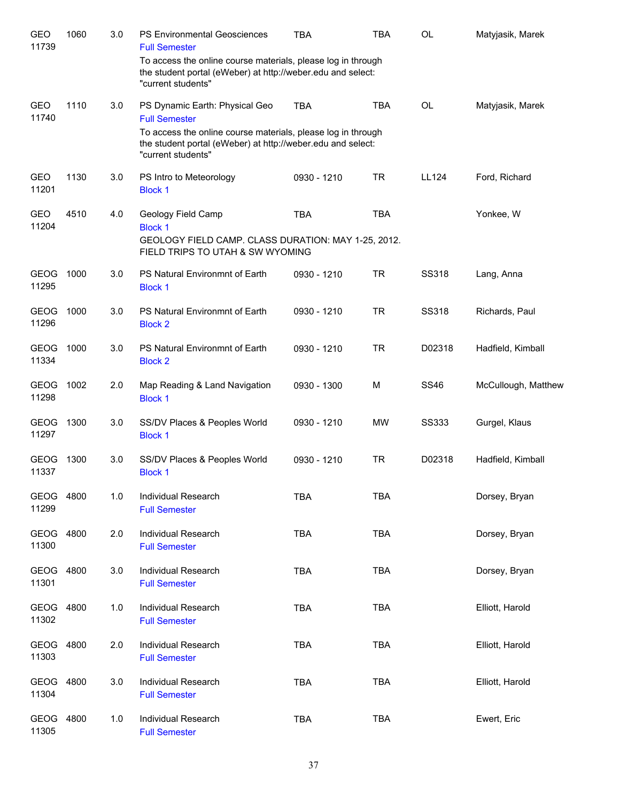| GEO<br>11739         | 1060 | 3.0 | <b>PS Environmental Geosciences</b><br><b>Full Semester</b>                                                                                       | <b>TBA</b>  | TBA        | <b>OL</b>    | Matyjasik, Marek    |
|----------------------|------|-----|---------------------------------------------------------------------------------------------------------------------------------------------------|-------------|------------|--------------|---------------------|
|                      |      |     | To access the online course materials, please log in through<br>the student portal (eWeber) at http://weber.edu and select:<br>"current students" |             |            |              |                     |
| <b>GEO</b><br>11740  | 1110 | 3.0 | PS Dynamic Earth: Physical Geo<br><b>Full Semester</b>                                                                                            | <b>TBA</b>  | <b>TBA</b> | <b>OL</b>    | Matyjasik, Marek    |
|                      |      |     | To access the online course materials, please log in through<br>the student portal (eWeber) at http://weber.edu and select:<br>"current students" |             |            |              |                     |
| GEO<br>11201         | 1130 | 3.0 | PS Intro to Meteorology<br><b>Block 1</b>                                                                                                         | 0930 - 1210 | <b>TR</b>  | LL124        | Ford, Richard       |
| <b>GEO</b><br>11204  | 4510 | 4.0 | Geology Field Camp<br><b>Block 1</b><br>GEOLOGY FIELD CAMP. CLASS DURATION: MAY 1-25, 2012.<br>FIELD TRIPS TO UTAH & SW WYOMING                   | <b>TBA</b>  | <b>TBA</b> |              | Yonkee, W           |
| <b>GEOG</b><br>11295 | 1000 | 3.0 | PS Natural Environmnt of Earth<br><b>Block 1</b>                                                                                                  | 0930 - 1210 | <b>TR</b>  | <b>SS318</b> | Lang, Anna          |
| <b>GEOG</b><br>11296 | 1000 | 3.0 | PS Natural Environmnt of Earth<br><b>Block 2</b>                                                                                                  | 0930 - 1210 | <b>TR</b>  | <b>SS318</b> | Richards, Paul      |
| <b>GEOG</b><br>11334 | 1000 | 3.0 | PS Natural Environmnt of Earth<br><b>Block 2</b>                                                                                                  | 0930 - 1210 | <b>TR</b>  | D02318       | Hadfield, Kimball   |
| <b>GEOG</b><br>11298 | 1002 | 2.0 | Map Reading & Land Navigation<br><b>Block 1</b>                                                                                                   | 0930 - 1300 | M          | <b>SS46</b>  | McCullough, Matthew |
| <b>GEOG</b><br>11297 | 1300 | 3.0 | SS/DV Places & Peoples World<br><b>Block 1</b>                                                                                                    | 0930 - 1210 | <b>MW</b>  | <b>SS333</b> | Gurgel, Klaus       |
| <b>GEOG</b><br>11337 | 1300 | 3.0 | SS/DV Places & Peoples World<br><b>Block 1</b>                                                                                                    | 0930 - 1210 | <b>TR</b>  | D02318       | Hadfield, Kimball   |
| GEOG<br>11299        | 4800 | 1.0 | Individual Research<br><b>Full Semester</b>                                                                                                       | <b>TBA</b>  | <b>TBA</b> |              | Dorsey, Bryan       |
| GEOG<br>11300        | 4800 | 2.0 | Individual Research<br><b>Full Semester</b>                                                                                                       | <b>TBA</b>  | <b>TBA</b> |              | Dorsey, Bryan       |
| GEOG<br>11301        | 4800 | 3.0 | Individual Research<br><b>Full Semester</b>                                                                                                       | <b>TBA</b>  | <b>TBA</b> |              | Dorsey, Bryan       |
| <b>GEOG</b><br>11302 | 4800 | 1.0 | Individual Research<br><b>Full Semester</b>                                                                                                       | <b>TBA</b>  | <b>TBA</b> |              | Elliott, Harold     |
| <b>GEOG</b><br>11303 | 4800 | 2.0 | Individual Research<br><b>Full Semester</b>                                                                                                       | <b>TBA</b>  | <b>TBA</b> |              | Elliott, Harold     |
| <b>GEOG</b><br>11304 | 4800 | 3.0 | Individual Research<br><b>Full Semester</b>                                                                                                       | <b>TBA</b>  | <b>TBA</b> |              | Elliott, Harold     |
| GEOG<br>11305        | 4800 | 1.0 | Individual Research<br><b>Full Semester</b>                                                                                                       | <b>TBA</b>  | <b>TBA</b> |              | Ewert, Eric         |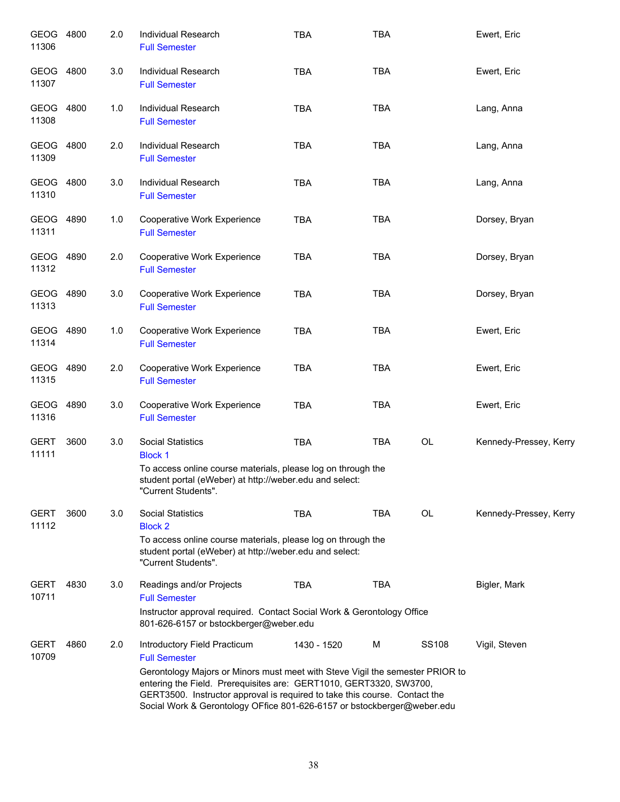| GEOG 4800<br>11306   |      | 2.0 | Individual Research<br><b>Full Semester</b>                                                                                                                                                                                                                                                                                                                          | <b>TBA</b>  | <b>TBA</b> |              | Ewert, Eric            |
|----------------------|------|-----|----------------------------------------------------------------------------------------------------------------------------------------------------------------------------------------------------------------------------------------------------------------------------------------------------------------------------------------------------------------------|-------------|------------|--------------|------------------------|
| GEOG 4800<br>11307   |      | 3.0 | Individual Research<br><b>Full Semester</b>                                                                                                                                                                                                                                                                                                                          | <b>TBA</b>  | <b>TBA</b> |              | Ewert, Eric            |
| GEOG 4800<br>11308   |      | 1.0 | Individual Research<br><b>Full Semester</b>                                                                                                                                                                                                                                                                                                                          | <b>TBA</b>  | <b>TBA</b> |              | Lang, Anna             |
| GEOG<br>11309        | 4800 | 2.0 | <b>Individual Research</b><br><b>Full Semester</b>                                                                                                                                                                                                                                                                                                                   | <b>TBA</b>  | <b>TBA</b> |              | Lang, Anna             |
| GEOG 4800<br>11310   |      | 3.0 | Individual Research<br><b>Full Semester</b>                                                                                                                                                                                                                                                                                                                          | <b>TBA</b>  | <b>TBA</b> |              | Lang, Anna             |
| GEOG 4890<br>11311   |      | 1.0 | Cooperative Work Experience<br><b>Full Semester</b>                                                                                                                                                                                                                                                                                                                  | <b>TBA</b>  | <b>TBA</b> |              | Dorsey, Bryan          |
| GEOG 4890<br>11312   |      | 2.0 | <b>Cooperative Work Experience</b><br><b>Full Semester</b>                                                                                                                                                                                                                                                                                                           | <b>TBA</b>  | <b>TBA</b> |              | Dorsey, Bryan          |
| GEOG 4890<br>11313   |      | 3.0 | Cooperative Work Experience<br><b>Full Semester</b>                                                                                                                                                                                                                                                                                                                  | <b>TBA</b>  | <b>TBA</b> |              | Dorsey, Bryan          |
| GEOG<br>11314        | 4890 | 1.0 | Cooperative Work Experience<br><b>Full Semester</b>                                                                                                                                                                                                                                                                                                                  | <b>TBA</b>  | <b>TBA</b> |              | Ewert, Eric            |
| GEOG<br>11315        | 4890 | 2.0 | Cooperative Work Experience<br><b>Full Semester</b>                                                                                                                                                                                                                                                                                                                  | <b>TBA</b>  | <b>TBA</b> |              | Ewert, Eric            |
| GEOG<br>11316        | 4890 | 3.0 | Cooperative Work Experience<br><b>Full Semester</b>                                                                                                                                                                                                                                                                                                                  | <b>TBA</b>  | <b>TBA</b> |              | Ewert, Eric            |
| <b>GERT</b><br>11111 | 3600 | 3.0 | <b>Social Statistics</b><br><b>Block 1</b><br>To access online course materials, please log on through the<br>student portal (eWeber) at http://weber.edu and select:<br>"Current Students".                                                                                                                                                                         | <b>TBA</b>  | <b>TBA</b> | OL           | Kennedy-Pressey, Kerry |
| <b>GERT</b><br>11112 | 3600 | 3.0 | <b>Social Statistics</b><br><b>Block 2</b><br>To access online course materials, please log on through the<br>student portal (eWeber) at http://weber.edu and select:<br>"Current Students".                                                                                                                                                                         | <b>TBA</b>  | <b>TBA</b> | OL           | Kennedy-Pressey, Kerry |
| <b>GERT</b><br>10711 | 4830 | 3.0 | Readings and/or Projects<br><b>Full Semester</b><br>Instructor approval required. Contact Social Work & Gerontology Office<br>801-626-6157 or bstockberger@weber.edu                                                                                                                                                                                                 | <b>TBA</b>  | <b>TBA</b> |              | Bigler, Mark           |
| <b>GERT</b><br>10709 | 4860 | 2.0 | Introductory Field Practicum<br><b>Full Semester</b><br>Gerontology Majors or Minors must meet with Steve Vigil the semester PRIOR to<br>entering the Field. Prerequisites are: GERT1010, GERT3320, SW3700,<br>GERT3500. Instructor approval is required to take this course. Contact the<br>Social Work & Gerontology OFfice 801-626-6157 or bstockberger@weber.edu | 1430 - 1520 | M          | <b>SS108</b> | Vigil, Steven          |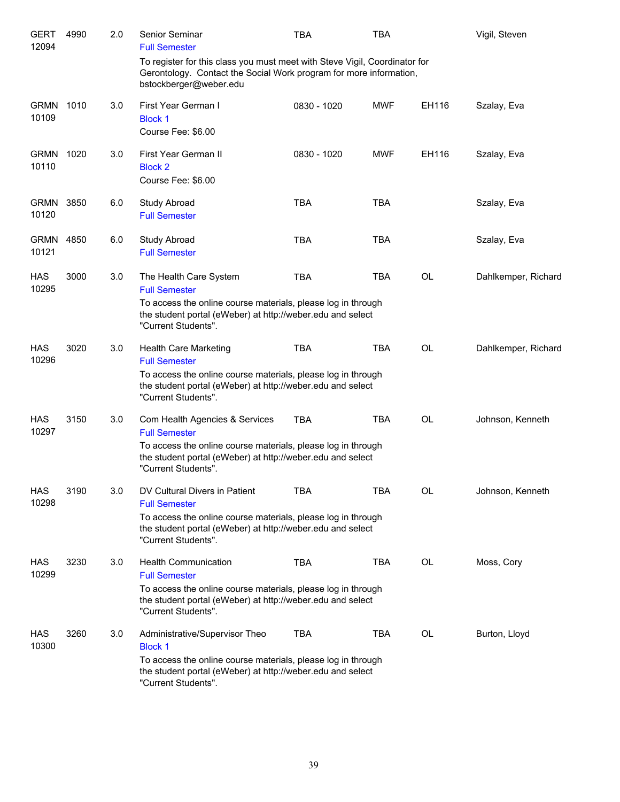| GERT<br>12094        | 4990 | 2.0 | Senior Seminar<br><b>Full Semester</b>                                                                                                                                                                      | <b>TBA</b>  | TBA        |           | Vigil, Steven       |
|----------------------|------|-----|-------------------------------------------------------------------------------------------------------------------------------------------------------------------------------------------------------------|-------------|------------|-----------|---------------------|
|                      |      |     | To register for this class you must meet with Steve Vigil, Coordinator for<br>Gerontology. Contact the Social Work program for more information,<br>bstockberger@weber.edu                                  |             |            |           |                     |
| <b>GRMN</b><br>10109 | 1010 | 3.0 | First Year German I<br><b>Block 1</b><br>Course Fee: \$6.00                                                                                                                                                 | 0830 - 1020 | <b>MWF</b> | EH116     | Szalay, Eva         |
| <b>GRMN</b><br>10110 | 1020 | 3.0 | First Year German II<br><b>Block 2</b><br>Course Fee: \$6.00                                                                                                                                                | 0830 - 1020 | <b>MWF</b> | EH116     | Szalay, Eva         |
| <b>GRMN</b><br>10120 | 3850 | 6.0 | Study Abroad<br><b>Full Semester</b>                                                                                                                                                                        | <b>TBA</b>  | <b>TBA</b> |           | Szalay, Eva         |
| <b>GRMN</b><br>10121 | 4850 | 6.0 | <b>Study Abroad</b><br><b>Full Semester</b>                                                                                                                                                                 | <b>TBA</b>  | <b>TBA</b> |           | Szalay, Eva         |
| HAS<br>10295         | 3000 | 3.0 | The Health Care System<br><b>Full Semester</b><br>To access the online course materials, please log in through<br>the student portal (eWeber) at http://weber.edu and select<br>"Current Students".         | <b>TBA</b>  | <b>TBA</b> | <b>OL</b> | Dahlkemper, Richard |
| HAS<br>10296         | 3020 | 3.0 | <b>Health Care Marketing</b><br><b>Full Semester</b><br>To access the online course materials, please log in through<br>the student portal (eWeber) at http://weber.edu and select<br>"Current Students".   | <b>TBA</b>  | <b>TBA</b> | <b>OL</b> | Dahlkemper, Richard |
| HAS<br>10297         | 3150 | 3.0 | Com Health Agencies & Services<br><b>Full Semester</b><br>To access the online course materials, please log in through<br>the student portal (eWeber) at http://weber.edu and select<br>"Current Students". | <b>TBA</b>  | <b>TBA</b> | <b>OL</b> | Johnson, Kenneth    |
| HAS<br>10298         | 3190 | 3.0 | DV Cultural Divers in Patient<br><b>Full Semester</b><br>To access the online course materials, please log in through<br>the student portal (eWeber) at http://weber.edu and select<br>"Current Students".  | TBA         | TBA        | OL        | Johnson, Kenneth    |
| HAS<br>10299         | 3230 | 3.0 | <b>Health Communication</b><br><b>Full Semester</b><br>To access the online course materials, please log in through<br>the student portal (eWeber) at http://weber.edu and select<br>"Current Students".    | <b>TBA</b>  | <b>TBA</b> | OL        | Moss, Cory          |
| HAS<br>10300         | 3260 | 3.0 | Administrative/Supervisor Theo<br><b>Block 1</b><br>To access the online course materials, please log in through<br>the student portal (eWeber) at http://weber.edu and select<br>"Current Students".       | <b>TBA</b>  | TBA        | OL        | Burton, Lloyd       |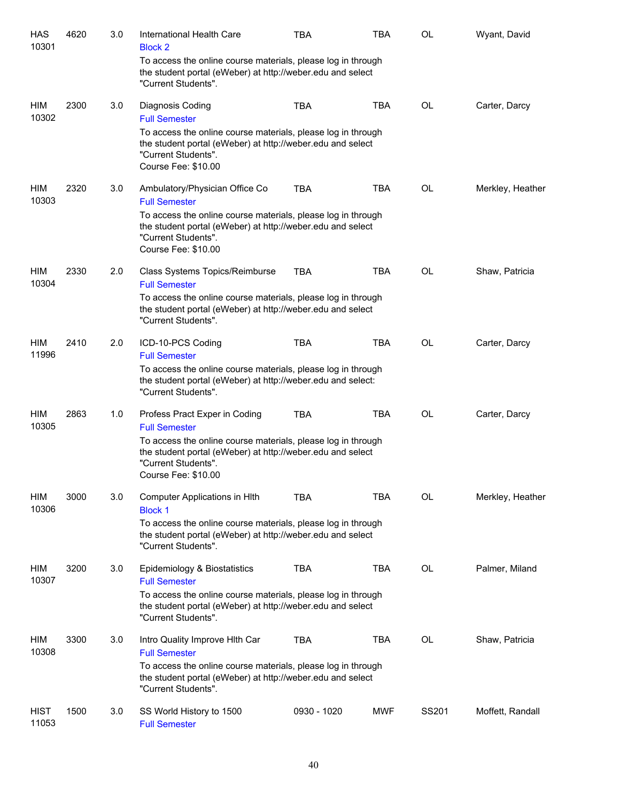| <b>HAS</b><br>10301  | 4620 | 3.0 | International Health Care<br><b>Block 2</b>                                                                                                                              | <b>TBA</b>  | <b>TBA</b> | OL        | Wyant, David     |
|----------------------|------|-----|--------------------------------------------------------------------------------------------------------------------------------------------------------------------------|-------------|------------|-----------|------------------|
|                      |      |     | To access the online course materials, please log in through<br>the student portal (eWeber) at http://weber.edu and select<br>"Current Students".                        |             |            |           |                  |
| HIM<br>10302         | 2300 | 3.0 | Diagnosis Coding<br><b>Full Semester</b>                                                                                                                                 | <b>TBA</b>  | <b>TBA</b> | <b>OL</b> | Carter, Darcy    |
|                      |      |     | To access the online course materials, please log in through<br>the student portal (eWeber) at http://weber.edu and select<br>"Current Students".<br>Course Fee: \$10.00 |             |            |           |                  |
| HIM<br>10303         | 2320 | 3.0 | Ambulatory/Physician Office Co<br><b>Full Semester</b>                                                                                                                   | <b>TBA</b>  | <b>TBA</b> | OL        | Merkley, Heather |
|                      |      |     | To access the online course materials, please log in through<br>the student portal (eWeber) at http://weber.edu and select<br>"Current Students".<br>Course Fee: \$10.00 |             |            |           |                  |
| HIM<br>10304         | 2330 | 2.0 | Class Systems Topics/Reimburse<br><b>Full Semester</b>                                                                                                                   | <b>TBA</b>  | <b>TBA</b> | OL        | Shaw, Patricia   |
|                      |      |     | To access the online course materials, please log in through<br>the student portal (eWeber) at http://weber.edu and select<br>"Current Students".                        |             |            |           |                  |
| HIM<br>11996         | 2410 | 2.0 | ICD-10-PCS Coding<br><b>Full Semester</b>                                                                                                                                | <b>TBA</b>  | <b>TBA</b> | <b>OL</b> | Carter, Darcy    |
|                      |      |     | To access the online course materials, please log in through<br>the student portal (eWeber) at http://weber.edu and select:<br>"Current Students".                       |             |            |           |                  |
| HIM<br>10305         | 2863 | 1.0 | Profess Pract Exper in Coding<br><b>Full Semester</b>                                                                                                                    | <b>TBA</b>  | <b>TBA</b> | OL        | Carter, Darcy    |
|                      |      |     | To access the online course materials, please log in through<br>the student portal (eWeber) at http://weber.edu and select<br>"Current Students".<br>Course Fee: \$10.00 |             |            |           |                  |
| HIM<br>10306         | 3000 | 3.0 | Computer Applications in HIth<br><b>Block 1</b>                                                                                                                          | <b>TBA</b>  | <b>TBA</b> | OL        | Merkley, Heather |
|                      |      |     | To access the online course materials, please log in through<br>the student portal (eWeber) at http://weber.edu and select<br>"Current Students".                        |             |            |           |                  |
| HIM<br>10307         | 3200 | 3.0 | Epidemiology & Biostatistics<br><b>Full Semester</b>                                                                                                                     | <b>TBA</b>  | <b>TBA</b> | <b>OL</b> | Palmer, Miland   |
|                      |      |     | To access the online course materials, please log in through<br>the student portal (eWeber) at http://weber.edu and select<br>"Current Students".                        |             |            |           |                  |
| HIM<br>10308         | 3300 | 3.0 | Intro Quality Improve Hith Car<br><b>Full Semester</b>                                                                                                                   | <b>TBA</b>  | <b>TBA</b> | <b>OL</b> | Shaw, Patricia   |
|                      |      |     | To access the online course materials, please log in through<br>the student portal (eWeber) at http://weber.edu and select<br>"Current Students".                        |             |            |           |                  |
| <b>HIST</b><br>11053 | 1500 | 3.0 | SS World History to 1500<br><b>Full Semester</b>                                                                                                                         | 0930 - 1020 | <b>MWF</b> | SS201     | Moffett, Randall |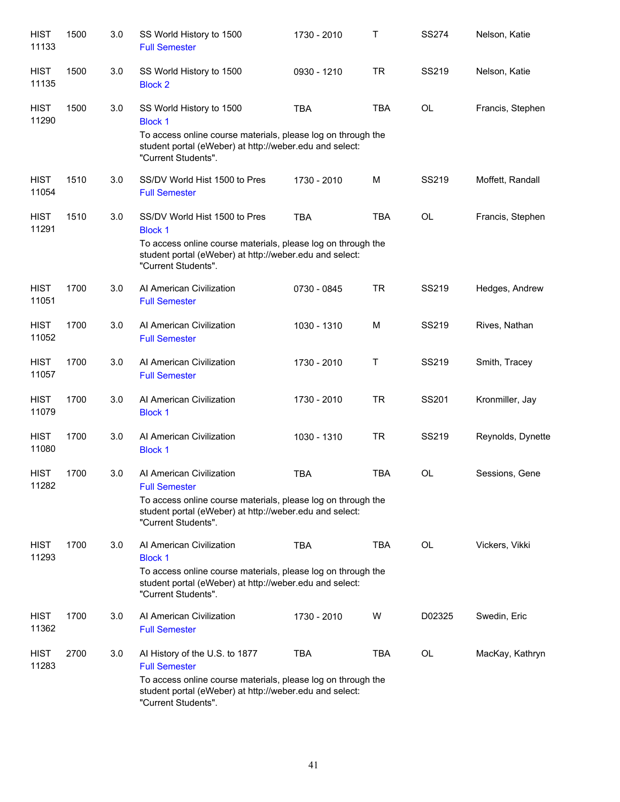| <b>HIST</b><br>11133 | 1500 | 3.0 | SS World History to 1500<br><b>Full Semester</b>                                                                                                                                                         | 1730 - 2010 | T          | <b>SS274</b> | Nelson, Katie     |
|----------------------|------|-----|----------------------------------------------------------------------------------------------------------------------------------------------------------------------------------------------------------|-------------|------------|--------------|-------------------|
| <b>HIST</b><br>11135 | 1500 | 3.0 | SS World History to 1500<br><b>Block 2</b>                                                                                                                                                               | 0930 - 1210 | <b>TR</b>  | SS219        | Nelson, Katie     |
| <b>HIST</b><br>11290 | 1500 | 3.0 | SS World History to 1500<br><b>Block 1</b><br>To access online course materials, please log on through the<br>student portal (eWeber) at http://weber.edu and select:<br>"Current Students".             | <b>TBA</b>  | <b>TBA</b> | <b>OL</b>    | Francis, Stephen  |
| <b>HIST</b><br>11054 | 1510 | 3.0 | SS/DV World Hist 1500 to Pres<br><b>Full Semester</b>                                                                                                                                                    | 1730 - 2010 | M          | SS219        | Moffett, Randall  |
| <b>HIST</b><br>11291 | 1510 | 3.0 | SS/DV World Hist 1500 to Pres<br><b>Block 1</b><br>To access online course materials, please log on through the<br>student portal (eWeber) at http://weber.edu and select:<br>"Current Students".        | <b>TBA</b>  | <b>TBA</b> | <b>OL</b>    | Francis, Stephen  |
| <b>HIST</b><br>11051 | 1700 | 3.0 | Al American Civilization<br><b>Full Semester</b>                                                                                                                                                         | 0730 - 0845 | <b>TR</b>  | SS219        | Hedges, Andrew    |
| <b>HIST</b><br>11052 | 1700 | 3.0 | Al American Civilization<br><b>Full Semester</b>                                                                                                                                                         | 1030 - 1310 | M          | SS219        | Rives, Nathan     |
| <b>HIST</b><br>11057 | 1700 | 3.0 | Al American Civilization<br><b>Full Semester</b>                                                                                                                                                         | 1730 - 2010 | Τ          | SS219        | Smith, Tracey     |
| <b>HIST</b><br>11079 | 1700 | 3.0 | Al American Civilization<br><b>Block 1</b>                                                                                                                                                               | 1730 - 2010 | <b>TR</b>  | SS201        | Kronmiller, Jay   |
| <b>HIST</b><br>11080 | 1700 | 3.0 | Al American Civilization<br><b>Block 1</b>                                                                                                                                                               | 1030 - 1310 | <b>TR</b>  | SS219        | Reynolds, Dynette |
| <b>HIST</b><br>11282 | 1700 | 3.0 | Al American Civilization<br><b>Full Semester</b><br>To access online course materials, please log on through the<br>student portal (eWeber) at http://weber.edu and select:<br>"Current Students".       | <b>TBA</b>  | <b>TBA</b> | <b>OL</b>    | Sessions, Gene    |
| HIST<br>11293        | 1700 | 3.0 | Al American Civilization<br><b>Block 1</b><br>To access online course materials, please log on through the<br>student portal (eWeber) at http://weber.edu and select:<br>"Current Students".             | TBA         | <b>TBA</b> | OL           | Vickers, Vikki    |
| HIST<br>11362        | 1700 | 3.0 | Al American Civilization<br><b>Full Semester</b>                                                                                                                                                         | 1730 - 2010 | W          | D02325       | Swedin, Eric      |
| HIST<br>11283        | 2700 | 3.0 | Al History of the U.S. to 1877<br><b>Full Semester</b><br>To access online course materials, please log on through the<br>student portal (eWeber) at http://weber.edu and select:<br>"Current Students". | TBA         | <b>TBA</b> | OL           | MacKay, Kathryn   |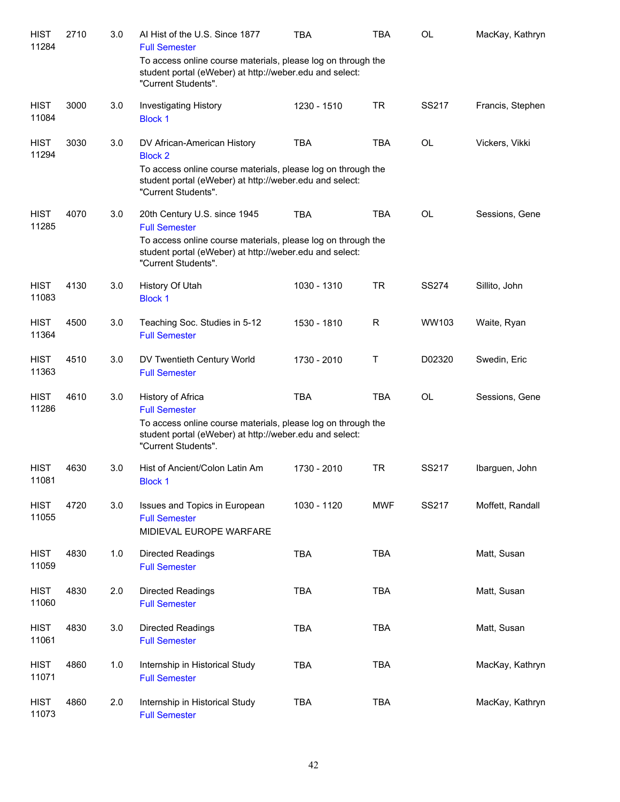| <b>HIST</b><br>11284 | 2710 | 3.0 | Al Hist of the U.S. Since 1877<br><b>Full Semester</b>                                                                                                                                                 | TBA         | TBA        | <b>OL</b>    | MacKay, Kathryn  |
|----------------------|------|-----|--------------------------------------------------------------------------------------------------------------------------------------------------------------------------------------------------------|-------------|------------|--------------|------------------|
|                      |      |     | To access online course materials, please log on through the<br>student portal (eWeber) at http://weber.edu and select:<br>"Current Students".                                                         |             |            |              |                  |
| <b>HIST</b><br>11084 | 3000 | 3.0 | <b>Investigating History</b><br><b>Block 1</b>                                                                                                                                                         | 1230 - 1510 | <b>TR</b>  | SS217        | Francis, Stephen |
| <b>HIST</b><br>11294 | 3030 | 3.0 | DV African-American History<br><b>Block 2</b><br>To access online course materials, please log on through the<br>student portal (eWeber) at http://weber.edu and select:<br>"Current Students".        | <b>TBA</b>  | <b>TBA</b> | <b>OL</b>    | Vickers, Vikki   |
| <b>HIST</b><br>11285 | 4070 | 3.0 | 20th Century U.S. since 1945<br><b>Full Semester</b><br>To access online course materials, please log on through the<br>student portal (eWeber) at http://weber.edu and select:<br>"Current Students". | <b>TBA</b>  | <b>TBA</b> | <b>OL</b>    | Sessions, Gene   |
| <b>HIST</b><br>11083 | 4130 | 3.0 | History Of Utah<br><b>Block 1</b>                                                                                                                                                                      | 1030 - 1310 | <b>TR</b>  | <b>SS274</b> | Sillito, John    |
| <b>HIST</b><br>11364 | 4500 | 3.0 | Teaching Soc. Studies in 5-12<br><b>Full Semester</b>                                                                                                                                                  | 1530 - 1810 | R          | WW103        | Waite, Ryan      |
| <b>HIST</b><br>11363 | 4510 | 3.0 | DV Twentieth Century World<br><b>Full Semester</b>                                                                                                                                                     | 1730 - 2010 | Τ          | D02320       | Swedin, Eric     |
| <b>HIST</b><br>11286 | 4610 | 3.0 | History of Africa<br><b>Full Semester</b><br>To access online course materials, please log on through the<br>student portal (eWeber) at http://weber.edu and select:<br>"Current Students".            | <b>TBA</b>  | <b>TBA</b> | <b>OL</b>    | Sessions, Gene   |
| <b>HIST</b><br>11081 | 4630 | 3.0 | Hist of Ancient/Colon Latin Am<br>Block 1                                                                                                                                                              | 1730 - 2010 | <b>TR</b>  | SS217        | Ibarguen, John   |
| <b>HIST</b><br>11055 | 4720 | 3.0 | Issues and Topics in European<br><b>Full Semester</b><br>MIDIEVAL EUROPE WARFARE                                                                                                                       | 1030 - 1120 | <b>MWF</b> | SS217        | Moffett, Randall |
| <b>HIST</b><br>11059 | 4830 | 1.0 | <b>Directed Readings</b><br><b>Full Semester</b>                                                                                                                                                       | <b>TBA</b>  | <b>TBA</b> |              | Matt, Susan      |
| <b>HIST</b><br>11060 | 4830 | 2.0 | <b>Directed Readings</b><br><b>Full Semester</b>                                                                                                                                                       | <b>TBA</b>  | <b>TBA</b> |              | Matt, Susan      |
| <b>HIST</b><br>11061 | 4830 | 3.0 | <b>Directed Readings</b><br><b>Full Semester</b>                                                                                                                                                       | <b>TBA</b>  | <b>TBA</b> |              | Matt, Susan      |
| <b>HIST</b><br>11071 | 4860 | 1.0 | Internship in Historical Study<br><b>Full Semester</b>                                                                                                                                                 | <b>TBA</b>  | <b>TBA</b> |              | MacKay, Kathryn  |
| <b>HIST</b><br>11073 | 4860 | 2.0 | Internship in Historical Study<br><b>Full Semester</b>                                                                                                                                                 | <b>TBA</b>  | <b>TBA</b> |              | MacKay, Kathryn  |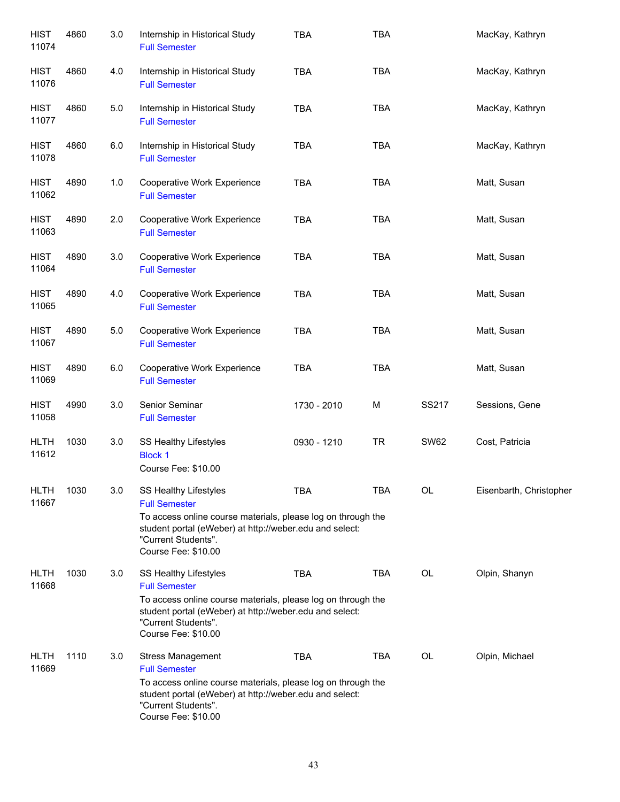| <b>HIST</b><br>11074 | 4860 | 3.0 | Internship in Historical Study<br><b>Full Semester</b>                                                                                                                                                                        | <b>TBA</b>  | <b>TBA</b> |             | MacKay, Kathryn         |
|----------------------|------|-----|-------------------------------------------------------------------------------------------------------------------------------------------------------------------------------------------------------------------------------|-------------|------------|-------------|-------------------------|
| <b>HIST</b><br>11076 | 4860 | 4.0 | Internship in Historical Study<br><b>Full Semester</b>                                                                                                                                                                        | <b>TBA</b>  | <b>TBA</b> |             | MacKay, Kathryn         |
| <b>HIST</b><br>11077 | 4860 | 5.0 | Internship in Historical Study<br><b>Full Semester</b>                                                                                                                                                                        | <b>TBA</b>  | <b>TBA</b> |             | MacKay, Kathryn         |
| <b>HIST</b><br>11078 | 4860 | 6.0 | Internship in Historical Study<br><b>Full Semester</b>                                                                                                                                                                        | <b>TBA</b>  | <b>TBA</b> |             | MacKay, Kathryn         |
| <b>HIST</b><br>11062 | 4890 | 1.0 | Cooperative Work Experience<br><b>Full Semester</b>                                                                                                                                                                           | <b>TBA</b>  | <b>TBA</b> |             | Matt, Susan             |
| <b>HIST</b><br>11063 | 4890 | 2.0 | Cooperative Work Experience<br><b>Full Semester</b>                                                                                                                                                                           | <b>TBA</b>  | <b>TBA</b> |             | Matt, Susan             |
| <b>HIST</b><br>11064 | 4890 | 3.0 | Cooperative Work Experience<br><b>Full Semester</b>                                                                                                                                                                           | <b>TBA</b>  | <b>TBA</b> |             | Matt, Susan             |
| <b>HIST</b><br>11065 | 4890 | 4.0 | Cooperative Work Experience<br><b>Full Semester</b>                                                                                                                                                                           | <b>TBA</b>  | <b>TBA</b> |             | Matt, Susan             |
| <b>HIST</b><br>11067 | 4890 | 5.0 | Cooperative Work Experience<br><b>Full Semester</b>                                                                                                                                                                           | <b>TBA</b>  | <b>TBA</b> |             | Matt, Susan             |
| <b>HIST</b><br>11069 | 4890 | 6.0 | Cooperative Work Experience<br><b>Full Semester</b>                                                                                                                                                                           | <b>TBA</b>  | <b>TBA</b> |             | Matt, Susan             |
| <b>HIST</b><br>11058 | 4990 | 3.0 | Senior Seminar<br><b>Full Semester</b>                                                                                                                                                                                        | 1730 - 2010 | M          | SS217       | Sessions, Gene          |
| <b>HLTH</b><br>11612 | 1030 | 3.0 | SS Healthy Lifestyles<br><b>Block 1</b><br>Course Fee: \$10.00                                                                                                                                                                | 0930 - 1210 | <b>TR</b>  | <b>SW62</b> | Cost, Patricia          |
| <b>HLTH</b><br>11667 | 1030 | 3.0 | SS Healthy Lifestyles<br><b>Full Semester</b><br>To access online course materials, please log on through the<br>student portal (eWeber) at http://weber.edu and select:<br>"Current Students".<br>Course Fee: \$10.00        | <b>TBA</b>  | <b>TBA</b> | <b>OL</b>   | Eisenbarth, Christopher |
| <b>HLTH</b><br>11668 | 1030 | 3.0 | <b>SS Healthy Lifestyles</b><br><b>Full Semester</b><br>To access online course materials, please log on through the<br>student portal (eWeber) at http://weber.edu and select:<br>"Current Students".<br>Course Fee: \$10.00 | <b>TBA</b>  | <b>TBA</b> | OL          | Olpin, Shanyn           |
| <b>HLTH</b><br>11669 | 1110 | 3.0 | <b>Stress Management</b><br><b>Full Semester</b><br>To access online course materials, please log on through the<br>student portal (eWeber) at http://weber.edu and select:<br>"Current Students".<br>Course Fee: \$10.00     | <b>TBA</b>  | <b>TBA</b> | OL          | Olpin, Michael          |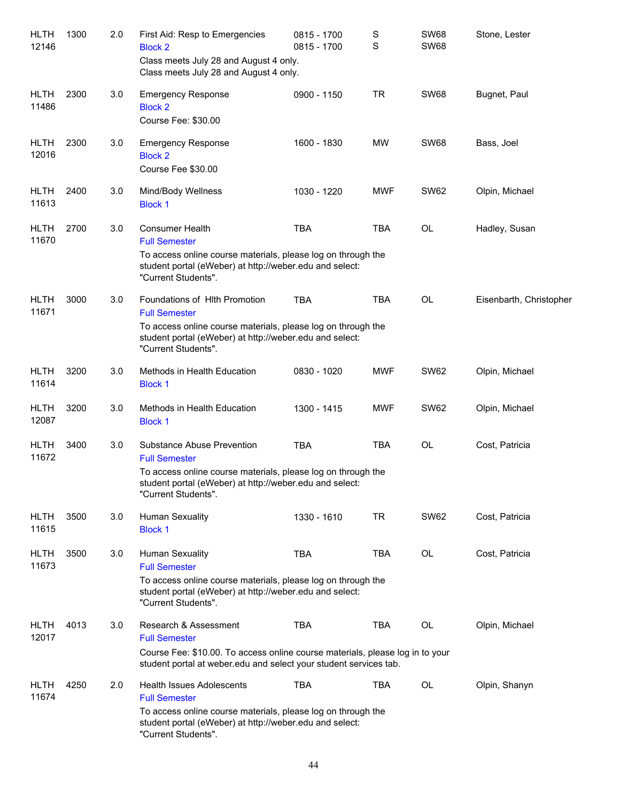| HLTH<br>12146        | 1300 | 2.0 | First Aid: Resp to Emergencies<br><b>Block 2</b><br>Class meets July 28 and August 4 only.<br>Class meets July 28 and August 4 only.                                                                       | 0815 - 1700<br>0815 - 1700 | $\mathbb S$<br>$\mathbf S$ | <b>SW68</b><br><b>SW68</b> | Stone, Lester           |
|----------------------|------|-----|------------------------------------------------------------------------------------------------------------------------------------------------------------------------------------------------------------|----------------------------|----------------------------|----------------------------|-------------------------|
| <b>HLTH</b><br>11486 | 2300 | 3.0 | <b>Emergency Response</b><br><b>Block 2</b><br>Course Fee: \$30.00                                                                                                                                         | 0900 - 1150                | <b>TR</b>                  | <b>SW68</b>                | Bugnet, Paul            |
| <b>HLTH</b><br>12016 | 2300 | 3.0 | <b>Emergency Response</b><br><b>Block 2</b><br>Course Fee \$30.00                                                                                                                                          | 1600 - 1830                | MW                         | <b>SW68</b>                | Bass, Joel              |
| <b>HLTH</b><br>11613 | 2400 | 3.0 | Mind/Body Wellness<br><b>Block 1</b>                                                                                                                                                                       | 1030 - 1220                | <b>MWF</b>                 | <b>SW62</b>                | Olpin, Michael          |
| <b>HLTH</b><br>11670 | 2700 | 3.0 | <b>Consumer Health</b><br><b>Full Semester</b><br>To access online course materials, please log on through the<br>student portal (eWeber) at http://weber.edu and select:<br>"Current Students".           | <b>TBA</b>                 | <b>TBA</b>                 | OL                         | Hadley, Susan           |
| <b>HLTH</b><br>11671 | 3000 | 3.0 | Foundations of Hith Promotion<br><b>Full Semester</b><br>To access online course materials, please log on through the<br>student portal (eWeber) at http://weber.edu and select:<br>"Current Students".    | <b>TBA</b>                 | <b>TBA</b>                 | <b>OL</b>                  | Eisenbarth, Christopher |
| <b>HLTH</b><br>11614 | 3200 | 3.0 | Methods in Health Education<br><b>Block 1</b>                                                                                                                                                              | 0830 - 1020                | <b>MWF</b>                 | <b>SW62</b>                | Olpin, Michael          |
| <b>HLTH</b><br>12087 | 3200 | 3.0 | Methods in Health Education<br><b>Block 1</b>                                                                                                                                                              | 1300 - 1415                | <b>MWF</b>                 | <b>SW62</b>                | Olpin, Michael          |
| <b>HLTH</b><br>11672 | 3400 | 3.0 | Substance Abuse Prevention<br><b>Full Semester</b><br>To access online course materials, please log on through the<br>student portal (eWeber) at http://weber.edu and select:<br>"Current Students".       | <b>TBA</b>                 | <b>TBA</b>                 | <b>OL</b>                  | Cost, Patricia          |
| <b>HLTH</b><br>11615 | 3500 | 3.0 | <b>Human Sexuality</b><br><b>Block 1</b>                                                                                                                                                                   | 1330 - 1610                | <b>TR</b>                  | <b>SW62</b>                | Cost, Patricia          |
| <b>HLTH</b><br>11673 | 3500 | 3.0 | Human Sexuality<br><b>Full Semester</b><br>To access online course materials, please log on through the<br>student portal (eWeber) at http://weber.edu and select:<br>"Current Students".                  | <b>TBA</b>                 | <b>TBA</b>                 | OL                         | Cost, Patricia          |
| HLTH<br>12017        | 4013 | 3.0 | Research & Assessment<br><b>Full Semester</b><br>Course Fee: \$10.00. To access online course materials, please log in to your<br>student portal at weber edu and select your student services tab.        | <b>TBA</b>                 | <b>TBA</b>                 | OL                         | Olpin, Michael          |
| HLTH<br>11674        | 4250 | 2.0 | <b>Health Issues Adolescents</b><br><b>Full Semester</b><br>To access online course materials, please log on through the<br>student portal (eWeber) at http://weber.edu and select:<br>"Current Students". | TBA                        | <b>TBA</b>                 | <b>OL</b>                  | Olpin, Shanyn           |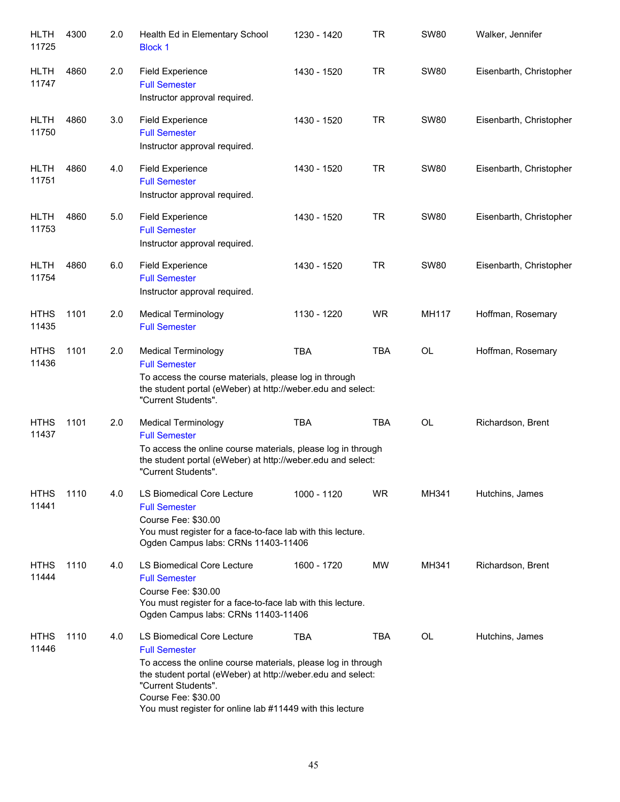| <b>HLTH</b><br>11725 | 4300 | 2.0 | Health Ed in Elementary School<br><b>Block 1</b>                                                                                                                                                                                                                                             | 1230 - 1420 | TR         | <b>SW80</b>  | Walker, Jennifer        |
|----------------------|------|-----|----------------------------------------------------------------------------------------------------------------------------------------------------------------------------------------------------------------------------------------------------------------------------------------------|-------------|------------|--------------|-------------------------|
| <b>HLTH</b><br>11747 | 4860 | 2.0 | <b>Field Experience</b><br><b>Full Semester</b><br>Instructor approval required.                                                                                                                                                                                                             | 1430 - 1520 | <b>TR</b>  | <b>SW80</b>  | Eisenbarth, Christopher |
| <b>HLTH</b><br>11750 | 4860 | 3.0 | <b>Field Experience</b><br><b>Full Semester</b><br>Instructor approval required.                                                                                                                                                                                                             | 1430 - 1520 | <b>TR</b>  | <b>SW80</b>  | Eisenbarth, Christopher |
| <b>HLTH</b><br>11751 | 4860 | 4.0 | <b>Field Experience</b><br><b>Full Semester</b><br>Instructor approval required.                                                                                                                                                                                                             | 1430 - 1520 | <b>TR</b>  | <b>SW80</b>  | Eisenbarth, Christopher |
| <b>HLTH</b><br>11753 | 4860 | 5.0 | <b>Field Experience</b><br><b>Full Semester</b><br>Instructor approval required.                                                                                                                                                                                                             | 1430 - 1520 | <b>TR</b>  | <b>SW80</b>  | Eisenbarth, Christopher |
| <b>HLTH</b><br>11754 | 4860 | 6.0 | <b>Field Experience</b><br><b>Full Semester</b><br>Instructor approval required.                                                                                                                                                                                                             | 1430 - 1520 | <b>TR</b>  | <b>SW80</b>  | Eisenbarth, Christopher |
| <b>HTHS</b><br>11435 | 1101 | 2.0 | <b>Medical Terminology</b><br><b>Full Semester</b>                                                                                                                                                                                                                                           | 1130 - 1220 | <b>WR</b>  | <b>MH117</b> | Hoffman, Rosemary       |
| <b>HTHS</b><br>11436 | 1101 | 2.0 | <b>Medical Terminology</b><br><b>Full Semester</b><br>To access the course materials, please log in through<br>the student portal (eWeber) at http://weber.edu and select:<br>"Current Students".                                                                                            | <b>TBA</b>  | <b>TBA</b> | OL           | Hoffman, Rosemary       |
| <b>HTHS</b><br>11437 | 1101 | 2.0 | <b>Medical Terminology</b><br><b>Full Semester</b><br>To access the online course materials, please log in through<br>the student portal (eWeber) at http://weber.edu and select:<br>"Current Students".                                                                                     | <b>TBA</b>  | <b>TBA</b> | <b>OL</b>    | Richardson, Brent       |
| <b>HTHS</b><br>11441 | 1110 | 4.0 | LS Biomedical Core Lecture<br><b>Full Semester</b><br>Course Fee: \$30.00<br>You must register for a face-to-face lab with this lecture.<br>Ogden Campus labs: CRNs 11403-11406                                                                                                              | 1000 - 1120 | <b>WR</b>  | MH341        | Hutchins, James         |
| <b>HTHS</b><br>11444 | 1110 | 4.0 | <b>LS Biomedical Core Lecture</b><br><b>Full Semester</b><br>Course Fee: \$30.00<br>You must register for a face-to-face lab with this lecture.<br>Ogden Campus labs: CRNs 11403-11406                                                                                                       | 1600 - 1720 | MW         | MH341        | Richardson, Brent       |
| <b>HTHS</b><br>11446 | 1110 | 4.0 | LS Biomedical Core Lecture<br><b>Full Semester</b><br>To access the online course materials, please log in through<br>the student portal (eWeber) at http://weber.edu and select:<br>"Current Students".<br>Course Fee: \$30.00<br>You must register for online lab #11449 with this lecture | TBA         | <b>TBA</b> | OL           | Hutchins, James         |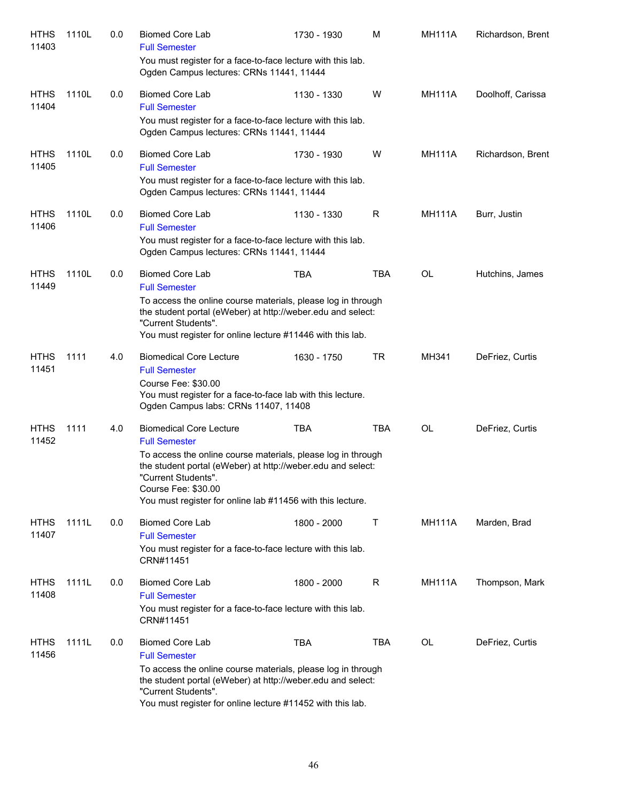| <b>HTHS</b><br>11403 | 1110L | 0.0 | <b>Biomed Core Lab</b><br><b>Full Semester</b>                                                                                                                                                                                          | 1730 - 1930 | м          | <b>MH111A</b> | Richardson, Brent |
|----------------------|-------|-----|-----------------------------------------------------------------------------------------------------------------------------------------------------------------------------------------------------------------------------------------|-------------|------------|---------------|-------------------|
|                      |       |     | You must register for a face-to-face lecture with this lab.<br>Ogden Campus lectures: CRNs 11441, 11444                                                                                                                                 |             |            |               |                   |
| <b>HTHS</b><br>11404 | 1110L | 0.0 | <b>Biomed Core Lab</b><br><b>Full Semester</b>                                                                                                                                                                                          | 1130 - 1330 | W          | <b>MH111A</b> | Doolhoff, Carissa |
|                      |       |     | You must register for a face-to-face lecture with this lab.<br>Ogden Campus lectures: CRNs 11441, 11444                                                                                                                                 |             |            |               |                   |
| <b>HTHS</b><br>11405 | 1110L | 0.0 | <b>Biomed Core Lab</b><br><b>Full Semester</b><br>You must register for a face-to-face lecture with this lab.                                                                                                                           | 1730 - 1930 | W          | <b>MH111A</b> | Richardson, Brent |
|                      |       |     | Ogden Campus lectures: CRNs 11441, 11444                                                                                                                                                                                                |             |            |               |                   |
| <b>HTHS</b><br>11406 | 1110L | 0.0 | <b>Biomed Core Lab</b><br><b>Full Semester</b>                                                                                                                                                                                          | 1130 - 1330 | R          | <b>MH111A</b> | Burr, Justin      |
|                      |       |     | You must register for a face-to-face lecture with this lab.<br>Ogden Campus lectures: CRNs 11441, 11444                                                                                                                                 |             |            |               |                   |
| <b>HTHS</b><br>11449 | 1110L | 0.0 | <b>Biomed Core Lab</b><br><b>Full Semester</b>                                                                                                                                                                                          | <b>TBA</b>  | <b>TBA</b> | <b>OL</b>     | Hutchins, James   |
|                      |       |     | To access the online course materials, please log in through<br>the student portal (eWeber) at http://weber.edu and select:<br>"Current Students".<br>You must register for online lecture #11446 with this lab.                        |             |            |               |                   |
| <b>HTHS</b><br>11451 | 1111  | 4.0 | <b>Biomedical Core Lecture</b><br><b>Full Semester</b><br>Course Fee: \$30.00<br>You must register for a face-to-face lab with this lecture.<br>Ogden Campus labs: CRNs 11407, 11408                                                    | 1630 - 1750 | TR         | MH341         | DeFriez, Curtis   |
| <b>HTHS</b><br>11452 | 1111  | 4.0 | <b>Biomedical Core Lecture</b><br><b>Full Semester</b>                                                                                                                                                                                  | <b>TBA</b>  | <b>TBA</b> | <b>OL</b>     | DeFriez, Curtis   |
|                      |       |     | To access the online course materials, please log in through<br>the student portal (eWeber) at http://weber.edu and select:<br>"Current Students".<br>Course Fee: \$30.00<br>You must register for online lab #11456 with this lecture. |             |            |               |                   |
| <b>HTHS</b><br>11407 | 1111L | 0.0 | <b>Biomed Core Lab</b><br><b>Full Semester</b><br>You must register for a face-to-face lecture with this lab.<br>CRN#11451                                                                                                              | 1800 - 2000 | Τ          | <b>MH111A</b> | Marden, Brad      |
| <b>HTHS</b><br>11408 | 1111L | 0.0 | <b>Biomed Core Lab</b><br><b>Full Semester</b>                                                                                                                                                                                          | 1800 - 2000 | R          | <b>MH111A</b> | Thompson, Mark    |
|                      |       |     | You must register for a face-to-face lecture with this lab.<br>CRN#11451                                                                                                                                                                |             |            |               |                   |
| <b>HTHS</b><br>11456 | 1111L | 0.0 | <b>Biomed Core Lab</b><br><b>Full Semester</b>                                                                                                                                                                                          | <b>TBA</b>  | <b>TBA</b> | OL            | DeFriez, Curtis   |
|                      |       |     | To access the online course materials, please log in through<br>the student portal (eWeber) at http://weber.edu and select:<br>"Current Students".<br>You must register for online lecture #11452 with this lab.                        |             |            |               |                   |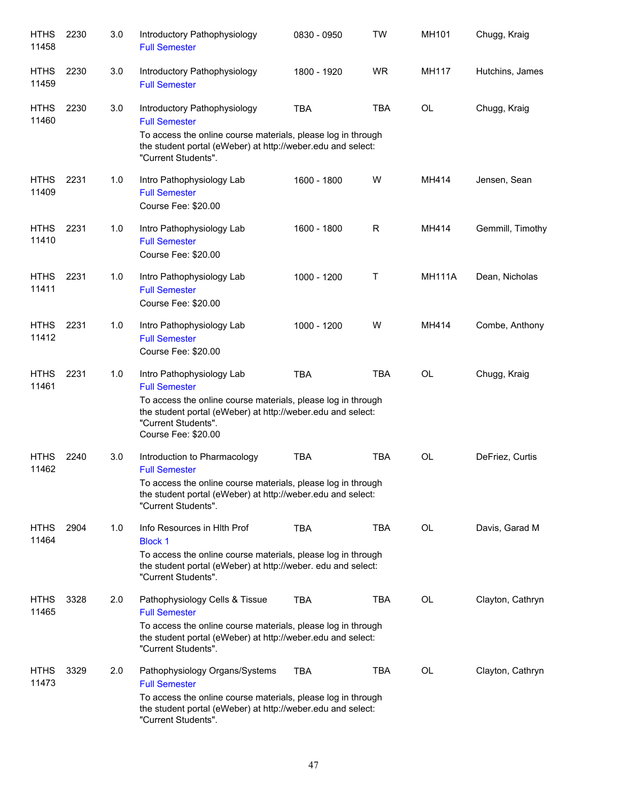| <b>HTHS</b><br>11458 | 2230 | 3.0 | Introductory Pathophysiology<br><b>Full Semester</b>                                                                                                                                                                           | 0830 - 0950 | <b>TW</b>  | MH101         | Chugg, Kraig     |
|----------------------|------|-----|--------------------------------------------------------------------------------------------------------------------------------------------------------------------------------------------------------------------------------|-------------|------------|---------------|------------------|
| <b>HTHS</b><br>11459 | 2230 | 3.0 | Introductory Pathophysiology<br><b>Full Semester</b>                                                                                                                                                                           | 1800 - 1920 | <b>WR</b>  | <b>MH117</b>  | Hutchins, James  |
| <b>HTHS</b><br>11460 | 2230 | 3.0 | Introductory Pathophysiology<br><b>Full Semester</b><br>To access the online course materials, please log in through<br>the student portal (eWeber) at http://weber.edu and select:<br>"Current Students".                     | <b>TBA</b>  | <b>TBA</b> | <b>OL</b>     | Chugg, Kraig     |
| <b>HTHS</b><br>11409 | 2231 | 1.0 | Intro Pathophysiology Lab<br><b>Full Semester</b><br>Course Fee: \$20.00                                                                                                                                                       | 1600 - 1800 | W          | MH414         | Jensen, Sean     |
| <b>HTHS</b><br>11410 | 2231 | 1.0 | Intro Pathophysiology Lab<br><b>Full Semester</b><br>Course Fee: \$20.00                                                                                                                                                       | 1600 - 1800 | R          | MH414         | Gemmill, Timothy |
| <b>HTHS</b><br>11411 | 2231 | 1.0 | Intro Pathophysiology Lab<br><b>Full Semester</b><br>Course Fee: \$20.00                                                                                                                                                       | 1000 - 1200 | Τ          | <b>MH111A</b> | Dean, Nicholas   |
| <b>HTHS</b><br>11412 | 2231 | 1.0 | Intro Pathophysiology Lab<br><b>Full Semester</b><br>Course Fee: \$20.00                                                                                                                                                       | 1000 - 1200 | W          | MH414         | Combe, Anthony   |
| <b>HTHS</b><br>11461 | 2231 | 1.0 | Intro Pathophysiology Lab<br><b>Full Semester</b><br>To access the online course materials, please log in through<br>the student portal (eWeber) at http://weber.edu and select:<br>"Current Students".<br>Course Fee: \$20.00 | <b>TBA</b>  | <b>TBA</b> | <b>OL</b>     | Chugg, Kraig     |
| <b>HTHS</b><br>11462 | 2240 | 3.0 | Introduction to Pharmacology<br><b>Full Semester</b><br>To access the online course materials, please log in through<br>the student portal (eWeber) at http://weber.edu and select:<br>"Current Students".                     | <b>TBA</b>  | TBA        | <b>OL</b>     | DeFriez, Curtis  |
| <b>HTHS</b><br>11464 | 2904 | 1.0 | Info Resources in Hith Prof<br><b>Block 1</b><br>To access the online course materials, please log in through<br>the student portal (eWeber) at http://weber. edu and select:<br>"Current Students".                           | <b>TBA</b>  | TBA        | <b>OL</b>     | Davis, Garad M   |
| <b>HTHS</b><br>11465 | 3328 | 2.0 | Pathophysiology Cells & Tissue<br><b>Full Semester</b><br>To access the online course materials, please log in through<br>the student portal (eWeber) at http://weber.edu and select:<br>"Current Students".                   | <b>TBA</b>  | <b>TBA</b> | OL            | Clayton, Cathryn |
| <b>HTHS</b><br>11473 | 3329 | 2.0 | Pathophysiology Organs/Systems<br><b>Full Semester</b><br>To access the online course materials, please log in through<br>the student portal (eWeber) at http://weber.edu and select:<br>"Current Students".                   | TBA         | TBA        | <b>OL</b>     | Clayton, Cathryn |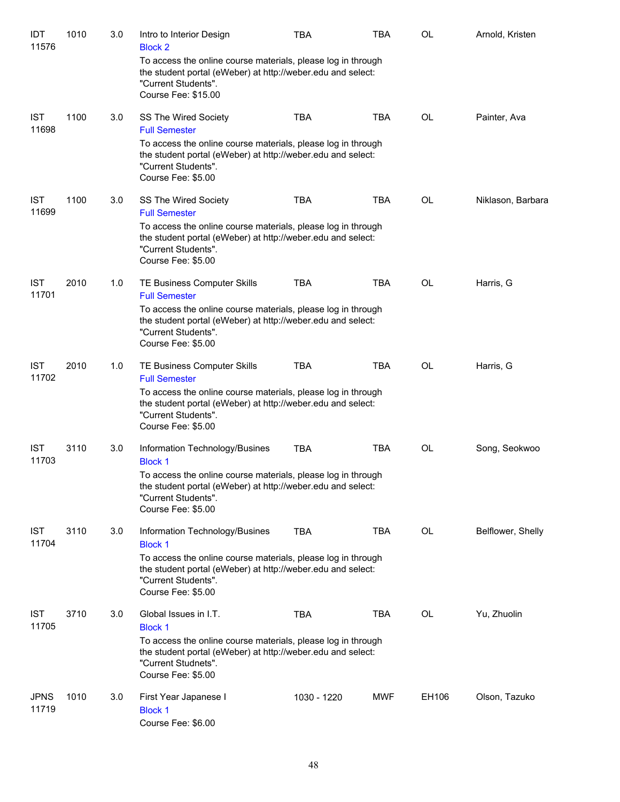| IDT<br>11576         | 1010 | 3.0 | Intro to Interior Design<br><b>Block 2</b>                                                                                                                                | TBA         | <b>TBA</b> | OL        | Arnold, Kristen   |
|----------------------|------|-----|---------------------------------------------------------------------------------------------------------------------------------------------------------------------------|-------------|------------|-----------|-------------------|
|                      |      |     | To access the online course materials, please log in through<br>the student portal (eWeber) at http://weber.edu and select:<br>"Current Students".<br>Course Fee: \$15.00 |             |            |           |                   |
| <b>IST</b><br>11698  | 1100 | 3.0 | SS The Wired Society<br><b>Full Semester</b>                                                                                                                              | <b>TBA</b>  | <b>TBA</b> | <b>OL</b> | Painter, Ava      |
|                      |      |     | To access the online course materials, please log in through<br>the student portal (eWeber) at http://weber.edu and select:<br>"Current Students".<br>Course Fee: \$5.00  |             |            |           |                   |
| <b>IST</b><br>11699  | 1100 | 3.0 | SS The Wired Society<br><b>Full Semester</b>                                                                                                                              | <b>TBA</b>  | <b>TBA</b> | OL        | Niklason, Barbara |
|                      |      |     | To access the online course materials, please log in through<br>the student portal (eWeber) at http://weber.edu and select:<br>"Current Students".<br>Course Fee: \$5.00  |             |            |           |                   |
| <b>IST</b><br>11701  | 2010 | 1.0 | TE Business Computer Skills<br><b>Full Semester</b>                                                                                                                       | <b>TBA</b>  | <b>TBA</b> | <b>OL</b> | Harris, G         |
|                      |      |     | To access the online course materials, please log in through<br>the student portal (eWeber) at http://weber.edu and select:<br>"Current Students".<br>Course Fee: \$5.00  |             |            |           |                   |
| <b>IST</b><br>11702  | 2010 | 1.0 | TE Business Computer Skills<br><b>Full Semester</b>                                                                                                                       | <b>TBA</b>  | <b>TBA</b> | <b>OL</b> | Harris, G         |
|                      |      |     | To access the online course materials, please log in through<br>the student portal (eWeber) at http://weber.edu and select:<br>"Current Students".<br>Course Fee: \$5.00  |             |            |           |                   |
| <b>IST</b><br>11703  | 3110 | 3.0 | Information Technology/Busines<br><b>Block 1</b>                                                                                                                          | <b>TBA</b>  | <b>TBA</b> | OL        | Song, Seokwoo     |
|                      |      |     | To access the online course materials, please log in through<br>the student portal (eWeber) at http://weber.edu and select:<br>"Current Students".<br>Course Fee: \$5.00  |             |            |           |                   |
| <b>IST</b><br>11704  | 3110 | 3.0 | Information Technology/Busines<br><b>Block 1</b>                                                                                                                          | <b>TBA</b>  | <b>TBA</b> | <b>OL</b> | Belflower, Shelly |
|                      |      |     | To access the online course materials, please log in through<br>the student portal (eWeber) at http://weber.edu and select:<br>"Current Students".<br>Course Fee: \$5.00  |             |            |           |                   |
| <b>IST</b><br>11705  | 3710 | 3.0 | Global Issues in I.T.<br><b>Block 1</b>                                                                                                                                   | <b>TBA</b>  | TBA        | OL        | Yu, Zhuolin       |
|                      |      |     | To access the online course materials, please log in through<br>the student portal (eWeber) at http://weber.edu and select:<br>"Current Studnets".<br>Course Fee: \$5.00  |             |            |           |                   |
| <b>JPNS</b><br>11719 | 1010 | 3.0 | First Year Japanese I<br><b>Block 1</b><br>Course Fee: \$6.00                                                                                                             | 1030 - 1220 | <b>MWF</b> | EH106     | Olson, Tazuko     |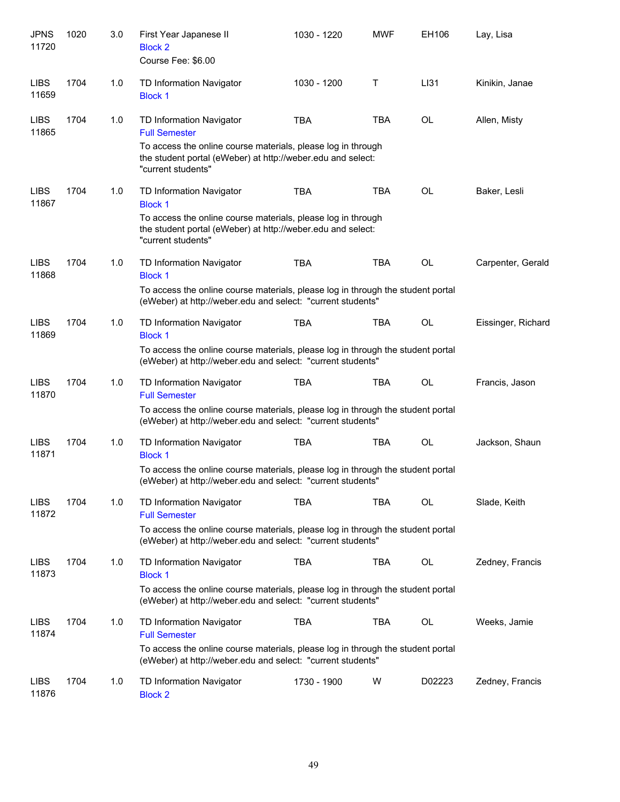| <b>JPNS</b><br>11720 | 1020 | 3.0 | First Year Japanese II<br><b>Block 2</b><br>Course Fee: \$6.00                                                                                                                                        | 1030 - 1220 | <b>MWF</b> | EH106     | Lay, Lisa          |
|----------------------|------|-----|-------------------------------------------------------------------------------------------------------------------------------------------------------------------------------------------------------|-------------|------------|-----------|--------------------|
| <b>LIBS</b><br>11659 | 1704 | 1.0 | TD Information Navigator<br><b>Block 1</b>                                                                                                                                                            | 1030 - 1200 | Τ          | LI31      | Kinikin, Janae     |
| <b>LIBS</b><br>11865 | 1704 | 1.0 | TD Information Navigator<br><b>Full Semester</b><br>To access the online course materials, please log in through<br>the student portal (eWeber) at http://weber.edu and select:<br>"current students" | <b>TBA</b>  | <b>TBA</b> | OL        | Allen, Misty       |
| <b>LIBS</b><br>11867 | 1704 | 1.0 | TD Information Navigator<br><b>Block 1</b><br>To access the online course materials, please log in through<br>the student portal (eWeber) at http://weber.edu and select:<br>"current students"       | <b>TBA</b>  | <b>TBA</b> | OL        | Baker, Lesli       |
| <b>LIBS</b><br>11868 | 1704 | 1.0 | TD Information Navigator<br><b>Block 1</b><br>To access the online course materials, please log in through the student portal<br>(eWeber) at http://weber.edu and select: "current students"          | <b>TBA</b>  | <b>TBA</b> | OL        | Carpenter, Gerald  |
| <b>LIBS</b><br>11869 | 1704 | 1.0 | TD Information Navigator<br><b>Block 1</b><br>To access the online course materials, please log in through the student portal<br>(eWeber) at http://weber.edu and select: "current students"          | <b>TBA</b>  | TBA        | OL        | Eissinger, Richard |
| <b>LIBS</b><br>11870 | 1704 | 1.0 | TD Information Navigator<br><b>Full Semester</b><br>To access the online course materials, please log in through the student portal<br>(eWeber) at http://weber.edu and select: "current students"    | <b>TBA</b>  | <b>TBA</b> | OL        | Francis, Jason     |
| <b>LIBS</b><br>11871 | 1704 | 1.0 | TD Information Navigator<br><b>Block 1</b><br>To access the online course materials, please log in through the student portal<br>(eWeber) at http://weber.edu and select: "current students"          | <b>TBA</b>  | <b>TBA</b> | OL        | Jackson, Shaun     |
| <b>LIBS</b><br>11872 | 1704 | 1.0 | TD Information Navigator<br><b>Full Semester</b><br>To access the online course materials, please log in through the student portal<br>(eWeber) at http://weber.edu and select: "current students"    | TBA         | <b>TBA</b> | OL        | Slade, Keith       |
| <b>LIBS</b><br>11873 | 1704 | 1.0 | TD Information Navigator<br><b>Block 1</b><br>To access the online course materials, please log in through the student portal<br>(eWeber) at http://weber.edu and select: "current students"          | <b>TBA</b>  | <b>TBA</b> | OL        | Zedney, Francis    |
| <b>LIBS</b><br>11874 | 1704 | 1.0 | TD Information Navigator<br><b>Full Semester</b><br>To access the online course materials, please log in through the student portal<br>(eWeber) at http://weber.edu and select: "current students"    | <b>TBA</b>  | <b>TBA</b> | <b>OL</b> | Weeks, Jamie       |
| <b>LIBS</b><br>11876 | 1704 | 1.0 | TD Information Navigator<br><b>Block 2</b>                                                                                                                                                            | 1730 - 1900 | W          | D02223    | Zedney, Francis    |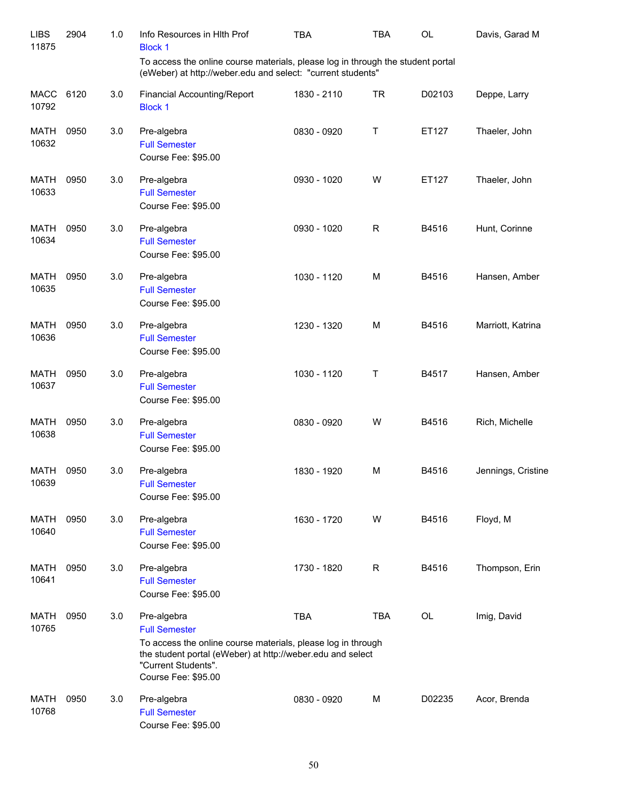| <b>LIBS</b><br>11875 | 2904 | 1.0 | Info Resources in HIth Prof<br><b>Block 1</b>                                                                                                                                                                   | <b>TBA</b>  | <b>TBA</b>  | <b>OL</b> | Davis, Garad M     |
|----------------------|------|-----|-----------------------------------------------------------------------------------------------------------------------------------------------------------------------------------------------------------------|-------------|-------------|-----------|--------------------|
|                      |      |     | To access the online course materials, please log in through the student portal<br>(eWeber) at http://weber.edu and select: "current students"                                                                  |             |             |           |                    |
| <b>MACC</b><br>10792 | 6120 | 3.0 | Financial Accounting/Report<br><b>Block 1</b>                                                                                                                                                                   | 1830 - 2110 | <b>TR</b>   | D02103    | Deppe, Larry       |
| <b>MATH</b><br>10632 | 0950 | 3.0 | Pre-algebra<br><b>Full Semester</b><br>Course Fee: \$95.00                                                                                                                                                      | 0830 - 0920 | Τ           | ET127     | Thaeler, John      |
| <b>MATH</b><br>10633 | 0950 | 3.0 | Pre-algebra<br><b>Full Semester</b><br>Course Fee: \$95.00                                                                                                                                                      | 0930 - 1020 | W           | ET127     | Thaeler, John      |
| <b>MATH</b><br>10634 | 0950 | 3.0 | Pre-algebra<br><b>Full Semester</b><br>Course Fee: \$95.00                                                                                                                                                      | 0930 - 1020 | $\mathsf R$ | B4516     | Hunt, Corinne      |
| <b>MATH</b><br>10635 | 0950 | 3.0 | Pre-algebra<br><b>Full Semester</b><br>Course Fee: \$95.00                                                                                                                                                      | 1030 - 1120 | M           | B4516     | Hansen, Amber      |
| <b>MATH</b><br>10636 | 0950 | 3.0 | Pre-algebra<br><b>Full Semester</b><br>Course Fee: \$95.00                                                                                                                                                      | 1230 - 1320 | M           | B4516     | Marriott, Katrina  |
| <b>MATH</b><br>10637 | 0950 | 3.0 | Pre-algebra<br><b>Full Semester</b><br>Course Fee: \$95.00                                                                                                                                                      | 1030 - 1120 | Τ           | B4517     | Hansen, Amber      |
| <b>MATH</b><br>10638 | 0950 | 3.0 | Pre-algebra<br><b>Full Semester</b><br>Course Fee: \$95.00                                                                                                                                                      | 0830 - 0920 | W           | B4516     | Rich, Michelle     |
| <b>MATH</b><br>10639 | 0950 | 3.0 | Pre-algebra<br><b>Full Semester</b><br>Course Fee: \$95.00                                                                                                                                                      | 1830 - 1920 | м           | B4516     | Jennings, Cristine |
| MATH<br>10640        | 0950 | 3.0 | Pre-algebra<br><b>Full Semester</b><br>Course Fee: \$95.00                                                                                                                                                      | 1630 - 1720 | W           | B4516     | Floyd, M           |
| <b>MATH</b><br>10641 | 0950 | 3.0 | Pre-algebra<br><b>Full Semester</b><br>Course Fee: \$95.00                                                                                                                                                      | 1730 - 1820 | R           | B4516     | Thompson, Erin     |
| MATH<br>10765        | 0950 | 3.0 | Pre-algebra<br><b>Full Semester</b><br>To access the online course materials, please log in through<br>the student portal (eWeber) at http://weber.edu and select<br>"Current Students".<br>Course Fee: \$95.00 | <b>TBA</b>  | <b>TBA</b>  | OL        | Imig, David        |
| <b>MATH</b><br>10768 | 0950 | 3.0 | Pre-algebra<br><b>Full Semester</b><br>Course Fee: \$95.00                                                                                                                                                      | 0830 - 0920 | М           | D02235    | Acor, Brenda       |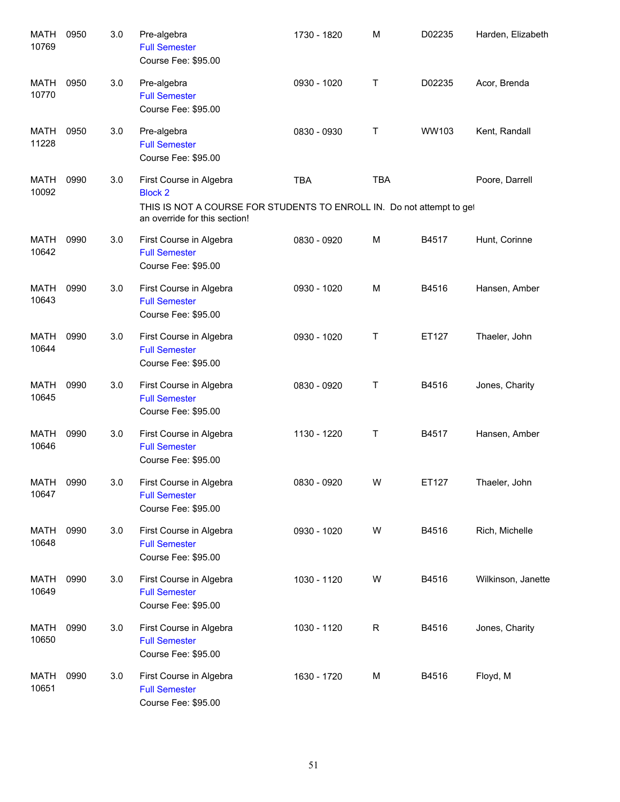| <b>MATH</b><br>10769 | 0950 | 3.0 | Pre-algebra<br><b>Full Semester</b><br>Course Fee: \$95.00                                                                                          | 1730 - 1820 | M          | D02235 | Harden, Elizabeth  |
|----------------------|------|-----|-----------------------------------------------------------------------------------------------------------------------------------------------------|-------------|------------|--------|--------------------|
| MATH<br>10770        | 0950 | 3.0 | Pre-algebra<br><b>Full Semester</b><br>Course Fee: \$95.00                                                                                          | 0930 - 1020 | Т          | D02235 | Acor, Brenda       |
| <b>MATH</b><br>11228 | 0950 | 3.0 | Pre-algebra<br><b>Full Semester</b><br>Course Fee: \$95.00                                                                                          | 0830 - 0930 | Τ          | WW103  | Kent, Randall      |
| MATH<br>10092        | 0990 | 3.0 | First Course in Algebra<br><b>Block 2</b><br>THIS IS NOT A COURSE FOR STUDENTS TO ENROLL IN. Do not attempt to get<br>an override for this section! | <b>TBA</b>  | <b>TBA</b> |        | Poore, Darrell     |
| <b>MATH</b><br>10642 | 0990 | 3.0 | First Course in Algebra<br><b>Full Semester</b><br>Course Fee: \$95.00                                                                              | 0830 - 0920 | M          | B4517  | Hunt, Corinne      |
| <b>MATH</b><br>10643 | 0990 | 3.0 | First Course in Algebra<br><b>Full Semester</b><br>Course Fee: \$95.00                                                                              | 0930 - 1020 | M          | B4516  | Hansen, Amber      |
| <b>MATH</b><br>10644 | 0990 | 3.0 | First Course in Algebra<br><b>Full Semester</b><br>Course Fee: \$95.00                                                                              | 0930 - 1020 | Т          | ET127  | Thaeler, John      |
| <b>MATH</b><br>10645 | 0990 | 3.0 | First Course in Algebra<br><b>Full Semester</b><br>Course Fee: \$95.00                                                                              | 0830 - 0920 | Т          | B4516  | Jones, Charity     |
| <b>MATH</b><br>10646 | 0990 | 3.0 | First Course in Algebra<br><b>Full Semester</b><br>Course Fee: \$95.00                                                                              | 1130 - 1220 | Т          | B4517  | Hansen, Amber      |
| MATH 0990<br>10647   |      | 3.0 | First Course in Algebra<br><b>Full Semester</b><br>Course Fee: \$95.00                                                                              | 0830 - 0920 | W          | ET127  | Thaeler, John      |
| MATH<br>10648        | 0990 | 3.0 | First Course in Algebra<br><b>Full Semester</b><br>Course Fee: \$95.00                                                                              | 0930 - 1020 | W          | B4516  | Rich, Michelle     |
| MATH<br>10649        | 0990 | 3.0 | First Course in Algebra<br><b>Full Semester</b><br>Course Fee: \$95.00                                                                              | 1030 - 1120 | W          | B4516  | Wilkinson, Janette |
| MATH<br>10650        | 0990 | 3.0 | First Course in Algebra<br><b>Full Semester</b><br>Course Fee: \$95.00                                                                              | 1030 - 1120 | R          | B4516  | Jones, Charity     |
| <b>MATH</b><br>10651 | 0990 | 3.0 | First Course in Algebra<br><b>Full Semester</b><br>Course Fee: \$95.00                                                                              | 1630 - 1720 | M          | B4516  | Floyd, M           |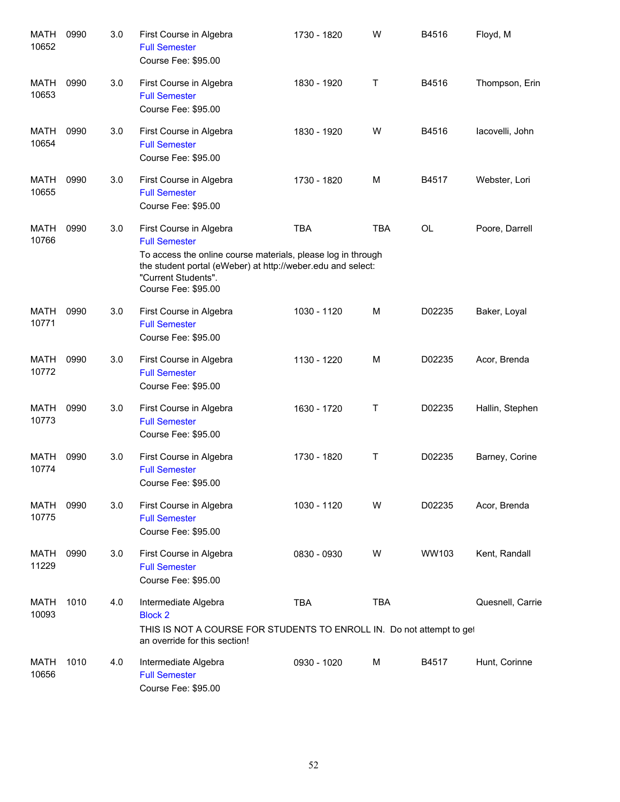| <b>MATH</b><br>10652 | 0990 | 3.0 | First Course in Algebra<br><b>Full Semester</b><br>Course Fee: \$95.00                                                                                                                                                       | 1730 - 1820 | W          | B4516     | Floyd, M         |
|----------------------|------|-----|------------------------------------------------------------------------------------------------------------------------------------------------------------------------------------------------------------------------------|-------------|------------|-----------|------------------|
| MATH<br>10653        | 0990 | 3.0 | First Course in Algebra<br><b>Full Semester</b><br>Course Fee: \$95.00                                                                                                                                                       | 1830 - 1920 | Τ          | B4516     | Thompson, Erin   |
| MATH<br>10654        | 0990 | 3.0 | First Course in Algebra<br><b>Full Semester</b><br>Course Fee: \$95.00                                                                                                                                                       | 1830 - 1920 | W          | B4516     | lacovelli, John  |
| MATH<br>10655        | 0990 | 3.0 | First Course in Algebra<br><b>Full Semester</b><br>Course Fee: \$95.00                                                                                                                                                       | 1730 - 1820 | M          | B4517     | Webster, Lori    |
| MATH<br>10766        | 0990 | 3.0 | First Course in Algebra<br><b>Full Semester</b><br>To access the online course materials, please log in through<br>the student portal (eWeber) at http://weber.edu and select:<br>"Current Students".<br>Course Fee: \$95.00 | <b>TBA</b>  | <b>TBA</b> | <b>OL</b> | Poore, Darrell   |
| <b>MATH</b><br>10771 | 0990 | 3.0 | First Course in Algebra<br><b>Full Semester</b><br>Course Fee: \$95.00                                                                                                                                                       | 1030 - 1120 | M          | D02235    | Baker, Loyal     |
| <b>MATH</b><br>10772 | 0990 | 3.0 | First Course in Algebra<br><b>Full Semester</b><br>Course Fee: \$95.00                                                                                                                                                       | 1130 - 1220 | M          | D02235    | Acor, Brenda     |
| <b>MATH</b><br>10773 | 0990 | 3.0 | First Course in Algebra<br><b>Full Semester</b><br>Course Fee: \$95.00                                                                                                                                                       | 1630 - 1720 | Τ          | D02235    | Hallin, Stephen  |
| <b>MATH</b><br>10774 | 0990 | 3.0 | First Course in Algebra<br><b>Full Semester</b><br>Course Fee: \$95.00                                                                                                                                                       | 1730 - 1820 | Τ          | D02235    | Barney, Corine   |
| MATH<br>10775        | 0990 | 3.0 | First Course in Algebra<br><b>Full Semester</b><br>Course Fee: \$95.00                                                                                                                                                       | 1030 - 1120 | W          | D02235    | Acor, Brenda     |
| MATH<br>11229        | 0990 | 3.0 | First Course in Algebra<br><b>Full Semester</b><br>Course Fee: \$95.00                                                                                                                                                       | 0830 - 0930 | W          | WW103     | Kent, Randall    |
| MATH<br>10093        | 1010 | 4.0 | Intermediate Algebra<br><b>Block 2</b><br>THIS IS NOT A COURSE FOR STUDENTS TO ENROLL IN. Do not attempt to get<br>an override for this section!                                                                             | <b>TBA</b>  | <b>TBA</b> |           | Quesnell, Carrie |
| MATH<br>10656        | 1010 | 4.0 | Intermediate Algebra<br><b>Full Semester</b><br>Course Fee: \$95.00                                                                                                                                                          | 0930 - 1020 | м          | B4517     | Hunt, Corinne    |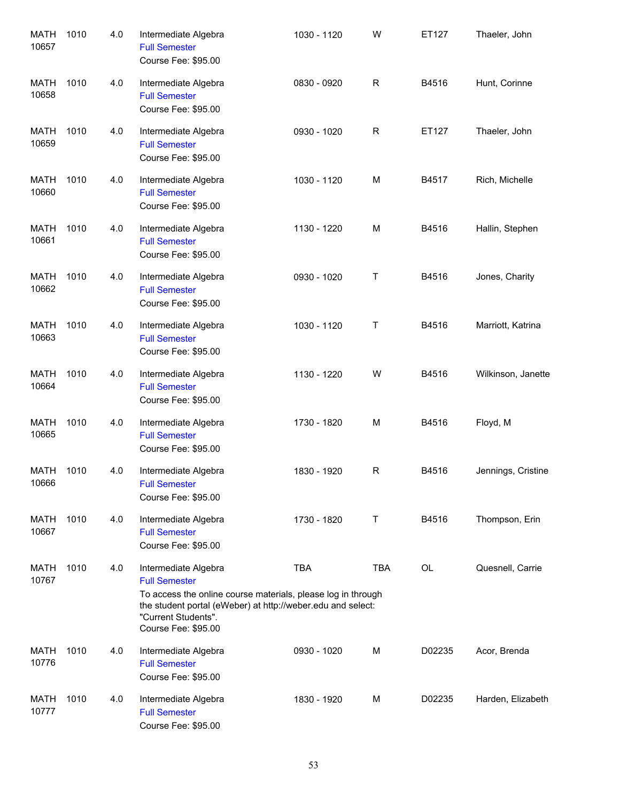| <b>MATH</b><br>10657 | 1010 | 4.0 | Intermediate Algebra<br><b>Full Semester</b><br>Course Fee: \$95.00                                                                                                                                                       | 1030 - 1120 | W          | ET127  | Thaeler, John      |
|----------------------|------|-----|---------------------------------------------------------------------------------------------------------------------------------------------------------------------------------------------------------------------------|-------------|------------|--------|--------------------|
| MATH<br>10658        | 1010 | 4.0 | Intermediate Algebra<br><b>Full Semester</b><br>Course Fee: \$95.00                                                                                                                                                       | 0830 - 0920 | R          | B4516  | Hunt, Corinne      |
| MATH<br>10659        | 1010 | 4.0 | Intermediate Algebra<br><b>Full Semester</b><br>Course Fee: \$95.00                                                                                                                                                       | 0930 - 1020 | R          | ET127  | Thaeler, John      |
| MATH<br>10660        | 1010 | 4.0 | Intermediate Algebra<br><b>Full Semester</b><br>Course Fee: \$95.00                                                                                                                                                       | 1030 - 1120 | M          | B4517  | Rich, Michelle     |
| <b>MATH</b><br>10661 | 1010 | 4.0 | Intermediate Algebra<br><b>Full Semester</b><br>Course Fee: \$95.00                                                                                                                                                       | 1130 - 1220 | M          | B4516  | Hallin, Stephen    |
| MATH<br>10662        | 1010 | 4.0 | Intermediate Algebra<br><b>Full Semester</b><br>Course Fee: \$95.00                                                                                                                                                       | 0930 - 1020 | Т          | B4516  | Jones, Charity     |
| MATH<br>10663        | 1010 | 4.0 | Intermediate Algebra<br><b>Full Semester</b><br>Course Fee: \$95.00                                                                                                                                                       | 1030 - 1120 | Т          | B4516  | Marriott, Katrina  |
| <b>MATH</b><br>10664 | 1010 | 4.0 | Intermediate Algebra<br><b>Full Semester</b><br>Course Fee: \$95.00                                                                                                                                                       | 1130 - 1220 | W          | B4516  | Wilkinson, Janette |
| MATH<br>10665        | 1010 | 4.0 | Intermediate Algebra<br><b>Full Semester</b><br>Course Fee: \$95.00                                                                                                                                                       | 1730 - 1820 | M          | B4516  | Floyd, M           |
| MATH<br>10666        | 1010 | 4.0 | Intermediate Algebra<br><b>Full Semester</b><br>Course Fee: \$95.00                                                                                                                                                       | 1830 - 1920 | R          | B4516  | Jennings, Cristine |
| MATH<br>10667        | 1010 | 4.0 | Intermediate Algebra<br><b>Full Semester</b><br>Course Fee: \$95.00                                                                                                                                                       | 1730 - 1820 | Τ          | B4516  | Thompson, Erin     |
| MATH<br>10767        | 1010 | 4.0 | Intermediate Algebra<br><b>Full Semester</b><br>To access the online course materials, please log in through<br>the student portal (eWeber) at http://weber.edu and select:<br>"Current Students".<br>Course Fee: \$95.00 | <b>TBA</b>  | <b>TBA</b> | OL     | Quesnell, Carrie   |
| MATH<br>10776        | 1010 | 4.0 | Intermediate Algebra<br><b>Full Semester</b><br>Course Fee: \$95.00                                                                                                                                                       | 0930 - 1020 | М          | D02235 | Acor, Brenda       |
| MATH<br>10777        | 1010 | 4.0 | Intermediate Algebra<br><b>Full Semester</b><br>Course Fee: \$95.00                                                                                                                                                       | 1830 - 1920 | M          | D02235 | Harden, Elizabeth  |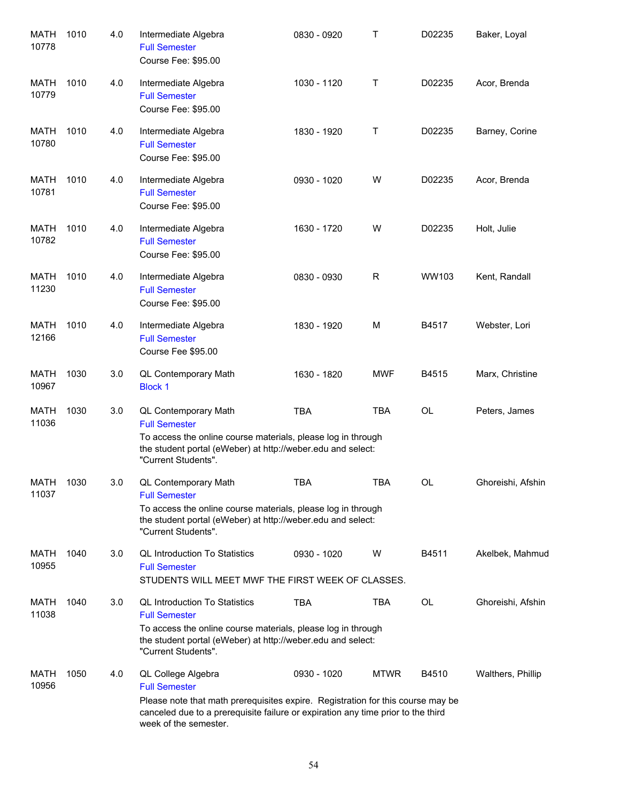| <b>MATH</b><br>10778 | 1010 | 4.0 | Intermediate Algebra<br><b>Full Semester</b><br>Course Fee: \$95.00                                                                                                                                                                        | 0830 - 0920 | Τ           | D02235    | Baker, Loyal      |
|----------------------|------|-----|--------------------------------------------------------------------------------------------------------------------------------------------------------------------------------------------------------------------------------------------|-------------|-------------|-----------|-------------------|
| MATH<br>10779        | 1010 | 4.0 | Intermediate Algebra<br><b>Full Semester</b><br>Course Fee: \$95.00                                                                                                                                                                        | 1030 - 1120 | Τ           | D02235    | Acor, Brenda      |
| MATH<br>10780        | 1010 | 4.0 | Intermediate Algebra<br><b>Full Semester</b><br>Course Fee: \$95.00                                                                                                                                                                        | 1830 - 1920 | Τ           | D02235    | Barney, Corine    |
| MATH<br>10781        | 1010 | 4.0 | Intermediate Algebra<br><b>Full Semester</b><br>Course Fee: \$95.00                                                                                                                                                                        | 0930 - 1020 | W           | D02235    | Acor, Brenda      |
| MATH<br>10782        | 1010 | 4.0 | Intermediate Algebra<br><b>Full Semester</b><br>Course Fee: \$95.00                                                                                                                                                                        | 1630 - 1720 | W           | D02235    | Holt, Julie       |
| <b>MATH</b><br>11230 | 1010 | 4.0 | Intermediate Algebra<br><b>Full Semester</b><br>Course Fee: \$95.00                                                                                                                                                                        | 0830 - 0930 | $\mathsf R$ | WW103     | Kent, Randall     |
| <b>MATH</b><br>12166 | 1010 | 4.0 | Intermediate Algebra<br><b>Full Semester</b><br>Course Fee \$95.00                                                                                                                                                                         | 1830 - 1920 | M           | B4517     | Webster, Lori     |
| <b>MATH</b><br>10967 | 1030 | 3.0 | QL Contemporary Math<br><b>Block 1</b>                                                                                                                                                                                                     | 1630 - 1820 | <b>MWF</b>  | B4515     | Marx, Christine   |
| <b>MATH</b><br>11036 | 1030 | 3.0 | <b>QL Contemporary Math</b><br><b>Full Semester</b><br>To access the online course materials, please log in through<br>the student portal (eWeber) at http://weber.edu and select:<br>"Current Students".                                  | <b>TBA</b>  | <b>TBA</b>  | <b>OL</b> | Peters, James     |
| <b>MATH</b><br>11037 | 1030 | 3.0 | QL Contemporary Math<br><b>Full Semester</b><br>To access the online course materials, please log in through<br>the student portal (eWeber) at http://weber.edu and select:<br>"Current Students".                                         | <b>TBA</b>  | <b>TBA</b>  | OL        | Ghoreishi, Afshin |
| MATH<br>10955        | 1040 | 3.0 | <b>QL Introduction To Statistics</b><br><b>Full Semester</b><br>STUDENTS WILL MEET MWF THE FIRST WEEK OF CLASSES.                                                                                                                          | 0930 - 1020 | W           | B4511     | Akelbek, Mahmud   |
| MATH<br>11038        | 1040 | 3.0 | <b>QL Introduction To Statistics</b><br><b>Full Semester</b><br>To access the online course materials, please log in through<br>the student portal (eWeber) at http://weber.edu and select:<br>"Current Students".                         | <b>TBA</b>  | <b>TBA</b>  | OL        | Ghoreishi, Afshin |
| MATH<br>10956        | 1050 | 4.0 | QL College Algebra<br><b>Full Semester</b><br>Please note that math prerequisites expire. Registration for this course may be<br>canceled due to a prerequisite failure or expiration any time prior to the third<br>week of the semester. | 0930 - 1020 | <b>MTWR</b> | B4510     | Walthers, Phillip |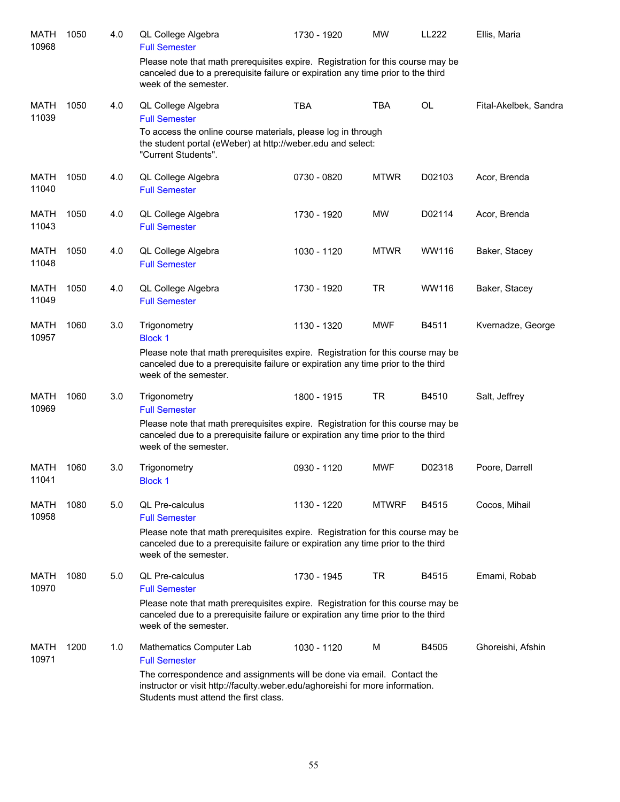| MATH<br>10968        | 1050 | 4.0 | QL College Algebra<br><b>Full Semester</b>                                                                                                                                                       | 1730 - 1920 | <b>MW</b>    | <b>LL222</b> | Ellis, Maria          |
|----------------------|------|-----|--------------------------------------------------------------------------------------------------------------------------------------------------------------------------------------------------|-------------|--------------|--------------|-----------------------|
|                      |      |     | Please note that math prerequisites expire. Registration for this course may be<br>canceled due to a prerequisite failure or expiration any time prior to the third<br>week of the semester.     |             |              |              |                       |
| <b>MATH</b><br>11039 | 1050 | 4.0 | QL College Algebra<br><b>Full Semester</b>                                                                                                                                                       | <b>TBA</b>  | <b>TBA</b>   | <b>OL</b>    | Fital-Akelbek, Sandra |
|                      |      |     | To access the online course materials, please log in through<br>the student portal (eWeber) at http://weber.edu and select:<br>"Current Students".                                               |             |              |              |                       |
| <b>MATH</b><br>11040 | 1050 | 4.0 | QL College Algebra<br><b>Full Semester</b>                                                                                                                                                       | 0730 - 0820 | <b>MTWR</b>  | D02103       | Acor, Brenda          |
| <b>MATH</b><br>11043 | 1050 | 4.0 | QL College Algebra<br><b>Full Semester</b>                                                                                                                                                       | 1730 - 1920 | <b>MW</b>    | D02114       | Acor, Brenda          |
| <b>MATH</b><br>11048 | 1050 | 4.0 | QL College Algebra<br><b>Full Semester</b>                                                                                                                                                       | 1030 - 1120 | <b>MTWR</b>  | WW116        | Baker, Stacey         |
| <b>MATH</b><br>11049 | 1050 | 4.0 | QL College Algebra<br><b>Full Semester</b>                                                                                                                                                       | 1730 - 1920 | <b>TR</b>    | WW116        | Baker, Stacey         |
| <b>MATH</b><br>10957 | 1060 | 3.0 | Trigonometry<br><b>Block 1</b>                                                                                                                                                                   | 1130 - 1320 | <b>MWF</b>   | B4511        | Kvernadze, George     |
|                      |      |     | Please note that math prerequisites expire. Registration for this course may be<br>canceled due to a prerequisite failure or expiration any time prior to the third<br>week of the semester.     |             |              |              |                       |
| <b>MATH</b><br>10969 | 1060 | 3.0 | Trigonometry<br><b>Full Semester</b>                                                                                                                                                             | 1800 - 1915 | <b>TR</b>    | B4510        | Salt, Jeffrey         |
|                      |      |     | Please note that math prerequisites expire. Registration for this course may be<br>canceled due to a prerequisite failure or expiration any time prior to the third<br>week of the semester.     |             |              |              |                       |
| <b>MATH</b><br>11041 | 1060 | 3.0 | Trigonometry<br><b>Block 1</b>                                                                                                                                                                   | 0930 - 1120 | <b>MWF</b>   | D02318       | Poore, Darrell        |
| MATH<br>10958        | 1080 | 5.0 | <b>QL Pre-calculus</b><br><b>Full Semester</b>                                                                                                                                                   | 1130 - 1220 | <b>MTWRF</b> | B4515        | Cocos, Mihail         |
|                      |      |     | Please note that math prerequisites expire. Registration for this course may be<br>canceled due to a prerequisite failure or expiration any time prior to the third<br>week of the semester.     |             |              |              |                       |
| MATH<br>10970        | 1080 | 5.0 | <b>QL Pre-calculus</b><br><b>Full Semester</b>                                                                                                                                                   | 1730 - 1945 | TR.          | B4515        | Emami, Robab          |
|                      |      |     | Please note that math prerequisites expire. Registration for this course may be<br>canceled due to a prerequisite failure or expiration any time prior to the third<br>week of the semester.     |             |              |              |                       |
| <b>MATH</b><br>10971 | 1200 | 1.0 | Mathematics Computer Lab<br><b>Full Semester</b>                                                                                                                                                 | 1030 - 1120 | M            | B4505        | Ghoreishi, Afshin     |
|                      |      |     | The correspondence and assignments will be done via email. Contact the<br>instructor or visit http://faculty.weber.edu/aghoreishi for more information.<br>Students must attend the first class. |             |              |              |                       |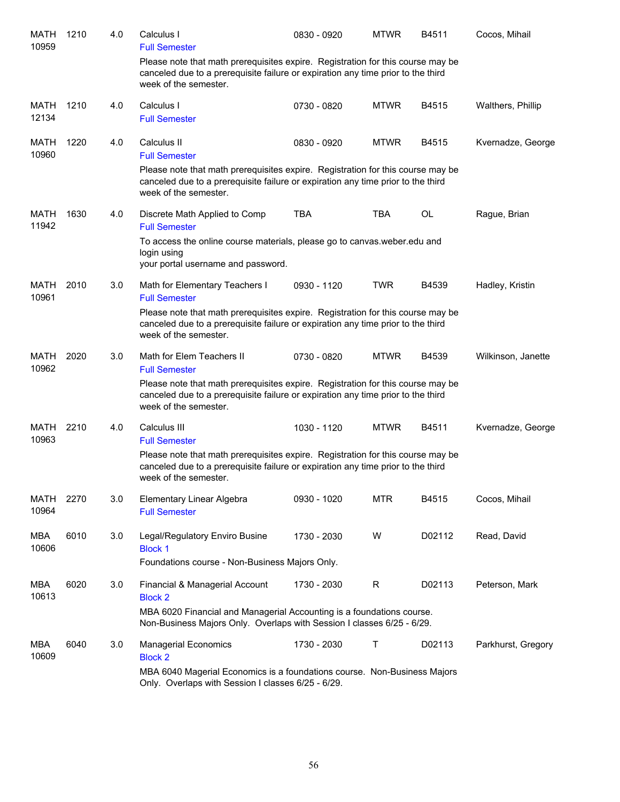| MATH<br>10959        | 1210 | 4.0 | Calculus I<br><b>Full Semester</b>                                                                                                                                                           | 0830 - 0920 | <b>MTWR</b> | B4511     | Cocos, Mihail      |
|----------------------|------|-----|----------------------------------------------------------------------------------------------------------------------------------------------------------------------------------------------|-------------|-------------|-----------|--------------------|
|                      |      |     | Please note that math prerequisites expire. Registration for this course may be<br>canceled due to a prerequisite failure or expiration any time prior to the third<br>week of the semester. |             |             |           |                    |
| <b>MATH</b><br>12134 | 1210 | 4.0 | Calculus I<br><b>Full Semester</b>                                                                                                                                                           | 0730 - 0820 | <b>MTWR</b> | B4515     | Walthers, Phillip  |
| <b>MATH</b><br>10960 | 1220 | 4.0 | Calculus II<br><b>Full Semester</b>                                                                                                                                                          | 0830 - 0920 | <b>MTWR</b> | B4515     | Kvernadze, George  |
|                      |      |     | Please note that math prerequisites expire. Registration for this course may be<br>canceled due to a prerequisite failure or expiration any time prior to the third<br>week of the semester. |             |             |           |                    |
| MATH<br>11942        | 1630 | 4.0 | Discrete Math Applied to Comp<br><b>Full Semester</b>                                                                                                                                        | <b>TBA</b>  | <b>TBA</b>  | <b>OL</b> | Rague, Brian       |
|                      |      |     | To access the online course materials, please go to canvas weber edu and<br>login using<br>your portal username and password.                                                                |             |             |           |                    |
| MATH<br>10961        | 2010 | 3.0 | Math for Elementary Teachers I<br><b>Full Semester</b>                                                                                                                                       | 0930 - 1120 | <b>TWR</b>  | B4539     | Hadley, Kristin    |
|                      |      |     | Please note that math prerequisites expire. Registration for this course may be<br>canceled due to a prerequisite failure or expiration any time prior to the third<br>week of the semester. |             |             |           |                    |
| MATH<br>10962        | 2020 | 3.0 | Math for Elem Teachers II<br><b>Full Semester</b>                                                                                                                                            | 0730 - 0820 | <b>MTWR</b> | B4539     | Wilkinson, Janette |
|                      |      |     | Please note that math prerequisites expire. Registration for this course may be<br>canceled due to a prerequisite failure or expiration any time prior to the third<br>week of the semester. |             |             |           |                    |
| MATH<br>10963        | 2210 | 4.0 | Calculus III<br><b>Full Semester</b>                                                                                                                                                         | 1030 - 1120 | <b>MTWR</b> | B4511     | Kvernadze, George  |
|                      |      |     | Please note that math prerequisites expire. Registration for this course may be<br>canceled due to a prerequisite failure or expiration any time prior to the third<br>week of the semester. |             |             |           |                    |
| MATH<br>10964        | 2270 | 3.0 | Elementary Linear Algebra<br><b>Full Semester</b>                                                                                                                                            | 0930 - 1020 | <b>MTR</b>  | B4515     | Cocos, Mihail      |
| <b>MBA</b><br>10606  | 6010 | 3.0 | Legal/Regulatory Enviro Busine<br><b>Block 1</b>                                                                                                                                             | 1730 - 2030 | W           | D02112    | Read, David        |
|                      |      |     | Foundations course - Non-Business Majors Only.                                                                                                                                               |             |             |           |                    |
| MBA<br>10613         | 6020 | 3.0 | Financial & Managerial Account<br><b>Block 2</b>                                                                                                                                             | 1730 - 2030 | R           | D02113    | Peterson, Mark     |
|                      |      |     | MBA 6020 Financial and Managerial Accounting is a foundations course.<br>Non-Business Majors Only. Overlaps with Session I classes 6/25 - 6/29.                                              |             |             |           |                    |
| MBA<br>10609         | 6040 | 3.0 | <b>Managerial Economics</b><br><b>Block 2</b>                                                                                                                                                | 1730 - 2030 | Т           | D02113    | Parkhurst, Gregory |
|                      |      |     | MBA 6040 Magerial Economics is a foundations course. Non-Business Majors<br>Only. Overlaps with Session I classes 6/25 - 6/29.                                                               |             |             |           |                    |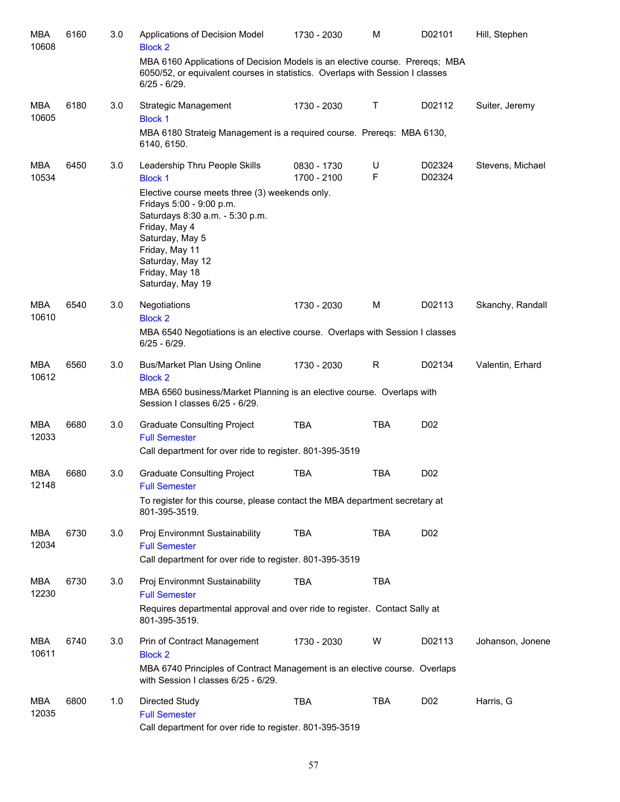| <b>MBA</b><br>10608 | 6160 | 3.0 | Applications of Decision Model<br><b>Block 2</b>                                                                                                                                                                              | 1730 - 2030                | м          | D02101           | Hill, Stephen    |
|---------------------|------|-----|-------------------------------------------------------------------------------------------------------------------------------------------------------------------------------------------------------------------------------|----------------------------|------------|------------------|------------------|
|                     |      |     | MBA 6160 Applications of Decision Models is an elective course. Preregs; MBA<br>6050/52, or equivalent courses in statistics. Overlaps with Session I classes<br>$6/25 - 6/29$ .                                              |                            |            |                  |                  |
| <b>MBA</b><br>10605 | 6180 | 3.0 | Strategic Management<br><b>Block 1</b>                                                                                                                                                                                        | 1730 - 2030                | Τ          | D02112           | Suiter, Jeremy   |
|                     |      |     | MBA 6180 Strateig Management is a required course. Preregs: MBA 6130,<br>6140, 6150.                                                                                                                                          |                            |            |                  |                  |
| <b>MBA</b><br>10534 | 6450 | 3.0 | Leadership Thru People Skills<br><b>Block 1</b>                                                                                                                                                                               | 0830 - 1730<br>1700 - 2100 | U<br>F     | D02324<br>D02324 | Stevens, Michael |
|                     |      |     | Elective course meets three (3) weekends only.<br>Fridays 5:00 - 9:00 p.m.<br>Saturdays 8:30 a.m. - 5:30 p.m.<br>Friday, May 4<br>Saturday, May 5<br>Friday, May 11<br>Saturday, May 12<br>Friday, May 18<br>Saturday, May 19 |                            |            |                  |                  |
| <b>MBA</b><br>10610 | 6540 | 3.0 | Negotiations<br><b>Block 2</b>                                                                                                                                                                                                | 1730 - 2030                | M          | D02113           | Skanchy, Randall |
|                     |      |     | MBA 6540 Negotiations is an elective course. Overlaps with Session I classes<br>$6/25 - 6/29$ .                                                                                                                               |                            |            |                  |                  |
| <b>MBA</b><br>10612 | 6560 | 3.0 | Bus/Market Plan Using Online<br><b>Block 2</b>                                                                                                                                                                                | 1730 - 2030                | R          | D02134           | Valentin, Erhard |
|                     |      |     | MBA 6560 business/Market Planning is an elective course. Overlaps with<br>Session I classes 6/25 - 6/29.                                                                                                                      |                            |            |                  |                  |
| MBA<br>12033        | 6680 | 3.0 | <b>Graduate Consulting Project</b><br><b>Full Semester</b>                                                                                                                                                                    | <b>TBA</b>                 | <b>TBA</b> | D <sub>0</sub> 2 |                  |
|                     |      |     | Call department for over ride to register. 801-395-3519                                                                                                                                                                       |                            |            |                  |                  |
| MBA<br>12148        | 6680 | 3.0 | <b>Graduate Consulting Project</b><br><b>Full Semester</b>                                                                                                                                                                    | <b>TBA</b>                 | <b>TBA</b> | D <sub>0</sub> 2 |                  |
|                     |      |     | To register for this course, please contact the MBA department secretary at<br>801-395-3519.                                                                                                                                  |                            |            |                  |                  |
| MBA<br>12034        | 6730 | 3.0 | Proj Environmnt Sustainability<br><b>Full Semester</b>                                                                                                                                                                        | <b>TBA</b>                 | <b>TBA</b> | D <sub>02</sub>  |                  |
|                     |      |     | Call department for over ride to register. 801-395-3519                                                                                                                                                                       |                            |            |                  |                  |
| MBA<br>12230        | 6730 | 3.0 | Proj Environmnt Sustainability<br><b>Full Semester</b>                                                                                                                                                                        | <b>TBA</b>                 | TBA        |                  |                  |
|                     |      |     | Requires departmental approval and over ride to register. Contact Sally at<br>801-395-3519.                                                                                                                                   |                            |            |                  |                  |
| <b>MBA</b><br>10611 | 6740 | 3.0 | Prin of Contract Management<br><b>Block 2</b><br>MBA 6740 Principles of Contract Management is an elective course. Overlaps                                                                                                   | 1730 - 2030                | W          | D02113           | Johanson, Jonene |
|                     |      |     | with Session I classes 6/25 - 6/29.                                                                                                                                                                                           |                            |            |                  |                  |
| <b>MBA</b><br>12035 | 6800 | 1.0 | Directed Study<br><b>Full Semester</b><br>Call department for over ride to register. 801-395-3519                                                                                                                             | TBA                        | <b>TBA</b> | D <sub>02</sub>  | Harris, G        |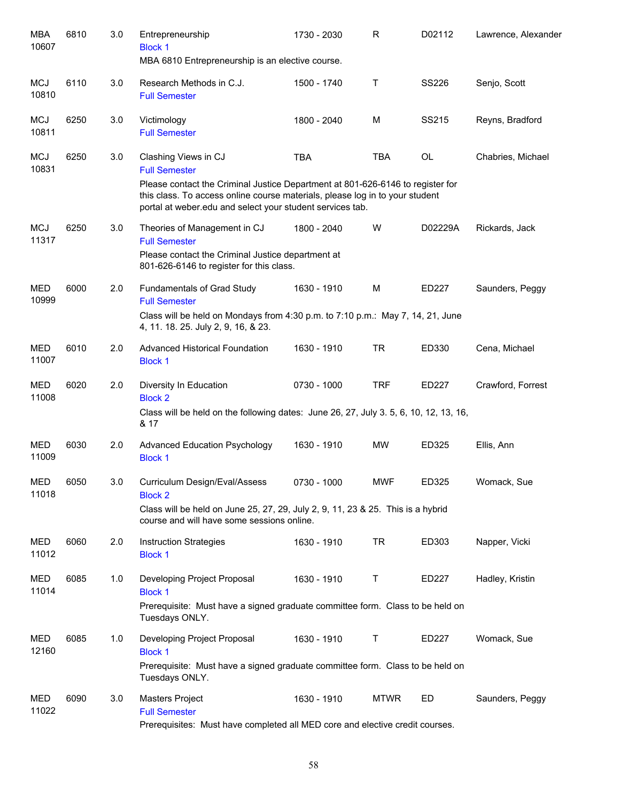| MBA<br>10607        | 6810 | 3.0 | Entrepreneurship<br><b>Block 1</b>                                                                                                                                                                                          | 1730 - 2030 | R           | D02112       | Lawrence, Alexander |
|---------------------|------|-----|-----------------------------------------------------------------------------------------------------------------------------------------------------------------------------------------------------------------------------|-------------|-------------|--------------|---------------------|
|                     |      |     | MBA 6810 Entrepreneurship is an elective course.                                                                                                                                                                            |             |             |              |                     |
| <b>MCJ</b><br>10810 | 6110 | 3.0 | Research Methods in C.J.<br><b>Full Semester</b>                                                                                                                                                                            | 1500 - 1740 | Τ           | <b>SS226</b> | Senjo, Scott        |
| <b>MCJ</b><br>10811 | 6250 | 3.0 | Victimology<br><b>Full Semester</b>                                                                                                                                                                                         | 1800 - 2040 | M           | SS215        | Reyns, Bradford     |
| <b>MCJ</b><br>10831 | 6250 | 3.0 | Clashing Views in CJ<br><b>Full Semester</b>                                                                                                                                                                                | <b>TBA</b>  | <b>TBA</b>  | <b>OL</b>    | Chabries, Michael   |
|                     |      |     | Please contact the Criminal Justice Department at 801-626-6146 to register for<br>this class. To access online course materials, please log in to your student<br>portal at weber.edu and select your student services tab. |             |             |              |                     |
| <b>MCJ</b><br>11317 | 6250 | 3.0 | Theories of Management in CJ<br><b>Full Semester</b><br>Please contact the Criminal Justice department at<br>801-626-6146 to register for this class.                                                                       | 1800 - 2040 | W           | D02229A      | Rickards, Jack      |
| <b>MED</b><br>10999 | 6000 | 2.0 | Fundamentals of Grad Study<br><b>Full Semester</b><br>Class will be held on Mondays from 4:30 p.m. to 7:10 p.m.: May 7, 14, 21, June<br>4, 11. 18. 25. July 2, 9, 16, & 23.                                                 | 1630 - 1910 | M           | ED227        | Saunders, Peggy     |
| MED<br>11007        | 6010 | 2.0 | <b>Advanced Historical Foundation</b><br><b>Block 1</b>                                                                                                                                                                     | 1630 - 1910 | <b>TR</b>   | ED330        | Cena, Michael       |
| <b>MED</b><br>11008 | 6020 | 2.0 | Diversity In Education<br><b>Block 2</b>                                                                                                                                                                                    | 0730 - 1000 | <b>TRF</b>  | ED227        | Crawford, Forrest   |
|                     |      |     | Class will be held on the following dates: June 26, 27, July 3. 5, 6, 10, 12, 13, 16,<br>& 17                                                                                                                               |             |             |              |                     |
| <b>MED</b><br>11009 | 6030 | 2.0 | <b>Advanced Education Psychology</b><br><b>Block 1</b>                                                                                                                                                                      | 1630 - 1910 | <b>MW</b>   | ED325        | Ellis, Ann          |
| <b>MED</b><br>11018 | 6050 | 3.0 | Curriculum Design/Eval/Assess<br><b>Block 2</b>                                                                                                                                                                             | 0730 - 1000 | <b>MWF</b>  | ED325        | Womack, Sue         |
|                     |      |     | Class will be held on June 25, 27, 29, July 2, 9, 11, 23 & 25. This is a hybrid<br>course and will have some sessions online.                                                                                               |             |             |              |                     |
| MED<br>11012        | 6060 | 2.0 | <b>Instruction Strategies</b><br><b>Block 1</b>                                                                                                                                                                             | 1630 - 1910 | <b>TR</b>   | ED303        | Napper, Vicki       |
| <b>MED</b><br>11014 | 6085 | 1.0 | Developing Project Proposal<br><b>Block 1</b>                                                                                                                                                                               | 1630 - 1910 | Τ           | ED227        | Hadley, Kristin     |
|                     |      |     | Prerequisite: Must have a signed graduate committee form. Class to be held on<br>Tuesdays ONLY.                                                                                                                             |             |             |              |                     |
| MED<br>12160        | 6085 | 1.0 | Developing Project Proposal<br><b>Block 1</b><br>Prerequisite: Must have a signed graduate committee form. Class to be held on                                                                                              | 1630 - 1910 | Τ           | ED227        | Womack, Sue         |
|                     |      |     | Tuesdays ONLY.                                                                                                                                                                                                              |             |             |              |                     |
| MED<br>11022        | 6090 | 3.0 | <b>Masters Project</b><br><b>Full Semester</b><br>Prerequisites: Must have completed all MED core and elective credit courses.                                                                                              | 1630 - 1910 | <b>MTWR</b> | ED           | Saunders, Peggy     |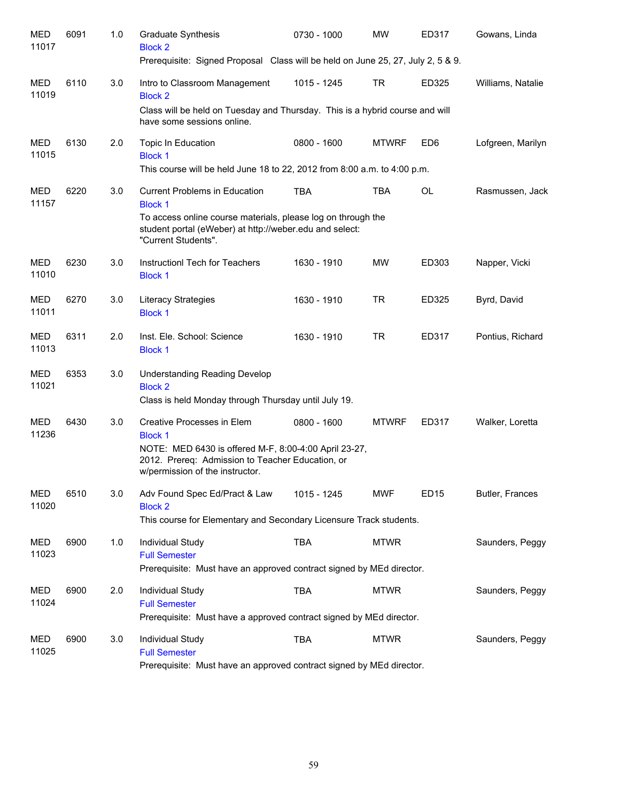| MED<br>11017        | 6091 | 1.0 | <b>Graduate Synthesis</b><br><b>Block 2</b>                                                                                                    | 0730 - 1000 | <b>MW</b>    | ED317           | Gowans, Linda     |
|---------------------|------|-----|------------------------------------------------------------------------------------------------------------------------------------------------|-------------|--------------|-----------------|-------------------|
|                     |      |     | Prerequisite: Signed Proposal Class will be held on June 25, 27, July 2, 5 & 9.                                                                |             |              |                 |                   |
| MED<br>11019        | 6110 | 3.0 | Intro to Classroom Management<br><b>Block 2</b>                                                                                                | 1015 - 1245 | TR           | ED325           | Williams, Natalie |
|                     |      |     | Class will be held on Tuesday and Thursday. This is a hybrid course and will<br>have some sessions online.                                     |             |              |                 |                   |
| <b>MED</b><br>11015 | 6130 | 2.0 | Topic In Education<br><b>Block 1</b>                                                                                                           | 0800 - 1600 | <b>MTWRF</b> | ED <sub>6</sub> | Lofgreen, Marilyn |
|                     |      |     | This course will be held June 18 to 22, 2012 from 8:00 a.m. to 4:00 p.m.                                                                       |             |              |                 |                   |
| <b>MED</b><br>11157 | 6220 | 3.0 | <b>Current Problems in Education</b><br><b>Block 1</b>                                                                                         | <b>TBA</b>  | <b>TBA</b>   | <b>OL</b>       | Rasmussen, Jack   |
|                     |      |     | To access online course materials, please log on through the<br>student portal (eWeber) at http://weber.edu and select:<br>"Current Students". |             |              |                 |                   |
| MED<br>11010        | 6230 | 3.0 | Instructionl Tech for Teachers<br><b>Block 1</b>                                                                                               | 1630 - 1910 | <b>MW</b>    | ED303           | Napper, Vicki     |
| MED<br>11011        | 6270 | 3.0 | Literacy Strategies<br><b>Block 1</b>                                                                                                          | 1630 - 1910 | <b>TR</b>    | ED325           | Byrd, David       |
| <b>MED</b><br>11013 | 6311 | 2.0 | Inst. Ele. School: Science<br><b>Block 1</b>                                                                                                   | 1630 - 1910 | <b>TR</b>    | ED317           | Pontius, Richard  |
| MED<br>11021        | 6353 | 3.0 | <b>Understanding Reading Develop</b><br><b>Block 2</b><br>Class is held Monday through Thursday until July 19.                                 |             |              |                 |                   |
| MED<br>11236        | 6430 | 3.0 | Creative Processes in Elem<br><b>Block 1</b>                                                                                                   | 0800 - 1600 | <b>MTWRF</b> | ED317           | Walker, Loretta   |
|                     |      |     | NOTE: MED 6430 is offered M-F, 8:00-4:00 April 23-27,<br>2012. Prereq: Admission to Teacher Education, or<br>w/permission of the instructor.   |             |              |                 |                   |
| <b>MED</b><br>11020 | 6510 | 3.0 | Adv Found Spec Ed/Pract & Law<br><b>Block 2</b>                                                                                                | 1015 - 1245 | <b>MWF</b>   | <b>ED15</b>     | Butler, Frances   |
|                     |      |     | This course for Elementary and Secondary Licensure Track students.                                                                             |             |              |                 |                   |
| MED<br>11023        | 6900 | 1.0 | Individual Study<br><b>Full Semester</b>                                                                                                       | <b>TBA</b>  | <b>MTWR</b>  |                 | Saunders, Peggy   |
|                     |      |     | Prerequisite: Must have an approved contract signed by MEd director.                                                                           |             |              |                 |                   |
| MED<br>11024        | 6900 | 2.0 | Individual Study<br><b>Full Semester</b><br>Prerequisite: Must have a approved contract signed by MEd director.                                | <b>TBA</b>  | <b>MTWR</b>  |                 | Saunders, Peggy   |
|                     |      |     |                                                                                                                                                |             |              |                 |                   |
| MED<br>11025        | 6900 | 3.0 | Individual Study<br><b>Full Semester</b>                                                                                                       | <b>TBA</b>  | <b>MTWR</b>  |                 | Saunders, Peggy   |
|                     |      |     | Prerequisite: Must have an approved contract signed by MEd director.                                                                           |             |              |                 |                   |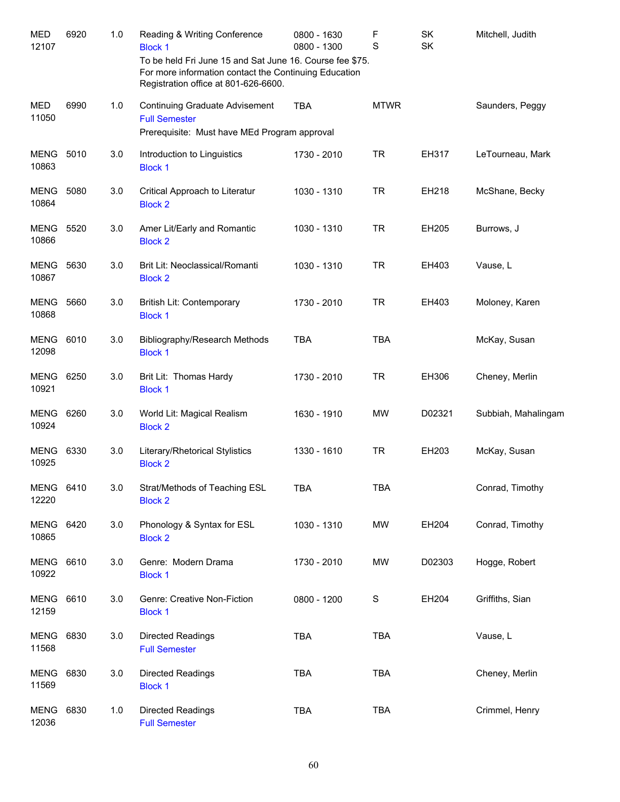| <b>MED</b><br>12107  | 6920 | 1.0 | Reading & Writing Conference<br><b>Block 1</b><br>To be held Fri June 15 and Sat June 16. Course fee \$75.<br>For more information contact the Continuing Education<br>Registration office at 801-626-6600. | 0800 - 1630<br>0800 - 1300 | F<br>S      | SK<br>SK | Mitchell, Judith    |
|----------------------|------|-----|-------------------------------------------------------------------------------------------------------------------------------------------------------------------------------------------------------------|----------------------------|-------------|----------|---------------------|
| <b>MED</b><br>11050  | 6990 | 1.0 | <b>Continuing Graduate Advisement</b><br><b>Full Semester</b><br>Prerequisite: Must have MEd Program approval                                                                                               | <b>TBA</b>                 | <b>MTWR</b> |          | Saunders, Peggy     |
|                      |      |     |                                                                                                                                                                                                             |                            |             |          |                     |
| MENG<br>10863        | 5010 | 3.0 | Introduction to Linguistics<br><b>Block 1</b>                                                                                                                                                               | 1730 - 2010                | <b>TR</b>   | EH317    | LeTourneau, Mark    |
| MENG<br>10864        | 5080 | 3.0 | Critical Approach to Literatur<br><b>Block 2</b>                                                                                                                                                            | 1030 - 1310                | <b>TR</b>   | EH218    | McShane, Becky      |
| MENG<br>10866        | 5520 | 3.0 | Amer Lit/Early and Romantic<br><b>Block 2</b>                                                                                                                                                               | 1030 - 1310                | <b>TR</b>   | EH205    | Burrows, J          |
| MENG<br>10867        | 5630 | 3.0 | Brit Lit: Neoclassical/Romanti<br><b>Block 2</b>                                                                                                                                                            | 1030 - 1310                | <b>TR</b>   | EH403    | Vause, L            |
| MENG<br>10868        | 5660 | 3.0 | British Lit: Contemporary<br><b>Block 1</b>                                                                                                                                                                 | 1730 - 2010                | <b>TR</b>   | EH403    | Moloney, Karen      |
| MENG<br>12098        | 6010 | 3.0 | Bibliography/Research Methods<br><b>Block 1</b>                                                                                                                                                             | <b>TBA</b>                 | <b>TBA</b>  |          | McKay, Susan        |
| MENG<br>10921        | 6250 | 3.0 | Brit Lit: Thomas Hardy<br><b>Block 1</b>                                                                                                                                                                    | 1730 - 2010                | <b>TR</b>   | EH306    | Cheney, Merlin      |
| MENG<br>10924        | 6260 | 3.0 | World Lit: Magical Realism<br><b>Block 2</b>                                                                                                                                                                | 1630 - 1910                | <b>MW</b>   | D02321   | Subbiah, Mahalingam |
| MENG<br>10925        | 6330 | 3.0 | Literary/Rhetorical Stylistics<br><b>Block 2</b>                                                                                                                                                            | 1330 - 1610                | <b>TR</b>   | EH203    | McKay, Susan        |
| MENG 6410<br>12220   |      | 3.0 | Strat/Methods of Teaching ESL<br><b>Block 2</b>                                                                                                                                                             | <b>TBA</b>                 | TBA         |          | Conrad, Timothy     |
| <b>MENG</b><br>10865 | 6420 | 3.0 | Phonology & Syntax for ESL<br><b>Block 2</b>                                                                                                                                                                | 1030 - 1310                | <b>MW</b>   | EH204    | Conrad, Timothy     |
| <b>MENG</b><br>10922 | 6610 | 3.0 | Genre: Modern Drama<br><b>Block 1</b>                                                                                                                                                                       | 1730 - 2010                | <b>MW</b>   | D02303   | Hogge, Robert       |
| <b>MENG</b><br>12159 | 6610 | 3.0 | Genre: Creative Non-Fiction<br><b>Block 1</b>                                                                                                                                                               | 0800 - 1200                | S           | EH204    | Griffiths, Sian     |
| MENG<br>11568        | 6830 | 3.0 | <b>Directed Readings</b><br><b>Full Semester</b>                                                                                                                                                            | <b>TBA</b>                 | <b>TBA</b>  |          | Vause, L            |
| MENG<br>11569        | 6830 | 3.0 | <b>Directed Readings</b><br><b>Block 1</b>                                                                                                                                                                  | <b>TBA</b>                 | <b>TBA</b>  |          | Cheney, Merlin      |
| MENG<br>12036        | 6830 | 1.0 | <b>Directed Readings</b><br><b>Full Semester</b>                                                                                                                                                            | <b>TBA</b>                 | <b>TBA</b>  |          | Crimmel, Henry      |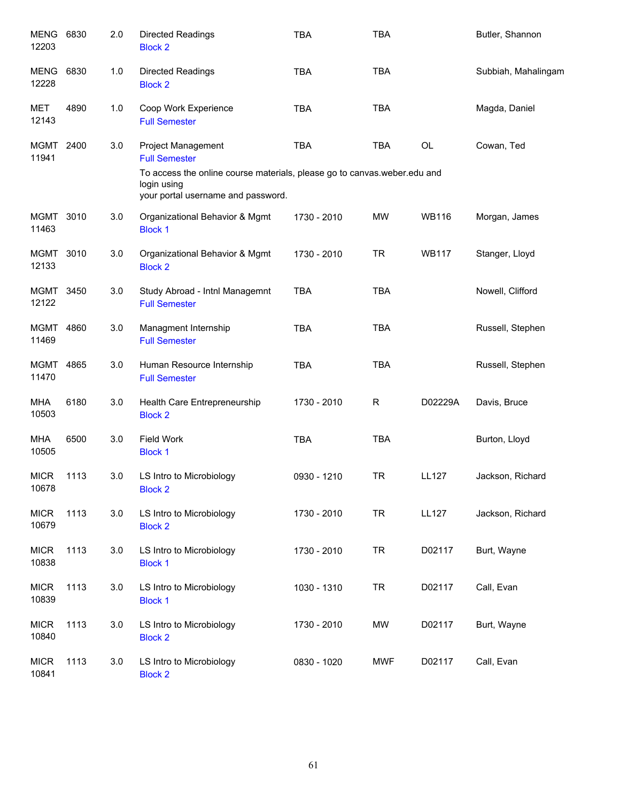| MENG 6830<br>12203   |      | 2.0 | <b>Directed Readings</b><br><b>Block 2</b>                                                                                                                                  | <b>TBA</b>  | <b>TBA</b> |              | Butler, Shannon     |
|----------------------|------|-----|-----------------------------------------------------------------------------------------------------------------------------------------------------------------------------|-------------|------------|--------------|---------------------|
| MENG<br>12228        | 6830 | 1.0 | <b>Directed Readings</b><br><b>Block 2</b>                                                                                                                                  | <b>TBA</b>  | <b>TBA</b> |              | Subbiah, Mahalingam |
| MET<br>12143         | 4890 | 1.0 | Coop Work Experience<br><b>Full Semester</b>                                                                                                                                | <b>TBA</b>  | <b>TBA</b> |              | Magda, Daniel       |
| MGMT 2400<br>11941   |      | 3.0 | Project Management<br><b>Full Semester</b><br>To access the online course materials, please go to canvas weber edu and<br>login using<br>your portal username and password. | <b>TBA</b>  | <b>TBA</b> | OL           | Cowan, Ted          |
| MGMT 3010<br>11463   |      | 3.0 | Organizational Behavior & Mgmt<br><b>Block 1</b>                                                                                                                            | 1730 - 2010 | MW         | <b>WB116</b> | Morgan, James       |
| MGMT 3010<br>12133   |      | 3.0 | Organizational Behavior & Mgmt<br><b>Block 2</b>                                                                                                                            | 1730 - 2010 | <b>TR</b>  | <b>WB117</b> | Stanger, Lloyd      |
| MGMT 3450<br>12122   |      | 3.0 | Study Abroad - Intnl Managemnt<br><b>Full Semester</b>                                                                                                                      | <b>TBA</b>  | <b>TBA</b> |              | Nowell, Clifford    |
| MGMT 4860<br>11469   |      | 3.0 | Managment Internship<br><b>Full Semester</b>                                                                                                                                | <b>TBA</b>  | <b>TBA</b> |              | Russell, Stephen    |
| MGMT 4865<br>11470   |      | 3.0 | Human Resource Internship<br><b>Full Semester</b>                                                                                                                           | <b>TBA</b>  | <b>TBA</b> |              | Russell, Stephen    |
| MHA<br>10503         | 6180 | 3.0 | Health Care Entrepreneurship<br><b>Block 2</b>                                                                                                                              | 1730 - 2010 | R          | D02229A      | Davis, Bruce        |
| <b>MHA</b><br>10505  | 6500 | 3.0 | Field Work<br><b>Block 1</b>                                                                                                                                                | <b>TBA</b>  | <b>TBA</b> |              | Burton, Lloyd       |
| <b>MICR</b><br>10678 | 1113 | 3.0 | LS Intro to Microbiology<br><b>Block 2</b>                                                                                                                                  | 0930 - 1210 | <b>TR</b>  | <b>LL127</b> | Jackson, Richard    |
| <b>MICR</b><br>10679 | 1113 | 3.0 | LS Intro to Microbiology<br><b>Block 2</b>                                                                                                                                  | 1730 - 2010 | <b>TR</b>  | <b>LL127</b> | Jackson, Richard    |
| <b>MICR</b><br>10838 | 1113 | 3.0 | LS Intro to Microbiology<br><b>Block 1</b>                                                                                                                                  | 1730 - 2010 | <b>TR</b>  | D02117       | Burt, Wayne         |
| <b>MICR</b><br>10839 | 1113 | 3.0 | LS Intro to Microbiology<br><b>Block 1</b>                                                                                                                                  | 1030 - 1310 | <b>TR</b>  | D02117       | Call, Evan          |
| <b>MICR</b><br>10840 | 1113 | 3.0 | LS Intro to Microbiology<br><b>Block 2</b>                                                                                                                                  | 1730 - 2010 | <b>MW</b>  | D02117       | Burt, Wayne         |
| <b>MICR</b><br>10841 | 1113 | 3.0 | LS Intro to Microbiology<br><b>Block 2</b>                                                                                                                                  | 0830 - 1020 | <b>MWF</b> | D02117       | Call, Evan          |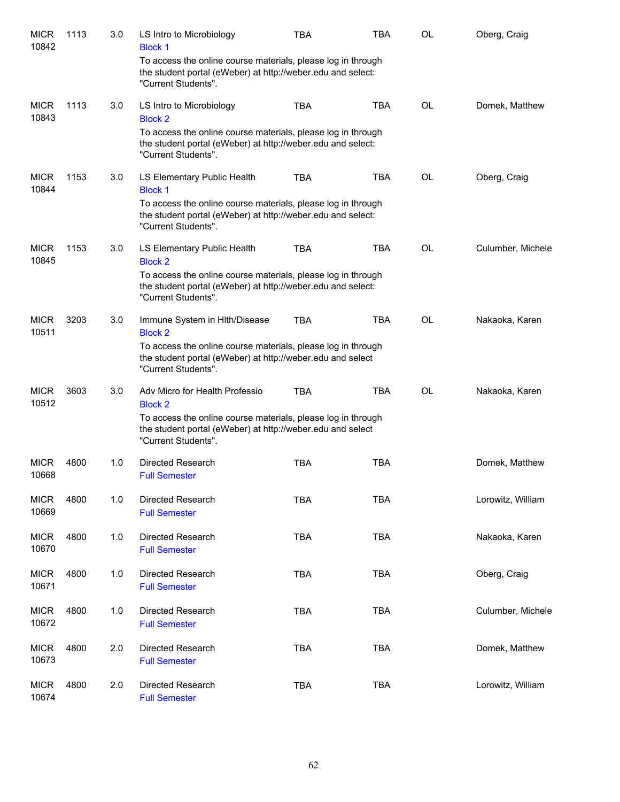| <b>MICR</b><br>10842 | 1113 | 3.0 | LS Intro to Microbiology<br><b>Block 1</b>                                                                                                         | <b>TBA</b> | TBA        | OL        | Oberg, Craig      |
|----------------------|------|-----|----------------------------------------------------------------------------------------------------------------------------------------------------|------------|------------|-----------|-------------------|
|                      |      |     | To access the online course materials, please log in through<br>the student portal (eWeber) at http://weber.edu and select:<br>"Current Students". |            |            |           |                   |
| <b>MICR</b><br>10843 | 1113 | 3.0 | LS Intro to Microbiology<br><b>Block 2</b>                                                                                                         | <b>TBA</b> | <b>TBA</b> | <b>OL</b> | Domek, Matthew    |
|                      |      |     | To access the online course materials, please log in through<br>the student portal (eWeber) at http://weber.edu and select:<br>"Current Students". |            |            |           |                   |
| <b>MICR</b><br>10844 | 1153 | 3.0 | LS Elementary Public Health<br><b>Block 1</b>                                                                                                      | <b>TBA</b> | <b>TBA</b> | OL        | Oberg, Craig      |
|                      |      |     | To access the online course materials, please log in through<br>the student portal (eWeber) at http://weber.edu and select:<br>"Current Students". |            |            |           |                   |
| <b>MICR</b><br>10845 | 1153 | 3.0 | LS Elementary Public Health<br><b>Block 2</b>                                                                                                      | <b>TBA</b> | <b>TBA</b> | <b>OL</b> | Culumber, Michele |
|                      |      |     | To access the online course materials, please log in through<br>the student portal (eWeber) at http://weber.edu and select:<br>"Current Students". |            |            |           |                   |
| <b>MICR</b><br>10511 | 3203 | 3.0 | Immune System in HIth/Disease<br><b>Block 2</b>                                                                                                    | <b>TBA</b> | <b>TBA</b> | OL        | Nakaoka, Karen    |
|                      |      |     | To access the online course materials, please log in through<br>the student portal (eWeber) at http://weber.edu and select<br>"Current Students".  |            |            |           |                   |
| <b>MICR</b><br>10512 | 3603 | 3.0 | Adv Micro for Health Professio<br><b>Block 2</b>                                                                                                   | <b>TBA</b> | <b>TBA</b> | <b>OL</b> | Nakaoka, Karen    |
|                      |      |     | To access the online course materials, please log in through<br>the student portal (eWeber) at http://weber.edu and select<br>"Current Students".  |            |            |           |                   |
| <b>MICR</b><br>10668 | 4800 | 1.0 | <b>Directed Research</b><br><b>Full Semester</b>                                                                                                   | <b>TBA</b> | <b>TBA</b> |           | Domek, Matthew    |
| <b>MICR</b><br>10669 | 4800 | 1.0 | Directed Research<br><b>Full Semester</b>                                                                                                          | <b>TBA</b> | <b>TBA</b> |           | Lorowitz, William |
| <b>MICR</b><br>10670 | 4800 | 1.0 | Directed Research<br><b>Full Semester</b>                                                                                                          | <b>TBA</b> | <b>TBA</b> |           | Nakaoka, Karen    |
| <b>MICR</b><br>10671 | 4800 | 1.0 | Directed Research<br><b>Full Semester</b>                                                                                                          | <b>TBA</b> | <b>TBA</b> |           | Oberg, Craig      |
| <b>MICR</b><br>10672 | 4800 | 1.0 | Directed Research<br><b>Full Semester</b>                                                                                                          | <b>TBA</b> | <b>TBA</b> |           | Culumber, Michele |
| <b>MICR</b><br>10673 | 4800 | 2.0 | Directed Research<br><b>Full Semester</b>                                                                                                          | <b>TBA</b> | <b>TBA</b> |           | Domek, Matthew    |
| <b>MICR</b><br>10674 | 4800 | 2.0 | Directed Research<br><b>Full Semester</b>                                                                                                          | <b>TBA</b> | <b>TBA</b> |           | Lorowitz, William |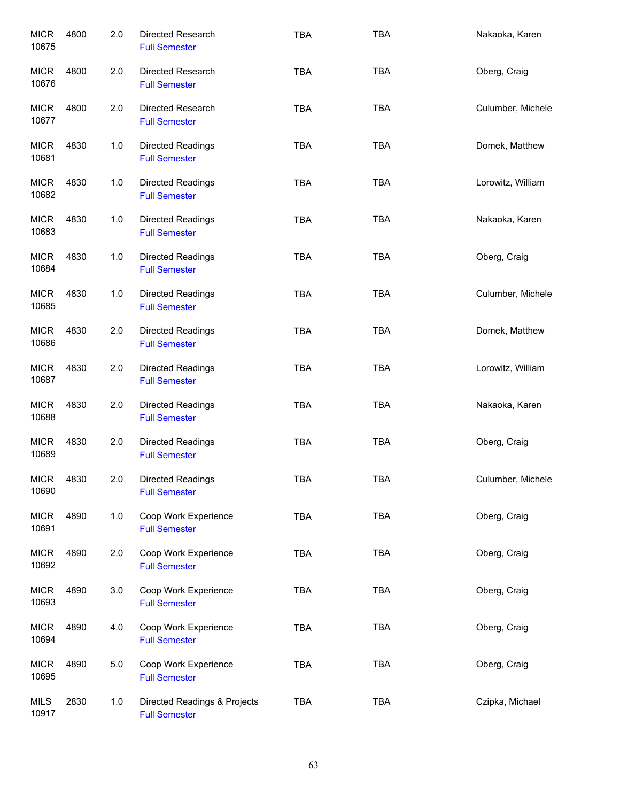| <b>MICR</b><br>10675 | 4800 | 2.0   | Directed Research<br><b>Full Semester</b>            | <b>TBA</b> | <b>TBA</b> | Nakaoka, Karen    |
|----------------------|------|-------|------------------------------------------------------|------------|------------|-------------------|
| <b>MICR</b><br>10676 | 4800 | 2.0   | Directed Research<br><b>Full Semester</b>            | <b>TBA</b> | <b>TBA</b> | Oberg, Craig      |
| <b>MICR</b><br>10677 | 4800 | 2.0   | Directed Research<br><b>Full Semester</b>            | <b>TBA</b> | <b>TBA</b> | Culumber, Michele |
| <b>MICR</b><br>10681 | 4830 | 1.0   | Directed Readings<br><b>Full Semester</b>            | <b>TBA</b> | <b>TBA</b> | Domek, Matthew    |
| <b>MICR</b><br>10682 | 4830 | 1.0   | <b>Directed Readings</b><br><b>Full Semester</b>     | <b>TBA</b> | <b>TBA</b> | Lorowitz, William |
| <b>MICR</b><br>10683 | 4830 | $1.0$ | <b>Directed Readings</b><br><b>Full Semester</b>     | <b>TBA</b> | <b>TBA</b> | Nakaoka, Karen    |
| <b>MICR</b><br>10684 | 4830 | 1.0   | <b>Directed Readings</b><br><b>Full Semester</b>     | <b>TBA</b> | <b>TBA</b> | Oberg, Craig      |
| <b>MICR</b><br>10685 | 4830 | 1.0   | <b>Directed Readings</b><br><b>Full Semester</b>     | <b>TBA</b> | TBA        | Culumber, Michele |
| <b>MICR</b><br>10686 | 4830 | 2.0   | <b>Directed Readings</b><br><b>Full Semester</b>     | <b>TBA</b> | <b>TBA</b> | Domek, Matthew    |
| <b>MICR</b><br>10687 | 4830 | 2.0   | Directed Readings<br><b>Full Semester</b>            | <b>TBA</b> | <b>TBA</b> | Lorowitz, William |
| <b>MICR</b><br>10688 | 4830 | 2.0   | <b>Directed Readings</b><br><b>Full Semester</b>     | <b>TBA</b> | <b>TBA</b> | Nakaoka, Karen    |
| <b>MICR</b><br>10689 | 4830 | 2.0   | <b>Directed Readings</b><br><b>Full Semester</b>     | <b>TBA</b> | <b>TBA</b> | Oberg, Craig      |
| <b>MICR</b><br>10690 | 4830 | 2.0   | <b>Directed Readings</b><br><b>Full Semester</b>     | <b>TBA</b> | <b>TBA</b> | Culumber, Michele |
| <b>MICR</b><br>10691 | 4890 | 1.0   | Coop Work Experience<br><b>Full Semester</b>         | <b>TBA</b> | TBA        | Oberg, Craig      |
| <b>MICR</b><br>10692 | 4890 | 2.0   | Coop Work Experience<br><b>Full Semester</b>         | <b>TBA</b> | <b>TBA</b> | Oberg, Craig      |
| <b>MICR</b><br>10693 | 4890 | 3.0   | Coop Work Experience<br><b>Full Semester</b>         | <b>TBA</b> | <b>TBA</b> | Oberg, Craig      |
| <b>MICR</b><br>10694 | 4890 | 4.0   | Coop Work Experience<br><b>Full Semester</b>         | <b>TBA</b> | TBA        | Oberg, Craig      |
| <b>MICR</b><br>10695 | 4890 | 5.0   | Coop Work Experience<br><b>Full Semester</b>         | <b>TBA</b> | TBA        | Oberg, Craig      |
| <b>MILS</b><br>10917 | 2830 | 1.0   | Directed Readings & Projects<br><b>Full Semester</b> | <b>TBA</b> | <b>TBA</b> | Czipka, Michael   |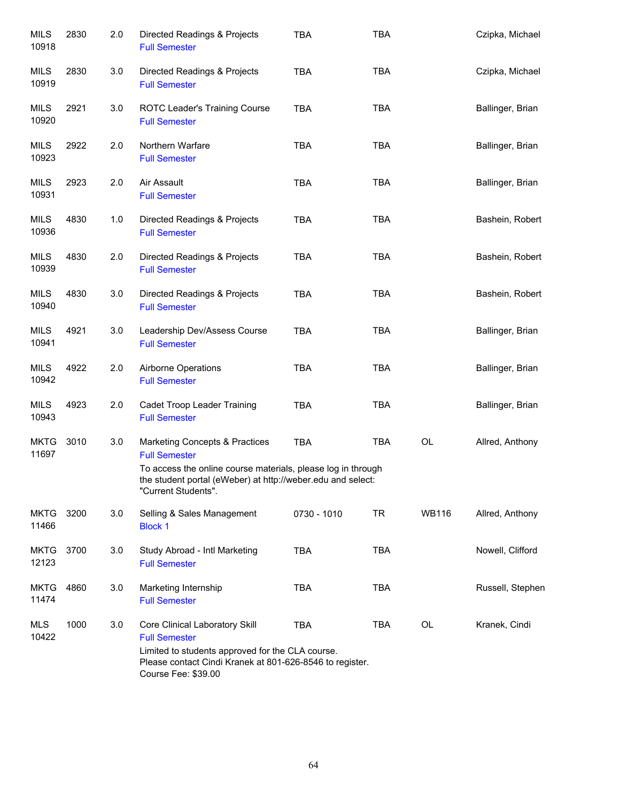| <b>MILS</b><br>10918 | 2830 | 2.0 | Directed Readings & Projects<br><b>Full Semester</b>                                                                                               | <b>TBA</b>  | <b>TBA</b> |              | Czipka, Michael  |
|----------------------|------|-----|----------------------------------------------------------------------------------------------------------------------------------------------------|-------------|------------|--------------|------------------|
| MILS<br>10919        | 2830 | 3.0 | Directed Readings & Projects<br><b>Full Semester</b>                                                                                               | <b>TBA</b>  | <b>TBA</b> |              | Czipka, Michael  |
| <b>MILS</b><br>10920 | 2921 | 3.0 | ROTC Leader's Training Course<br><b>Full Semester</b>                                                                                              | <b>TBA</b>  | <b>TBA</b> |              | Ballinger, Brian |
| MILS<br>10923        | 2922 | 2.0 | Northern Warfare<br><b>Full Semester</b>                                                                                                           | <b>TBA</b>  | <b>TBA</b> |              | Ballinger, Brian |
| MILS<br>10931        | 2923 | 2.0 | Air Assault<br><b>Full Semester</b>                                                                                                                | <b>TBA</b>  | <b>TBA</b> |              | Ballinger, Brian |
| <b>MILS</b><br>10936 | 4830 | 1.0 | Directed Readings & Projects<br><b>Full Semester</b>                                                                                               | <b>TBA</b>  | <b>TBA</b> |              | Bashein, Robert  |
| <b>MILS</b><br>10939 | 4830 | 2.0 | Directed Readings & Projects<br><b>Full Semester</b>                                                                                               | <b>TBA</b>  | <b>TBA</b> |              | Bashein, Robert  |
| <b>MILS</b><br>10940 | 4830 | 3.0 | Directed Readings & Projects<br><b>Full Semester</b>                                                                                               | <b>TBA</b>  | <b>TBA</b> |              | Bashein, Robert  |
| MILS<br>10941        | 4921 | 3.0 | Leadership Dev/Assess Course<br><b>Full Semester</b>                                                                                               | <b>TBA</b>  | <b>TBA</b> |              | Ballinger, Brian |
| MILS<br>10942        | 4922 | 2.0 | Airborne Operations<br><b>Full Semester</b>                                                                                                        | <b>TBA</b>  | <b>TBA</b> |              | Ballinger, Brian |
| <b>MILS</b><br>10943 | 4923 | 2.0 | Cadet Troop Leader Training<br><b>Full Semester</b>                                                                                                | <b>TBA</b>  | <b>TBA</b> |              | Ballinger, Brian |
| <b>MKTG</b><br>11697 | 3010 | 3.0 | Marketing Concepts & Practices<br><b>Full Semester</b>                                                                                             | <b>TBA</b>  | <b>TBA</b> | OL           | Allred, Anthony  |
|                      |      |     | To access the online course materials, please log in through<br>the student portal (eWeber) at http://weber.edu and select:<br>"Current Students". |             |            |              |                  |
| <b>MKTG</b><br>11466 | 3200 | 3.0 | Selling & Sales Management<br><b>Block 1</b>                                                                                                       | 0730 - 1010 | <b>TR</b>  | <b>WB116</b> | Allred, Anthony  |
| <b>MKTG</b><br>12123 | 3700 | 3.0 | Study Abroad - Intl Marketing<br><b>Full Semester</b>                                                                                              | <b>TBA</b>  | <b>TBA</b> |              | Nowell, Clifford |
| <b>MKTG</b><br>11474 | 4860 | 3.0 | Marketing Internship<br><b>Full Semester</b>                                                                                                       | <b>TBA</b>  | <b>TBA</b> |              | Russell, Stephen |
| MLS<br>10422         | 1000 | 3.0 | Core Clinical Laboratory Skill<br><b>Full Semester</b>                                                                                             | <b>TBA</b>  | TBA        | OL           | Kranek, Cindi    |
|                      |      |     | Limited to students approved for the CLA course.<br>Please contact Cindi Kranek at 801-626-8546 to register.<br>Course Fee: \$39.00                |             |            |              |                  |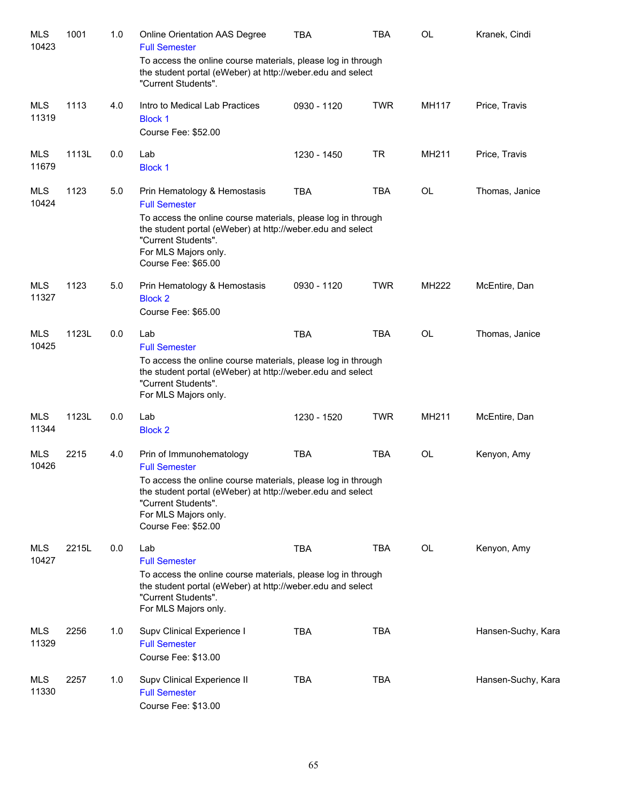| <b>MLS</b><br>10423 | 1001  | 1.0 | <b>Online Orientation AAS Degree</b><br><b>Full Semester</b>                                                                                                                                                                                         | <b>TBA</b>  | <b>TBA</b> | <b>OL</b>    | Kranek, Cindi      |
|---------------------|-------|-----|------------------------------------------------------------------------------------------------------------------------------------------------------------------------------------------------------------------------------------------------------|-------------|------------|--------------|--------------------|
|                     |       |     | To access the online course materials, please log in through<br>the student portal (eWeber) at http://weber.edu and select<br>"Current Students".                                                                                                    |             |            |              |                    |
| <b>MLS</b><br>11319 | 1113  | 4.0 | Intro to Medical Lab Practices<br><b>Block 1</b><br>Course Fee: \$52.00                                                                                                                                                                              | 0930 - 1120 | <b>TWR</b> | <b>MH117</b> | Price, Travis      |
| <b>MLS</b><br>11679 | 1113L | 0.0 | Lab<br><b>Block 1</b>                                                                                                                                                                                                                                | 1230 - 1450 | <b>TR</b>  | MH211        | Price, Travis      |
| <b>MLS</b><br>10424 | 1123  | 5.0 | Prin Hematology & Hemostasis<br><b>Full Semester</b>                                                                                                                                                                                                 | <b>TBA</b>  | <b>TBA</b> | <b>OL</b>    | Thomas, Janice     |
|                     |       |     | To access the online course materials, please log in through<br>the student portal (eWeber) at http://weber.edu and select<br>"Current Students".<br>For MLS Majors only.<br>Course Fee: \$65.00                                                     |             |            |              |                    |
| <b>MLS</b><br>11327 | 1123  | 5.0 | Prin Hematology & Hemostasis<br><b>Block 2</b><br>Course Fee: \$65.00                                                                                                                                                                                | 0930 - 1120 | <b>TWR</b> | MH222        | McEntire, Dan      |
| <b>MLS</b><br>10425 | 1123L | 0.0 | Lab<br><b>Full Semester</b><br>To access the online course materials, please log in through<br>the student portal (eWeber) at http://weber.edu and select<br>"Current Students".<br>For MLS Majors only.                                             | <b>TBA</b>  | <b>TBA</b> | <b>OL</b>    | Thomas, Janice     |
| <b>MLS</b><br>11344 | 1123L | 0.0 | Lab<br><b>Block 2</b>                                                                                                                                                                                                                                | 1230 - 1520 | <b>TWR</b> | MH211        | McEntire, Dan      |
| <b>MLS</b><br>10426 | 2215  | 4.0 | Prin of Immunohematology<br><b>Full Semester</b><br>To access the online course materials, please log in through<br>the student portal (eWeber) at http://weber.edu and select<br>"Current Students".<br>For MLS Majors only.<br>Course Fee: \$52.00 | <b>TBA</b>  | <b>TBA</b> | OL           | Kenyon, Amy        |
| <b>MLS</b><br>10427 | 2215L | 0.0 | Lab<br><b>Full Semester</b><br>To access the online course materials, please log in through<br>the student portal (eWeber) at http://weber.edu and select<br>"Current Students".<br>For MLS Majors only.                                             | <b>TBA</b>  | <b>TBA</b> | OL           | Kenyon, Amy        |
| <b>MLS</b><br>11329 | 2256  | 1.0 | Supv Clinical Experience I<br><b>Full Semester</b><br>Course Fee: \$13.00                                                                                                                                                                            | <b>TBA</b>  | <b>TBA</b> |              | Hansen-Suchy, Kara |
| <b>MLS</b><br>11330 | 2257  | 1.0 | Supv Clinical Experience II<br><b>Full Semester</b><br>Course Fee: \$13.00                                                                                                                                                                           | <b>TBA</b>  | <b>TBA</b> |              | Hansen-Suchy, Kara |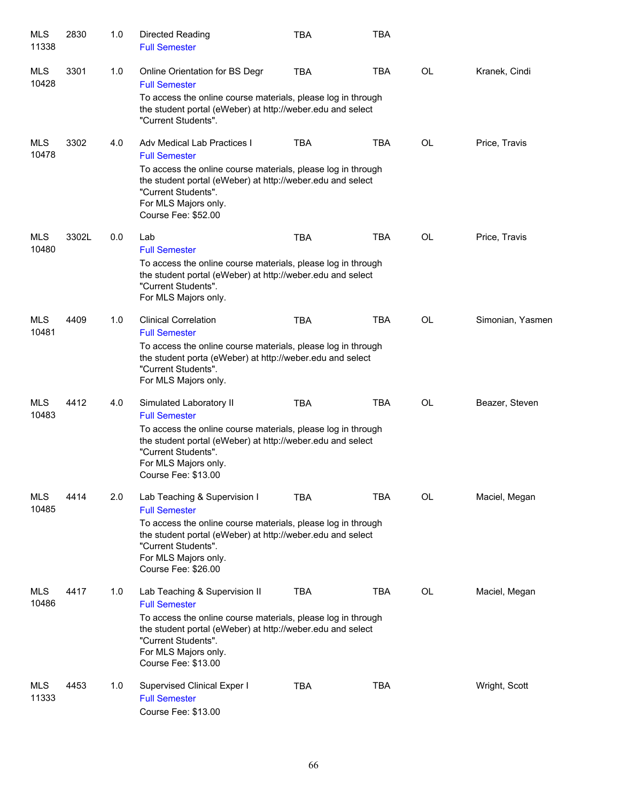| <b>MLS</b><br>11338 | 2830  | 1.0 | Directed Reading<br><b>Full Semester</b>                                                                                                                                                                                 | <b>TBA</b> | <b>TBA</b> |           |                  |
|---------------------|-------|-----|--------------------------------------------------------------------------------------------------------------------------------------------------------------------------------------------------------------------------|------------|------------|-----------|------------------|
| MLS<br>10428        | 3301  | 1.0 | Online Orientation for BS Degr<br><b>Full Semester</b>                                                                                                                                                                   | <b>TBA</b> | <b>TBA</b> | OL        | Kranek, Cindi    |
|                     |       |     | To access the online course materials, please log in through<br>the student portal (eWeber) at http://weber.edu and select<br>"Current Students".                                                                        |            |            |           |                  |
| <b>MLS</b><br>10478 | 3302  | 4.0 | Adv Medical Lab Practices I<br><b>Full Semester</b>                                                                                                                                                                      | <b>TBA</b> | <b>TBA</b> | OL        | Price, Travis    |
|                     |       |     | To access the online course materials, please log in through<br>the student portal (eWeber) at http://weber.edu and select<br>"Current Students".<br>For MLS Majors only.<br>Course Fee: \$52.00                         |            |            |           |                  |
| <b>MLS</b><br>10480 | 3302L | 0.0 | Lab<br><b>Full Semester</b>                                                                                                                                                                                              | <b>TBA</b> | <b>TBA</b> | OL        | Price, Travis    |
|                     |       |     | To access the online course materials, please log in through<br>the student portal (eWeber) at http://weber.edu and select<br>"Current Students".<br>For MLS Majors only.                                                |            |            |           |                  |
| <b>MLS</b><br>10481 | 4409  | 1.0 | <b>Clinical Correlation</b><br><b>Full Semester</b>                                                                                                                                                                      | <b>TBA</b> | <b>TBA</b> | <b>OL</b> | Simonian, Yasmen |
|                     |       |     | To access the online course materials, please log in through<br>the student porta (eWeber) at http://weber.edu and select<br>"Current Students".<br>For MLS Majors only.                                                 |            |            |           |                  |
| <b>MLS</b><br>10483 | 4412  | 4.0 | Simulated Laboratory II                                                                                                                                                                                                  | <b>TBA</b> | <b>TBA</b> | OL        | Beazer, Steven   |
|                     |       |     | <b>Full Semester</b><br>To access the online course materials, please log in through<br>the student portal (eWeber) at http://weber.edu and select<br>"Current Students".<br>For MLS Majors only.<br>Course Fee: \$13.00 |            |            |           |                  |
| <b>MLS</b><br>10485 | 4414  | 2.0 | Lab Teaching & Supervision I<br><b>Full Semester</b>                                                                                                                                                                     | <b>TBA</b> | <b>TBA</b> | OL        | Maciel, Megan    |
|                     |       |     | To access the online course materials, please log in through<br>the student portal (eWeber) at http://weber.edu and select<br>"Current Students".<br>For MLS Majors only.<br>Course Fee: \$26.00                         |            |            |           |                  |
| <b>MLS</b><br>10486 | 4417  | 1.0 | Lab Teaching & Supervision II<br><b>Full Semester</b>                                                                                                                                                                    | <b>TBA</b> | TBA        | OL        | Maciel, Megan    |
|                     |       |     | To access the online course materials, please log in through<br>the student portal (eWeber) at http://weber.edu and select<br>"Current Students".<br>For MLS Majors only.<br>Course Fee: \$13.00                         |            |            |           |                  |
| MLS<br>11333        | 4453  | 1.0 | Supervised Clinical Exper I<br><b>Full Semester</b><br>Course Fee: \$13.00                                                                                                                                               | <b>TBA</b> | <b>TBA</b> |           | Wright, Scott    |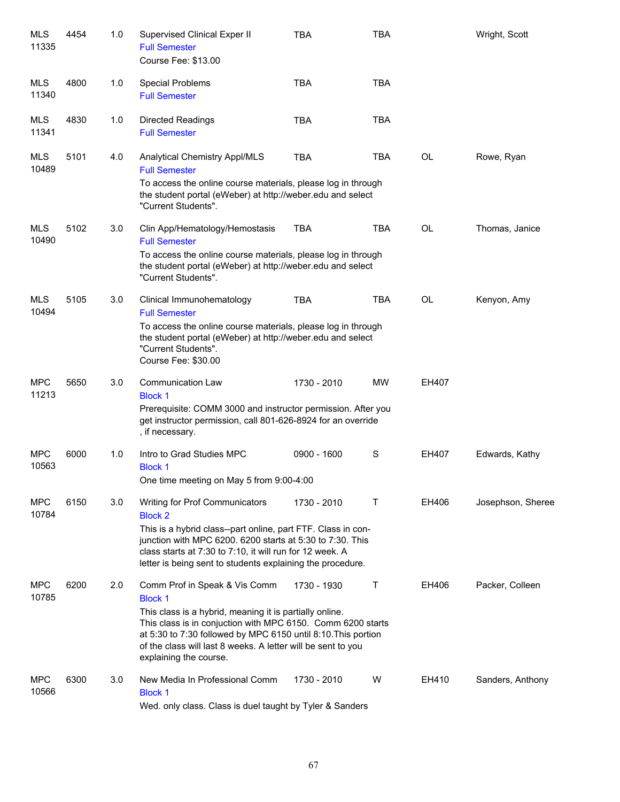| <b>MLS</b><br>11335 | 4454 | 1.0 | Supervised Clinical Exper II<br><b>Full Semester</b><br>Course Fee: \$13.00                                                                                                                                                                                                                                                          | <b>TBA</b>  | <b>TBA</b> |           | Wright, Scott     |
|---------------------|------|-----|--------------------------------------------------------------------------------------------------------------------------------------------------------------------------------------------------------------------------------------------------------------------------------------------------------------------------------------|-------------|------------|-----------|-------------------|
| MLS<br>11340        | 4800 | 1.0 | <b>Special Problems</b><br><b>Full Semester</b>                                                                                                                                                                                                                                                                                      | <b>TBA</b>  | <b>TBA</b> |           |                   |
| <b>MLS</b><br>11341 | 4830 | 1.0 | <b>Directed Readings</b><br><b>Full Semester</b>                                                                                                                                                                                                                                                                                     | <b>TBA</b>  | <b>TBA</b> |           |                   |
| <b>MLS</b><br>10489 | 5101 | 4.0 | Analytical Chemistry Appl/MLS<br><b>Full Semester</b><br>To access the online course materials, please log in through<br>the student portal (eWeber) at http://weber.edu and select<br>"Current Students".                                                                                                                           | <b>TBA</b>  | TBA        | <b>OL</b> | Rowe, Ryan        |
| <b>MLS</b><br>10490 | 5102 | 3.0 | Clin App/Hematology/Hemostasis<br><b>Full Semester</b><br>To access the online course materials, please log in through<br>the student portal (eWeber) at http://weber.edu and select<br>"Current Students".                                                                                                                          | <b>TBA</b>  | <b>TBA</b> | <b>OL</b> | Thomas, Janice    |
| <b>MLS</b><br>10494 | 5105 | 3.0 | Clinical Immunohematology<br><b>Full Semester</b><br>To access the online course materials, please log in through<br>the student portal (eWeber) at http://weber.edu and select<br>"Current Students".<br>Course Fee: \$30.00                                                                                                        | <b>TBA</b>  | <b>TBA</b> | <b>OL</b> | Kenyon, Amy       |
| <b>MPC</b><br>11213 | 5650 | 3.0 | <b>Communication Law</b><br><b>Block 1</b><br>Prerequisite: COMM 3000 and instructor permission. After you<br>get instructor permission, call 801-626-8924 for an override<br>, if necessary.                                                                                                                                        | 1730 - 2010 | <b>MW</b>  | EH407     |                   |
| <b>MPC</b><br>10563 | 6000 | 1.0 | Intro to Grad Studies MPC<br><b>Block 1</b><br>One time meeting on May 5 from 9:00-4:00                                                                                                                                                                                                                                              | 0900 - 1600 | S          | EH407     | Edwards, Kathy    |
| <b>MPC</b><br>10784 | 6150 | 3.0 | Writing for Prof Communicators<br><b>Block 2</b><br>This is a hybrid class--part online, part FTF. Class in con-<br>junction with MPC 6200. 6200 starts at 5:30 to 7:30. This<br>class starts at 7:30 to 7:10, it will run for 12 week. A<br>letter is being sent to students explaining the procedure.                              | 1730 - 2010 | Τ          | EH406     | Josephson, Sheree |
| <b>MPC</b><br>10785 | 6200 | 2.0 | Comm Prof in Speak & Vis Comm<br><b>Block 1</b><br>This class is a hybrid, meaning it is partially online.<br>This class is in conjuction with MPC 6150. Comm 6200 starts<br>at 5:30 to 7:30 followed by MPC 6150 until 8:10. This portion<br>of the class will last 8 weeks. A letter will be sent to you<br>explaining the course. | 1730 - 1930 | Τ          | EH406     | Packer, Colleen   |
| <b>MPC</b><br>10566 | 6300 | 3.0 | New Media In Professional Comm<br><b>Block 1</b><br>Wed. only class. Class is duel taught by Tyler & Sanders                                                                                                                                                                                                                         | 1730 - 2010 | W          | EH410     | Sanders, Anthony  |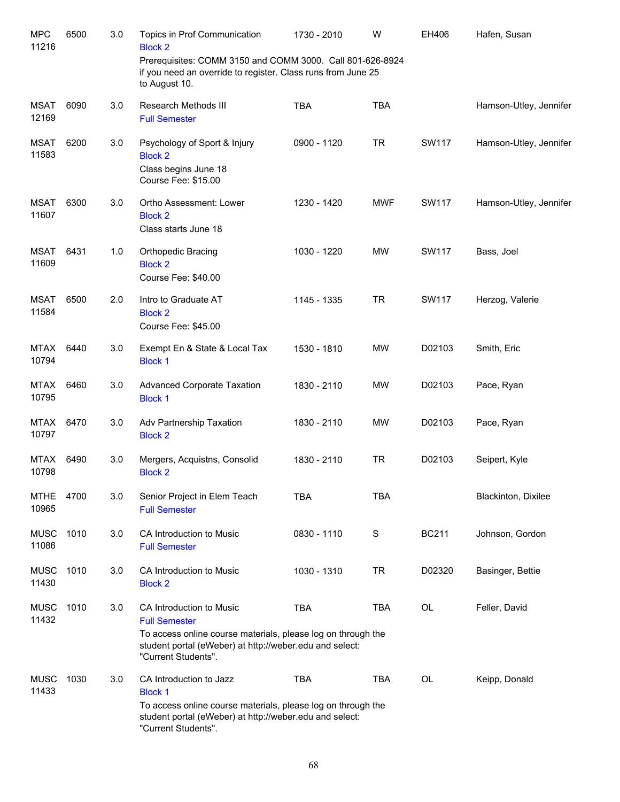| <b>MPC</b><br>11216  | 6500 | 3.0 | Topics in Prof Communication<br><b>Block 2</b>                                                                                                                                                     | 1730 - 2010 | W             | EH406        | Hafen, Susan           |
|----------------------|------|-----|----------------------------------------------------------------------------------------------------------------------------------------------------------------------------------------------------|-------------|---------------|--------------|------------------------|
|                      |      |     | Prerequisites: COMM 3150 and COMM 3000. Call 801-626-8924<br>if you need an override to register. Class runs from June 25<br>to August 10.                                                         |             |               |              |                        |
| <b>MSAT</b><br>12169 | 6090 | 3.0 | Research Methods III<br><b>Full Semester</b>                                                                                                                                                       | <b>TBA</b>  | <b>TBA</b>    |              | Hamson-Utley, Jennifer |
| <b>MSAT</b><br>11583 | 6200 | 3.0 | Psychology of Sport & Injury<br><b>Block 2</b><br>Class begins June 18<br>Course Fee: \$15.00                                                                                                      | 0900 - 1120 | <b>TR</b>     | <b>SW117</b> | Hamson-Utley, Jennifer |
| <b>MSAT</b><br>11607 | 6300 | 3.0 | Ortho Assessment: Lower<br><b>Block 2</b><br>Class starts June 18                                                                                                                                  | 1230 - 1420 | <b>MWF</b>    | <b>SW117</b> | Hamson-Utley, Jennifer |
| <b>MSAT</b><br>11609 | 6431 | 1.0 | Orthopedic Bracing<br><b>Block 2</b><br>Course Fee: \$40.00                                                                                                                                        | 1030 - 1220 | <b>MW</b>     | <b>SW117</b> | Bass, Joel             |
| <b>MSAT</b><br>11584 | 6500 | 2.0 | Intro to Graduate AT<br><b>Block 2</b><br>Course Fee: \$45.00                                                                                                                                      | 1145 - 1335 | <b>TR</b>     | <b>SW117</b> | Herzog, Valerie        |
| <b>MTAX</b><br>10794 | 6440 | 3.0 | Exempt En & State & Local Tax<br><b>Block 1</b>                                                                                                                                                    | 1530 - 1810 | <b>MW</b>     | D02103       | Smith, Eric            |
| <b>MTAX</b><br>10795 | 6460 | 3.0 | <b>Advanced Corporate Taxation</b><br><b>Block 1</b>                                                                                                                                               | 1830 - 2110 | <b>MW</b>     | D02103       | Pace, Ryan             |
| <b>MTAX</b><br>10797 | 6470 | 3.0 | Adv Partnership Taxation<br><b>Block 2</b>                                                                                                                                                         | 1830 - 2110 | <b>MW</b>     | D02103       | Pace, Ryan             |
| MTAX<br>10798        | 6490 | 3.0 | Mergers, Acquistns, Consolid<br><b>Block 2</b>                                                                                                                                                     | 1830 - 2110 | <b>TR</b>     | D02103       | Seipert, Kyle          |
| <b>MTHE</b><br>10965 | 4700 | 3.0 | Senior Project in Elem Teach<br><b>Full Semester</b>                                                                                                                                               | <b>TBA</b>  | <b>TBA</b>    |              | Blackinton, Dixilee    |
| <b>MUSC</b><br>11086 | 1010 | 3.0 | CA Introduction to Music<br><b>Full Semester</b>                                                                                                                                                   | 0830 - 1110 | ${\mathsf S}$ | <b>BC211</b> | Johnson, Gordon        |
| <b>MUSC</b><br>11430 | 1010 | 3.0 | CA Introduction to Music<br><b>Block 2</b>                                                                                                                                                         | 1030 - 1310 | <b>TR</b>     | D02320       | Basinger, Bettie       |
| <b>MUSC</b><br>11432 | 1010 | 3.0 | CA Introduction to Music<br><b>Full Semester</b><br>To access online course materials, please log on through the<br>student portal (eWeber) at http://weber.edu and select:<br>"Current Students". | <b>TBA</b>  | <b>TBA</b>    | OL           | Feller, David          |
| <b>MUSC</b><br>11433 | 1030 | 3.0 | CA Introduction to Jazz<br><b>Block 1</b><br>To access online course materials, please log on through the<br>student portal (eWeber) at http://weber.edu and select:<br>"Current Students".        | <b>TBA</b>  | <b>TBA</b>    | OL           | Keipp, Donald          |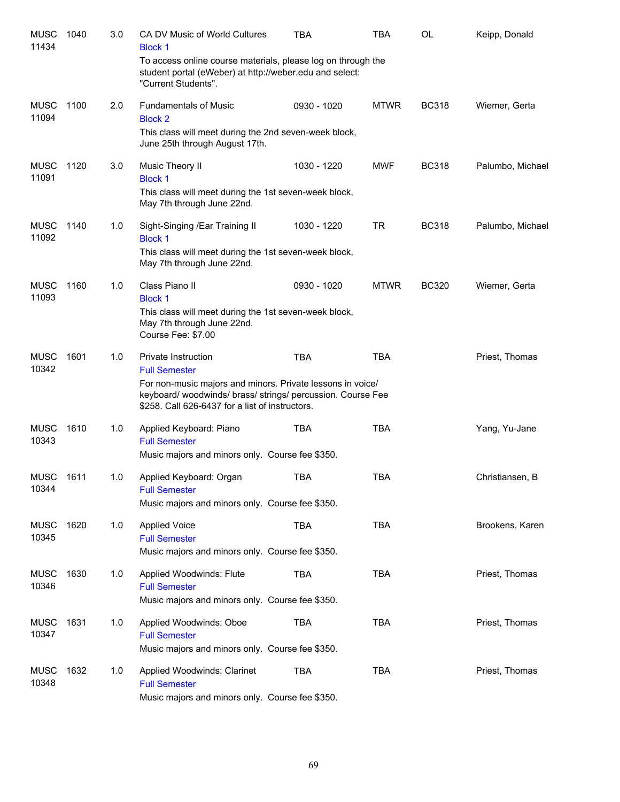| <b>MUSC</b><br>11434 | 1040 | 3.0 | CA DV Music of World Cultures<br><b>Block 1</b>                                                                                                                              | TBA         | TBA         | OL           | Keipp, Donald    |
|----------------------|------|-----|------------------------------------------------------------------------------------------------------------------------------------------------------------------------------|-------------|-------------|--------------|------------------|
|                      |      |     | To access online course materials, please log on through the<br>student portal (eWeber) at http://weber.edu and select:<br>"Current Students".                               |             |             |              |                  |
| <b>MUSC</b><br>11094 | 1100 | 2.0 | <b>Fundamentals of Music</b><br><b>Block 2</b>                                                                                                                               | 0930 - 1020 | <b>MTWR</b> | <b>BC318</b> | Wiemer, Gerta    |
|                      |      |     | This class will meet during the 2nd seven-week block,<br>June 25th through August 17th.                                                                                      |             |             |              |                  |
| <b>MUSC</b><br>11091 | 1120 | 3.0 | Music Theory II<br><b>Block 1</b>                                                                                                                                            | 1030 - 1220 | MWF         | <b>BC318</b> | Palumbo, Michael |
|                      |      |     | This class will meet during the 1st seven-week block,<br>May 7th through June 22nd.                                                                                          |             |             |              |                  |
| <b>MUSC</b><br>11092 | 1140 | 1.0 | Sight-Singing /Ear Training II<br><b>Block 1</b>                                                                                                                             | 1030 - 1220 | <b>TR</b>   | <b>BC318</b> | Palumbo, Michael |
|                      |      |     | This class will meet during the 1st seven-week block,<br>May 7th through June 22nd.                                                                                          |             |             |              |                  |
| <b>MUSC</b><br>11093 | 1160 | 1.0 | Class Piano II<br><b>Block 1</b>                                                                                                                                             | 0930 - 1020 | <b>MTWR</b> | <b>BC320</b> | Wiemer, Gerta    |
|                      |      |     | This class will meet during the 1st seven-week block,<br>May 7th through June 22nd.<br>Course Fee: \$7.00                                                                    |             |             |              |                  |
| <b>MUSC</b><br>10342 | 1601 | 1.0 | Private Instruction<br><b>Full Semester</b>                                                                                                                                  | <b>TBA</b>  | <b>TBA</b>  |              | Priest, Thomas   |
|                      |      |     | For non-music majors and minors. Private lessons in voice/<br>keyboard/ woodwinds/ brass/ strings/ percussion. Course Fee<br>\$258. Call 626-6437 for a list of instructors. |             |             |              |                  |
| <b>MUSC</b><br>10343 | 1610 | 1.0 | Applied Keyboard: Piano<br><b>Full Semester</b>                                                                                                                              | <b>TBA</b>  | <b>TBA</b>  |              | Yang, Yu-Jane    |
|                      |      |     | Music majors and minors only. Course fee \$350.                                                                                                                              |             |             |              |                  |
| <b>MUSC</b><br>10344 | 1611 | 1.0 | Applied Keyboard: Organ<br><b>Full Semester</b>                                                                                                                              | <b>TBA</b>  | <b>TBA</b>  |              | Christiansen, B  |
|                      |      |     | Music majors and minors only. Course fee \$350.                                                                                                                              |             |             |              |                  |
| <b>MUSC</b><br>10345 | 1620 | 1.0 | <b>Applied Voice</b><br><b>Full Semester</b>                                                                                                                                 | <b>TBA</b>  | <b>TBA</b>  |              | Brookens, Karen  |
|                      |      |     | Music majors and minors only. Course fee \$350.                                                                                                                              |             |             |              |                  |
| <b>MUSC</b><br>10346 | 1630 | 1.0 | Applied Woodwinds: Flute<br><b>Full Semester</b>                                                                                                                             | <b>TBA</b>  | <b>TBA</b>  |              | Priest, Thomas   |
|                      |      |     | Music majors and minors only. Course fee \$350.                                                                                                                              |             |             |              |                  |
| <b>MUSC</b><br>10347 | 1631 | 1.0 | Applied Woodwinds: Oboe<br><b>Full Semester</b>                                                                                                                              | <b>TBA</b>  | <b>TBA</b>  |              | Priest, Thomas   |
|                      |      |     | Music majors and minors only. Course fee \$350.                                                                                                                              |             |             |              |                  |
| <b>MUSC</b><br>10348 | 1632 | 1.0 | Applied Woodwinds: Clarinet<br><b>Full Semester</b>                                                                                                                          | <b>TBA</b>  | <b>TBA</b>  |              | Priest, Thomas   |
|                      |      |     | Music majors and minors only. Course fee \$350.                                                                                                                              |             |             |              |                  |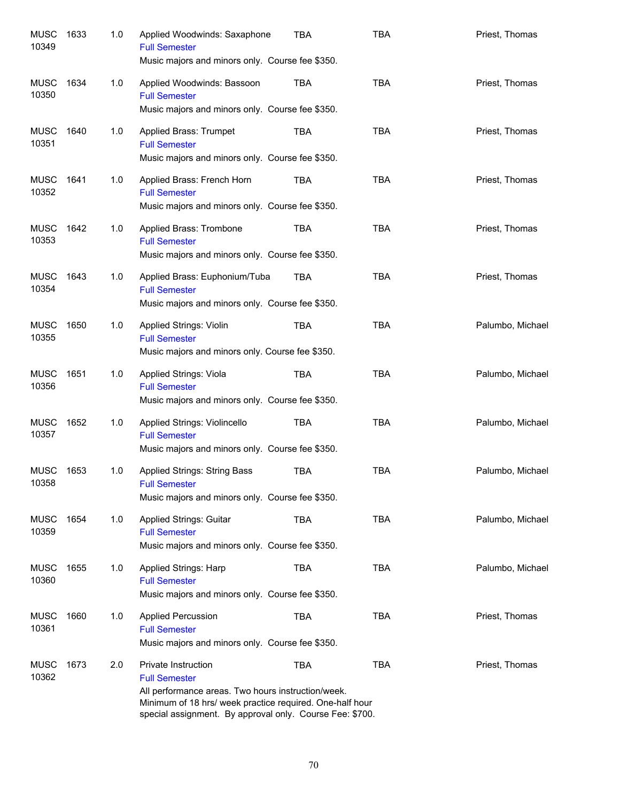| <b>MUSC</b><br>10349 | 1633 | 1.0 | Applied Woodwinds: Saxaphone<br><b>Full Semester</b><br>Music majors and minors only. Course fee \$350.                                                                                                                   | <b>TBA</b> | <b>TBA</b> | Priest, Thomas   |
|----------------------|------|-----|---------------------------------------------------------------------------------------------------------------------------------------------------------------------------------------------------------------------------|------------|------------|------------------|
| MUSC<br>10350        | 1634 | 1.0 | Applied Woodwinds: Bassoon<br><b>Full Semester</b><br>Music majors and minors only. Course fee \$350.                                                                                                                     | TBA        | <b>TBA</b> | Priest, Thomas   |
| MUSC<br>10351        | 1640 | 1.0 | Applied Brass: Trumpet<br><b>Full Semester</b><br>Music majors and minors only. Course fee \$350.                                                                                                                         | <b>TBA</b> | <b>TBA</b> | Priest, Thomas   |
| MUSC<br>10352        | 1641 | 1.0 | Applied Brass: French Horn<br><b>Full Semester</b><br>Music majors and minors only. Course fee \$350.                                                                                                                     | TBA        | <b>TBA</b> | Priest, Thomas   |
| MUSC<br>10353        | 1642 | 1.0 | Applied Brass: Trombone<br><b>Full Semester</b><br>Music majors and minors only. Course fee \$350.                                                                                                                        | TBA        | <b>TBA</b> | Priest, Thomas   |
| MUSC<br>10354        | 1643 | 1.0 | Applied Brass: Euphonium/Tuba<br><b>Full Semester</b><br>Music majors and minors only. Course fee \$350.                                                                                                                  | TBA        | <b>TBA</b> | Priest, Thomas   |
| <b>MUSC</b><br>10355 | 1650 | 1.0 | Applied Strings: Violin<br><b>Full Semester</b><br>Music majors and minors only. Course fee \$350.                                                                                                                        | <b>TBA</b> | <b>TBA</b> | Palumbo, Michael |
| <b>MUSC</b><br>10356 | 1651 | 1.0 | Applied Strings: Viola<br><b>Full Semester</b><br>Music majors and minors only. Course fee \$350.                                                                                                                         | <b>TBA</b> | <b>TBA</b> | Palumbo, Michael |
| <b>MUSC</b><br>10357 | 1652 | 1.0 | Applied Strings: Violincello<br><b>Full Semester</b><br>Music majors and minors only. Course fee \$350.                                                                                                                   | <b>TBA</b> | <b>TBA</b> | Palumbo, Michael |
| MUSC<br>10358        | 1653 | 1.0 | Applied Strings: String Bass<br><b>Full Semester</b><br>Music majors and minors only. Course fee \$350.                                                                                                                   | <b>TBA</b> | <b>TBA</b> | Palumbo, Michael |
| <b>MUSC</b><br>10359 | 1654 | 1.0 | Applied Strings: Guitar<br><b>Full Semester</b><br>Music majors and minors only. Course fee \$350.                                                                                                                        | <b>TBA</b> | <b>TBA</b> | Palumbo, Michael |
| <b>MUSC</b><br>10360 | 1655 | 1.0 | Applied Strings: Harp<br><b>Full Semester</b><br>Music majors and minors only. Course fee \$350.                                                                                                                          | <b>TBA</b> | <b>TBA</b> | Palumbo, Michael |
| <b>MUSC</b><br>10361 | 1660 | 1.0 | <b>Applied Percussion</b><br><b>Full Semester</b><br>Music majors and minors only. Course fee \$350.                                                                                                                      | <b>TBA</b> | <b>TBA</b> | Priest, Thomas   |
| <b>MUSC</b><br>10362 | 1673 | 2.0 | Private Instruction<br><b>Full Semester</b><br>All performance areas. Two hours instruction/week.<br>Minimum of 18 hrs/ week practice required. One-half hour<br>special assignment. By approval only. Course Fee: \$700. | <b>TBA</b> | <b>TBA</b> | Priest, Thomas   |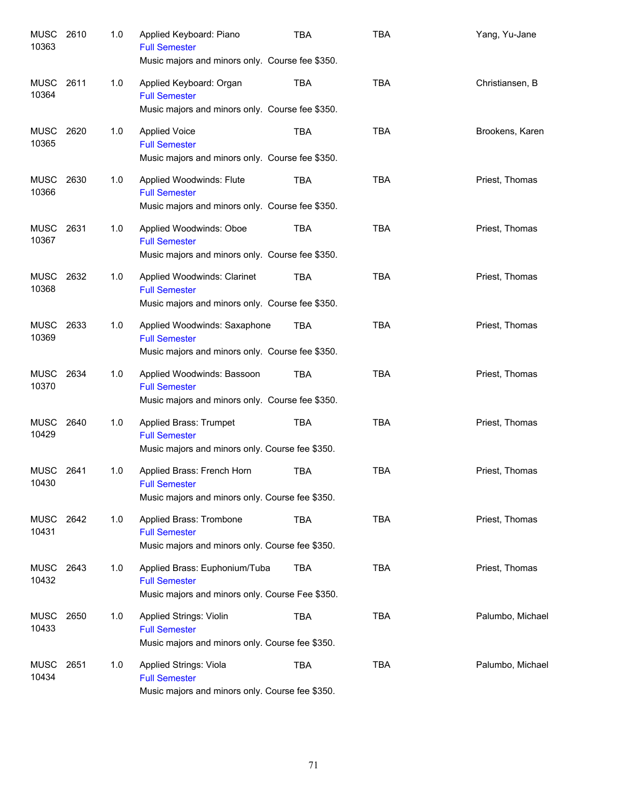| MUSC 2610<br>10363   |      | 1.0 | Applied Keyboard: Piano<br><b>Full Semester</b><br>Music majors and minors only. Course fee \$350.       | TBA        | <b>TBA</b> | Yang, Yu-Jane    |
|----------------------|------|-----|----------------------------------------------------------------------------------------------------------|------------|------------|------------------|
| MUSC<br>10364        | 2611 | 1.0 | Applied Keyboard: Organ<br><b>Full Semester</b><br>Music majors and minors only. Course fee \$350.       | TBA        | <b>TBA</b> | Christiansen, B  |
| MUSC<br>10365        | 2620 | 1.0 | <b>Applied Voice</b><br><b>Full Semester</b><br>Music majors and minors only. Course fee \$350.          | <b>TBA</b> | <b>TBA</b> | Brookens, Karen  |
| MUSC<br>10366        | 2630 | 1.0 | Applied Woodwinds: Flute<br><b>Full Semester</b><br>Music majors and minors only. Course fee \$350.      | TBA        | <b>TBA</b> | Priest, Thomas   |
| MUSC<br>10367        | 2631 | 1.0 | Applied Woodwinds: Oboe<br><b>Full Semester</b><br>Music majors and minors only. Course fee \$350.       | <b>TBA</b> | <b>TBA</b> | Priest, Thomas   |
| MUSC<br>10368        | 2632 | 1.0 | Applied Woodwinds: Clarinet<br><b>Full Semester</b><br>Music majors and minors only. Course fee \$350.   | TBA        | <b>TBA</b> | Priest, Thomas   |
| MUSC<br>10369        | 2633 | 1.0 | Applied Woodwinds: Saxaphone<br><b>Full Semester</b><br>Music majors and minors only. Course fee \$350.  | TBA        | <b>TBA</b> | Priest, Thomas   |
| <b>MUSC</b><br>10370 | 2634 | 1.0 | Applied Woodwinds: Bassoon<br><b>Full Semester</b><br>Music majors and minors only. Course fee \$350.    | TBA        | <b>TBA</b> | Priest, Thomas   |
| MUSC<br>10429        | 2640 | 1.0 | Applied Brass: Trumpet<br><b>Full Semester</b><br>Music majors and minors only. Course fee \$350.        | TBA        | <b>TBA</b> | Priest, Thomas   |
| MUSC 2641<br>10430   |      | 1.0 | Applied Brass: French Horn<br><b>Full Semester</b><br>Music majors and minors only. Course fee \$350.    | TBA        | <b>TBA</b> | Priest, Thomas   |
| MUSC 2642<br>10431   |      | 1.0 | Applied Brass: Trombone<br><b>Full Semester</b><br>Music majors and minors only. Course fee \$350.       | TBA        | <b>TBA</b> | Priest, Thomas   |
| MUSC<br>10432        | 2643 | 1.0 | Applied Brass: Euphonium/Tuba<br><b>Full Semester</b><br>Music majors and minors only. Course Fee \$350. | <b>TBA</b> | <b>TBA</b> | Priest, Thomas   |
| MUSC<br>10433        | 2650 | 1.0 | Applied Strings: Violin<br><b>Full Semester</b><br>Music majors and minors only. Course fee \$350.       | TBA        | <b>TBA</b> | Palumbo, Michael |
| <b>MUSC</b><br>10434 | 2651 | 1.0 | Applied Strings: Viola<br><b>Full Semester</b><br>Music majors and minors only. Course fee \$350.        | TBA        | <b>TBA</b> | Palumbo, Michael |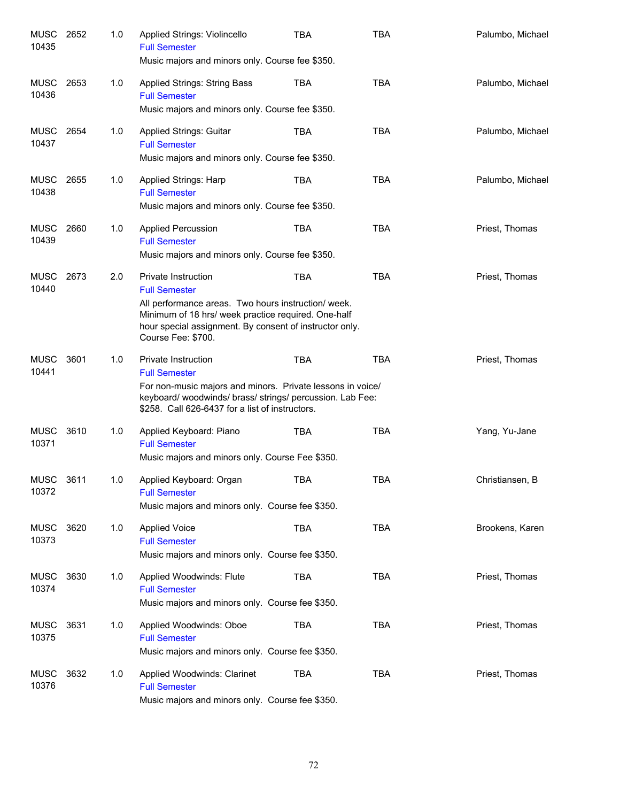| MUSC 2652<br>10435   |      | 1.0 | Applied Strings: Violincello<br><b>Full Semester</b><br>Music majors and minors only. Course fee \$350.                                                                                                                                           | TBA        | <b>TBA</b> | Palumbo, Michael |
|----------------------|------|-----|---------------------------------------------------------------------------------------------------------------------------------------------------------------------------------------------------------------------------------------------------|------------|------------|------------------|
| MUSC<br>10436        | 2653 | 1.0 | <b>Applied Strings: String Bass</b><br><b>Full Semester</b><br>Music majors and minors only. Course fee \$350.                                                                                                                                    | <b>TBA</b> | <b>TBA</b> | Palumbo, Michael |
| MUSC 2654<br>10437   |      | 1.0 | <b>Applied Strings: Guitar</b><br><b>Full Semester</b><br>Music majors and minors only. Course fee \$350.                                                                                                                                         | <b>TBA</b> | <b>TBA</b> | Palumbo, Michael |
| <b>MUSC</b><br>10438 | 2655 | 1.0 | Applied Strings: Harp<br><b>Full Semester</b><br>Music majors and minors only. Course fee \$350.                                                                                                                                                  | <b>TBA</b> | <b>TBA</b> | Palumbo, Michael |
| <b>MUSC</b><br>10439 | 2660 | 1.0 | <b>Applied Percussion</b><br><b>Full Semester</b><br>Music majors and minors only. Course fee \$350.                                                                                                                                              | <b>TBA</b> | <b>TBA</b> | Priest, Thomas   |
| <b>MUSC</b><br>10440 | 2673 | 2.0 | <b>Private Instruction</b><br><b>Full Semester</b><br>All performance areas. Two hours instruction/ week.<br>Minimum of 18 hrs/ week practice required. One-half<br>hour special assignment. By consent of instructor only.<br>Course Fee: \$700. | <b>TBA</b> | <b>TBA</b> | Priest, Thomas   |
| <b>MUSC</b><br>10441 | 3601 | 1.0 | Private Instruction<br><b>Full Semester</b><br>For non-music majors and minors. Private lessons in voice/<br>keyboard/ woodwinds/ brass/ strings/ percussion. Lab Fee:<br>\$258. Call 626-6437 for a list of instructors.                         | <b>TBA</b> | <b>TBA</b> | Priest, Thomas   |
| <b>MUSC</b><br>10371 | 3610 | 1.0 | Applied Keyboard: Piano<br><b>Full Semester</b><br>Music majors and minors only. Course Fee \$350.                                                                                                                                                | <b>TBA</b> | <b>TBA</b> | Yang, Yu-Jane    |
| <b>MUSC</b><br>10372 | 3611 | 1.0 | Applied Keyboard: Organ<br><b>Full Semester</b><br>Music majors and minors only. Course fee \$350.                                                                                                                                                | <b>TBA</b> | TBA        | Christiansen, B  |
| MUSC<br>10373        | 3620 | 1.0 | <b>Applied Voice</b><br><b>Full Semester</b><br>Music majors and minors only. Course fee \$350.                                                                                                                                                   | <b>TBA</b> | <b>TBA</b> | Brookens, Karen  |
| <b>MUSC</b><br>10374 | 3630 | 1.0 | Applied Woodwinds: Flute<br><b>Full Semester</b><br>Music majors and minors only. Course fee \$350.                                                                                                                                               | <b>TBA</b> | <b>TBA</b> | Priest, Thomas   |
| <b>MUSC</b><br>10375 | 3631 | 1.0 | Applied Woodwinds: Oboe<br><b>Full Semester</b><br>Music majors and minors only. Course fee \$350.                                                                                                                                                | <b>TBA</b> | <b>TBA</b> | Priest, Thomas   |
| <b>MUSC</b><br>10376 | 3632 | 1.0 | Applied Woodwinds: Clarinet<br><b>Full Semester</b><br>Music majors and minors only. Course fee \$350.                                                                                                                                            | TBA        | <b>TBA</b> | Priest, Thomas   |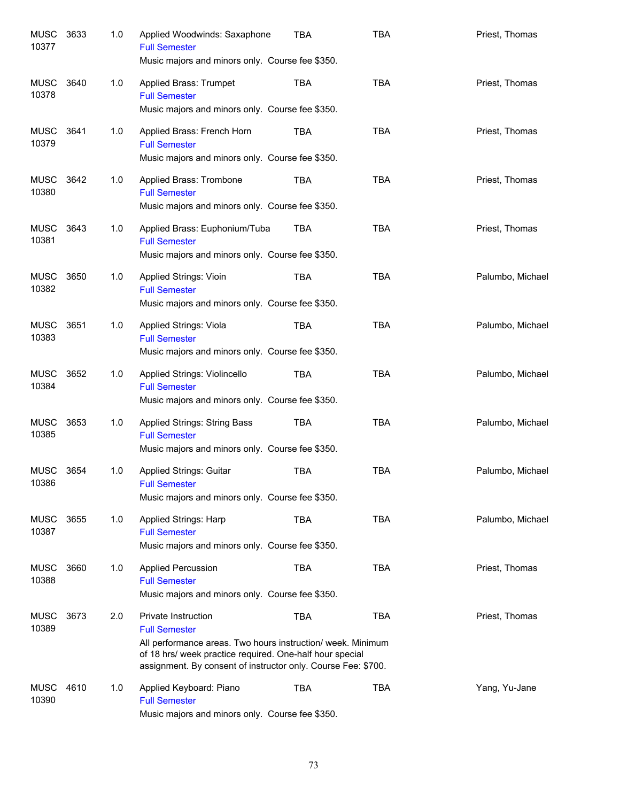| <b>MUSC</b><br>10377 | 3633 | 1.0 | Applied Woodwinds: Saxaphone<br><b>Full Semester</b><br>Music majors and minors only. Course fee \$350.                                                                                                                                 | <b>TBA</b> | <b>TBA</b> | Priest, Thomas   |
|----------------------|------|-----|-----------------------------------------------------------------------------------------------------------------------------------------------------------------------------------------------------------------------------------------|------------|------------|------------------|
| MUSC<br>10378        | 3640 | 1.0 | Applied Brass: Trumpet<br><b>Full Semester</b><br>Music majors and minors only. Course fee \$350.                                                                                                                                       | <b>TBA</b> | <b>TBA</b> | Priest, Thomas   |
| MUSC<br>10379        | 3641 | 1.0 | Applied Brass: French Horn<br><b>Full Semester</b><br>Music majors and minors only. Course fee \$350.                                                                                                                                   | TBA        | <b>TBA</b> | Priest, Thomas   |
| MUSC<br>10380        | 3642 | 1.0 | Applied Brass: Trombone<br><b>Full Semester</b><br>Music majors and minors only. Course fee \$350.                                                                                                                                      | TBA        | <b>TBA</b> | Priest, Thomas   |
| MUSC<br>10381        | 3643 | 1.0 | Applied Brass: Euphonium/Tuba<br><b>Full Semester</b><br>Music majors and minors only. Course fee \$350.                                                                                                                                | TBA        | <b>TBA</b> | Priest, Thomas   |
| <b>MUSC</b><br>10382 | 3650 | 1.0 | Applied Strings: Vioin<br><b>Full Semester</b><br>Music majors and minors only. Course fee \$350.                                                                                                                                       | <b>TBA</b> | <b>TBA</b> | Palumbo, Michael |
| <b>MUSC</b><br>10383 | 3651 | 1.0 | Applied Strings: Viola<br><b>Full Semester</b><br>Music majors and minors only. Course fee \$350.                                                                                                                                       | <b>TBA</b> | <b>TBA</b> | Palumbo, Michael |
| <b>MUSC</b><br>10384 | 3652 | 1.0 | Applied Strings: Violincello<br><b>Full Semester</b><br>Music majors and minors only. Course fee \$350.                                                                                                                                 | <b>TBA</b> | <b>TBA</b> | Palumbo, Michael |
| <b>MUSC</b><br>10385 | 3653 | 1.0 | Applied Strings: String Bass<br><b>Full Semester</b><br>Music majors and minors only. Course fee \$350.                                                                                                                                 | <b>TBA</b> | <b>TBA</b> | Palumbo, Michael |
| MUSC<br>10386        | 3654 | 1.0 | Applied Strings: Guitar<br><b>Full Semester</b><br>Music majors and minors only. Course fee \$350.                                                                                                                                      | <b>TBA</b> | <b>TBA</b> | Palumbo, Michael |
| <b>MUSC</b><br>10387 | 3655 | 1.0 | Applied Strings: Harp<br><b>Full Semester</b><br>Music majors and minors only. Course fee \$350.                                                                                                                                        | <b>TBA</b> | <b>TBA</b> | Palumbo, Michael |
| <b>MUSC</b><br>10388 | 3660 | 1.0 | <b>Applied Percussion</b><br><b>Full Semester</b><br>Music majors and minors only. Course fee \$350.                                                                                                                                    | <b>TBA</b> | <b>TBA</b> | Priest, Thomas   |
| <b>MUSC</b><br>10389 | 3673 | 2.0 | Private Instruction<br><b>Full Semester</b><br>All performance areas. Two hours instruction/ week. Minimum<br>of 18 hrs/ week practice required. One-half hour special<br>assignment. By consent of instructor only. Course Fee: \$700. | <b>TBA</b> | <b>TBA</b> | Priest, Thomas   |
| <b>MUSC</b><br>10390 | 4610 | 1.0 | Applied Keyboard: Piano<br><b>Full Semester</b><br>Music majors and minors only. Course fee \$350.                                                                                                                                      | <b>TBA</b> | <b>TBA</b> | Yang, Yu-Jane    |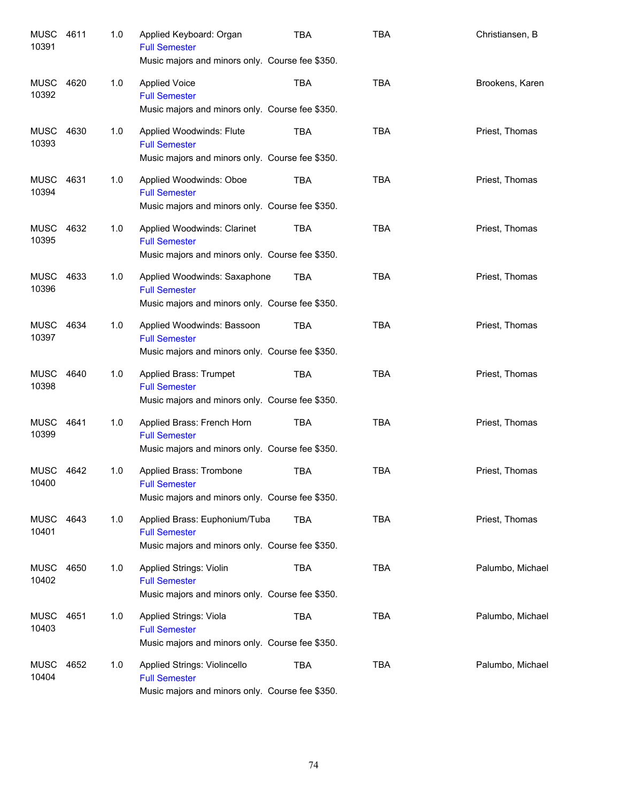| MUSC<br>10391      | 4611 | 1.0 | Applied Keyboard: Organ<br><b>Full Semester</b><br>Music majors and minors only. Course fee \$350.        | <b>TBA</b> | <b>TBA</b> | Christiansen, B  |
|--------------------|------|-----|-----------------------------------------------------------------------------------------------------------|------------|------------|------------------|
| MUSC<br>10392      | 4620 | 1.0 | <b>Applied Voice</b><br><b>Full Semester</b><br>Music majors and minors only. Course fee \$350.           | <b>TBA</b> | <b>TBA</b> | Brookens, Karen  |
| MUSC<br>10393      | 4630 | 1.0 | Applied Woodwinds: Flute<br><b>Full Semester</b><br>Music majors and minors only. Course fee \$350.       | TBA        | <b>TBA</b> | Priest, Thomas   |
| MUSC<br>10394      | 4631 | 1.0 | Applied Woodwinds: Oboe<br><b>Full Semester</b><br>Music majors and minors only. Course fee \$350.        | <b>TBA</b> | <b>TBA</b> | Priest, Thomas   |
| MUSC<br>10395      | 4632 | 1.0 | Applied Woodwinds: Clarinet<br><b>Full Semester</b><br>Music majors and minors only. Course fee \$350.    | TBA        | <b>TBA</b> | Priest, Thomas   |
| MUSC<br>10396      | 4633 | 1.0 | Applied Woodwinds: Saxaphone<br><b>Full Semester</b><br>Music majors and minors only. Course fee \$350.   | TBA        | <b>TBA</b> | Priest, Thomas   |
| MUSC 4634<br>10397 |      | 1.0 | Applied Woodwinds: Bassoon<br><b>Full Semester</b><br>Music majors and minors only. Course fee \$350.     | <b>TBA</b> | <b>TBA</b> | Priest, Thomas   |
| MUSC<br>10398      | 4640 | 1.0 | Applied Brass: Trumpet<br><b>Full Semester</b><br>Music majors and minors only. Course fee \$350.         | <b>TBA</b> | <b>TBA</b> | Priest, Thomas   |
| MUSC<br>10399      | 4641 | 1.0 | Applied Brass: French Horn<br><b>Full Semester</b><br>Music majors and minors only. Course fee \$350.     | <b>TBA</b> | <b>TBA</b> | Priest, Thomas   |
| MUSC 4642<br>10400 |      | 1.0 | Applied Brass: Trombone<br><b>Full Semester</b><br>Music majors and minors only. Course fee \$350.        | <b>TBA</b> | <b>TBA</b> | Priest, Thomas   |
| MUSC 4643<br>10401 |      | 1.0 | Applied Brass: Euphonium/Tuba<br><b>Full Semester</b><br>Music majors and minors only. Course fee \$350.  | TBA        | <b>TBA</b> | Priest, Thomas   |
| MUSC<br>10402      | 4650 | 1.0 | <b>Applied Strings: Violin</b><br><b>Full Semester</b><br>Music majors and minors only. Course fee \$350. | TBA        | <b>TBA</b> | Palumbo, Michael |
| MUSC<br>10403      | 4651 | 1.0 | Applied Strings: Viola<br><b>Full Semester</b><br>Music majors and minors only. Course fee \$350.         | TBA        | <b>TBA</b> | Palumbo, Michael |
| MUSC<br>10404      | 4652 | 1.0 | Applied Strings: Violincello<br><b>Full Semester</b><br>Music majors and minors only. Course fee \$350.   | TBA        | <b>TBA</b> | Palumbo, Michael |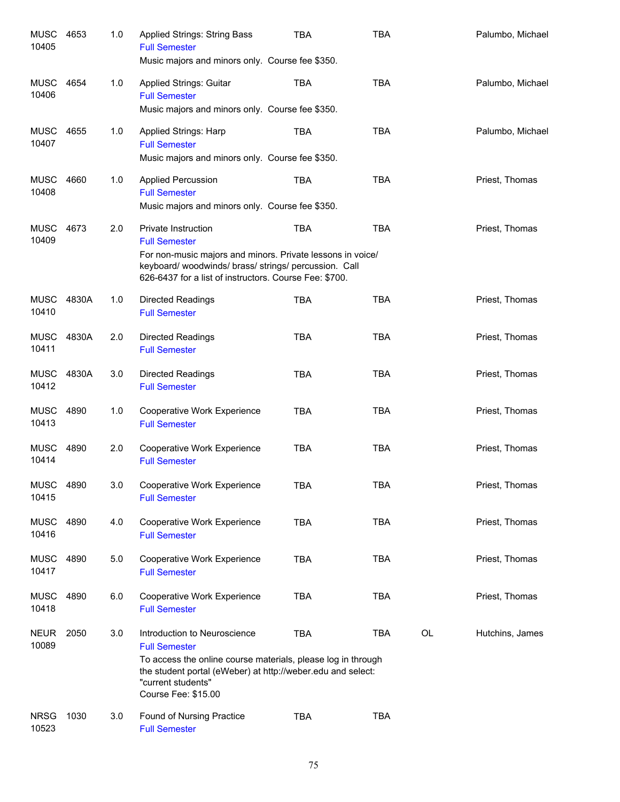| <b>MUSC</b><br>10405 | 4653  | 1.0 | Applied Strings: String Bass<br><b>Full Semester</b>                                                                                                                      | TBA        | <b>TBA</b> |    | Palumbo, Michael |
|----------------------|-------|-----|---------------------------------------------------------------------------------------------------------------------------------------------------------------------------|------------|------------|----|------------------|
|                      |       |     | Music majors and minors only. Course fee \$350.                                                                                                                           |            |            |    |                  |
| <b>MUSC</b><br>10406 | 4654  | 1.0 | <b>Applied Strings: Guitar</b><br><b>Full Semester</b>                                                                                                                    | <b>TBA</b> | <b>TBA</b> |    | Palumbo, Michael |
|                      |       |     | Music majors and minors only. Course fee \$350.                                                                                                                           |            |            |    |                  |
| <b>MUSC</b><br>10407 | 4655  | 1.0 | Applied Strings: Harp<br><b>Full Semester</b>                                                                                                                             | <b>TBA</b> | <b>TBA</b> |    | Palumbo, Michael |
|                      |       |     | Music majors and minors only. Course fee \$350.                                                                                                                           |            |            |    |                  |
| <b>MUSC</b><br>10408 | 4660  | 1.0 | <b>Applied Percussion</b><br><b>Full Semester</b>                                                                                                                         | <b>TBA</b> | <b>TBA</b> |    | Priest, Thomas   |
|                      |       |     | Music majors and minors only. Course fee \$350.                                                                                                                           |            |            |    |                  |
| <b>MUSC</b><br>10409 | 4673  | 2.0 | Private Instruction<br><b>Full Semester</b>                                                                                                                               | <b>TBA</b> | <b>TBA</b> |    | Priest, Thomas   |
|                      |       |     | For non-music majors and minors. Private lessons in voice/<br>keyboard/woodwinds/brass/strings/percussion. Call<br>626-6437 for a list of instructors. Course Fee: \$700. |            |            |    |                  |
| MUSC<br>10410        | 4830A | 1.0 | <b>Directed Readings</b><br><b>Full Semester</b>                                                                                                                          | <b>TBA</b> | <b>TBA</b> |    | Priest, Thomas   |
| <b>MUSC</b><br>10411 | 4830A | 2.0 | <b>Directed Readings</b><br><b>Full Semester</b>                                                                                                                          | <b>TBA</b> | <b>TBA</b> |    | Priest, Thomas   |
| <b>MUSC</b><br>10412 | 4830A | 3.0 | <b>Directed Readings</b><br><b>Full Semester</b>                                                                                                                          | <b>TBA</b> | <b>TBA</b> |    | Priest, Thomas   |
| <b>MUSC</b><br>10413 | 4890  | 1.0 | Cooperative Work Experience<br><b>Full Semester</b>                                                                                                                       | <b>TBA</b> | <b>TBA</b> |    | Priest, Thomas   |
| MUSC<br>10414        | 4890  | 2.0 | Cooperative Work Experience<br><b>Full Semester</b>                                                                                                                       | <b>TBA</b> | <b>TBA</b> |    | Priest, Thomas   |
| MUSC 4890<br>10415   |       | 3.0 | Cooperative Work Experience<br><b>Full Semester</b>                                                                                                                       | <b>TBA</b> | <b>TBA</b> |    | Priest, Thomas   |
| <b>MUSC</b><br>10416 | 4890  | 4.0 | <b>Cooperative Work Experience</b><br><b>Full Semester</b>                                                                                                                | <b>TBA</b> | <b>TBA</b> |    | Priest, Thomas   |
| <b>MUSC</b><br>10417 | 4890  | 5.0 | <b>Cooperative Work Experience</b><br><b>Full Semester</b>                                                                                                                | <b>TBA</b> | <b>TBA</b> |    | Priest, Thomas   |
| <b>MUSC</b><br>10418 | 4890  | 6.0 | Cooperative Work Experience<br><b>Full Semester</b>                                                                                                                       | <b>TBA</b> | <b>TBA</b> |    | Priest, Thomas   |
| <b>NEUR</b><br>10089 | 2050  | 3.0 | Introduction to Neuroscience<br><b>Full Semester</b>                                                                                                                      | <b>TBA</b> | TBA        | OL | Hutchins, James  |
|                      |       |     | To access the online course materials, please log in through<br>the student portal (eWeber) at http://weber.edu and select:<br>"current students"<br>Course Fee: \$15.00  |            |            |    |                  |
| <b>NRSG</b><br>10523 | 1030  | 3.0 | Found of Nursing Practice<br><b>Full Semester</b>                                                                                                                         | <b>TBA</b> | <b>TBA</b> |    |                  |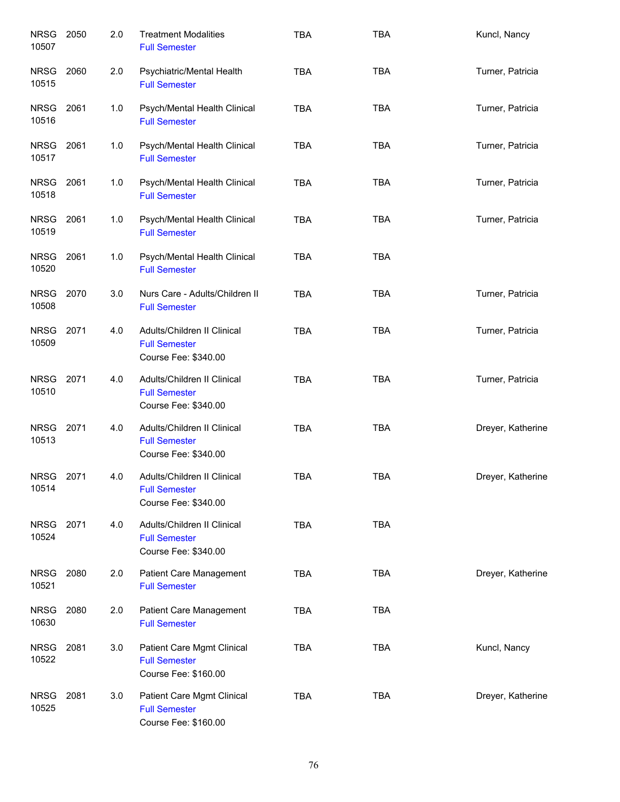| <b>NRSG</b><br>10507 | 2050 | 2.0 | <b>Treatment Modalities</b><br><b>Full Semester</b>                         | <b>TBA</b> | <b>TBA</b> | Kuncl, Nancy      |
|----------------------|------|-----|-----------------------------------------------------------------------------|------------|------------|-------------------|
| <b>NRSG</b><br>10515 | 2060 | 2.0 | Psychiatric/Mental Health<br><b>Full Semester</b>                           | <b>TBA</b> | <b>TBA</b> | Turner, Patricia  |
| <b>NRSG</b><br>10516 | 2061 | 1.0 | Psych/Mental Health Clinical<br><b>Full Semester</b>                        | <b>TBA</b> | <b>TBA</b> | Turner, Patricia  |
| NRSG 2061<br>10517   |      | 1.0 | Psych/Mental Health Clinical<br><b>Full Semester</b>                        | <b>TBA</b> | <b>TBA</b> | Turner, Patricia  |
| <b>NRSG</b><br>10518 | 2061 | 1.0 | Psych/Mental Health Clinical<br><b>Full Semester</b>                        | <b>TBA</b> | <b>TBA</b> | Turner, Patricia  |
| <b>NRSG</b><br>10519 | 2061 | 1.0 | Psych/Mental Health Clinical<br><b>Full Semester</b>                        | <b>TBA</b> | <b>TBA</b> | Turner, Patricia  |
| <b>NRSG</b><br>10520 | 2061 | 1.0 | Psych/Mental Health Clinical<br><b>Full Semester</b>                        | <b>TBA</b> | <b>TBA</b> |                   |
| <b>NRSG</b><br>10508 | 2070 | 3.0 | Nurs Care - Adults/Children II<br><b>Full Semester</b>                      | <b>TBA</b> | <b>TBA</b> | Turner, Patricia  |
| <b>NRSG</b><br>10509 | 2071 | 4.0 | Adults/Children II Clinical<br><b>Full Semester</b><br>Course Fee: \$340.00 | <b>TBA</b> | <b>TBA</b> | Turner, Patricia  |
| <b>NRSG</b><br>10510 | 2071 | 4.0 | Adults/Children II Clinical<br><b>Full Semester</b><br>Course Fee: \$340.00 | <b>TBA</b> | <b>TBA</b> | Turner, Patricia  |
| <b>NRSG</b><br>10513 | 2071 | 4.0 | Adults/Children II Clinical<br><b>Full Semester</b><br>Course Fee: \$340.00 | <b>TBA</b> | <b>TBA</b> | Dreyer, Katherine |
| <b>NRSG</b><br>10514 | 2071 | 4.0 | Adults/Children II Clinical<br><b>Full Semester</b><br>Course Fee: \$340.00 | <b>TBA</b> | <b>TBA</b> | Dreyer, Katherine |
| NRSG<br>10524        | 2071 | 4.0 | Adults/Children II Clinical<br><b>Full Semester</b><br>Course Fee: \$340.00 | <b>TBA</b> | <b>TBA</b> |                   |
| NRSG<br>10521        | 2080 | 2.0 | Patient Care Management<br><b>Full Semester</b>                             | <b>TBA</b> | <b>TBA</b> | Dreyer, Katherine |
| <b>NRSG</b><br>10630 | 2080 | 2.0 | Patient Care Management<br><b>Full Semester</b>                             | <b>TBA</b> | <b>TBA</b> |                   |
| <b>NRSG</b><br>10522 | 2081 | 3.0 | Patient Care Mgmt Clinical<br><b>Full Semester</b><br>Course Fee: \$160.00  | <b>TBA</b> | <b>TBA</b> | Kuncl, Nancy      |
| <b>NRSG</b><br>10525 | 2081 | 3.0 | Patient Care Mgmt Clinical<br><b>Full Semester</b><br>Course Fee: \$160.00  | <b>TBA</b> | <b>TBA</b> | Dreyer, Katherine |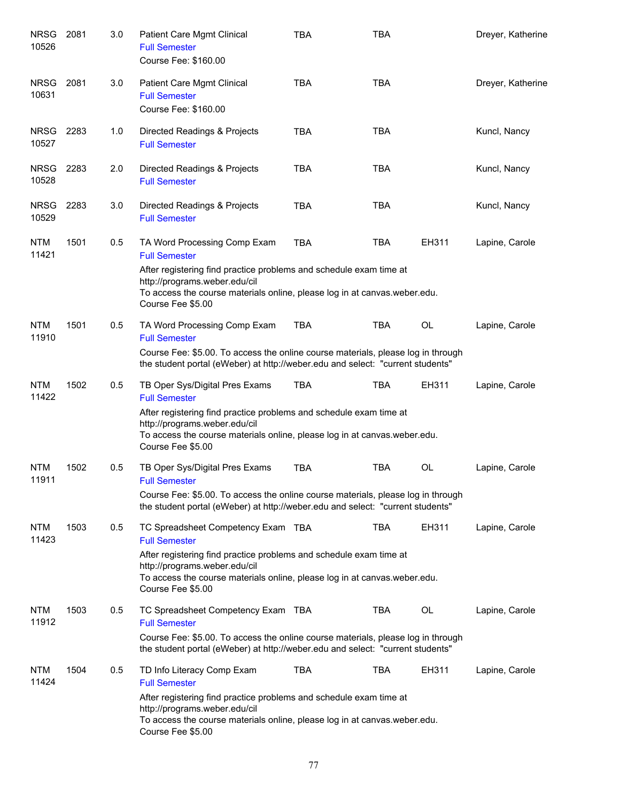| <b>NRSG</b><br>10526 | 2081 | 3.0 | Patient Care Mgmt Clinical<br><b>Full Semester</b><br>Course Fee: \$160.00                                                                                                                                                                                          | <b>TBA</b> | <b>TBA</b> |           | Dreyer, Katherine |
|----------------------|------|-----|---------------------------------------------------------------------------------------------------------------------------------------------------------------------------------------------------------------------------------------------------------------------|------------|------------|-----------|-------------------|
| <b>NRSG</b><br>10631 | 2081 | 3.0 | Patient Care Mgmt Clinical<br><b>Full Semester</b><br>Course Fee: \$160.00                                                                                                                                                                                          | <b>TBA</b> | <b>TBA</b> |           | Dreyer, Katherine |
| NRSG<br>10527        | 2283 | 1.0 | Directed Readings & Projects<br><b>Full Semester</b>                                                                                                                                                                                                                | <b>TBA</b> | <b>TBA</b> |           | Kuncl, Nancy      |
| <b>NRSG</b><br>10528 | 2283 | 2.0 | Directed Readings & Projects<br><b>Full Semester</b>                                                                                                                                                                                                                | <b>TBA</b> | <b>TBA</b> |           | Kuncl, Nancy      |
| <b>NRSG</b><br>10529 | 2283 | 3.0 | Directed Readings & Projects<br><b>Full Semester</b>                                                                                                                                                                                                                | <b>TBA</b> | <b>TBA</b> |           | Kuncl, Nancy      |
| <b>NTM</b><br>11421  | 1501 | 0.5 | TA Word Processing Comp Exam<br><b>Full Semester</b><br>After registering find practice problems and schedule exam time at<br>http://programs.weber.edu/cil<br>To access the course materials online, please log in at canvas weber edu.<br>Course Fee \$5.00       | <b>TBA</b> | <b>TBA</b> | EH311     | Lapine, Carole    |
| <b>NTM</b><br>11910  | 1501 | 0.5 | TA Word Processing Comp Exam<br><b>Full Semester</b><br>Course Fee: \$5.00. To access the online course materials, please log in through<br>the student portal (eWeber) at http://weber.edu and select: "current students"                                          | <b>TBA</b> | <b>TBA</b> | <b>OL</b> | Lapine, Carole    |
| <b>NTM</b><br>11422  | 1502 | 0.5 | TB Oper Sys/Digital Pres Exams<br><b>Full Semester</b><br>After registering find practice problems and schedule exam time at<br>http://programs.weber.edu/cil<br>To access the course materials online, please log in at canvas weber edu.<br>Course Fee \$5.00     | <b>TBA</b> | <b>TBA</b> | EH311     | Lapine, Carole    |
| <b>NTM</b><br>11911  | 1502 | 0.5 | TB Oper Sys/Digital Pres Exams<br><b>Full Semester</b><br>Course Fee: \$5.00. To access the online course materials, please log in through<br>the student portal (eWeber) at http://weber.edu and select: "current students"                                        | <b>TBA</b> | <b>TBA</b> | <b>OL</b> | Lapine, Carole    |
| <b>NTM</b><br>11423  | 1503 | 0.5 | TC Spreadsheet Competency Exam TBA<br><b>Full Semester</b><br>After registering find practice problems and schedule exam time at<br>http://programs.weber.edu/cil<br>To access the course materials online, please log in at canvas weber edu.<br>Course Fee \$5.00 |            | TBA        | EH311     | Lapine, Carole    |
| <b>NTM</b><br>11912  | 1503 | 0.5 | TC Spreadsheet Competency Exam TBA<br><b>Full Semester</b><br>Course Fee: \$5.00. To access the online course materials, please log in through<br>the student portal (eWeber) at http://weber.edu and select: "current students"                                    |            | <b>TBA</b> | <b>OL</b> | Lapine, Carole    |
| <b>NTM</b><br>11424  | 1504 | 0.5 | TD Info Literacy Comp Exam<br><b>Full Semester</b><br>After registering find practice problems and schedule exam time at<br>http://programs.weber.edu/cil<br>To access the course materials online, please log in at canvas weber edu.<br>Course Fee \$5.00         | <b>TBA</b> | <b>TBA</b> | EH311     | Lapine, Carole    |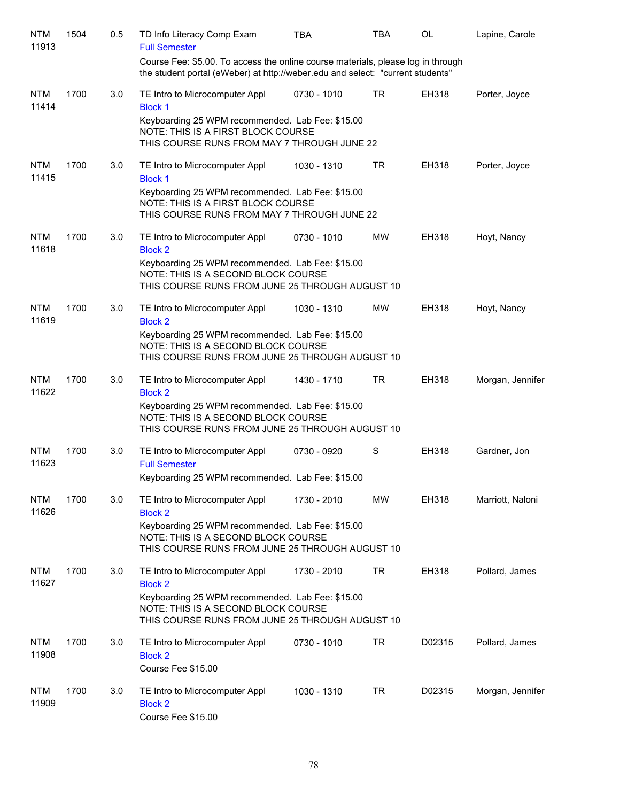| <b>NTM</b><br>11913 | 1504 | 0.5 | TD Info Literacy Comp Exam<br><b>Full Semester</b>                                                                                                                 | <b>TBA</b>  | <b>TBA</b> | OL           | Lapine, Carole   |
|---------------------|------|-----|--------------------------------------------------------------------------------------------------------------------------------------------------------------------|-------------|------------|--------------|------------------|
|                     |      |     | Course Fee: \$5.00. To access the online course materials, please log in through<br>the student portal (eWeber) at http://weber.edu and select: "current students" |             |            |              |                  |
| <b>NTM</b><br>11414 | 1700 | 3.0 | TE Intro to Microcomputer Appl<br><b>Block 1</b>                                                                                                                   | 0730 - 1010 | <b>TR</b>  | EH318        | Porter, Joyce    |
|                     |      |     | Keyboarding 25 WPM recommended. Lab Fee: \$15.00<br>NOTE: THIS IS A FIRST BLOCK COURSE<br>THIS COURSE RUNS FROM MAY 7 THROUGH JUNE 22                              |             |            |              |                  |
| <b>NTM</b><br>11415 | 1700 | 3.0 | TE Intro to Microcomputer Appl<br><b>Block 1</b>                                                                                                                   | 1030 - 1310 | TR         | EH318        | Porter, Joyce    |
|                     |      |     | Keyboarding 25 WPM recommended. Lab Fee: \$15.00<br>NOTE: THIS IS A FIRST BLOCK COURSE<br>THIS COURSE RUNS FROM MAY 7 THROUGH JUNE 22                              |             |            |              |                  |
| <b>NTM</b><br>11618 | 1700 | 3.0 | TE Intro to Microcomputer Appl<br><b>Block 2</b>                                                                                                                   | 0730 - 1010 | MW         | <b>EH318</b> | Hoyt, Nancy      |
|                     |      |     | Keyboarding 25 WPM recommended. Lab Fee: \$15.00<br>NOTE: THIS IS A SECOND BLOCK COURSE<br>THIS COURSE RUNS FROM JUNE 25 THROUGH AUGUST 10                         |             |            |              |                  |
| <b>NTM</b><br>11619 | 1700 | 3.0 | TE Intro to Microcomputer Appl<br><b>Block 2</b>                                                                                                                   | 1030 - 1310 | MW         | EH318        | Hoyt, Nancy      |
|                     |      |     | Keyboarding 25 WPM recommended. Lab Fee: \$15.00<br>NOTE: THIS IS A SECOND BLOCK COURSE<br>THIS COURSE RUNS FROM JUNE 25 THROUGH AUGUST 10                         |             |            |              |                  |
| <b>NTM</b><br>11622 | 1700 | 3.0 | TE Intro to Microcomputer Appl<br><b>Block 2</b>                                                                                                                   | 1430 - 1710 | <b>TR</b>  | EH318        | Morgan, Jennifer |
|                     |      |     | Keyboarding 25 WPM recommended. Lab Fee: \$15.00<br>NOTE: THIS IS A SECOND BLOCK COURSE<br>THIS COURSE RUNS FROM JUNE 25 THROUGH AUGUST 10                         |             |            |              |                  |
| <b>NTM</b><br>11623 | 1700 | 3.0 | TE Intro to Microcomputer Appl<br><b>Full Semester</b>                                                                                                             | 0730 - 0920 | S          | EH318        | Gardner, Jon     |
|                     |      |     | Keyboarding 25 WPM recommended. Lab Fee: \$15.00                                                                                                                   |             |            |              |                  |
| <b>NTM</b><br>11626 | 1700 | 3.0 | TE Intro to Microcomputer Appl<br><b>Block 2</b>                                                                                                                   | 1730 - 2010 | MW         | EH318        | Marriott, Naloni |
|                     |      |     | Keyboarding 25 WPM recommended. Lab Fee: \$15.00<br>NOTE: THIS IS A SECOND BLOCK COURSE<br>THIS COURSE RUNS FROM JUNE 25 THROUGH AUGUST 10                         |             |            |              |                  |
| <b>NTM</b><br>11627 | 1700 | 3.0 | TE Intro to Microcomputer Appl<br><b>Block 2</b>                                                                                                                   | 1730 - 2010 | TR         | <b>EH318</b> | Pollard, James   |
|                     |      |     | Keyboarding 25 WPM recommended. Lab Fee: \$15.00<br>NOTE: THIS IS A SECOND BLOCK COURSE<br>THIS COURSE RUNS FROM JUNE 25 THROUGH AUGUST 10                         |             |            |              |                  |
| <b>NTM</b><br>11908 | 1700 | 3.0 | TE Intro to Microcomputer Appl<br><b>Block 2</b>                                                                                                                   | 0730 - 1010 | TR         | D02315       | Pollard, James   |
|                     |      |     | Course Fee \$15.00                                                                                                                                                 |             |            |              |                  |
| <b>NTM</b><br>11909 | 1700 | 3.0 | TE Intro to Microcomputer Appl<br><b>Block 2</b><br>Course Fee \$15.00                                                                                             | 1030 - 1310 | TR         | D02315       | Morgan, Jennifer |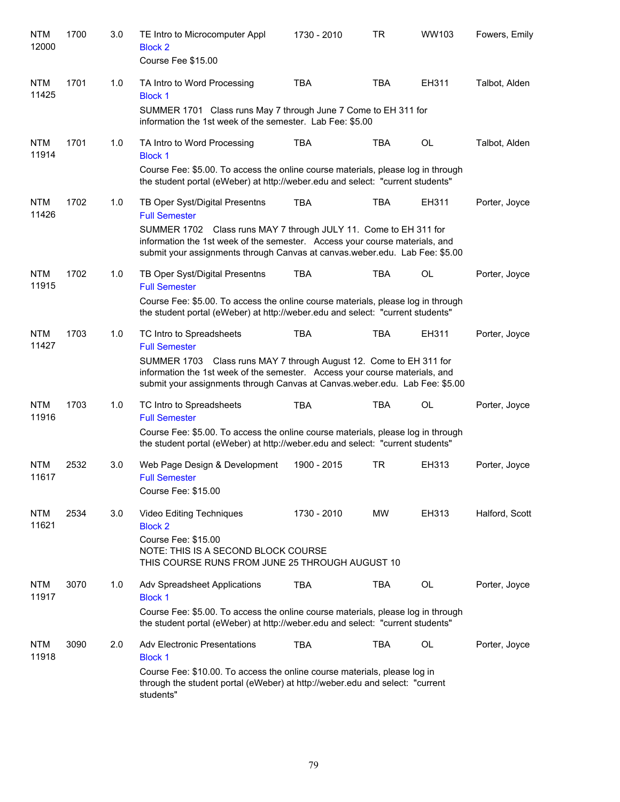| <b>NTM</b><br>12000 | 1700 | 3.0 | TE Intro to Microcomputer Appl<br><b>Block 2</b><br>Course Fee \$15.00                                                                                                                                                              | 1730 - 2010                                                          | <b>TR</b>  | WW103     | Fowers, Emily  |
|---------------------|------|-----|-------------------------------------------------------------------------------------------------------------------------------------------------------------------------------------------------------------------------------------|----------------------------------------------------------------------|------------|-----------|----------------|
| <b>NTM</b><br>11425 | 1701 | 1.0 | TA Intro to Word Processing<br><b>Block 1</b><br>SUMMER 1701 Class runs May 7 through June 7 Come to EH 311 for<br>information the 1st week of the semester. Lab Fee: \$5.00                                                        | <b>TBA</b>                                                           | <b>TBA</b> | EH311     | Talbot, Alden  |
| <b>NTM</b><br>11914 | 1701 | 1.0 | TA Intro to Word Processing<br><b>Block 1</b><br>Course Fee: \$5.00. To access the online course materials, please log in through<br>the student portal (eWeber) at http://weber.edu and select: "current students"                 | <b>TBA</b>                                                           | <b>TBA</b> | <b>OL</b> | Talbot, Alden  |
| <b>NTM</b><br>11426 | 1702 | 1.0 | TB Oper Syst/Digital Presentns<br><b>Full Semester</b><br>SUMMER 1702<br>information the 1st week of the semester. Access your course materials, and<br>submit your assignments through Canvas at canvas.weber.edu. Lab Fee: \$5.00 | <b>TBA</b><br>Class runs MAY 7 through JULY 11. Come to EH 311 for   | <b>TBA</b> | EH311     | Porter, Joyce  |
| <b>NTM</b><br>11915 | 1702 | 1.0 | TB Oper Syst/Digital Presentns<br><b>Full Semester</b><br>Course Fee: \$5.00. To access the online course materials, please log in through<br>the student portal (eWeber) at http://weber.edu and select: "current students"        | <b>TBA</b>                                                           | <b>TBA</b> | <b>OL</b> | Porter, Joyce  |
| <b>NTM</b><br>11427 | 1703 | 1.0 | TC Intro to Spreadsheets<br><b>Full Semester</b><br>SUMMER 1703<br>information the 1st week of the semester. Access your course materials, and<br>submit your assignments through Canvas at Canvas.weber.edu. Lab Fee: \$5.00       | <b>TBA</b><br>Class runs MAY 7 through August 12. Come to EH 311 for | <b>TBA</b> | EH311     | Porter, Joyce  |
| <b>NTM</b><br>11916 | 1703 | 1.0 | TC Intro to Spreadsheets<br><b>Full Semester</b><br>Course Fee: \$5.00. To access the online course materials, please log in through<br>the student portal (eWeber) at http://weber.edu and select: "current students"              | <b>TBA</b>                                                           | <b>TBA</b> | <b>OL</b> | Porter, Joyce  |
| <b>NTM</b><br>11617 | 2532 | 3.0 | Web Page Design & Development<br><b>Full Semester</b><br>Course Fee: \$15.00                                                                                                                                                        | 1900 - 2015                                                          | <b>TR</b>  | EH313     | Porter, Joyce  |
| <b>NTM</b><br>11621 | 2534 | 3.0 | Video Editing Techniques<br><b>Block 2</b><br>Course Fee: \$15.00<br>NOTE: THIS IS A SECOND BLOCK COURSE<br>THIS COURSE RUNS FROM JUNE 25 THROUGH AUGUST 10                                                                         | 1730 - 2010                                                          | MW         | EH313     | Halford, Scott |
| <b>NTM</b><br>11917 | 3070 | 1.0 | Adv Spreadsheet Applications<br><b>Block 1</b><br>Course Fee: \$5.00. To access the online course materials, please log in through<br>the student portal (eWeber) at http://weber.edu and select: "current students"                | <b>TBA</b>                                                           | <b>TBA</b> | OL        | Porter, Joyce  |
| <b>NTM</b><br>11918 | 3090 | 2.0 | <b>Adv Electronic Presentations</b><br><b>Block 1</b><br>Course Fee: \$10.00. To access the online course materials, please log in<br>through the student portal (eWeber) at http://weber.edu and select: "current<br>students"     | <b>TBA</b>                                                           | <b>TBA</b> | OL        | Porter, Joyce  |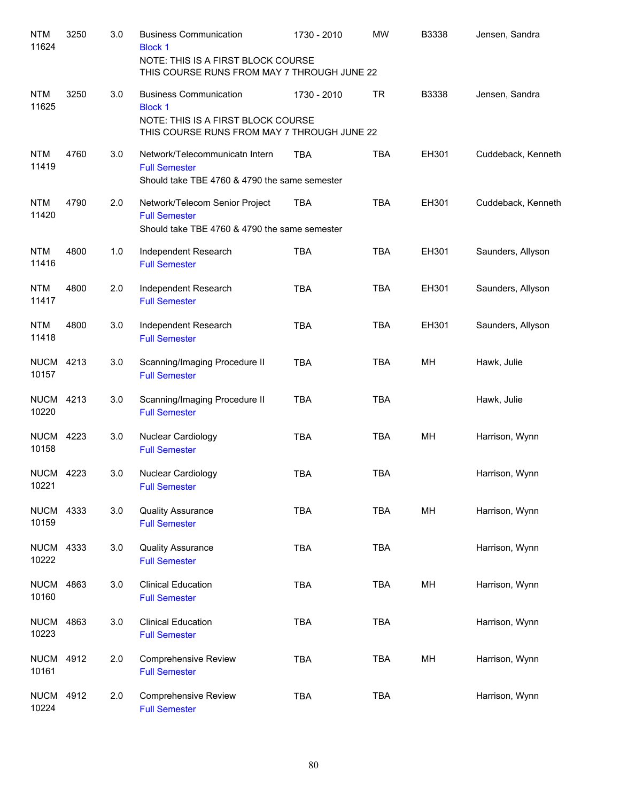| <b>NTM</b><br>11624       | 3250 | 3.0 | <b>Business Communication</b><br><b>Block 1</b><br>NOTE: THIS IS A FIRST BLOCK COURSE<br>THIS COURSE RUNS FROM MAY 7 THROUGH JUNE 22 | 1730 - 2010 | <b>MW</b>  | B3338 | Jensen, Sandra     |
|---------------------------|------|-----|--------------------------------------------------------------------------------------------------------------------------------------|-------------|------------|-------|--------------------|
| <b>NTM</b><br>11625       | 3250 | 3.0 | <b>Business Communication</b><br><b>Block 1</b><br>NOTE: THIS IS A FIRST BLOCK COURSE<br>THIS COURSE RUNS FROM MAY 7 THROUGH JUNE 22 | 1730 - 2010 | <b>TR</b>  | B3338 | Jensen, Sandra     |
| <b>NTM</b><br>11419       | 4760 | 3.0 | Network/Telecommunicatn Intern<br><b>Full Semester</b><br>Should take TBE 4760 & 4790 the same semester                              | <b>TBA</b>  | <b>TBA</b> | EH301 | Cuddeback, Kenneth |
| <b>NTM</b><br>11420       | 4790 | 2.0 | Network/Telecom Senior Project<br><b>Full Semester</b><br>Should take TBE 4760 & 4790 the same semester                              | <b>TBA</b>  | <b>TBA</b> | EH301 | Cuddeback, Kenneth |
| <b>NTM</b><br>11416       | 4800 | 1.0 | Independent Research<br><b>Full Semester</b>                                                                                         | <b>TBA</b>  | <b>TBA</b> | EH301 | Saunders, Allyson  |
| <b>NTM</b><br>11417       | 4800 | 2.0 | Independent Research<br><b>Full Semester</b>                                                                                         | <b>TBA</b>  | <b>TBA</b> | EH301 | Saunders, Allyson  |
| <b>NTM</b><br>11418       | 4800 | 3.0 | Independent Research<br><b>Full Semester</b>                                                                                         | <b>TBA</b>  | <b>TBA</b> | EH301 | Saunders, Allyson  |
| <b>NUCM</b><br>10157      | 4213 | 3.0 | Scanning/Imaging Procedure II<br><b>Full Semester</b>                                                                                | <b>TBA</b>  | <b>TBA</b> | MH    | Hawk, Julie        |
| <b>NUCM</b><br>10220      | 4213 | 3.0 | Scanning/Imaging Procedure II<br><b>Full Semester</b>                                                                                | <b>TBA</b>  | <b>TBA</b> |       | Hawk, Julie        |
| <b>NUCM</b><br>10158      | 4223 | 3.0 | Nuclear Cardiology<br><b>Full Semester</b>                                                                                           | <b>TBA</b>  | <b>TBA</b> | MH    | Harrison, Wynn     |
| <b>NUCM 4223</b><br>10221 |      | 3.0 | Nuclear Cardiology<br><b>Full Semester</b>                                                                                           | <b>TBA</b>  | <b>TBA</b> |       | Harrison, Wynn     |
| <b>NUCM</b><br>10159      | 4333 | 3.0 | <b>Quality Assurance</b><br><b>Full Semester</b>                                                                                     | <b>TBA</b>  | <b>TBA</b> | MH    | Harrison, Wynn     |
| <b>NUCM</b><br>10222      | 4333 | 3.0 | <b>Quality Assurance</b><br><b>Full Semester</b>                                                                                     | <b>TBA</b>  | <b>TBA</b> |       | Harrison, Wynn     |
| <b>NUCM</b><br>10160      | 4863 | 3.0 | <b>Clinical Education</b><br><b>Full Semester</b>                                                                                    | <b>TBA</b>  | <b>TBA</b> | MH    | Harrison, Wynn     |
| <b>NUCM</b><br>10223      | 4863 | 3.0 | <b>Clinical Education</b><br><b>Full Semester</b>                                                                                    | <b>TBA</b>  | <b>TBA</b> |       | Harrison, Wynn     |
| <b>NUCM</b><br>10161      | 4912 | 2.0 | <b>Comprehensive Review</b><br><b>Full Semester</b>                                                                                  | <b>TBA</b>  | <b>TBA</b> | MH    | Harrison, Wynn     |
| <b>NUCM</b><br>10224      | 4912 | 2.0 | <b>Comprehensive Review</b><br><b>Full Semester</b>                                                                                  | <b>TBA</b>  | <b>TBA</b> |       | Harrison, Wynn     |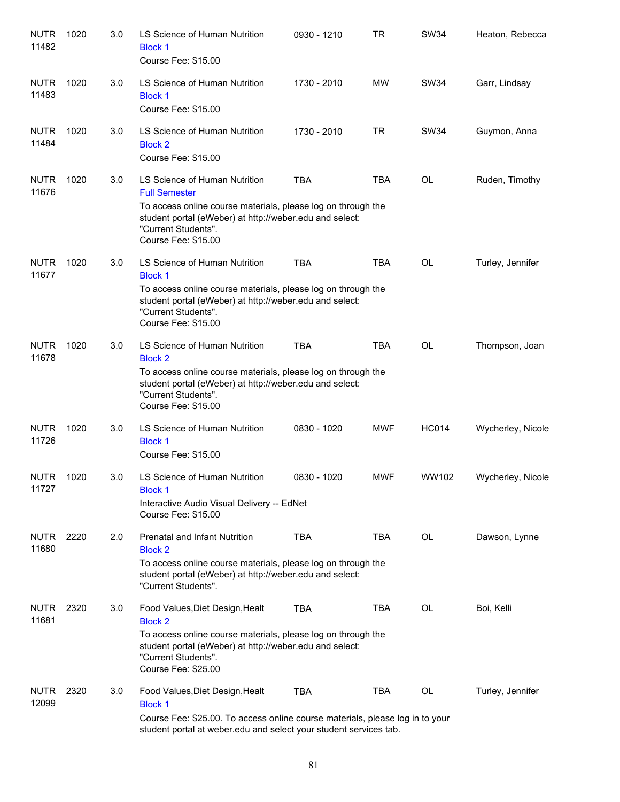| <b>NUTR</b><br>11482 | 1020 | 3.0 | LS Science of Human Nutrition<br><b>Block 1</b><br>Course Fee: \$15.00                                                                                                                                                         | 0930 - 1210 | <b>TR</b>  | <b>SW34</b>  | Heaton, Rebecca   |
|----------------------|------|-----|--------------------------------------------------------------------------------------------------------------------------------------------------------------------------------------------------------------------------------|-------------|------------|--------------|-------------------|
| <b>NUTR</b><br>11483 | 1020 | 3.0 | LS Science of Human Nutrition<br><b>Block 1</b><br>Course Fee: \$15.00                                                                                                                                                         | 1730 - 2010 | <b>MW</b>  | <b>SW34</b>  | Garr, Lindsay     |
| <b>NUTR</b><br>11484 | 1020 | 3.0 | LS Science of Human Nutrition<br><b>Block 2</b><br>Course Fee: \$15.00                                                                                                                                                         | 1730 - 2010 | <b>TR</b>  | <b>SW34</b>  | Guymon, Anna      |
| <b>NUTR</b><br>11676 | 1020 | 3.0 | LS Science of Human Nutrition<br><b>Full Semester</b><br>To access online course materials, please log on through the<br>student portal (eWeber) at http://weber.edu and select:<br>"Current Students".<br>Course Fee: \$15.00 | <b>TBA</b>  | <b>TBA</b> | <b>OL</b>    | Ruden, Timothy    |
| <b>NUTR</b><br>11677 | 1020 | 3.0 | LS Science of Human Nutrition<br><b>Block 1</b><br>To access online course materials, please log on through the<br>student portal (eWeber) at http://weber.edu and select:<br>"Current Students".<br>Course Fee: \$15.00       | <b>TBA</b>  | <b>TBA</b> | <b>OL</b>    | Turley, Jennifer  |
| <b>NUTR</b><br>11678 | 1020 | 3.0 | LS Science of Human Nutrition<br><b>Block 2</b><br>To access online course materials, please log on through the<br>student portal (eWeber) at http://weber.edu and select:<br>"Current Students".<br>Course Fee: \$15.00       | <b>TBA</b>  | <b>TBA</b> | <b>OL</b>    | Thompson, Joan    |
| <b>NUTR</b><br>11726 | 1020 | 3.0 | LS Science of Human Nutrition<br><b>Block 1</b><br>Course Fee: \$15.00                                                                                                                                                         | 0830 - 1020 | <b>MWF</b> | <b>HC014</b> | Wycherley, Nicole |
| <b>NUTR</b><br>11727 | 1020 | 3.0 | LS Science of Human Nutrition<br><b>Block 1</b><br>Interactive Audio Visual Delivery -- EdNet<br>Course Fee: \$15.00                                                                                                           | 0830 - 1020 | <b>MWF</b> | WW102        | Wycherley, Nicole |
| <b>NUTR</b><br>11680 | 2220 | 2.0 | <b>Prenatal and Infant Nutrition</b><br><b>Block 2</b><br>To access online course materials, please log on through the<br>student portal (eWeber) at http://weber.edu and select:<br>"Current Students".                       | <b>TBA</b>  | <b>TBA</b> | OL           | Dawson, Lynne     |
| <b>NUTR</b><br>11681 | 2320 | 3.0 | Food Values, Diet Design, Healt<br><b>Block 2</b><br>To access online course materials, please log on through the<br>student portal (eWeber) at http://weber.edu and select:<br>"Current Students".<br>Course Fee: \$25.00     | <b>TBA</b>  | <b>TBA</b> | OL           | Boi, Kelli        |
| <b>NUTR</b><br>12099 | 2320 | 3.0 | Food Values, Diet Design, Healt<br><b>Block 1</b><br>Course Fee: \$25.00. To access online course materials, please log in to your<br>student portal at weber edu and select your student services tab.                        | TBA         | TBA        | OL           | Turley, Jennifer  |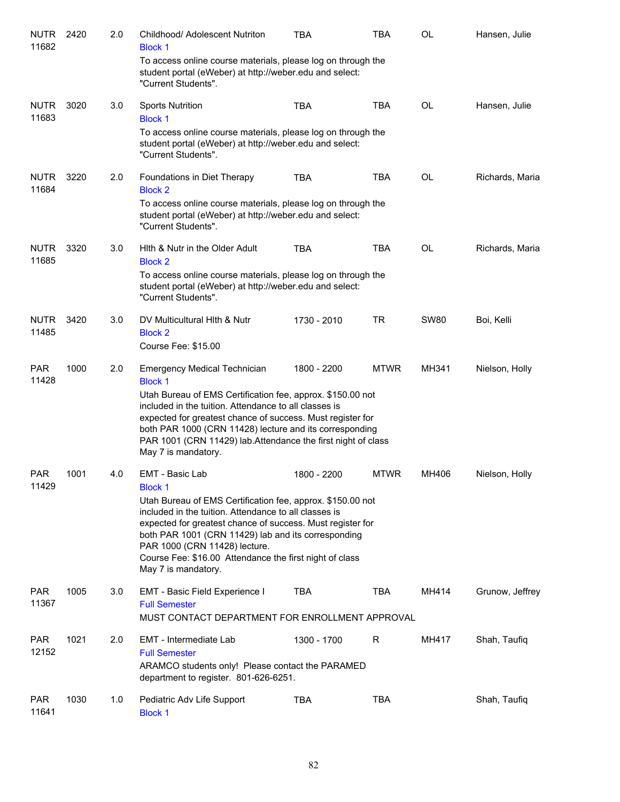| <b>NUTR</b><br>11682 | 2420 | 2.0 | Childhood/ Adolescent Nutriton<br><b>Block 1</b>                                                                                                                                                                                                                                                                                                            | <b>TBA</b>  | TBA         | OL          | Hansen, Julie   |
|----------------------|------|-----|-------------------------------------------------------------------------------------------------------------------------------------------------------------------------------------------------------------------------------------------------------------------------------------------------------------------------------------------------------------|-------------|-------------|-------------|-----------------|
|                      |      |     | To access online course materials, please log on through the<br>student portal (eWeber) at http://weber.edu and select:<br>"Current Students".                                                                                                                                                                                                              |             |             |             |                 |
| <b>NUTR</b><br>11683 | 3020 | 3.0 | <b>Sports Nutrition</b><br><b>Block 1</b>                                                                                                                                                                                                                                                                                                                   | <b>TBA</b>  | <b>TBA</b>  | OL          | Hansen, Julie   |
|                      |      |     | To access online course materials, please log on through the<br>student portal (eWeber) at http://weber.edu and select:<br>"Current Students".                                                                                                                                                                                                              |             |             |             |                 |
| <b>NUTR</b><br>11684 | 3220 | 2.0 | Foundations in Diet Therapy<br><b>Block 2</b>                                                                                                                                                                                                                                                                                                               | <b>TBA</b>  | <b>TBA</b>  | OL          | Richards, Maria |
|                      |      |     | To access online course materials, please log on through the<br>student portal (eWeber) at http://weber.edu and select:<br>"Current Students".                                                                                                                                                                                                              |             |             |             |                 |
| <b>NUTR</b><br>11685 | 3320 | 3.0 | Hith & Nutr in the Older Adult<br><b>Block 2</b>                                                                                                                                                                                                                                                                                                            | <b>TBA</b>  | <b>TBA</b>  | OL          | Richards, Maria |
|                      |      |     | To access online course materials, please log on through the<br>student portal (eWeber) at http://weber.edu and select:<br>"Current Students".                                                                                                                                                                                                              |             |             |             |                 |
| <b>NUTR</b><br>11485 | 3420 | 3.0 | DV Multicultural Hith & Nutr<br><b>Block 2</b><br>Course Fee: \$15.00                                                                                                                                                                                                                                                                                       | 1730 - 2010 | TR          | <b>SW80</b> | Boi, Kelli      |
| <b>PAR</b><br>11428  | 1000 | 2.0 | <b>Emergency Medical Technician</b><br><b>Block 1</b>                                                                                                                                                                                                                                                                                                       | 1800 - 2200 | <b>MTWR</b> | MH341       | Nielson, Holly  |
|                      |      |     | Utah Bureau of EMS Certification fee, approx. \$150.00 not<br>included in the tuition. Attendance to all classes is<br>expected for greatest chance of success. Must register for<br>both PAR 1000 (CRN 11428) lecture and its corresponding<br>PAR 1001 (CRN 11429) lab.Attendance the first night of class<br>May 7 is mandatory.                         |             |             |             |                 |
| <b>PAR</b><br>11429  | 1001 | 4.0 | EMT - Basic Lab<br><b>Block 1</b>                                                                                                                                                                                                                                                                                                                           | 1800 - 2200 | <b>MTWR</b> | MH406       | Nielson, Holly  |
|                      |      |     | Utah Bureau of EMS Certification fee, approx. \$150.00 not<br>included in the tuition. Attendance to all classes is<br>expected for greatest chance of success. Must register for<br>both PAR 1001 (CRN 11429) lab and its corresponding<br>PAR 1000 (CRN 11428) lecture.<br>Course Fee: \$16.00 Attendance the first night of class<br>May 7 is mandatory. |             |             |             |                 |
| <b>PAR</b><br>11367  | 1005 | 3.0 | EMT - Basic Field Experience I<br><b>Full Semester</b><br>MUST CONTACT DEPARTMENT FOR ENROLLMENT APPROVAL                                                                                                                                                                                                                                                   | <b>TBA</b>  | <b>TBA</b>  | MH414       | Grunow, Jeffrey |
| <b>PAR</b>           | 1021 | 2.0 | EMT - Intermediate Lab                                                                                                                                                                                                                                                                                                                                      | 1300 - 1700 | R           | MH417       | Shah, Taufiq    |
| 12152                |      |     | <b>Full Semester</b><br>ARAMCO students only! Please contact the PARAMED<br>department to register. 801-626-6251.                                                                                                                                                                                                                                           |             |             |             |                 |
| <b>PAR</b><br>11641  | 1030 | 1.0 | Pediatric Adv Life Support<br><b>Block 1</b>                                                                                                                                                                                                                                                                                                                | <b>TBA</b>  | <b>TBA</b>  |             | Shah, Taufiq    |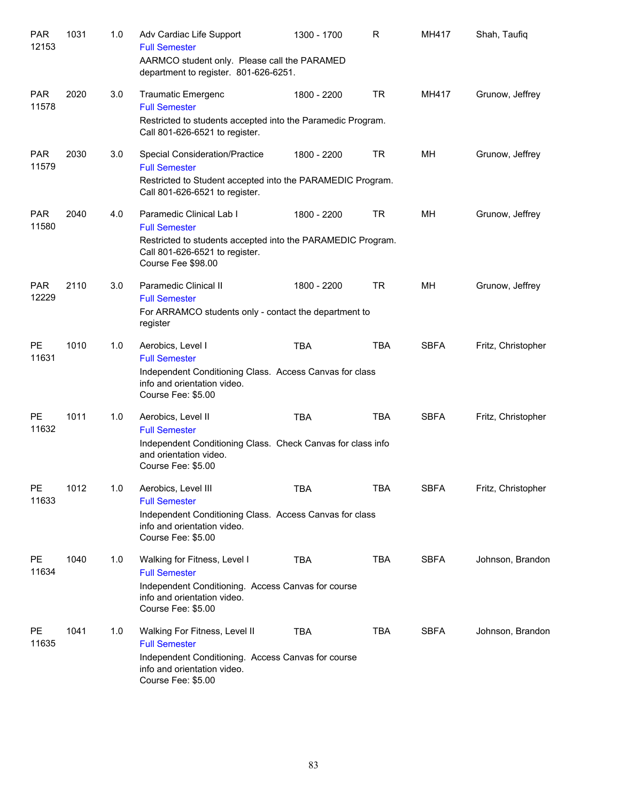| <b>PAR</b><br>12153 | 1031 | 1.0 | Adv Cardiac Life Support<br><b>Full Semester</b><br>AARMCO student only. Please call the PARAMED<br>department to register. 801-626-6251. | 1300 - 1700 | R          | MH417       | Shah, Taufiq       |
|---------------------|------|-----|-------------------------------------------------------------------------------------------------------------------------------------------|-------------|------------|-------------|--------------------|
| <b>PAR</b><br>11578 | 2020 | 3.0 | <b>Traumatic Emergenc</b><br><b>Full Semester</b>                                                                                         | 1800 - 2200 | <b>TR</b>  | MH417       | Grunow, Jeffrey    |
|                     |      |     | Restricted to students accepted into the Paramedic Program.<br>Call 801-626-6521 to register.                                             |             |            |             |                    |
| <b>PAR</b><br>11579 | 2030 | 3.0 | <b>Special Consideration/Practice</b><br><b>Full Semester</b>                                                                             | 1800 - 2200 | <b>TR</b>  | MH          | Grunow, Jeffrey    |
|                     |      |     | Restricted to Student accepted into the PARAMEDIC Program.<br>Call 801-626-6521 to register.                                              |             |            |             |                    |
| <b>PAR</b><br>11580 | 2040 | 4.0 | Paramedic Clinical Lab I<br><b>Full Semester</b>                                                                                          | 1800 - 2200 | <b>TR</b>  | MН          | Grunow, Jeffrey    |
|                     |      |     | Restricted to students accepted into the PARAMEDIC Program.<br>Call 801-626-6521 to register.<br>Course Fee \$98.00                       |             |            |             |                    |
| <b>PAR</b><br>12229 | 2110 | 3.0 | Paramedic Clinical II<br><b>Full Semester</b>                                                                                             | 1800 - 2200 | <b>TR</b>  | MН          | Grunow, Jeffrey    |
|                     |      |     | For ARRAMCO students only - contact the department to<br>register                                                                         |             |            |             |                    |
| <b>PE</b><br>11631  | 1010 | 1.0 | Aerobics, Level I<br><b>Full Semester</b>                                                                                                 | <b>TBA</b>  | <b>TBA</b> | <b>SBFA</b> | Fritz, Christopher |
|                     |      |     | Independent Conditioning Class. Access Canvas for class<br>info and orientation video.<br>Course Fee: \$5.00                              |             |            |             |                    |
| PE<br>11632         | 1011 | 1.0 | Aerobics, Level II<br><b>Full Semester</b>                                                                                                | <b>TBA</b>  | <b>TBA</b> | <b>SBFA</b> | Fritz, Christopher |
|                     |      |     | Independent Conditioning Class. Check Canvas for class info<br>and orientation video.<br>Course Fee: \$5.00                               |             |            |             |                    |
| PE<br>11633         | 1012 | 1.0 | Aerobics, Level III<br><b>Full Semester</b>                                                                                               | TBA         | TBA        | <b>SBFA</b> | Fritz, Christopher |
|                     |      |     | Independent Conditioning Class. Access Canvas for class<br>info and orientation video.<br>Course Fee: \$5.00                              |             |            |             |                    |
| PE<br>11634         | 1040 | 1.0 | Walking for Fitness, Level I<br><b>Full Semester</b>                                                                                      | TBA         | <b>TBA</b> | <b>SBFA</b> | Johnson, Brandon   |
|                     |      |     | Independent Conditioning. Access Canvas for course<br>info and orientation video.<br>Course Fee: \$5.00                                   |             |            |             |                    |
| PE<br>11635         | 1041 | 1.0 | Walking For Fitness, Level II<br><b>Full Semester</b>                                                                                     | TBA         | <b>TBA</b> | <b>SBFA</b> | Johnson, Brandon   |
|                     |      |     | Independent Conditioning. Access Canvas for course<br>info and orientation video.<br>Course Fee: \$5.00                                   |             |            |             |                    |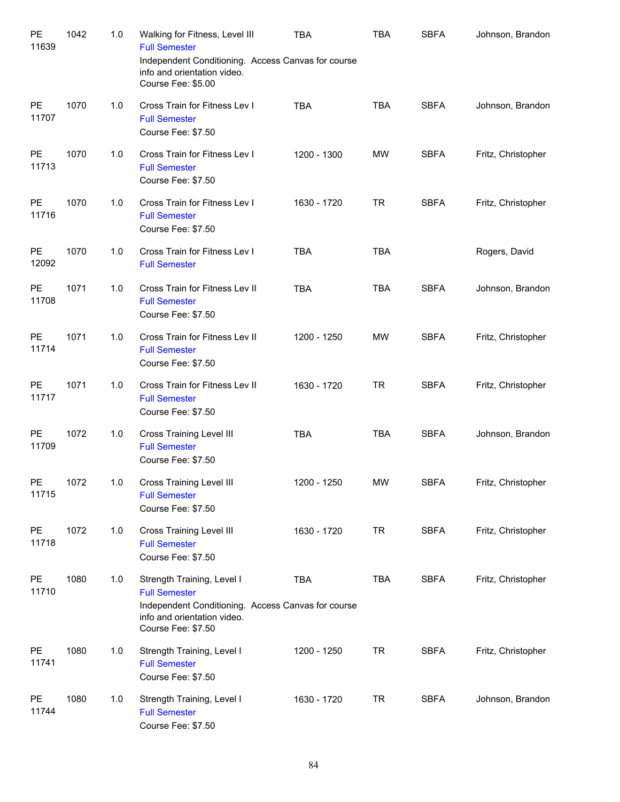| PE<br>11639        | 1042 | 1.0 | Walking for Fitness, Level III<br><b>Full Semester</b><br>Independent Conditioning. Access Canvas for course<br>info and orientation video.<br>Course Fee: \$5.00 | <b>TBA</b>  | <b>TBA</b> | <b>SBFA</b> | Johnson, Brandon   |
|--------------------|------|-----|-------------------------------------------------------------------------------------------------------------------------------------------------------------------|-------------|------------|-------------|--------------------|
| PE<br>11707        | 1070 | 1.0 | Cross Train for Fitness Lev I<br><b>Full Semester</b><br>Course Fee: \$7.50                                                                                       | <b>TBA</b>  | <b>TBA</b> | <b>SBFA</b> | Johnson, Brandon   |
| PE<br>11713        | 1070 | 1.0 | Cross Train for Fitness Lev I<br><b>Full Semester</b><br>Course Fee: \$7.50                                                                                       | 1200 - 1300 | <b>MW</b>  | <b>SBFA</b> | Fritz, Christopher |
| PE<br>11716        | 1070 | 1.0 | Cross Train for Fitness Lev I<br><b>Full Semester</b><br>Course Fee: \$7.50                                                                                       | 1630 - 1720 | <b>TR</b>  | <b>SBFA</b> | Fritz, Christopher |
| PE<br>12092        | 1070 | 1.0 | Cross Train for Fitness Lev I<br><b>Full Semester</b>                                                                                                             | <b>TBA</b>  | <b>TBA</b> |             | Rogers, David      |
| PE<br>11708        | 1071 | 1.0 | Cross Train for Fitness Lev II<br><b>Full Semester</b><br>Course Fee: \$7.50                                                                                      | <b>TBA</b>  | <b>TBA</b> | <b>SBFA</b> | Johnson, Brandon   |
| PE<br>11714        | 1071 | 1.0 | Cross Train for Fitness Lev II<br><b>Full Semester</b><br>Course Fee: \$7.50                                                                                      | 1200 - 1250 | <b>MW</b>  | <b>SBFA</b> | Fritz, Christopher |
| PE<br>11717        | 1071 | 1.0 | Cross Train for Fitness Lev II<br><b>Full Semester</b><br>Course Fee: \$7.50                                                                                      | 1630 - 1720 | <b>TR</b>  | <b>SBFA</b> | Fritz, Christopher |
| PE<br>11709        | 1072 | 1.0 | Cross Training Level III<br><b>Full Semester</b><br>Course Fee: \$7.50                                                                                            | <b>TBA</b>  | <b>TBA</b> | <b>SBFA</b> | Johnson, Brandon   |
| PE<br>11715        | 1072 | 1.0 | Cross Training Level III<br><b>Full Semester</b><br>Course Fee: \$7.50                                                                                            | 1200 - 1250 | MW         | <b>SBFA</b> | Fritz, Christopher |
| PE<br>11718        | 1072 | 1.0 | Cross Training Level III<br><b>Full Semester</b><br>Course Fee: \$7.50                                                                                            | 1630 - 1720 | <b>TR</b>  | <b>SBFA</b> | Fritz, Christopher |
| <b>PE</b><br>11710 | 1080 | 1.0 | Strength Training, Level I<br><b>Full Semester</b><br>Independent Conditioning. Access Canvas for course<br>info and orientation video.<br>Course Fee: \$7.50     | <b>TBA</b>  | <b>TBA</b> | <b>SBFA</b> | Fritz, Christopher |
| PE<br>11741        | 1080 | 1.0 | Strength Training, Level I<br><b>Full Semester</b><br>Course Fee: \$7.50                                                                                          | 1200 - 1250 | <b>TR</b>  | <b>SBFA</b> | Fritz, Christopher |
| <b>PE</b><br>11744 | 1080 | 1.0 | Strength Training, Level I<br><b>Full Semester</b><br>Course Fee: \$7.50                                                                                          | 1630 - 1720 | <b>TR</b>  | <b>SBFA</b> | Johnson, Brandon   |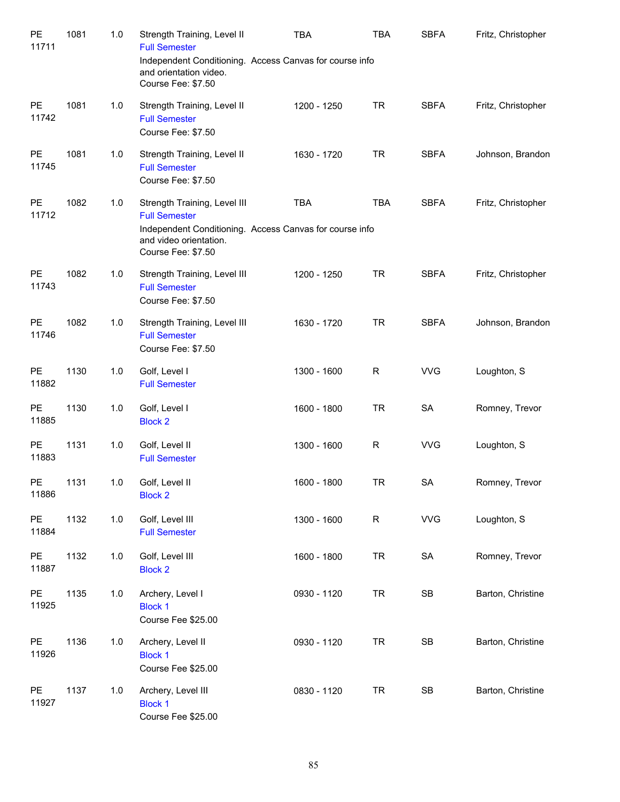| PE<br>11711 | 1081 | 1.0   | Strength Training, Level II<br><b>Full Semester</b>                                                  | <b>TBA</b>                                                            | <b>TBA</b>  | <b>SBFA</b> | Fritz, Christopher |
|-------------|------|-------|------------------------------------------------------------------------------------------------------|-----------------------------------------------------------------------|-------------|-------------|--------------------|
|             |      |       | and orientation video.<br>Course Fee: \$7.50                                                         | Independent Conditioning. Access Canvas for course info               |             |             |                    |
| PE<br>11742 | 1081 | 1.0   | Strength Training, Level II<br><b>Full Semester</b><br>Course Fee: \$7.50                            | 1200 - 1250                                                           | <b>TR</b>   | <b>SBFA</b> | Fritz, Christopher |
| PE<br>11745 | 1081 | 1.0   | Strength Training, Level II<br><b>Full Semester</b><br>Course Fee: \$7.50                            | 1630 - 1720                                                           | <b>TR</b>   | <b>SBFA</b> | Johnson, Brandon   |
| PE<br>11712 | 1082 | 1.0   | Strength Training, Level III<br><b>Full Semester</b><br>and video orientation.<br>Course Fee: \$7.50 | <b>TBA</b><br>Independent Conditioning. Access Canvas for course info | <b>TBA</b>  | <b>SBFA</b> | Fritz, Christopher |
| PE<br>11743 | 1082 | 1.0   | Strength Training, Level III<br><b>Full Semester</b><br>Course Fee: \$7.50                           | 1200 - 1250                                                           | <b>TR</b>   | <b>SBFA</b> | Fritz, Christopher |
| PE<br>11746 | 1082 | 1.0   | Strength Training, Level III<br><b>Full Semester</b><br>Course Fee: \$7.50                           | 1630 - 1720                                                           | <b>TR</b>   | <b>SBFA</b> | Johnson, Brandon   |
| PE<br>11882 | 1130 | 1.0   | Golf, Level I<br><b>Full Semester</b>                                                                | 1300 - 1600                                                           | $\mathsf R$ | <b>VVG</b>  | Loughton, S        |
| PE<br>11885 | 1130 | 1.0   | Golf, Level I<br><b>Block 2</b>                                                                      | 1600 - 1800                                                           | <b>TR</b>   | SA          | Romney, Trevor     |
| PE<br>11883 | 1131 | $1.0$ | Golf, Level II<br><b>Full Semester</b>                                                               | 1300 - 1600                                                           | $\mathsf R$ | <b>VVG</b>  | Loughton, S        |
| PE<br>11886 | 1131 | 1.0   | Golf, Level II<br><b>Block 2</b>                                                                     | 1600 - 1800                                                           | <b>TR</b>   | SA          | Romney, Trevor     |
| PE<br>11884 | 1132 | 1.0   | Golf, Level III<br><b>Full Semester</b>                                                              | 1300 - 1600                                                           | $\mathsf R$ | <b>VVG</b>  | Loughton, S        |
| PE<br>11887 | 1132 | 1.0   | Golf, Level III<br><b>Block 2</b>                                                                    | 1600 - 1800                                                           | <b>TR</b>   | SA          | Romney, Trevor     |
| PE<br>11925 | 1135 | 1.0   | Archery, Level I<br><b>Block 1</b><br>Course Fee \$25.00                                             | 0930 - 1120                                                           | <b>TR</b>   | SB          | Barton, Christine  |
| PE<br>11926 | 1136 | 1.0   | Archery, Level II<br><b>Block 1</b><br>Course Fee \$25.00                                            | 0930 - 1120                                                           | <b>TR</b>   | SB          | Barton, Christine  |
| PE<br>11927 | 1137 | 1.0   | Archery, Level III<br><b>Block 1</b><br>Course Fee \$25.00                                           | 0830 - 1120                                                           | <b>TR</b>   | SB          | Barton, Christine  |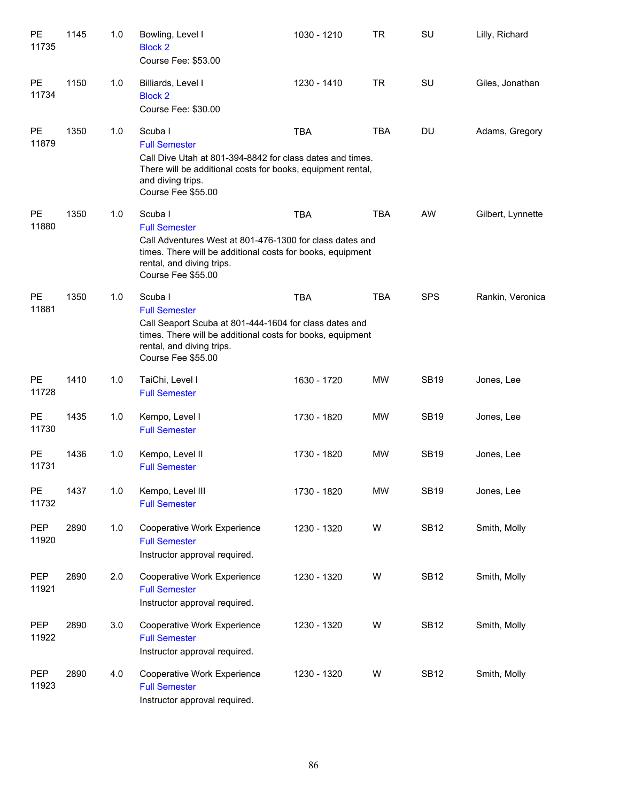| <b>PE</b><br>11735  | 1145 | 1.0 | Bowling, Level I<br><b>Block 2</b><br>Course Fee: \$53.00                                                                                                                                                    | 1030 - 1210 | <b>TR</b>  | SU          | Lilly, Richard    |
|---------------------|------|-----|--------------------------------------------------------------------------------------------------------------------------------------------------------------------------------------------------------------|-------------|------------|-------------|-------------------|
| <b>PE</b><br>11734  | 1150 | 1.0 | Billiards, Level I<br><b>Block 2</b><br>Course Fee: \$30.00                                                                                                                                                  | 1230 - 1410 | <b>TR</b>  | SU          | Giles, Jonathan   |
| <b>PE</b><br>11879  | 1350 | 1.0 | Scuba I<br><b>Full Semester</b><br>Call Dive Utah at 801-394-8842 for class dates and times.<br>There will be additional costs for books, equipment rental,<br>and diving trips.<br>Course Fee \$55.00       | <b>TBA</b>  | <b>TBA</b> | DU          | Adams, Gregory    |
| <b>PE</b><br>11880  | 1350 | 1.0 | Scuba I<br><b>Full Semester</b><br>Call Adventures West at 801-476-1300 for class dates and<br>times. There will be additional costs for books, equipment<br>rental, and diving trips.<br>Course Fee \$55.00 | <b>TBA</b>  | <b>TBA</b> | AW          | Gilbert, Lynnette |
| <b>PE</b><br>11881  | 1350 | 1.0 | Scuba I<br><b>Full Semester</b><br>Call Seaport Scuba at 801-444-1604 for class dates and<br>times. There will be additional costs for books, equipment<br>rental, and diving trips.<br>Course Fee \$55.00   | <b>TBA</b>  | <b>TBA</b> | <b>SPS</b>  | Rankin, Veronica  |
| <b>PE</b><br>11728  | 1410 | 1.0 | TaiChi, Level I<br><b>Full Semester</b>                                                                                                                                                                      | 1630 - 1720 | <b>MW</b>  | <b>SB19</b> | Jones, Lee        |
| <b>PE</b><br>11730  | 1435 | 1.0 | Kempo, Level I<br><b>Full Semester</b>                                                                                                                                                                       | 1730 - 1820 | <b>MW</b>  | <b>SB19</b> | Jones, Lee        |
| PE<br>11731         | 1436 | 1.0 | Kempo, Level II<br><b>Full Semester</b>                                                                                                                                                                      | 1730 - 1820 | <b>MW</b>  | <b>SB19</b> | Jones, Lee        |
| PE<br>11732         | 1437 | 1.0 | Kempo, Level III<br><b>Full Semester</b>                                                                                                                                                                     | 1730 - 1820 | MW         | <b>SB19</b> | Jones, Lee        |
| <b>PEP</b><br>11920 | 2890 | 1.0 | Cooperative Work Experience<br><b>Full Semester</b><br>Instructor approval required.                                                                                                                         | 1230 - 1320 | W          | <b>SB12</b> | Smith, Molly      |
| <b>PEP</b><br>11921 | 2890 | 2.0 | Cooperative Work Experience<br><b>Full Semester</b><br>Instructor approval required.                                                                                                                         | 1230 - 1320 | W          | <b>SB12</b> | Smith, Molly      |
| <b>PEP</b><br>11922 | 2890 | 3.0 | Cooperative Work Experience<br><b>Full Semester</b><br>Instructor approval required.                                                                                                                         | 1230 - 1320 | W          | <b>SB12</b> | Smith, Molly      |
| <b>PEP</b><br>11923 | 2890 | 4.0 | Cooperative Work Experience<br><b>Full Semester</b><br>Instructor approval required.                                                                                                                         | 1230 - 1320 | W          | <b>SB12</b> | Smith, Molly      |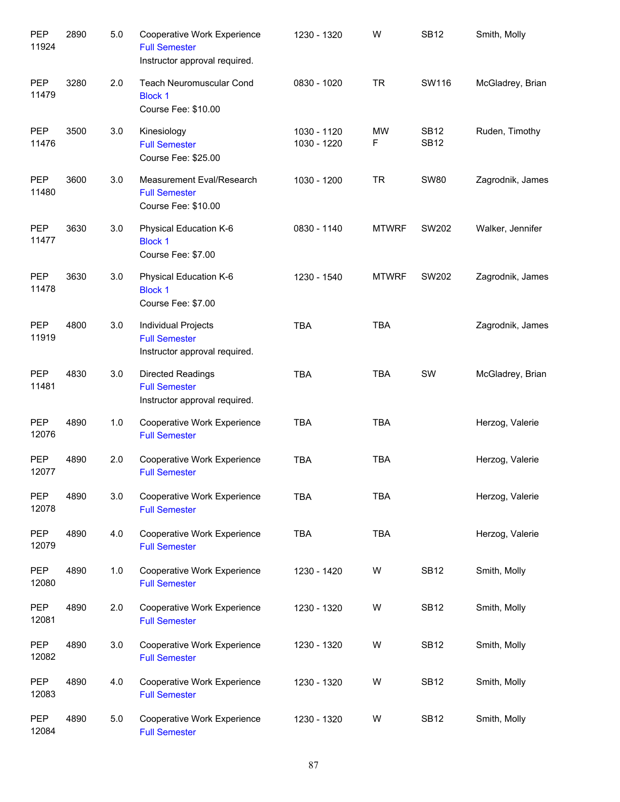| <b>PEP</b><br>11924 | 2890 | 5.0 | Cooperative Work Experience<br><b>Full Semester</b><br>Instructor approval required. | 1230 - 1320                | W              | <b>SB12</b>                | Smith, Molly     |
|---------------------|------|-----|--------------------------------------------------------------------------------------|----------------------------|----------------|----------------------------|------------------|
| <b>PEP</b><br>11479 | 3280 | 2.0 | <b>Teach Neuromuscular Cond</b><br><b>Block 1</b><br>Course Fee: \$10.00             | 0830 - 1020                | <b>TR</b>      | SW116                      | McGladrey, Brian |
| <b>PEP</b><br>11476 | 3500 | 3.0 | Kinesiology<br><b>Full Semester</b><br>Course Fee: \$25.00                           | 1030 - 1120<br>1030 - 1220 | <b>MW</b><br>F | <b>SB12</b><br><b>SB12</b> | Ruden, Timothy   |
| <b>PEP</b><br>11480 | 3600 | 3.0 | Measurement Eval/Research<br><b>Full Semester</b><br>Course Fee: \$10.00             | 1030 - 1200                | <b>TR</b>      | <b>SW80</b>                | Zagrodnik, James |
| <b>PEP</b><br>11477 | 3630 | 3.0 | Physical Education K-6<br><b>Block 1</b><br>Course Fee: \$7.00                       | 0830 - 1140                | <b>MTWRF</b>   | SW202                      | Walker, Jennifer |
| <b>PEP</b><br>11478 | 3630 | 3.0 | Physical Education K-6<br><b>Block 1</b><br>Course Fee: \$7.00                       | 1230 - 1540                | <b>MTWRF</b>   | SW202                      | Zagrodnik, James |
| <b>PEP</b><br>11919 | 4800 | 3.0 | Individual Projects<br><b>Full Semester</b><br>Instructor approval required.         | <b>TBA</b>                 | <b>TBA</b>     |                            | Zagrodnik, James |
| <b>PEP</b><br>11481 | 4830 | 3.0 | <b>Directed Readings</b><br><b>Full Semester</b><br>Instructor approval required.    | <b>TBA</b>                 | <b>TBA</b>     | SW                         | McGladrey, Brian |
| <b>PEP</b><br>12076 | 4890 | 1.0 | Cooperative Work Experience<br><b>Full Semester</b>                                  | <b>TBA</b>                 | <b>TBA</b>     |                            | Herzog, Valerie  |
| <b>PEP</b><br>12077 | 4890 | 2.0 | Cooperative Work Experience<br><b>Full Semester</b>                                  | <b>TBA</b>                 | <b>TBA</b>     |                            | Herzog, Valerie  |
| <b>PEP</b><br>12078 | 4890 | 3.0 | Cooperative Work Experience<br><b>Full Semester</b>                                  | <b>TBA</b>                 | <b>TBA</b>     |                            | Herzog, Valerie  |
| PEP<br>12079        | 4890 | 4.0 | Cooperative Work Experience<br><b>Full Semester</b>                                  | TBA                        | <b>TBA</b>     |                            | Herzog, Valerie  |
| <b>PEP</b><br>12080 | 4890 | 1.0 | Cooperative Work Experience<br><b>Full Semester</b>                                  | 1230 - 1420                | W              | <b>SB12</b>                | Smith, Molly     |
| <b>PEP</b><br>12081 | 4890 | 2.0 | Cooperative Work Experience<br><b>Full Semester</b>                                  | 1230 - 1320                | W              | <b>SB12</b>                | Smith, Molly     |
| PEP<br>12082        | 4890 | 3.0 | Cooperative Work Experience<br><b>Full Semester</b>                                  | 1230 - 1320                | W              | <b>SB12</b>                | Smith, Molly     |
| PEP<br>12083        | 4890 | 4.0 | Cooperative Work Experience<br><b>Full Semester</b>                                  | 1230 - 1320                | W              | <b>SB12</b>                | Smith, Molly     |
| <b>PEP</b><br>12084 | 4890 | 5.0 | Cooperative Work Experience<br><b>Full Semester</b>                                  | 1230 - 1320                | W              | <b>SB12</b>                | Smith, Molly     |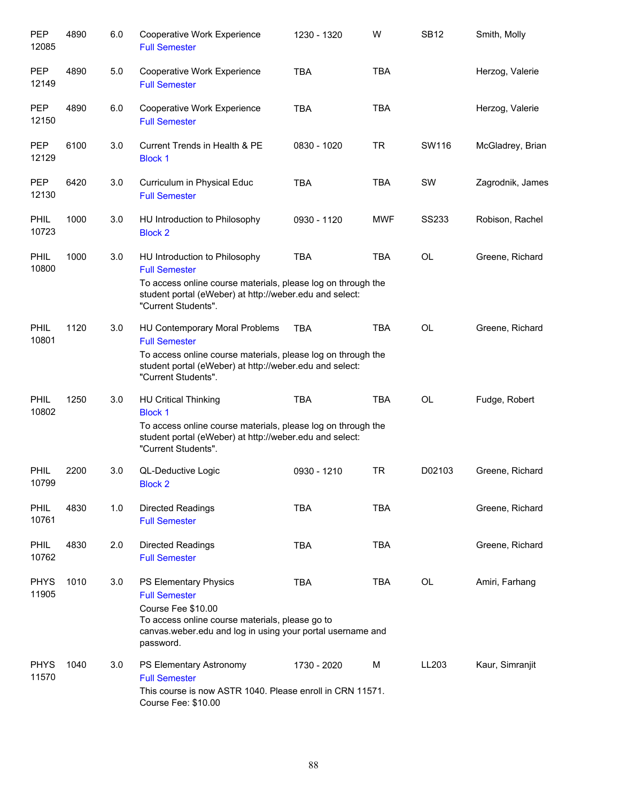| PEP<br>12085         | 4890 | 6.0 | Cooperative Work Experience<br><b>Full Semester</b>                                                                                                                                                      | 1230 - 1320 | W          | <b>SB12</b>  | Smith, Molly     |
|----------------------|------|-----|----------------------------------------------------------------------------------------------------------------------------------------------------------------------------------------------------------|-------------|------------|--------------|------------------|
| <b>PEP</b><br>12149  | 4890 | 5.0 | Cooperative Work Experience<br><b>Full Semester</b>                                                                                                                                                      | <b>TBA</b>  | <b>TBA</b> |              | Herzog, Valerie  |
| <b>PEP</b><br>12150  | 4890 | 6.0 | Cooperative Work Experience<br><b>Full Semester</b>                                                                                                                                                      | <b>TBA</b>  | <b>TBA</b> |              | Herzog, Valerie  |
| <b>PEP</b><br>12129  | 6100 | 3.0 | Current Trends in Health & PE<br><b>Block 1</b>                                                                                                                                                          | 0830 - 1020 | <b>TR</b>  | SW116        | McGladrey, Brian |
| <b>PEP</b><br>12130  | 6420 | 3.0 | Curriculum in Physical Educ<br><b>Full Semester</b>                                                                                                                                                      | <b>TBA</b>  | TBA        | SW           | Zagrodnik, James |
| <b>PHIL</b><br>10723 | 1000 | 3.0 | HU Introduction to Philosophy<br><b>Block 2</b>                                                                                                                                                          | 0930 - 1120 | <b>MWF</b> | <b>SS233</b> | Robison, Rachel  |
| <b>PHIL</b><br>10800 | 1000 | 3.0 | HU Introduction to Philosophy<br><b>Full Semester</b><br>To access online course materials, please log on through the<br>student portal (eWeber) at http://weber.edu and select:<br>"Current Students".  | <b>TBA</b>  | <b>TBA</b> | <b>OL</b>    | Greene, Richard  |
| <b>PHIL</b><br>10801 | 1120 | 3.0 | HU Contemporary Moral Problems<br><b>Full Semester</b><br>To access online course materials, please log on through the<br>student portal (eWeber) at http://weber.edu and select:<br>"Current Students". | TBA         | <b>TBA</b> | <b>OL</b>    | Greene, Richard  |
| PHIL<br>10802        | 1250 | 3.0 | <b>HU Critical Thinking</b><br><b>Block 1</b><br>To access online course materials, please log on through the<br>student portal (eWeber) at http://weber.edu and select:<br>"Current Students".          | <b>TBA</b>  | <b>TBA</b> | OL           | Fudge, Robert    |
| <b>PHIL</b><br>10799 | 2200 | 3.0 | QL-Deductive Logic<br><b>Block 2</b>                                                                                                                                                                     | 0930 - 1210 | <b>TR</b>  | D02103       | Greene, Richard  |
| <b>PHIL</b><br>10761 | 4830 | 1.0 | <b>Directed Readings</b><br><b>Full Semester</b>                                                                                                                                                         | <b>TBA</b>  | <b>TBA</b> |              | Greene, Richard  |
| <b>PHIL</b><br>10762 | 4830 | 2.0 | <b>Directed Readings</b><br><b>Full Semester</b>                                                                                                                                                         | <b>TBA</b>  | <b>TBA</b> |              | Greene, Richard  |
| <b>PHYS</b><br>11905 | 1010 | 3.0 | PS Elementary Physics<br><b>Full Semester</b><br>Course Fee \$10.00<br>To access online course materials, please go to<br>canvas.weber.edu and log in using your portal username and<br>password.        | <b>TBA</b>  | TBA        | <b>OL</b>    | Amiri, Farhang   |
| <b>PHYS</b><br>11570 | 1040 | 3.0 | PS Elementary Astronomy<br><b>Full Semester</b><br>This course is now ASTR 1040. Please enroll in CRN 11571.<br>Course Fee: \$10.00                                                                      | 1730 - 2020 | М          | LL203        | Kaur, Simranjit  |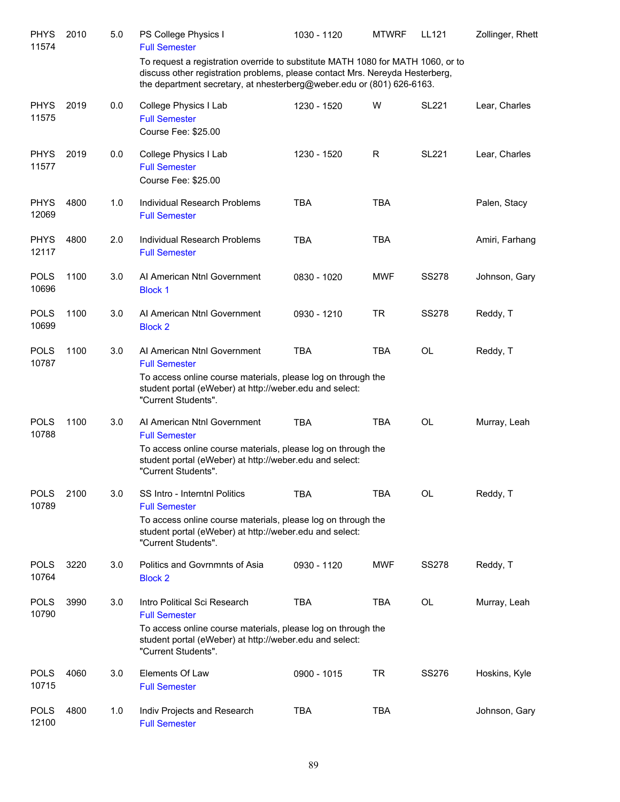| <b>PHYS</b><br>11574 | 2010 | 5.0 | PS College Physics I<br><b>Full Semester</b>                                                                                                                                                                                             | 1030 - 1120 | <b>MTWRF</b> | LL121        | Zollinger, Rhett |
|----------------------|------|-----|------------------------------------------------------------------------------------------------------------------------------------------------------------------------------------------------------------------------------------------|-------------|--------------|--------------|------------------|
|                      |      |     | To request a registration override to substitute MATH 1080 for MATH 1060, or to<br>discuss other registration problems, please contact Mrs. Nereyda Hesterberg,<br>the department secretary, at nhesterberg@weber.edu or (801) 626-6163. |             |              |              |                  |
| <b>PHYS</b><br>11575 | 2019 | 0.0 | College Physics I Lab<br><b>Full Semester</b><br>Course Fee: \$25.00                                                                                                                                                                     | 1230 - 1520 | W            | <b>SL221</b> | Lear, Charles    |
| <b>PHYS</b><br>11577 | 2019 | 0.0 | College Physics I Lab<br><b>Full Semester</b><br>Course Fee: \$25.00                                                                                                                                                                     | 1230 - 1520 | R            | <b>SL221</b> | Lear, Charles    |
| <b>PHYS</b><br>12069 | 4800 | 1.0 | Individual Research Problems<br><b>Full Semester</b>                                                                                                                                                                                     | <b>TBA</b>  | <b>TBA</b>   |              | Palen, Stacy     |
| <b>PHYS</b><br>12117 | 4800 | 2.0 | Individual Research Problems<br><b>Full Semester</b>                                                                                                                                                                                     | <b>TBA</b>  | <b>TBA</b>   |              | Amiri, Farhang   |
| <b>POLS</b><br>10696 | 1100 | 3.0 | Al American Ntnl Government<br><b>Block 1</b>                                                                                                                                                                                            | 0830 - 1020 | <b>MWF</b>   | <b>SS278</b> | Johnson, Gary    |
| <b>POLS</b><br>10699 | 1100 | 3.0 | Al American Ntnl Government<br><b>Block 2</b>                                                                                                                                                                                            | 0930 - 1210 | <b>TR</b>    | <b>SS278</b> | Reddy, T         |
| <b>POLS</b><br>10787 | 1100 | 3.0 | Al American Ntnl Government<br><b>Full Semester</b><br>To access online course materials, please log on through the<br>student portal (eWeber) at http://weber.edu and select:<br>"Current Students".                                    | <b>TBA</b>  | <b>TBA</b>   | <b>OL</b>    | Reddy, T         |
| <b>POLS</b><br>10788 | 1100 | 3.0 | Al American Ntnl Government<br><b>Full Semester</b><br>To access online course materials, please log on through the<br>student portal (eWeber) at http://weber.edu and select:<br>"Current Students".                                    | <b>TBA</b>  | <b>TBA</b>   | OL           | Murray, Leah     |
| <b>POLS</b><br>10789 | 2100 | 3.0 | SS Intro - Interntnl Politics<br><b>Full Semester</b><br>To access online course materials, please log on through the<br>student portal (eWeber) at http://weber.edu and select:<br>"Current Students".                                  | <b>TBA</b>  | <b>TBA</b>   | <b>OL</b>    | Reddy, T         |
| <b>POLS</b><br>10764 | 3220 | 3.0 | Politics and Govrnmnts of Asia<br><b>Block 2</b>                                                                                                                                                                                         | 0930 - 1120 | <b>MWF</b>   | <b>SS278</b> | Reddy, T         |
| <b>POLS</b><br>10790 | 3990 | 3.0 | Intro Political Sci Research<br><b>Full Semester</b><br>To access online course materials, please log on through the<br>student portal (eWeber) at http://weber.edu and select:<br>"Current Students".                                   | <b>TBA</b>  | TBA          | OL           | Murray, Leah     |
| <b>POLS</b><br>10715 | 4060 | 3.0 | Elements Of Law<br><b>Full Semester</b>                                                                                                                                                                                                  | 0900 - 1015 | TR           | <b>SS276</b> | Hoskins, Kyle    |
| <b>POLS</b><br>12100 | 4800 | 1.0 | Indiv Projects and Research<br><b>Full Semester</b>                                                                                                                                                                                      | <b>TBA</b>  | <b>TBA</b>   |              | Johnson, Gary    |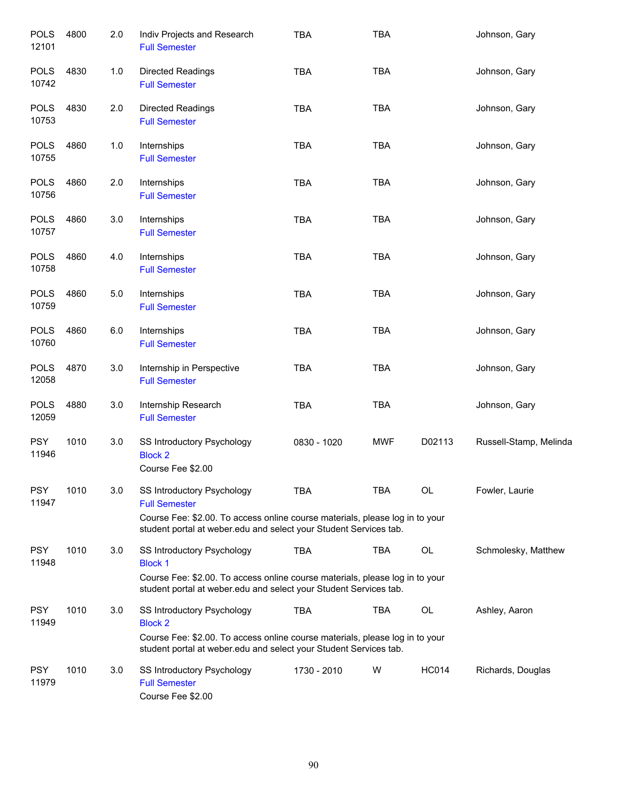| <b>POLS</b><br>12101 | 4800 | 2.0 | Indiv Projects and Research<br><b>Full Semester</b>                                                                                                                                                            | <b>TBA</b>  | <b>TBA</b> |              | Johnson, Gary          |
|----------------------|------|-----|----------------------------------------------------------------------------------------------------------------------------------------------------------------------------------------------------------------|-------------|------------|--------------|------------------------|
| <b>POLS</b><br>10742 | 4830 | 1.0 | <b>Directed Readings</b><br><b>Full Semester</b>                                                                                                                                                               | <b>TBA</b>  | <b>TBA</b> |              | Johnson, Gary          |
| <b>POLS</b><br>10753 | 4830 | 2.0 | Directed Readings<br><b>Full Semester</b>                                                                                                                                                                      | <b>TBA</b>  | <b>TBA</b> |              | Johnson, Gary          |
| <b>POLS</b><br>10755 | 4860 | 1.0 | Internships<br><b>Full Semester</b>                                                                                                                                                                            | <b>TBA</b>  | <b>TBA</b> |              | Johnson, Gary          |
| <b>POLS</b><br>10756 | 4860 | 2.0 | Internships<br><b>Full Semester</b>                                                                                                                                                                            | <b>TBA</b>  | <b>TBA</b> |              | Johnson, Gary          |
| <b>POLS</b><br>10757 | 4860 | 3.0 | Internships<br><b>Full Semester</b>                                                                                                                                                                            | TBA         | <b>TBA</b> |              | Johnson, Gary          |
| <b>POLS</b><br>10758 | 4860 | 4.0 | Internships<br><b>Full Semester</b>                                                                                                                                                                            | <b>TBA</b>  | <b>TBA</b> |              | Johnson, Gary          |
| <b>POLS</b><br>10759 | 4860 | 5.0 | Internships<br><b>Full Semester</b>                                                                                                                                                                            | <b>TBA</b>  | <b>TBA</b> |              | Johnson, Gary          |
| <b>POLS</b><br>10760 | 4860 | 6.0 | Internships<br><b>Full Semester</b>                                                                                                                                                                            | <b>TBA</b>  | <b>TBA</b> |              | Johnson, Gary          |
| <b>POLS</b><br>12058 | 4870 | 3.0 | Internship in Perspective<br><b>Full Semester</b>                                                                                                                                                              | <b>TBA</b>  | <b>TBA</b> |              | Johnson, Gary          |
| <b>POLS</b><br>12059 | 4880 | 3.0 | Internship Research<br><b>Full Semester</b>                                                                                                                                                                    | <b>TBA</b>  | <b>TBA</b> |              | Johnson, Gary          |
| <b>PSY</b><br>11946  | 1010 | 3.0 | SS Introductory Psychology<br><b>Block 2</b><br>Course Fee \$2.00                                                                                                                                              | 0830 - 1020 | <b>MWF</b> | D02113       | Russell-Stamp, Melinda |
| <b>PSY</b><br>11947  | 1010 | 3.0 | <b>SS Introductory Psychology</b><br><b>Full Semester</b><br>Course Fee: \$2.00. To access online course materials, please log in to your<br>student portal at weber edu and select your Student Services tab. | <b>TBA</b>  | <b>TBA</b> | <b>OL</b>    | Fowler, Laurie         |
| <b>PSY</b><br>11948  | 1010 | 3.0 | SS Introductory Psychology<br><b>Block 1</b><br>Course Fee: \$2.00. To access online course materials, please log in to your<br>student portal at weber edu and select your Student Services tab.              | <b>TBA</b>  | <b>TBA</b> | OL           | Schmolesky, Matthew    |
| <b>PSY</b><br>11949  | 1010 | 3.0 | SS Introductory Psychology<br><b>Block 2</b><br>Course Fee: \$2.00. To access online course materials, please log in to your<br>student portal at weber.edu and select your Student Services tab.              | <b>TBA</b>  | <b>TBA</b> | OL           | Ashley, Aaron          |
| <b>PSY</b><br>11979  | 1010 | 3.0 | SS Introductory Psychology<br><b>Full Semester</b><br>Course Fee \$2.00                                                                                                                                        | 1730 - 2010 | W          | <b>HC014</b> | Richards, Douglas      |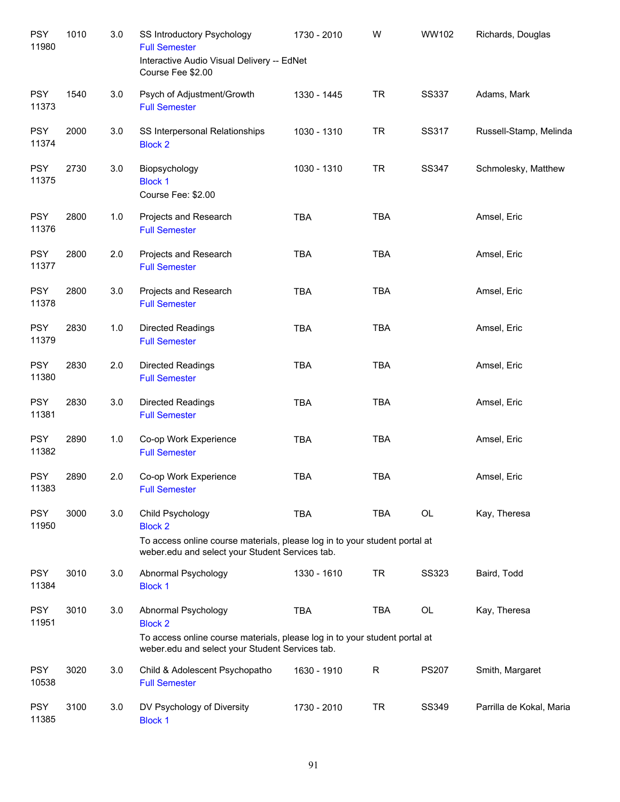| <b>PSY</b><br>11980 | 1010 | $3.0\,$ | SS Introductory Psychology<br><b>Full Semester</b><br>Interactive Audio Visual Delivery -- EdNet<br>Course Fee \$2.00         | 1730 - 2010 | W            | WW102        | Richards, Douglas        |
|---------------------|------|---------|-------------------------------------------------------------------------------------------------------------------------------|-------------|--------------|--------------|--------------------------|
| <b>PSY</b><br>11373 | 1540 | 3.0     | Psych of Adjustment/Growth<br><b>Full Semester</b>                                                                            | 1330 - 1445 | <b>TR</b>    | <b>SS337</b> | Adams, Mark              |
| <b>PSY</b><br>11374 | 2000 | 3.0     | SS Interpersonal Relationships<br><b>Block 2</b>                                                                              | 1030 - 1310 | <b>TR</b>    | SS317        | Russell-Stamp, Melinda   |
| <b>PSY</b><br>11375 | 2730 | 3.0     | Biopsychology<br><b>Block 1</b><br>Course Fee: \$2.00                                                                         | 1030 - 1310 | <b>TR</b>    | SS347        | Schmolesky, Matthew      |
| <b>PSY</b><br>11376 | 2800 | 1.0     | Projects and Research<br><b>Full Semester</b>                                                                                 | <b>TBA</b>  | <b>TBA</b>   |              | Amsel, Eric              |
| <b>PSY</b><br>11377 | 2800 | 2.0     | Projects and Research<br><b>Full Semester</b>                                                                                 | <b>TBA</b>  | <b>TBA</b>   |              | Amsel, Eric              |
| <b>PSY</b><br>11378 | 2800 | 3.0     | Projects and Research<br><b>Full Semester</b>                                                                                 | <b>TBA</b>  | <b>TBA</b>   |              | Amsel, Eric              |
| <b>PSY</b><br>11379 | 2830 | 1.0     | Directed Readings<br><b>Full Semester</b>                                                                                     | <b>TBA</b>  | <b>TBA</b>   |              | Amsel, Eric              |
| <b>PSY</b><br>11380 | 2830 | 2.0     | Directed Readings<br><b>Full Semester</b>                                                                                     | <b>TBA</b>  | <b>TBA</b>   |              | Amsel, Eric              |
| <b>PSY</b><br>11381 | 2830 | 3.0     | Directed Readings<br><b>Full Semester</b>                                                                                     | <b>TBA</b>  | <b>TBA</b>   |              | Amsel, Eric              |
| <b>PSY</b><br>11382 | 2890 | 1.0     | Co-op Work Experience<br><b>Full Semester</b>                                                                                 | <b>TBA</b>  | <b>TBA</b>   |              | Amsel, Eric              |
| <b>PSY</b><br>11383 | 2890 | 2.0     | Co-op Work Experience<br><b>Full Semester</b>                                                                                 | <b>TBA</b>  | <b>TBA</b>   |              | Amsel, Eric              |
| <b>PSY</b><br>11950 | 3000 | 3.0     | Child Psychology<br><b>Block 2</b>                                                                                            | <b>TBA</b>  | <b>TBA</b>   | OL           | Kay, Theresa             |
|                     |      |         | To access online course materials, please log in to your student portal at<br>weber.edu and select your Student Services tab. |             |              |              |                          |
| <b>PSY</b><br>11384 | 3010 | 3.0     | Abnormal Psychology<br><b>Block 1</b>                                                                                         | 1330 - 1610 | <b>TR</b>    | <b>SS323</b> | Baird, Todd              |
| <b>PSY</b><br>11951 | 3010 | 3.0     | Abnormal Psychology<br><b>Block 2</b>                                                                                         | <b>TBA</b>  | <b>TBA</b>   | OL           | Kay, Theresa             |
|                     |      |         | To access online course materials, please log in to your student portal at<br>weber.edu and select your Student Services tab. |             |              |              |                          |
| <b>PSY</b><br>10538 | 3020 | 3.0     | Child & Adolescent Psychopatho<br><b>Full Semester</b>                                                                        | 1630 - 1910 | $\mathsf{R}$ | <b>PS207</b> | Smith, Margaret          |
| <b>PSY</b><br>11385 | 3100 | 3.0     | DV Psychology of Diversity<br><b>Block 1</b>                                                                                  | 1730 - 2010 | <b>TR</b>    | SS349        | Parrilla de Kokal, Maria |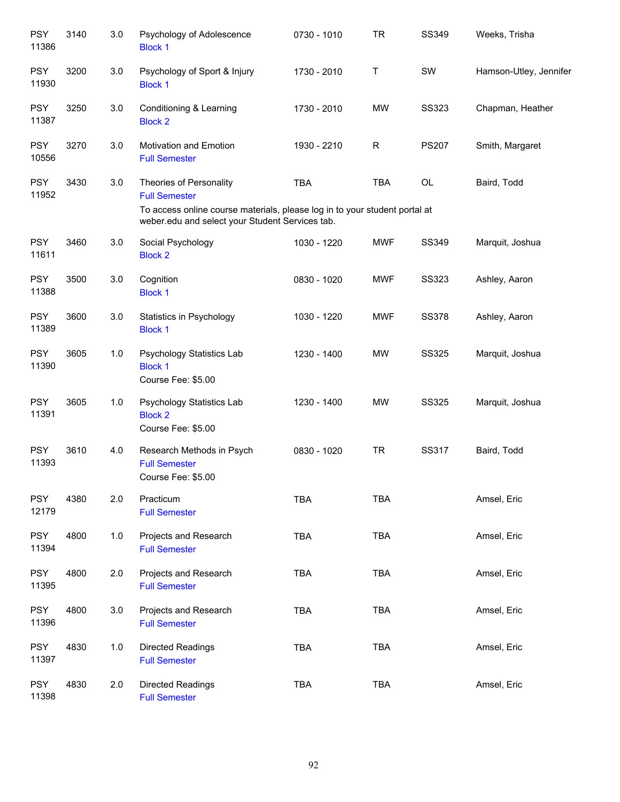| <b>PSY</b><br>11386 | 3140 | 3.0 | Psychology of Adolescence<br><b>Block 1</b>                                                                                                                                      | 0730 - 1010 | <b>TR</b>  | SS349        | Weeks, Trisha          |
|---------------------|------|-----|----------------------------------------------------------------------------------------------------------------------------------------------------------------------------------|-------------|------------|--------------|------------------------|
| <b>PSY</b><br>11930 | 3200 | 3.0 | Psychology of Sport & Injury<br><b>Block 1</b>                                                                                                                                   | 1730 - 2010 | Τ          | SW           | Hamson-Utley, Jennifer |
| <b>PSY</b><br>11387 | 3250 | 3.0 | Conditioning & Learning<br><b>Block 2</b>                                                                                                                                        | 1730 - 2010 | <b>MW</b>  | <b>SS323</b> | Chapman, Heather       |
| <b>PSY</b><br>10556 | 3270 | 3.0 | <b>Motivation and Emotion</b><br><b>Full Semester</b>                                                                                                                            | 1930 - 2210 | R          | <b>PS207</b> | Smith, Margaret        |
| <b>PSY</b><br>11952 | 3430 | 3.0 | Theories of Personality<br><b>Full Semester</b><br>To access online course materials, please log in to your student portal at<br>weber.edu and select your Student Services tab. | <b>TBA</b>  | <b>TBA</b> | OL           | Baird, Todd            |
| <b>PSY</b><br>11611 | 3460 | 3.0 | Social Psychology<br><b>Block 2</b>                                                                                                                                              | 1030 - 1220 | <b>MWF</b> | SS349        | Marquit, Joshua        |
| <b>PSY</b><br>11388 | 3500 | 3.0 | Cognition<br><b>Block 1</b>                                                                                                                                                      | 0830 - 1020 | <b>MWF</b> | <b>SS323</b> | Ashley, Aaron          |
| <b>PSY</b><br>11389 | 3600 | 3.0 | Statistics in Psychology<br><b>Block 1</b>                                                                                                                                       | 1030 - 1220 | <b>MWF</b> | <b>SS378</b> | Ashley, Aaron          |
| <b>PSY</b><br>11390 | 3605 | 1.0 | Psychology Statistics Lab<br><b>Block 1</b><br>Course Fee: \$5.00                                                                                                                | 1230 - 1400 | <b>MW</b>  | <b>SS325</b> | Marquit, Joshua        |
| <b>PSY</b><br>11391 | 3605 | 1.0 | Psychology Statistics Lab<br><b>Block 2</b><br>Course Fee: \$5.00                                                                                                                | 1230 - 1400 | <b>MW</b>  | <b>SS325</b> | Marquit, Joshua        |
| <b>PSY</b><br>11393 | 3610 | 4.0 | Research Methods in Psych<br><b>Full Semester</b><br>Course Fee: \$5.00                                                                                                          | 0830 - 1020 | <b>TR</b>  | SS317        | Baird, Todd            |
| <b>PSY</b><br>12179 | 4380 | 2.0 | Practicum<br><b>Full Semester</b>                                                                                                                                                | <b>TBA</b>  | <b>TBA</b> |              | Amsel, Eric            |
| <b>PSY</b><br>11394 | 4800 | 1.0 | Projects and Research<br><b>Full Semester</b>                                                                                                                                    | <b>TBA</b>  | <b>TBA</b> |              | Amsel, Eric            |
| <b>PSY</b><br>11395 | 4800 | 2.0 | Projects and Research<br><b>Full Semester</b>                                                                                                                                    | <b>TBA</b>  | TBA        |              | Amsel, Eric            |
| <b>PSY</b><br>11396 | 4800 | 3.0 | Projects and Research<br><b>Full Semester</b>                                                                                                                                    | <b>TBA</b>  | <b>TBA</b> |              | Amsel, Eric            |
| <b>PSY</b><br>11397 | 4830 | 1.0 | Directed Readings<br><b>Full Semester</b>                                                                                                                                        | <b>TBA</b>  | <b>TBA</b> |              | Amsel, Eric            |
| <b>PSY</b><br>11398 | 4830 | 2.0 | Directed Readings<br><b>Full Semester</b>                                                                                                                                        | <b>TBA</b>  | <b>TBA</b> |              | Amsel, Eric            |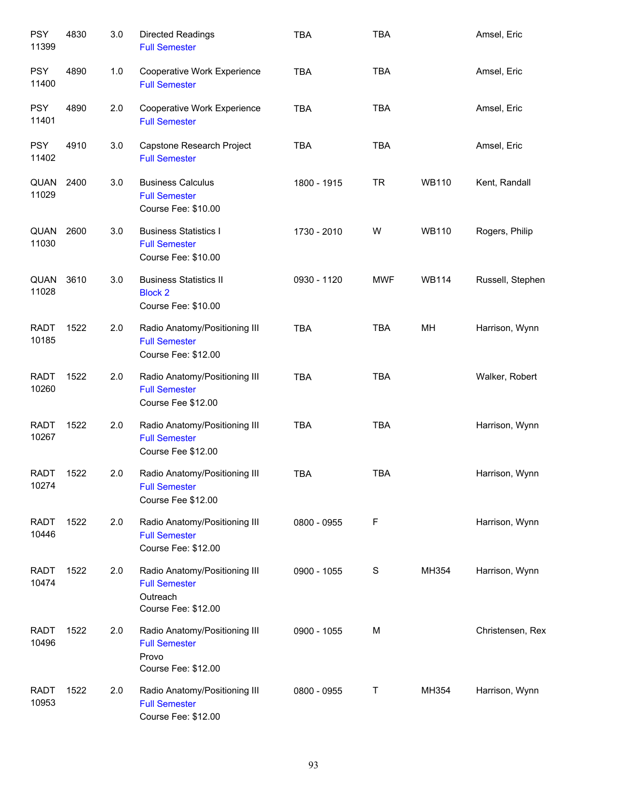| <b>PSY</b><br>11399  | 4830 | 3.0 | Directed Readings<br><b>Full Semester</b>                                                | <b>TBA</b>  | <b>TBA</b> |              | Amsel, Eric      |
|----------------------|------|-----|------------------------------------------------------------------------------------------|-------------|------------|--------------|------------------|
| <b>PSY</b><br>11400  | 4890 | 1.0 | Cooperative Work Experience<br><b>Full Semester</b>                                      | <b>TBA</b>  | <b>TBA</b> |              | Amsel, Eric      |
| <b>PSY</b><br>11401  | 4890 | 2.0 | Cooperative Work Experience<br><b>Full Semester</b>                                      | <b>TBA</b>  | <b>TBA</b> |              | Amsel, Eric      |
| <b>PSY</b><br>11402  | 4910 | 3.0 | Capstone Research Project<br><b>Full Semester</b>                                        | <b>TBA</b>  | <b>TBA</b> |              | Amsel, Eric      |
| QUAN<br>11029        | 2400 | 3.0 | <b>Business Calculus</b><br><b>Full Semester</b><br>Course Fee: \$10.00                  | 1800 - 1915 | <b>TR</b>  | <b>WB110</b> | Kent, Randall    |
| QUAN<br>11030        | 2600 | 3.0 | <b>Business Statistics I</b><br><b>Full Semester</b><br>Course Fee: \$10.00              | 1730 - 2010 | W          | <b>WB110</b> | Rogers, Philip   |
| QUAN<br>11028        | 3610 | 3.0 | <b>Business Statistics II</b><br><b>Block 2</b><br>Course Fee: \$10.00                   | 0930 - 1120 | <b>MWF</b> | <b>WB114</b> | Russell, Stephen |
| <b>RADT</b><br>10185 | 1522 | 2.0 | Radio Anatomy/Positioning III<br><b>Full Semester</b><br>Course Fee: \$12.00             | <b>TBA</b>  | <b>TBA</b> | MH           | Harrison, Wynn   |
| <b>RADT</b><br>10260 | 1522 | 2.0 | Radio Anatomy/Positioning III<br><b>Full Semester</b><br>Course Fee \$12.00              | <b>TBA</b>  | <b>TBA</b> |              | Walker, Robert   |
| <b>RADT</b><br>10267 | 1522 | 2.0 | Radio Anatomy/Positioning III<br><b>Full Semester</b><br>Course Fee \$12.00              | <b>TBA</b>  | <b>TBA</b> |              | Harrison, Wynn   |
| <b>RADT</b><br>10274 | 1522 | 2.0 | Radio Anatomy/Positioning III<br><b>Full Semester</b><br>Course Fee \$12.00              | <b>TBA</b>  | <b>TBA</b> |              | Harrison, Wynn   |
| <b>RADT</b><br>10446 | 1522 | 2.0 | Radio Anatomy/Positioning III<br><b>Full Semester</b><br>Course Fee: \$12.00             | 0800 - 0955 | F          |              | Harrison, Wynn   |
| <b>RADT</b><br>10474 | 1522 | 2.0 | Radio Anatomy/Positioning III<br><b>Full Semester</b><br>Outreach<br>Course Fee: \$12.00 | 0900 - 1055 | S          | MH354        | Harrison, Wynn   |
| <b>RADT</b><br>10496 | 1522 | 2.0 | Radio Anatomy/Positioning III<br><b>Full Semester</b><br>Provo<br>Course Fee: \$12.00    | 0900 - 1055 | M          |              | Christensen, Rex |
| <b>RADT</b><br>10953 | 1522 | 2.0 | Radio Anatomy/Positioning III<br><b>Full Semester</b><br>Course Fee: \$12.00             | 0800 - 0955 | Т          | MH354        | Harrison, Wynn   |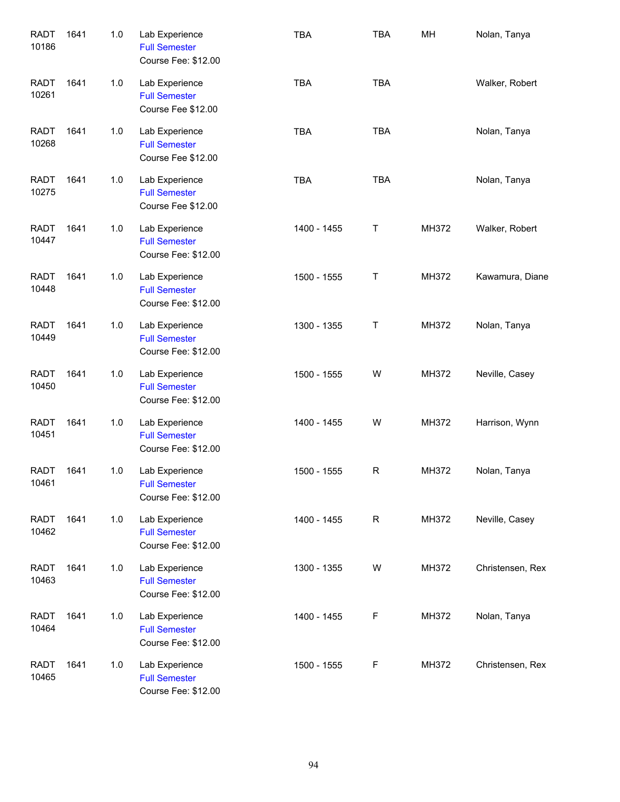| <b>RADT</b><br>10186 | 1641 | 1.0 | Lab Experience<br><b>Full Semester</b><br>Course Fee: \$12.00 | <b>TBA</b>  | <b>TBA</b> | MH    | Nolan, Tanya     |
|----------------------|------|-----|---------------------------------------------------------------|-------------|------------|-------|------------------|
| <b>RADT</b><br>10261 | 1641 | 1.0 | Lab Experience<br><b>Full Semester</b><br>Course Fee \$12.00  | <b>TBA</b>  | <b>TBA</b> |       | Walker, Robert   |
| <b>RADT</b><br>10268 | 1641 | 1.0 | Lab Experience<br><b>Full Semester</b><br>Course Fee \$12.00  | <b>TBA</b>  | <b>TBA</b> |       | Nolan, Tanya     |
| <b>RADT</b><br>10275 | 1641 | 1.0 | Lab Experience<br><b>Full Semester</b><br>Course Fee \$12.00  | <b>TBA</b>  | <b>TBA</b> |       | Nolan, Tanya     |
| <b>RADT</b><br>10447 | 1641 | 1.0 | Lab Experience<br><b>Full Semester</b><br>Course Fee: \$12.00 | 1400 - 1455 | Т          | MH372 | Walker, Robert   |
| <b>RADT</b><br>10448 | 1641 | 1.0 | Lab Experience<br><b>Full Semester</b><br>Course Fee: \$12.00 | 1500 - 1555 | Т          | MH372 | Kawamura, Diane  |
| <b>RADT</b><br>10449 | 1641 | 1.0 | Lab Experience<br><b>Full Semester</b><br>Course Fee: \$12.00 | 1300 - 1355 | Τ          | MH372 | Nolan, Tanya     |
| <b>RADT</b><br>10450 | 1641 | 1.0 | Lab Experience<br><b>Full Semester</b><br>Course Fee: \$12.00 | 1500 - 1555 | W          | MH372 | Neville, Casey   |
| <b>RADT</b><br>10451 | 1641 | 1.0 | Lab Experience<br><b>Full Semester</b><br>Course Fee: \$12.00 | 1400 - 1455 | W          | MH372 | Harrison, Wynn   |
| <b>RADT</b><br>10461 | 1641 | 1.0 | Lab Experience<br><b>Full Semester</b><br>Course Fee: \$12.00 | 1500 - 1555 | R          | MH372 | Nolan, Tanya     |
| <b>RADT</b><br>10462 | 1641 | 1.0 | Lab Experience<br><b>Full Semester</b><br>Course Fee: \$12.00 | 1400 - 1455 | R          | MH372 | Neville, Casey   |
| <b>RADT</b><br>10463 | 1641 | 1.0 | Lab Experience<br><b>Full Semester</b><br>Course Fee: \$12.00 | 1300 - 1355 | W          | MH372 | Christensen, Rex |
| <b>RADT</b><br>10464 | 1641 | 1.0 | Lab Experience<br><b>Full Semester</b><br>Course Fee: \$12.00 | 1400 - 1455 | F          | MH372 | Nolan, Tanya     |
| <b>RADT</b><br>10465 | 1641 | 1.0 | Lab Experience<br><b>Full Semester</b><br>Course Fee: \$12.00 | 1500 - 1555 | F          | MH372 | Christensen, Rex |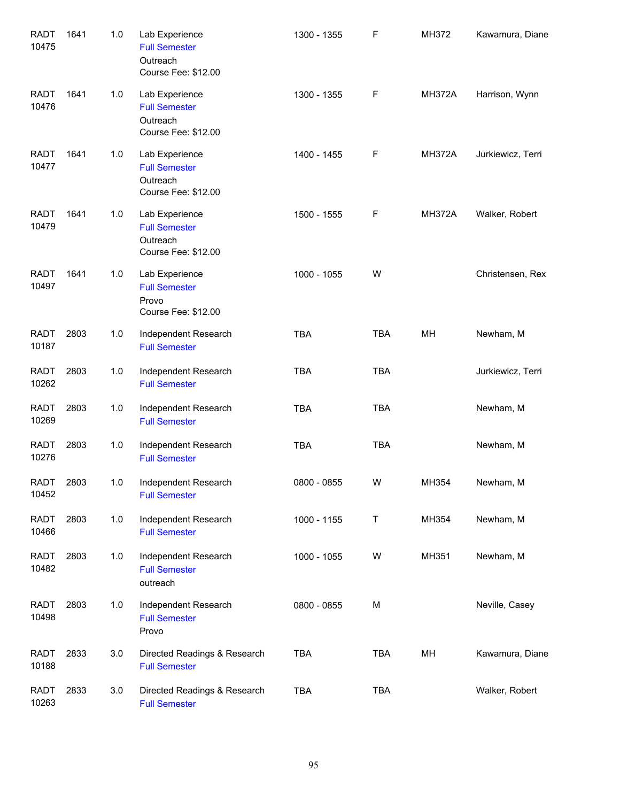| <b>RADT</b><br>10475 | 1641 | 1.0 | Lab Experience<br><b>Full Semester</b><br>Outreach<br>Course Fee: \$12.00 | 1300 - 1355 | F          | MH372         | Kawamura, Diane   |
|----------------------|------|-----|---------------------------------------------------------------------------|-------------|------------|---------------|-------------------|
| <b>RADT</b><br>10476 | 1641 | 1.0 | Lab Experience<br><b>Full Semester</b><br>Outreach<br>Course Fee: \$12.00 | 1300 - 1355 | F          | <b>MH372A</b> | Harrison, Wynn    |
| <b>RADT</b><br>10477 | 1641 | 1.0 | Lab Experience<br><b>Full Semester</b><br>Outreach<br>Course Fee: \$12.00 | 1400 - 1455 | F          | <b>MH372A</b> | Jurkiewicz, Terri |
| <b>RADT</b><br>10479 | 1641 | 1.0 | Lab Experience<br><b>Full Semester</b><br>Outreach<br>Course Fee: \$12.00 | 1500 - 1555 | F          | <b>MH372A</b> | Walker, Robert    |
| <b>RADT</b><br>10497 | 1641 | 1.0 | Lab Experience<br><b>Full Semester</b><br>Provo<br>Course Fee: \$12.00    | 1000 - 1055 | W          |               | Christensen, Rex  |
| <b>RADT</b><br>10187 | 2803 | 1.0 | Independent Research<br><b>Full Semester</b>                              | <b>TBA</b>  | <b>TBA</b> | MH            | Newham, M         |
| <b>RADT</b><br>10262 | 2803 | 1.0 | Independent Research<br><b>Full Semester</b>                              | <b>TBA</b>  | <b>TBA</b> |               | Jurkiewicz, Terri |
| <b>RADT</b><br>10269 | 2803 | 1.0 | Independent Research<br><b>Full Semester</b>                              | <b>TBA</b>  | <b>TBA</b> |               | Newham, M         |
| <b>RADT</b><br>10276 | 2803 | 1.0 | Independent Research<br><b>Full Semester</b>                              | <b>TBA</b>  | <b>TBA</b> |               | Newham, M         |
| RADT<br>10452        | 2803 | 1.0 | Independent Research<br><b>Full Semester</b>                              | 0800 - 0855 | W          | MH354         | Newham, M         |
| RADT<br>10466        | 2803 | 1.0 | Independent Research<br><b>Full Semester</b>                              | 1000 - 1155 | Τ          | MH354         | Newham, M         |
| <b>RADT</b><br>10482 | 2803 | 1.0 | Independent Research<br><b>Full Semester</b><br>outreach                  | 1000 - 1055 | W          | MH351         | Newham, M         |
| <b>RADT</b><br>10498 | 2803 | 1.0 | Independent Research<br><b>Full Semester</b><br>Provo                     | 0800 - 0855 | M          |               | Neville, Casey    |
| <b>RADT</b><br>10188 | 2833 | 3.0 | Directed Readings & Research<br><b>Full Semester</b>                      | <b>TBA</b>  | <b>TBA</b> | MН            | Kawamura, Diane   |
| <b>RADT</b><br>10263 | 2833 | 3.0 | Directed Readings & Research<br><b>Full Semester</b>                      | <b>TBA</b>  | <b>TBA</b> |               | Walker, Robert    |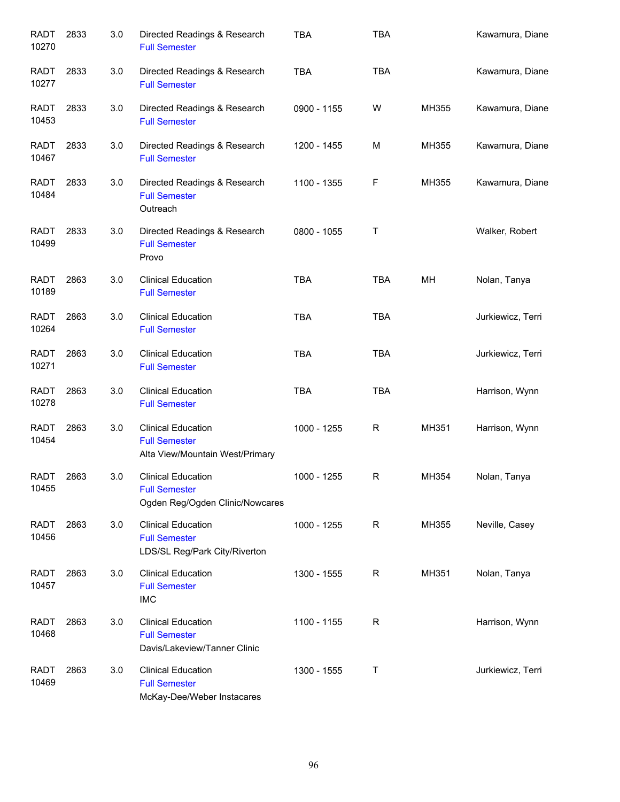| <b>RADT</b><br>10270 | 2833 | 3.0 | Directed Readings & Research<br><b>Full Semester</b>                                 | <b>TBA</b>  | <b>TBA</b> |       | Kawamura, Diane   |
|----------------------|------|-----|--------------------------------------------------------------------------------------|-------------|------------|-------|-------------------|
| <b>RADT</b><br>10277 | 2833 | 3.0 | Directed Readings & Research<br><b>Full Semester</b>                                 | <b>TBA</b>  | <b>TBA</b> |       | Kawamura, Diane   |
| RADT<br>10453        | 2833 | 3.0 | Directed Readings & Research<br><b>Full Semester</b>                                 | 0900 - 1155 | W          | MH355 | Kawamura, Diane   |
| RADT<br>10467        | 2833 | 3.0 | Directed Readings & Research<br><b>Full Semester</b>                                 | 1200 - 1455 | М          | MH355 | Kawamura, Diane   |
| <b>RADT</b><br>10484 | 2833 | 3.0 | Directed Readings & Research<br><b>Full Semester</b><br>Outreach                     | 1100 - 1355 | F          | MH355 | Kawamura, Diane   |
| <b>RADT</b><br>10499 | 2833 | 3.0 | Directed Readings & Research<br><b>Full Semester</b><br>Provo                        | 0800 - 1055 | Τ          |       | Walker, Robert    |
| <b>RADT</b><br>10189 | 2863 | 3.0 | <b>Clinical Education</b><br><b>Full Semester</b>                                    | <b>TBA</b>  | <b>TBA</b> | MH    | Nolan, Tanya      |
| <b>RADT</b><br>10264 | 2863 | 3.0 | <b>Clinical Education</b><br><b>Full Semester</b>                                    | <b>TBA</b>  | <b>TBA</b> |       | Jurkiewicz, Terri |
| <b>RADT</b><br>10271 | 2863 | 3.0 | <b>Clinical Education</b><br><b>Full Semester</b>                                    | <b>TBA</b>  | <b>TBA</b> |       | Jurkiewicz, Terri |
| <b>RADT</b><br>10278 | 2863 | 3.0 | <b>Clinical Education</b><br><b>Full Semester</b>                                    | <b>TBA</b>  | <b>TBA</b> |       | Harrison, Wynn    |
| <b>RADT</b><br>10454 | 2863 | 3.0 | <b>Clinical Education</b><br><b>Full Semester</b><br>Alta View/Mountain West/Primary | 1000 - 1255 | R          | MH351 | Harrison, Wynn    |
| <b>RADT</b><br>10455 | 2863 | 3.0 | <b>Clinical Education</b><br><b>Full Semester</b><br>Ogden Reg/Ogden Clinic/Nowcares | 1000 - 1255 | R          | MH354 | Nolan, Tanya      |
| <b>RADT</b><br>10456 | 2863 | 3.0 | <b>Clinical Education</b><br><b>Full Semester</b><br>LDS/SL Reg/Park City/Riverton   | 1000 - 1255 | R          | MH355 | Neville, Casey    |
| <b>RADT</b><br>10457 | 2863 | 3.0 | <b>Clinical Education</b><br><b>Full Semester</b><br><b>IMC</b>                      | 1300 - 1555 | R          | MH351 | Nolan, Tanya      |
| <b>RADT</b><br>10468 | 2863 | 3.0 | <b>Clinical Education</b><br><b>Full Semester</b><br>Davis/Lakeview/Tanner Clinic    | 1100 - 1155 | R          |       | Harrison, Wynn    |
| <b>RADT</b><br>10469 | 2863 | 3.0 | <b>Clinical Education</b><br><b>Full Semester</b><br>McKay-Dee/Weber Instacares      | 1300 - 1555 | Τ          |       | Jurkiewicz, Terri |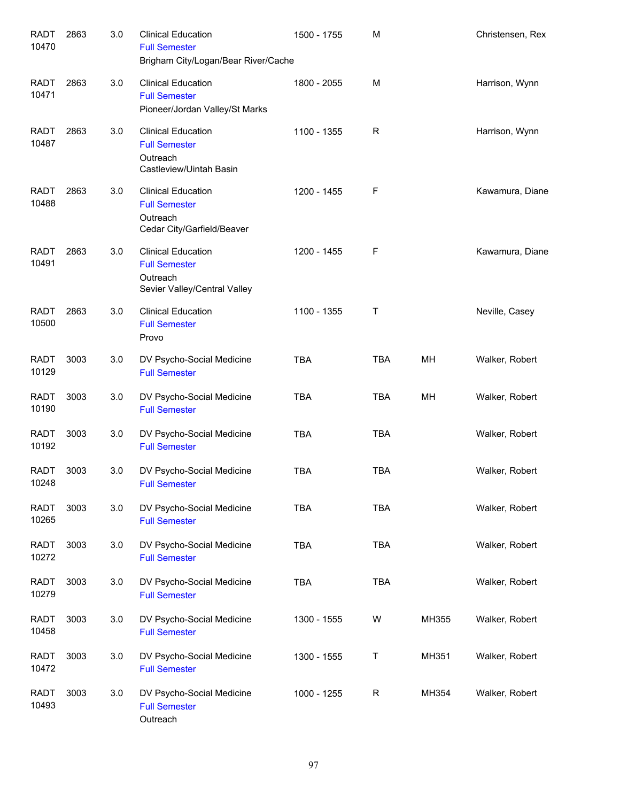| <b>RADT</b><br>10470 | 2863 | 3.0 | <b>Clinical Education</b><br><b>Full Semester</b><br>Brigham City/Logan/Bear River/Cache      | 1500 - 1755 | M           |       | Christensen, Rex |
|----------------------|------|-----|-----------------------------------------------------------------------------------------------|-------------|-------------|-------|------------------|
| <b>RADT</b><br>10471 | 2863 | 3.0 | <b>Clinical Education</b><br><b>Full Semester</b><br>Pioneer/Jordan Valley/St Marks           | 1800 - 2055 | M           |       | Harrison, Wynn   |
| <b>RADT</b><br>10487 | 2863 | 3.0 | <b>Clinical Education</b><br><b>Full Semester</b><br>Outreach<br>Castleview/Uintah Basin      | 1100 - 1355 | R           |       | Harrison, Wynn   |
| <b>RADT</b><br>10488 | 2863 | 3.0 | <b>Clinical Education</b><br><b>Full Semester</b><br>Outreach<br>Cedar City/Garfield/Beaver   | 1200 - 1455 | F           |       | Kawamura, Diane  |
| <b>RADT</b><br>10491 | 2863 | 3.0 | <b>Clinical Education</b><br><b>Full Semester</b><br>Outreach<br>Sevier Valley/Central Valley | 1200 - 1455 | F           |       | Kawamura, Diane  |
| <b>RADT</b><br>10500 | 2863 | 3.0 | <b>Clinical Education</b><br><b>Full Semester</b><br>Provo                                    | 1100 - 1355 | Τ           |       | Neville, Casey   |
| <b>RADT</b><br>10129 | 3003 | 3.0 | DV Psycho-Social Medicine<br><b>Full Semester</b>                                             | <b>TBA</b>  | <b>TBA</b>  | MH    | Walker, Robert   |
| <b>RADT</b><br>10190 | 3003 | 3.0 | DV Psycho-Social Medicine<br><b>Full Semester</b>                                             | <b>TBA</b>  | <b>TBA</b>  | MH    | Walker, Robert   |
| <b>RADT</b><br>10192 | 3003 | 3.0 | DV Psycho-Social Medicine<br><b>Full Semester</b>                                             | <b>TBA</b>  | <b>TBA</b>  |       | Walker, Robert   |
| <b>RADT</b><br>10248 | 3003 | 3.0 | DV Psycho-Social Medicine<br><b>Full Semester</b>                                             | <b>TBA</b>  | <b>TBA</b>  |       | Walker, Robert   |
| <b>RADT</b><br>10265 | 3003 | 3.0 | DV Psycho-Social Medicine<br><b>Full Semester</b>                                             | <b>TBA</b>  | <b>TBA</b>  |       | Walker, Robert   |
| <b>RADT</b><br>10272 | 3003 | 3.0 | DV Psycho-Social Medicine<br><b>Full Semester</b>                                             | <b>TBA</b>  | <b>TBA</b>  |       | Walker, Robert   |
| <b>RADT</b><br>10279 | 3003 | 3.0 | DV Psycho-Social Medicine<br><b>Full Semester</b>                                             | <b>TBA</b>  | <b>TBA</b>  |       | Walker, Robert   |
| <b>RADT</b><br>10458 | 3003 | 3.0 | DV Psycho-Social Medicine<br><b>Full Semester</b>                                             | 1300 - 1555 | W           | MH355 | Walker, Robert   |
| <b>RADT</b><br>10472 | 3003 | 3.0 | DV Psycho-Social Medicine<br><b>Full Semester</b>                                             | 1300 - 1555 | T           | MH351 | Walker, Robert   |
| <b>RADT</b><br>10493 | 3003 | 3.0 | DV Psycho-Social Medicine<br><b>Full Semester</b><br>Outreach                                 | 1000 - 1255 | $\mathsf R$ | MH354 | Walker, Robert   |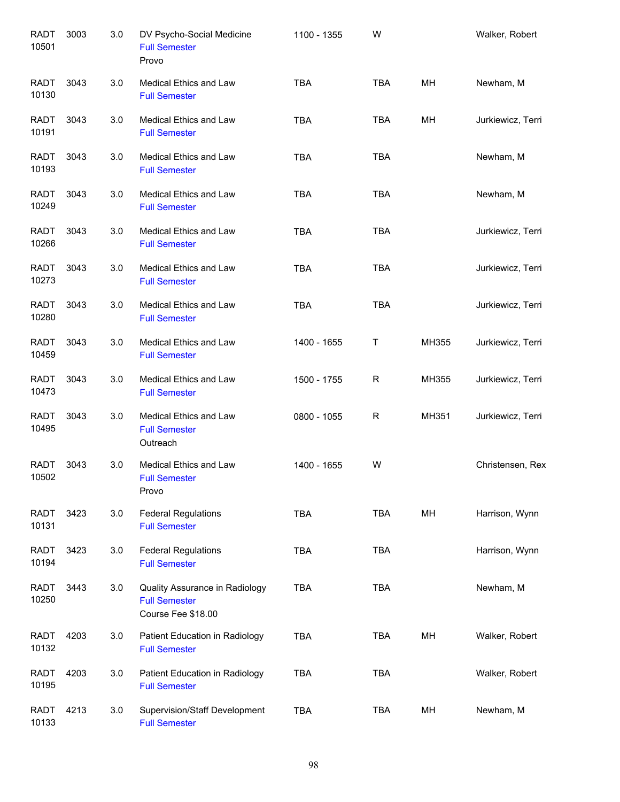| <b>RADT</b><br>10501 | 3003 | 3.0 | DV Psycho-Social Medicine<br><b>Full Semester</b><br>Provo                   | 1100 - 1355 | W           |       | Walker, Robert    |
|----------------------|------|-----|------------------------------------------------------------------------------|-------------|-------------|-------|-------------------|
| <b>RADT</b><br>10130 | 3043 | 3.0 | <b>Medical Ethics and Law</b><br><b>Full Semester</b>                        | <b>TBA</b>  | <b>TBA</b>  | MН    | Newham, M         |
| RADT<br>10191        | 3043 | 3.0 | <b>Medical Ethics and Law</b><br><b>Full Semester</b>                        | <b>TBA</b>  | <b>TBA</b>  | MH    | Jurkiewicz, Terri |
| <b>RADT</b><br>10193 | 3043 | 3.0 | Medical Ethics and Law<br><b>Full Semester</b>                               | <b>TBA</b>  | <b>TBA</b>  |       | Newham, M         |
| RADT<br>10249        | 3043 | 3.0 | Medical Ethics and Law<br><b>Full Semester</b>                               | <b>TBA</b>  | <b>TBA</b>  |       | Newham, M         |
| RADT<br>10266        | 3043 | 3.0 | Medical Ethics and Law<br><b>Full Semester</b>                               | <b>TBA</b>  | <b>TBA</b>  |       | Jurkiewicz, Terri |
| <b>RADT</b><br>10273 | 3043 | 3.0 | Medical Ethics and Law<br><b>Full Semester</b>                               | <b>TBA</b>  | <b>TBA</b>  |       | Jurkiewicz, Terri |
| <b>RADT</b><br>10280 | 3043 | 3.0 | Medical Ethics and Law<br><b>Full Semester</b>                               | <b>TBA</b>  | <b>TBA</b>  |       | Jurkiewicz, Terri |
| <b>RADT</b><br>10459 | 3043 | 3.0 | Medical Ethics and Law<br><b>Full Semester</b>                               | 1400 - 1655 | Τ           | MH355 | Jurkiewicz, Terri |
| <b>RADT</b><br>10473 | 3043 | 3.0 | Medical Ethics and Law<br><b>Full Semester</b>                               | 1500 - 1755 | $\mathsf R$ | MH355 | Jurkiewicz, Terri |
| <b>RADT</b><br>10495 | 3043 | 3.0 | Medical Ethics and Law<br><b>Full Semester</b><br>Outreach                   | 0800 - 1055 | R           | MH351 | Jurkiewicz, Terri |
| <b>RADT</b><br>10502 | 3043 | 3.0 | Medical Ethics and Law<br><b>Full Semester</b><br>Provo                      | 1400 - 1655 | W           |       | Christensen, Rex  |
| <b>RADT</b><br>10131 | 3423 | 3.0 | <b>Federal Regulations</b><br><b>Full Semester</b>                           | <b>TBA</b>  | <b>TBA</b>  | MН    | Harrison, Wynn    |
| <b>RADT</b><br>10194 | 3423 | 3.0 | <b>Federal Regulations</b><br><b>Full Semester</b>                           | <b>TBA</b>  | <b>TBA</b>  |       | Harrison, Wynn    |
| RADT<br>10250        | 3443 | 3.0 | Quality Assurance in Radiology<br><b>Full Semester</b><br>Course Fee \$18.00 | <b>TBA</b>  | <b>TBA</b>  |       | Newham, M         |
| RADT<br>10132        | 4203 | 3.0 | Patient Education in Radiology<br><b>Full Semester</b>                       | <b>TBA</b>  | <b>TBA</b>  | MН    | Walker, Robert    |
| RADT<br>10195        | 4203 | 3.0 | Patient Education in Radiology<br><b>Full Semester</b>                       | <b>TBA</b>  | <b>TBA</b>  |       | Walker, Robert    |
| <b>RADT</b><br>10133 | 4213 | 3.0 | Supervision/Staff Development<br><b>Full Semester</b>                        | <b>TBA</b>  | <b>TBA</b>  | MН    | Newham, M         |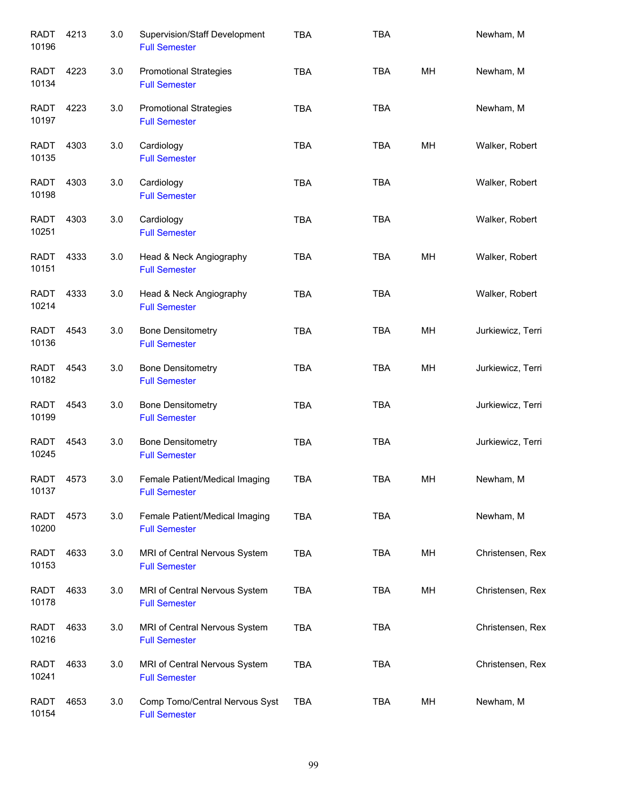| <b>RADT</b><br>10196 | 4213 | 3.0 | Supervision/Staff Development<br><b>Full Semester</b>  | <b>TBA</b> | <b>TBA</b> |    | Newham, M         |
|----------------------|------|-----|--------------------------------------------------------|------------|------------|----|-------------------|
| <b>RADT</b><br>10134 | 4223 | 3.0 | <b>Promotional Strategies</b><br><b>Full Semester</b>  | <b>TBA</b> | <b>TBA</b> | MH | Newham, M         |
| <b>RADT</b><br>10197 | 4223 | 3.0 | <b>Promotional Strategies</b><br><b>Full Semester</b>  | <b>TBA</b> | <b>TBA</b> |    | Newham, M         |
| <b>RADT</b><br>10135 | 4303 | 3.0 | Cardiology<br><b>Full Semester</b>                     | <b>TBA</b> | <b>TBA</b> | MH | Walker, Robert    |
| <b>RADT</b><br>10198 | 4303 | 3.0 | Cardiology<br><b>Full Semester</b>                     | <b>TBA</b> | <b>TBA</b> |    | Walker, Robert    |
| RADT<br>10251        | 4303 | 3.0 | Cardiology<br><b>Full Semester</b>                     | <b>TBA</b> | <b>TBA</b> |    | Walker, Robert    |
| <b>RADT</b><br>10151 | 4333 | 3.0 | Head & Neck Angiography<br><b>Full Semester</b>        | <b>TBA</b> | <b>TBA</b> | MH | Walker, Robert    |
| <b>RADT</b><br>10214 | 4333 | 3.0 | Head & Neck Angiography<br><b>Full Semester</b>        | <b>TBA</b> | <b>TBA</b> |    | Walker, Robert    |
| <b>RADT</b><br>10136 | 4543 | 3.0 | <b>Bone Densitometry</b><br><b>Full Semester</b>       | <b>TBA</b> | <b>TBA</b> | MH | Jurkiewicz, Terri |
| <b>RADT</b><br>10182 | 4543 | 3.0 | <b>Bone Densitometry</b><br><b>Full Semester</b>       | <b>TBA</b> | <b>TBA</b> | MH | Jurkiewicz, Terri |
| <b>RADT</b><br>10199 | 4543 | 3.0 | <b>Bone Densitometry</b><br><b>Full Semester</b>       | <b>TBA</b> | <b>TBA</b> |    | Jurkiewicz, Terri |
| <b>RADT</b><br>10245 | 4543 | 3.0 | <b>Bone Densitometry</b><br><b>Full Semester</b>       | <b>TBA</b> | <b>TBA</b> |    | Jurkiewicz, Terri |
| <b>RADT</b><br>10137 | 4573 | 3.0 | Female Patient/Medical Imaging<br><b>Full Semester</b> | TBA        | TBA        | MН | Newham, M         |
| RADT<br>10200        | 4573 | 3.0 | Female Patient/Medical Imaging<br><b>Full Semester</b> | <b>TBA</b> | <b>TBA</b> |    | Newham, M         |
| RADT<br>10153        | 4633 | 3.0 | MRI of Central Nervous System<br><b>Full Semester</b>  | <b>TBA</b> | TBA        | MH | Christensen, Rex  |
| RADT<br>10178        | 4633 | 3.0 | MRI of Central Nervous System<br><b>Full Semester</b>  | <b>TBA</b> | <b>TBA</b> | MH | Christensen, Rex  |
| RADT<br>10216        | 4633 | 3.0 | MRI of Central Nervous System<br><b>Full Semester</b>  | <b>TBA</b> | <b>TBA</b> |    | Christensen, Rex  |
| RADT<br>10241        | 4633 | 3.0 | MRI of Central Nervous System<br><b>Full Semester</b>  | <b>TBA</b> | <b>TBA</b> |    | Christensen, Rex  |
| <b>RADT</b><br>10154 | 4653 | 3.0 | Comp Tomo/Central Nervous Syst<br><b>Full Semester</b> | <b>TBA</b> | TBA        | MH | Newham, M         |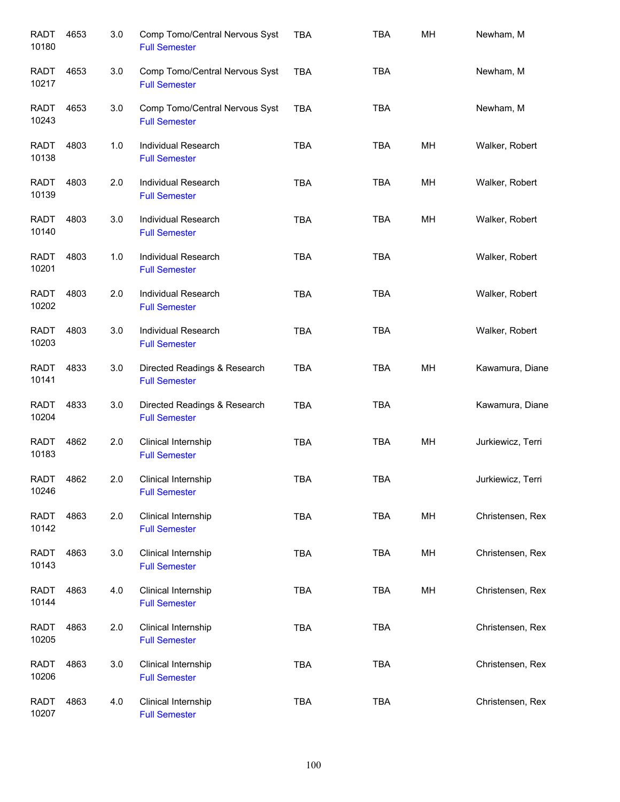| <b>RADT</b><br>10180 | 4653 | 3.0 | Comp Tomo/Central Nervous Syst<br><b>Full Semester</b> | <b>TBA</b> | <b>TBA</b> | MH | Newham, M         |
|----------------------|------|-----|--------------------------------------------------------|------------|------------|----|-------------------|
| RADT<br>10217        | 4653 | 3.0 | Comp Tomo/Central Nervous Syst<br><b>Full Semester</b> | <b>TBA</b> | <b>TBA</b> |    | Newham, M         |
| RADT<br>10243        | 4653 | 3.0 | Comp Tomo/Central Nervous Syst<br><b>Full Semester</b> | <b>TBA</b> | <b>TBA</b> |    | Newham, M         |
| <b>RADT</b><br>10138 | 4803 | 1.0 | Individual Research<br><b>Full Semester</b>            | <b>TBA</b> | <b>TBA</b> | MH | Walker, Robert    |
| RADT<br>10139        | 4803 | 2.0 | Individual Research<br><b>Full Semester</b>            | <b>TBA</b> | TBA        | MH | Walker, Robert    |
| <b>RADT</b><br>10140 | 4803 | 3.0 | Individual Research<br><b>Full Semester</b>            | <b>TBA</b> | <b>TBA</b> | MH | Walker, Robert    |
| <b>RADT</b><br>10201 | 4803 | 1.0 | <b>Individual Research</b><br><b>Full Semester</b>     | <b>TBA</b> | <b>TBA</b> |    | Walker, Robert    |
| <b>RADT</b><br>10202 | 4803 | 2.0 | Individual Research<br><b>Full Semester</b>            | <b>TBA</b> | <b>TBA</b> |    | Walker, Robert    |
| <b>RADT</b><br>10203 | 4803 | 3.0 | Individual Research<br><b>Full Semester</b>            | <b>TBA</b> | <b>TBA</b> |    | Walker, Robert    |
| <b>RADT</b><br>10141 | 4833 | 3.0 | Directed Readings & Research<br><b>Full Semester</b>   | <b>TBA</b> | TBA        | MH | Kawamura, Diane   |
| <b>RADT</b><br>10204 | 4833 | 3.0 | Directed Readings & Research<br><b>Full Semester</b>   | <b>TBA</b> | <b>TBA</b> |    | Kawamura, Diane   |
| <b>RADT</b><br>10183 | 4862 | 2.0 | Clinical Internship<br><b>Full Semester</b>            | <b>TBA</b> | <b>TBA</b> | MH | Jurkiewicz, Terri |
| <b>RADT</b><br>10246 | 4862 | 2.0 | Clinical Internship<br><b>Full Semester</b>            | <b>TBA</b> | TBA        |    | Jurkiewicz, Terri |
| <b>RADT</b><br>10142 | 4863 | 2.0 | Clinical Internship<br><b>Full Semester</b>            | TBA        | <b>TBA</b> | MH | Christensen, Rex  |
| <b>RADT</b><br>10143 | 4863 | 3.0 | Clinical Internship<br><b>Full Semester</b>            | TBA        | TBA        | MH | Christensen, Rex  |
| <b>RADT</b><br>10144 | 4863 | 4.0 | Clinical Internship<br><b>Full Semester</b>            | TBA        | <b>TBA</b> | MH | Christensen, Rex  |
| <b>RADT</b><br>10205 | 4863 | 2.0 | Clinical Internship<br><b>Full Semester</b>            | TBA        | <b>TBA</b> |    | Christensen, Rex  |
| <b>RADT</b><br>10206 | 4863 | 3.0 | Clinical Internship<br><b>Full Semester</b>            | <b>TBA</b> | <b>TBA</b> |    | Christensen, Rex  |
| <b>RADT</b><br>10207 | 4863 | 4.0 | Clinical Internship<br><b>Full Semester</b>            | <b>TBA</b> | <b>TBA</b> |    | Christensen, Rex  |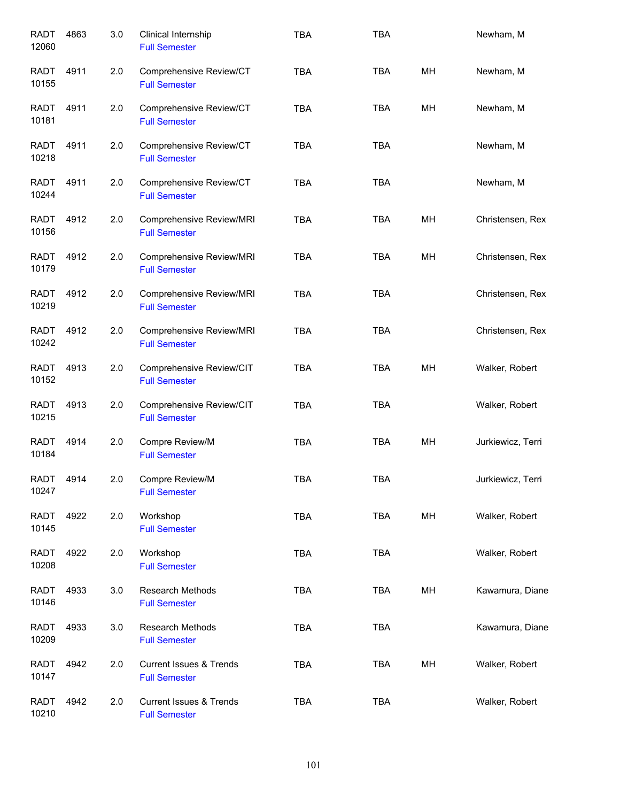| <b>RADT</b><br>12060 | 4863 | 3.0 | Clinical Internship<br><b>Full Semester</b>                | <b>TBA</b> | <b>TBA</b> |    | Newham, M         |
|----------------------|------|-----|------------------------------------------------------------|------------|------------|----|-------------------|
| <b>RADT</b><br>10155 | 4911 | 2.0 | Comprehensive Review/CT<br><b>Full Semester</b>            | <b>TBA</b> | <b>TBA</b> | MH | Newham, M         |
| <b>RADT</b><br>10181 | 4911 | 2.0 | Comprehensive Review/CT<br><b>Full Semester</b>            | <b>TBA</b> | <b>TBA</b> | MН | Newham, M         |
| RADT<br>10218        | 4911 | 2.0 | Comprehensive Review/CT<br><b>Full Semester</b>            | <b>TBA</b> | <b>TBA</b> |    | Newham, M         |
| RADT<br>10244        | 4911 | 2.0 | Comprehensive Review/CT<br><b>Full Semester</b>            | <b>TBA</b> | <b>TBA</b> |    | Newham, M         |
| <b>RADT</b><br>10156 | 4912 | 2.0 | Comprehensive Review/MRI<br><b>Full Semester</b>           | <b>TBA</b> | <b>TBA</b> | MН | Christensen, Rex  |
| <b>RADT</b><br>10179 | 4912 | 2.0 | Comprehensive Review/MRI<br><b>Full Semester</b>           | <b>TBA</b> | <b>TBA</b> | MH | Christensen, Rex  |
| <b>RADT</b><br>10219 | 4912 | 2.0 | Comprehensive Review/MRI<br><b>Full Semester</b>           | <b>TBA</b> | <b>TBA</b> |    | Christensen, Rex  |
| <b>RADT</b><br>10242 | 4912 | 2.0 | Comprehensive Review/MRI<br><b>Full Semester</b>           | <b>TBA</b> | <b>TBA</b> |    | Christensen, Rex  |
| <b>RADT</b><br>10152 | 4913 | 2.0 | Comprehensive Review/CIT<br><b>Full Semester</b>           | <b>TBA</b> | <b>TBA</b> | MH | Walker, Robert    |
| <b>RADT</b><br>10215 | 4913 | 2.0 | Comprehensive Review/CIT<br><b>Full Semester</b>           | <b>TBA</b> | <b>TBA</b> |    | Walker, Robert    |
| <b>RADT</b><br>10184 | 4914 | 2.0 | Compre Review/M<br><b>Full Semester</b>                    | <b>TBA</b> | <b>TBA</b> | MH | Jurkiewicz, Terri |
| RADT<br>10247        | 4914 | 2.0 | Compre Review/M<br><b>Full Semester</b>                    | TBA        | <b>TBA</b> |    | Jurkiewicz, Terri |
| <b>RADT</b><br>10145 | 4922 | 2.0 | Workshop<br><b>Full Semester</b>                           | TBA        | TBA        | MH | Walker, Robert    |
| <b>RADT</b><br>10208 | 4922 | 2.0 | Workshop<br><b>Full Semester</b>                           | <b>TBA</b> | <b>TBA</b> |    | Walker, Robert    |
| <b>RADT</b><br>10146 | 4933 | 3.0 | Research Methods<br><b>Full Semester</b>                   | TBA        | <b>TBA</b> | MH | Kawamura, Diane   |
| <b>RADT</b><br>10209 | 4933 | 3.0 | Research Methods<br><b>Full Semester</b>                   | <b>TBA</b> | <b>TBA</b> |    | Kawamura, Diane   |
| <b>RADT</b><br>10147 | 4942 | 2.0 | <b>Current Issues &amp; Trends</b><br><b>Full Semester</b> | <b>TBA</b> | <b>TBA</b> | MH | Walker, Robert    |
| <b>RADT</b><br>10210 | 4942 | 2.0 | <b>Current Issues &amp; Trends</b><br><b>Full Semester</b> | <b>TBA</b> | TBA        |    | Walker, Robert    |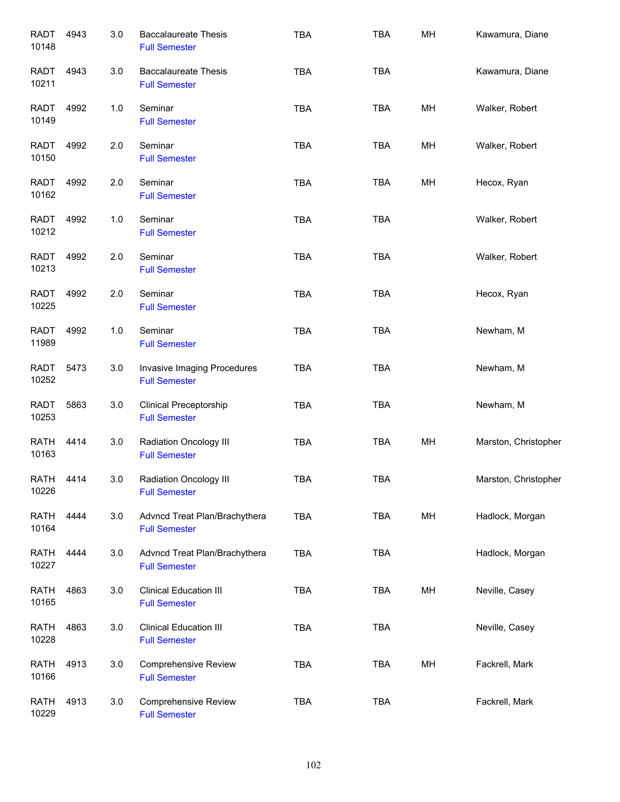| <b>RADT</b><br>10148 | 4943 | 3.0 | <b>Baccalaureate Thesis</b><br><b>Full Semester</b>   | <b>TBA</b> | <b>TBA</b> | MH | Kawamura, Diane      |
|----------------------|------|-----|-------------------------------------------------------|------------|------------|----|----------------------|
| RADT<br>10211        | 4943 | 3.0 | <b>Baccalaureate Thesis</b><br><b>Full Semester</b>   | <b>TBA</b> | <b>TBA</b> |    | Kawamura, Diane      |
| RADT<br>10149        | 4992 | 1.0 | Seminar<br><b>Full Semester</b>                       | <b>TBA</b> | <b>TBA</b> | MH | Walker, Robert       |
| <b>RADT</b><br>10150 | 4992 | 2.0 | Seminar<br><b>Full Semester</b>                       | <b>TBA</b> | <b>TBA</b> | MН | Walker, Robert       |
| <b>RADT</b><br>10162 | 4992 | 2.0 | Seminar<br><b>Full Semester</b>                       | <b>TBA</b> | <b>TBA</b> | MH | Hecox, Ryan          |
| <b>RADT</b><br>10212 | 4992 | 1.0 | Seminar<br><b>Full Semester</b>                       | <b>TBA</b> | <b>TBA</b> |    | Walker, Robert       |
| <b>RADT</b><br>10213 | 4992 | 2.0 | Seminar<br><b>Full Semester</b>                       | <b>TBA</b> | <b>TBA</b> |    | Walker, Robert       |
| <b>RADT</b><br>10225 | 4992 | 2.0 | Seminar<br><b>Full Semester</b>                       | <b>TBA</b> | <b>TBA</b> |    | Hecox, Ryan          |
| <b>RADT</b><br>11989 | 4992 | 1.0 | Seminar<br><b>Full Semester</b>                       | <b>TBA</b> | <b>TBA</b> |    | Newham, M            |
| <b>RADT</b><br>10252 | 5473 | 3.0 | Invasive Imaging Procedures<br><b>Full Semester</b>   | <b>TBA</b> | <b>TBA</b> |    | Newham, M            |
| <b>RADT</b><br>10253 | 5863 | 3.0 | <b>Clinical Preceptorship</b><br><b>Full Semester</b> | <b>TBA</b> | <b>TBA</b> |    | Newham, M            |
| <b>RATH</b><br>10163 | 4414 | 3.0 | Radiation Oncology III<br><b>Full Semester</b>        | <b>TBA</b> | <b>TBA</b> | MH | Marston, Christopher |
| RATH<br>10226        | 4414 | 3.0 | Radiation Oncology III<br><b>Full Semester</b>        | <b>TBA</b> | TBA        |    | Marston, Christopher |
| <b>RATH</b><br>10164 | 4444 | 3.0 | Advncd Treat Plan/Brachythera<br><b>Full Semester</b> | <b>TBA</b> | TBA        | MH | Hadlock, Morgan      |
| <b>RATH</b><br>10227 | 4444 | 3.0 | Advncd Treat Plan/Brachythera<br><b>Full Semester</b> | <b>TBA</b> | <b>TBA</b> |    | Hadlock, Morgan      |
| <b>RATH</b><br>10165 | 4863 | 3.0 | <b>Clinical Education III</b><br><b>Full Semester</b> | <b>TBA</b> | <b>TBA</b> | MH | Neville, Casey       |
| <b>RATH</b><br>10228 | 4863 | 3.0 | <b>Clinical Education III</b><br><b>Full Semester</b> | <b>TBA</b> | <b>TBA</b> |    | Neville, Casey       |
| <b>RATH</b><br>10166 | 4913 | 3.0 | <b>Comprehensive Review</b><br><b>Full Semester</b>   | <b>TBA</b> | TBA        | MH | Fackrell, Mark       |
| <b>RATH</b><br>10229 | 4913 | 3.0 | <b>Comprehensive Review</b><br><b>Full Semester</b>   | <b>TBA</b> | TBA        |    | Fackrell, Mark       |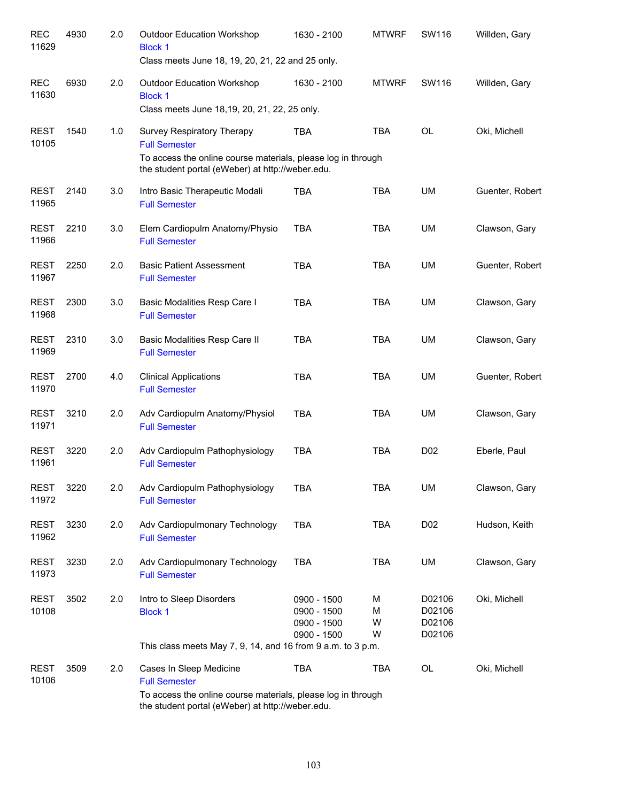| <b>REC</b><br>11629  | 4930 | 2.0 | <b>Outdoor Education Workshop</b><br><b>Block 1</b><br>Class meets June 18, 19, 20, 21, 22 and 25 only.            | 1630 - 2100                                              | <b>MTWRF</b>     | SW116                                | Willden, Gary   |
|----------------------|------|-----|--------------------------------------------------------------------------------------------------------------------|----------------------------------------------------------|------------------|--------------------------------------|-----------------|
| <b>REC</b><br>11630  | 6930 | 2.0 | <b>Outdoor Education Workshop</b><br><b>Block 1</b><br>Class meets June 18,19, 20, 21, 22, 25 only.                | 1630 - 2100                                              | <b>MTWRF</b>     | SW116                                | Willden, Gary   |
| <b>REST</b><br>10105 | 1540 | 1.0 | Survey Respiratory Therapy<br><b>Full Semester</b><br>To access the online course materials, please log in through | TBA                                                      | <b>TBA</b>       | <b>OL</b>                            | Oki, Michell    |
| <b>REST</b><br>11965 | 2140 | 3.0 | the student portal (eWeber) at http://weber.edu.<br>Intro Basic Therapeutic Modali<br><b>Full Semester</b>         | <b>TBA</b>                                               | <b>TBA</b>       | UM                                   | Guenter, Robert |
| <b>REST</b><br>11966 | 2210 | 3.0 | Elem Cardiopulm Anatomy/Physio<br><b>Full Semester</b>                                                             | <b>TBA</b>                                               | <b>TBA</b>       | UM                                   | Clawson, Gary   |
| <b>REST</b><br>11967 | 2250 | 2.0 | <b>Basic Patient Assessment</b><br><b>Full Semester</b>                                                            | <b>TBA</b>                                               | <b>TBA</b>       | UM                                   | Guenter, Robert |
| <b>REST</b><br>11968 | 2300 | 3.0 | Basic Modalities Resp Care I<br><b>Full Semester</b>                                                               | <b>TBA</b>                                               | <b>TBA</b>       | UM                                   | Clawson, Gary   |
| <b>REST</b><br>11969 | 2310 | 3.0 | Basic Modalities Resp Care II<br><b>Full Semester</b>                                                              | <b>TBA</b>                                               | <b>TBA</b>       | UM                                   | Clawson, Gary   |
| <b>REST</b><br>11970 | 2700 | 4.0 | <b>Clinical Applications</b><br><b>Full Semester</b>                                                               | <b>TBA</b>                                               | <b>TBA</b>       | UM                                   | Guenter, Robert |
| <b>REST</b><br>11971 | 3210 | 2.0 | Adv Cardiopulm Anatomy/Physiol<br><b>Full Semester</b>                                                             | <b>TBA</b>                                               | <b>TBA</b>       | UM                                   | Clawson, Gary   |
| <b>REST</b><br>11961 | 3220 | 2.0 | Adv Cardiopulm Pathophysiology<br><b>Full Semester</b>                                                             | <b>TBA</b>                                               | <b>TBA</b>       | D <sub>0</sub> 2                     | Eberle, Paul    |
| <b>REST</b><br>11972 | 3220 | 2.0 | Adv Cardiopulm Pathophysiology<br><b>Full Semester</b>                                                             | TBA                                                      | <b>TBA</b>       | <b>UM</b>                            | Clawson, Gary   |
| <b>REST</b><br>11962 | 3230 | 2.0 | Adv Cardiopulmonary Technology<br><b>Full Semester</b>                                                             | <b>TBA</b>                                               | <b>TBA</b>       | D02                                  | Hudson, Keith   |
| <b>REST</b><br>11973 | 3230 | 2.0 | Adv Cardiopulmonary Technology<br><b>Full Semester</b>                                                             | <b>TBA</b>                                               | <b>TBA</b>       | UM                                   | Clawson, Gary   |
| <b>REST</b><br>10108 | 3502 | 2.0 | Intro to Sleep Disorders<br><b>Block 1</b>                                                                         | 0900 - 1500<br>0900 - 1500<br>0900 - 1500<br>0900 - 1500 | M<br>М<br>W<br>W | D02106<br>D02106<br>D02106<br>D02106 | Oki, Michell    |
|                      |      |     | This class meets May 7, 9, 14, and 16 from 9 a.m. to 3 p.m.                                                        |                                                          |                  |                                      |                 |
| <b>REST</b><br>10106 | 3509 | 2.0 | Cases In Sleep Medicine<br><b>Full Semester</b><br>To access the online course materials, please log in through    | <b>TBA</b>                                               | TBA              | OL                                   | Oki, Michell    |
|                      |      |     | the student portal (eWeber) at http://weber.edu.                                                                   |                                                          |                  |                                      |                 |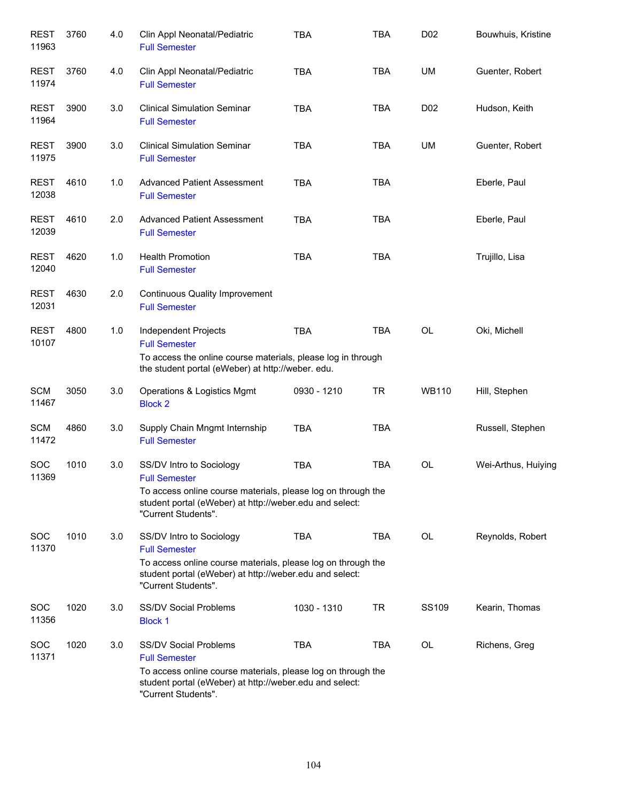| <b>REST</b><br>11963 | 3760 | 4.0 | Clin Appl Neonatal/Pediatric<br><b>Full Semester</b>                                                                                                                                                   | <b>TBA</b>  | <b>TBA</b> | D <sub>0</sub> 2 | Bouwhuis, Kristine  |
|----------------------|------|-----|--------------------------------------------------------------------------------------------------------------------------------------------------------------------------------------------------------|-------------|------------|------------------|---------------------|
| <b>REST</b><br>11974 | 3760 | 4.0 | Clin Appl Neonatal/Pediatric<br><b>Full Semester</b>                                                                                                                                                   | <b>TBA</b>  | <b>TBA</b> | UM               | Guenter, Robert     |
| <b>REST</b><br>11964 | 3900 | 3.0 | <b>Clinical Simulation Seminar</b><br><b>Full Semester</b>                                                                                                                                             | <b>TBA</b>  | <b>TBA</b> | D <sub>02</sub>  | Hudson, Keith       |
| <b>REST</b><br>11975 | 3900 | 3.0 | <b>Clinical Simulation Seminar</b><br><b>Full Semester</b>                                                                                                                                             | <b>TBA</b>  | <b>TBA</b> | UM               | Guenter, Robert     |
| <b>REST</b><br>12038 | 4610 | 1.0 | <b>Advanced Patient Assessment</b><br><b>Full Semester</b>                                                                                                                                             | <b>TBA</b>  | <b>TBA</b> |                  | Eberle, Paul        |
| <b>REST</b><br>12039 | 4610 | 2.0 | <b>Advanced Patient Assessment</b><br><b>Full Semester</b>                                                                                                                                             | <b>TBA</b>  | <b>TBA</b> |                  | Eberle, Paul        |
| <b>REST</b><br>12040 | 4620 | 1.0 | <b>Health Promotion</b><br><b>Full Semester</b>                                                                                                                                                        | <b>TBA</b>  | <b>TBA</b> |                  | Trujillo, Lisa      |
| <b>REST</b><br>12031 | 4630 | 2.0 | <b>Continuous Quality Improvement</b><br><b>Full Semester</b>                                                                                                                                          |             |            |                  |                     |
| <b>REST</b><br>10107 | 4800 | 1.0 | Independent Projects<br><b>Full Semester</b><br>To access the online course materials, please log in through<br>the student portal (eWeber) at http://weber. edu.                                      | <b>TBA</b>  | <b>TBA</b> | OL               | Oki, Michell        |
| <b>SCM</b><br>11467  | 3050 | 3.0 | Operations & Logistics Mgmt<br><b>Block 2</b>                                                                                                                                                          | 0930 - 1210 | <b>TR</b>  | <b>WB110</b>     | Hill, Stephen       |
| <b>SCM</b><br>11472  | 4860 | 3.0 | Supply Chain Mngmt Internship<br><b>Full Semester</b>                                                                                                                                                  | <b>TBA</b>  | <b>TBA</b> |                  | Russell, Stephen    |
| SOC<br>11369         | 1010 | 3.0 | SS/DV Intro to Sociology<br><b>Full Semester</b><br>To access online course materials, please log on through the<br>student portal (eWeber) at http://weber.edu and select:<br>"Current Students".     | <b>TBA</b>  | <b>TBA</b> | <b>OL</b>        | Wei-Arthus, Huiying |
| <b>SOC</b><br>11370  | 1010 | 3.0 | SS/DV Intro to Sociology<br><b>Full Semester</b><br>To access online course materials, please log on through the<br>student portal (eWeber) at http://weber.edu and select:<br>"Current Students".     | <b>TBA</b>  | <b>TBA</b> | <b>OL</b>        | Reynolds, Robert    |
| <b>SOC</b><br>11356  | 1020 | 3.0 | <b>SS/DV Social Problems</b><br><b>Block 1</b>                                                                                                                                                         | 1030 - 1310 | <b>TR</b>  | SS109            | Kearin, Thomas      |
| <b>SOC</b><br>11371  | 1020 | 3.0 | <b>SS/DV Social Problems</b><br><b>Full Semester</b><br>To access online course materials, please log on through the<br>student portal (eWeber) at http://weber.edu and select:<br>"Current Students". | <b>TBA</b>  | <b>TBA</b> | <b>OL</b>        | Richens, Greg       |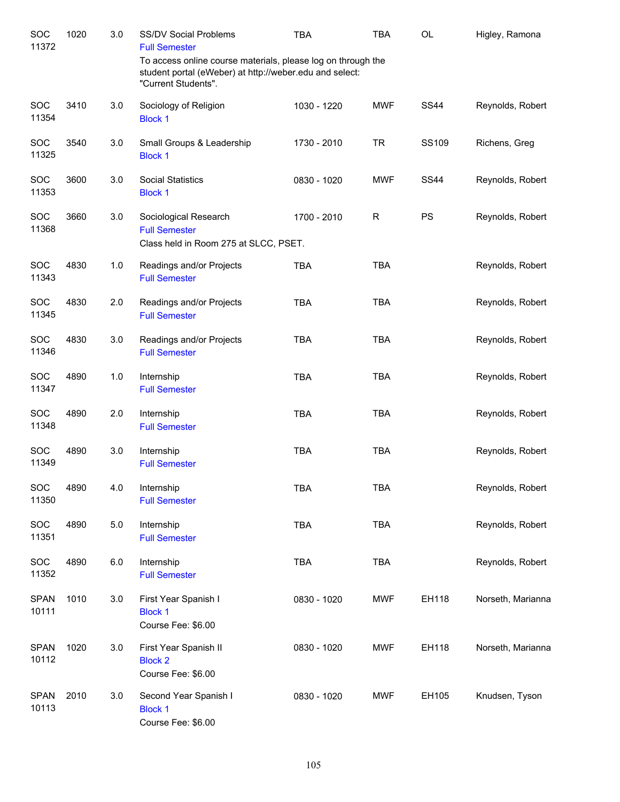| SOC<br>11372         | 1020 | 3.0   | SS/DV Social Problems<br><b>Full Semester</b>                                                                                                  | <b>TBA</b>  | <b>TBA</b>  | OL           | Higley, Ramona    |
|----------------------|------|-------|------------------------------------------------------------------------------------------------------------------------------------------------|-------------|-------------|--------------|-------------------|
|                      |      |       | To access online course materials, please log on through the<br>student portal (eWeber) at http://weber.edu and select:<br>"Current Students". |             |             |              |                   |
| <b>SOC</b><br>11354  | 3410 | 3.0   | Sociology of Religion<br><b>Block 1</b>                                                                                                        | 1030 - 1220 | <b>MWF</b>  | <b>SS44</b>  | Reynolds, Robert  |
| SOC<br>11325         | 3540 | 3.0   | Small Groups & Leadership<br><b>Block 1</b>                                                                                                    | 1730 - 2010 | <b>TR</b>   | <b>SS109</b> | Richens, Greg     |
| SOC<br>11353         | 3600 | 3.0   | <b>Social Statistics</b><br><b>Block 1</b>                                                                                                     | 0830 - 1020 | <b>MWF</b>  | <b>SS44</b>  | Reynolds, Robert  |
| SOC<br>11368         | 3660 | 3.0   | Sociological Research<br><b>Full Semester</b><br>Class held in Room 275 at SLCC, PSET.                                                         | 1700 - 2010 | $\mathsf R$ | PS           | Reynolds, Robert  |
| <b>SOC</b><br>11343  | 4830 | 1.0   | Readings and/or Projects<br><b>Full Semester</b>                                                                                               | <b>TBA</b>  | <b>TBA</b>  |              | Reynolds, Robert  |
| SOC<br>11345         | 4830 | 2.0   | Readings and/or Projects<br><b>Full Semester</b>                                                                                               | <b>TBA</b>  | <b>TBA</b>  |              | Reynolds, Robert  |
| SOC<br>11346         | 4830 | 3.0   | Readings and/or Projects<br><b>Full Semester</b>                                                                                               | <b>TBA</b>  | <b>TBA</b>  |              | Reynolds, Robert  |
| SOC<br>11347         | 4890 | 1.0   | Internship<br><b>Full Semester</b>                                                                                                             | <b>TBA</b>  | <b>TBA</b>  |              | Reynolds, Robert  |
| SOC<br>11348         | 4890 | 2.0   | Internship<br><b>Full Semester</b>                                                                                                             | <b>TBA</b>  | <b>TBA</b>  |              | Reynolds, Robert  |
| SOC<br>11349         | 4890 | 3.0   | Internship<br><b>Full Semester</b>                                                                                                             | <b>TBA</b>  | <b>TBA</b>  |              | Reynolds, Robert  |
| SOC<br>11350         | 4890 | 4.0   | Internship<br><b>Full Semester</b>                                                                                                             | <b>TBA</b>  | TBA         |              | Reynolds, Robert  |
| SOC<br>11351         | 4890 | $5.0$ | Internship<br><b>Full Semester</b>                                                                                                             | <b>TBA</b>  | <b>TBA</b>  |              | Reynolds, Robert  |
| SOC<br>11352         | 4890 | 6.0   | Internship<br><b>Full Semester</b>                                                                                                             | <b>TBA</b>  | <b>TBA</b>  |              | Reynolds, Robert  |
| <b>SPAN</b><br>10111 | 1010 | 3.0   | First Year Spanish I<br><b>Block 1</b><br>Course Fee: \$6.00                                                                                   | 0830 - 1020 | <b>MWF</b>  | EH118        | Norseth, Marianna |
| <b>SPAN</b><br>10112 | 1020 | 3.0   | First Year Spanish II<br><b>Block 2</b><br>Course Fee: \$6.00                                                                                  | 0830 - 1020 | <b>MWF</b>  | EH118        | Norseth, Marianna |
| <b>SPAN</b><br>10113 | 2010 | 3.0   | Second Year Spanish I<br><b>Block 1</b><br>Course Fee: \$6.00                                                                                  | 0830 - 1020 | <b>MWF</b>  | EH105        | Knudsen, Tyson    |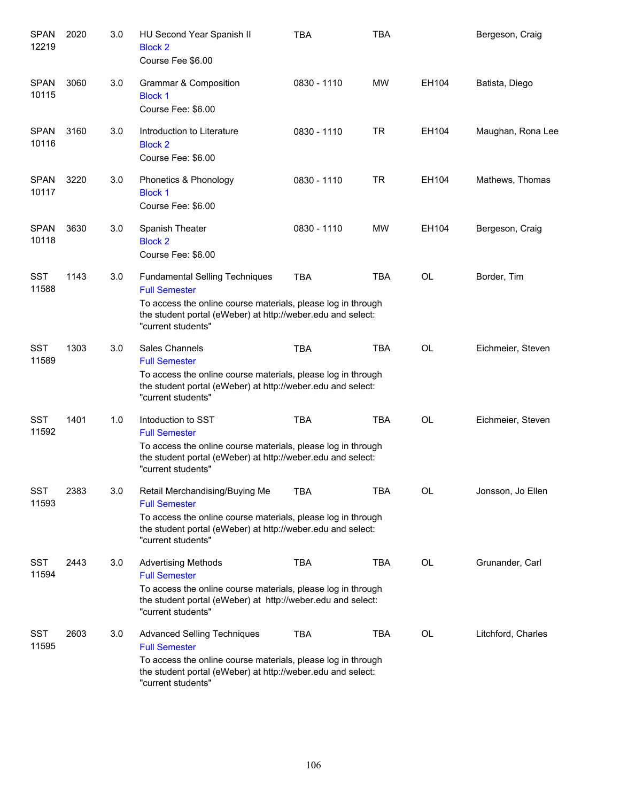| <b>SPAN</b><br>12219 | 2020 | 3.0 | HU Second Year Spanish II<br><b>Block 2</b><br>Course Fee \$6.00                                                                                                                                                   | <b>TBA</b>  | <b>TBA</b> |           | Bergeson, Craig    |
|----------------------|------|-----|--------------------------------------------------------------------------------------------------------------------------------------------------------------------------------------------------------------------|-------------|------------|-----------|--------------------|
| <b>SPAN</b><br>10115 | 3060 | 3.0 | Grammar & Composition<br><b>Block 1</b><br>Course Fee: \$6.00                                                                                                                                                      | 0830 - 1110 | <b>MW</b>  | EH104     | Batista, Diego     |
| <b>SPAN</b><br>10116 | 3160 | 3.0 | Introduction to Literature<br><b>Block 2</b><br>Course Fee: \$6.00                                                                                                                                                 | 0830 - 1110 | <b>TR</b>  | EH104     | Maughan, Rona Lee  |
| <b>SPAN</b><br>10117 | 3220 | 3.0 | Phonetics & Phonology<br><b>Block 1</b><br>Course Fee: \$6.00                                                                                                                                                      | 0830 - 1110 | <b>TR</b>  | EH104     | Mathews, Thomas    |
| <b>SPAN</b><br>10118 | 3630 | 3.0 | Spanish Theater<br><b>Block 2</b><br>Course Fee: \$6.00                                                                                                                                                            | 0830 - 1110 | <b>MW</b>  | EH104     | Bergeson, Craig    |
| <b>SST</b><br>11588  | 1143 | 3.0 | <b>Fundamental Selling Techniques</b><br><b>Full Semester</b><br>To access the online course materials, please log in through<br>the student portal (eWeber) at http://weber.edu and select:<br>"current students" | <b>TBA</b>  | <b>TBA</b> | <b>OL</b> | Border, Tim        |
| <b>SST</b><br>11589  | 1303 | 3.0 | Sales Channels<br><b>Full Semester</b><br>To access the online course materials, please log in through<br>the student portal (eWeber) at http://weber.edu and select:<br>"current students"                        | <b>TBA</b>  | <b>TBA</b> | <b>OL</b> | Eichmeier, Steven  |
| <b>SST</b><br>11592  | 1401 | 1.0 | Intoduction to SST<br><b>Full Semester</b><br>To access the online course materials, please log in through<br>the student portal (eWeber) at http://weber.edu and select:<br>"current students"                    | <b>TBA</b>  | <b>TBA</b> | <b>OL</b> | Eichmeier, Steven  |
| <b>SST</b><br>11593  | 2383 | 3.0 | Retail Merchandising/Buying Me<br><b>Full Semester</b><br>To access the online course materials, please log in through<br>the student portal (eWeber) at http://weber.edu and select:<br>"current students"        | <b>TBA</b>  | <b>TBA</b> | OL        | Jonsson, Jo Ellen  |
| <b>SST</b><br>11594  | 2443 | 3.0 | <b>Advertising Methods</b><br><b>Full Semester</b><br>To access the online course materials, please log in through<br>the student portal (eWeber) at http://weber.edu and select:<br>"current students"            | <b>TBA</b>  | <b>TBA</b> | OL        | Grunander, Carl    |
| <b>SST</b><br>11595  | 2603 | 3.0 | <b>Advanced Selling Techniques</b><br><b>Full Semester</b><br>To access the online course materials, please log in through<br>the student portal (eWeber) at http://weber.edu and select:<br>"current students"    | <b>TBA</b>  | <b>TBA</b> | <b>OL</b> | Litchford, Charles |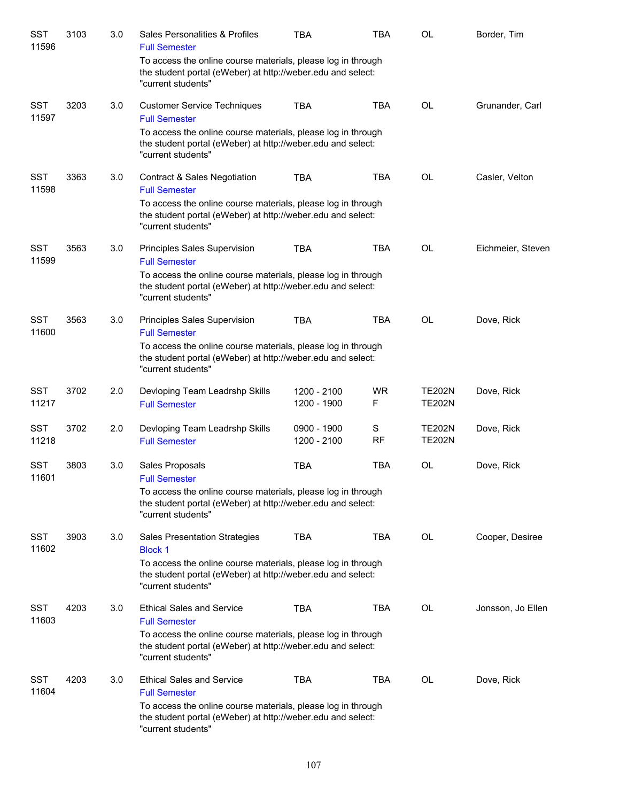| SST<br>11596        | 3103 | 3.0 | Sales Personalities & Profiles<br><b>Full Semester</b>                                                                                            | <b>TBA</b>                 | <b>TBA</b>     | <b>OL</b>                      | Border, Tim       |
|---------------------|------|-----|---------------------------------------------------------------------------------------------------------------------------------------------------|----------------------------|----------------|--------------------------------|-------------------|
|                     |      |     | To access the online course materials, please log in through<br>the student portal (eWeber) at http://weber.edu and select:<br>"current students" |                            |                |                                |                   |
| <b>SST</b><br>11597 | 3203 | 3.0 | <b>Customer Service Techniques</b><br><b>Full Semester</b>                                                                                        | <b>TBA</b>                 | <b>TBA</b>     | <b>OL</b>                      | Grunander, Carl   |
|                     |      |     | To access the online course materials, please log in through<br>the student portal (eWeber) at http://weber.edu and select:<br>"current students" |                            |                |                                |                   |
| <b>SST</b><br>11598 | 3363 | 3.0 | <b>Contract &amp; Sales Negotiation</b><br><b>Full Semester</b>                                                                                   | <b>TBA</b>                 | <b>TBA</b>     | <b>OL</b>                      | Casler, Velton    |
|                     |      |     | To access the online course materials, please log in through<br>the student portal (eWeber) at http://weber.edu and select:<br>"current students" |                            |                |                                |                   |
| <b>SST</b><br>11599 | 3563 | 3.0 | Principles Sales Supervision<br><b>Full Semester</b>                                                                                              | <b>TBA</b>                 | <b>TBA</b>     | OL                             | Eichmeier, Steven |
|                     |      |     | To access the online course materials, please log in through<br>the student portal (eWeber) at http://weber.edu and select:<br>"current students" |                            |                |                                |                   |
| <b>SST</b><br>11600 | 3563 | 3.0 | Principles Sales Supervision<br><b>Full Semester</b>                                                                                              | <b>TBA</b>                 | <b>TBA</b>     | OL                             | Dove, Rick        |
|                     |      |     | To access the online course materials, please log in through<br>the student portal (eWeber) at http://weber.edu and select:<br>"current students" |                            |                |                                |                   |
| <b>SST</b><br>11217 | 3702 | 2.0 | Devloping Team Leadrshp Skills<br><b>Full Semester</b>                                                                                            | 1200 - 2100<br>1200 - 1900 | <b>WR</b><br>F | <b>TE202N</b><br><b>TE202N</b> | Dove, Rick        |
| <b>SST</b><br>11218 | 3702 | 2.0 | Devloping Team Leadrshp Skills<br><b>Full Semester</b>                                                                                            | 0900 - 1900<br>1200 - 2100 | S<br><b>RF</b> | <b>TE202N</b><br><b>TE202N</b> | Dove, Rick        |
| <b>SST</b><br>11601 | 3803 | 3.0 | Sales Proposals<br><b>Full Semester</b>                                                                                                           | <b>TBA</b>                 | <b>TBA</b>     | OL                             | Dove, Rick        |
|                     |      |     | To access the online course materials, please log in through<br>the student portal (eWeber) at http://weber.edu and select:<br>"current students" |                            |                |                                |                   |
| <b>SST</b><br>11602 | 3903 | 3.0 | Sales Presentation Strategies<br><b>Block 1</b>                                                                                                   | <b>TBA</b>                 | <b>TBA</b>     | <b>OL</b>                      | Cooper, Desiree   |
|                     |      |     | To access the online course materials, please log in through<br>the student portal (eWeber) at http://weber.edu and select:<br>"current students" |                            |                |                                |                   |
| <b>SST</b><br>11603 | 4203 | 3.0 | <b>Ethical Sales and Service</b><br><b>Full Semester</b>                                                                                          | <b>TBA</b>                 | <b>TBA</b>     | <b>OL</b>                      | Jonsson, Jo Ellen |
|                     |      |     | To access the online course materials, please log in through<br>the student portal (eWeber) at http://weber.edu and select:<br>"current students" |                            |                |                                |                   |
| <b>SST</b><br>11604 | 4203 | 3.0 | <b>Ethical Sales and Service</b><br><b>Full Semester</b>                                                                                          | <b>TBA</b>                 | <b>TBA</b>     | OL                             | Dove, Rick        |
|                     |      |     | To access the online course materials, please log in through<br>the student portal (eWeber) at http://weber.edu and select:<br>"current students" |                            |                |                                |                   |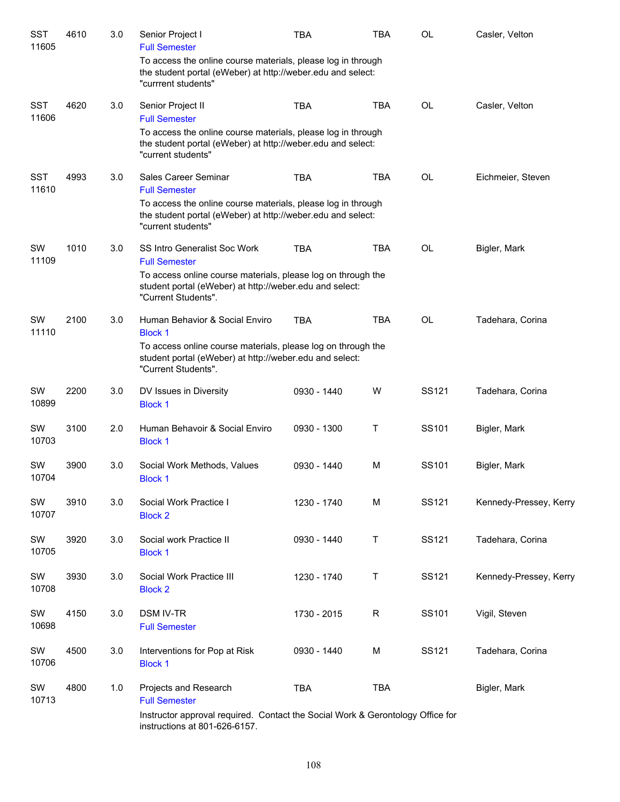| <b>SST</b><br>11605 | 4610 | 3.0 | Senior Project I<br><b>Full Semester</b>                                                                                                           | <b>TBA</b>  | <b>TBA</b> | <b>OL</b> | Casler, Velton         |
|---------------------|------|-----|----------------------------------------------------------------------------------------------------------------------------------------------------|-------------|------------|-----------|------------------------|
|                     |      |     | To access the online course materials, please log in through<br>the student portal (eWeber) at http://weber.edu and select:<br>"currrent students" |             |            |           |                        |
| <b>SST</b><br>11606 | 4620 | 3.0 | Senior Project II<br><b>Full Semester</b>                                                                                                          | <b>TBA</b>  | <b>TBA</b> | <b>OL</b> | Casler, Velton         |
|                     |      |     | To access the online course materials, please log in through<br>the student portal (eWeber) at http://weber.edu and select:<br>"current students"  |             |            |           |                        |
| <b>SST</b><br>11610 | 4993 | 3.0 | Sales Career Seminar<br><b>Full Semester</b>                                                                                                       | <b>TBA</b>  | <b>TBA</b> | <b>OL</b> | Eichmeier, Steven      |
|                     |      |     | To access the online course materials, please log in through<br>the student portal (eWeber) at http://weber.edu and select:<br>"current students"  |             |            |           |                        |
| SW<br>11109         | 1010 | 3.0 | <b>SS Intro Generalist Soc Work</b><br><b>Full Semester</b>                                                                                        | <b>TBA</b>  | <b>TBA</b> | OL        | Bigler, Mark           |
|                     |      |     | To access online course materials, please log on through the<br>student portal (eWeber) at http://weber.edu and select:<br>"Current Students".     |             |            |           |                        |
| SW<br>11110         | 2100 | 3.0 | Human Behavior & Social Enviro<br><b>Block 1</b>                                                                                                   | <b>TBA</b>  | <b>TBA</b> | <b>OL</b> | Tadehara, Corina       |
|                     |      |     | To access online course materials, please log on through the<br>student portal (eWeber) at http://weber.edu and select:<br>"Current Students".     |             |            |           |                        |
| SW<br>10899         | 2200 | 3.0 | DV Issues in Diversity<br><b>Block 1</b>                                                                                                           | 0930 - 1440 | W          | SS121     | Tadehara, Corina       |
| SW<br>10703         | 3100 | 2.0 | Human Behavoir & Social Enviro<br><b>Block 1</b>                                                                                                   | 0930 - 1300 | T          | SS101     | Bigler, Mark           |
| SW<br>10704         | 3900 | 3.0 | Social Work Methods, Values<br><b>Block 1</b>                                                                                                      | 0930 - 1440 | M          | SS101     | Bigler, Mark           |
| SW<br>10707         | 3910 | 3.0 | Social Work Practice I<br><b>Block 2</b>                                                                                                           | 1230 - 1740 | M          | SS121     | Kennedy-Pressey, Kerry |
| SW<br>10705         | 3920 | 3.0 | Social work Practice II<br><b>Block 1</b>                                                                                                          | 0930 - 1440 | T          | SS121     | Tadehara, Corina       |
| SW<br>10708         | 3930 | 3.0 | Social Work Practice III<br><b>Block 2</b>                                                                                                         | 1230 - 1740 | T          | SS121     | Kennedy-Pressey, Kerry |
| SW<br>10698         | 4150 | 3.0 | <b>DSM IV-TR</b><br><b>Full Semester</b>                                                                                                           | 1730 - 2015 | R          | SS101     | Vigil, Steven          |
| SW<br>10706         | 4500 | 3.0 | Interventions for Pop at Risk<br><b>Block 1</b>                                                                                                    | 0930 - 1440 | M          | SS121     | Tadehara, Corina       |
| SW<br>10713         | 4800 | 1.0 | Projects and Research<br><b>Full Semester</b>                                                                                                      | <b>TBA</b>  | <b>TBA</b> |           | Bigler, Mark           |
|                     |      |     | Instructor approval required. Contact the Social Work & Gerontology Office for<br>instructions at 801-626-6157.                                    |             |            |           |                        |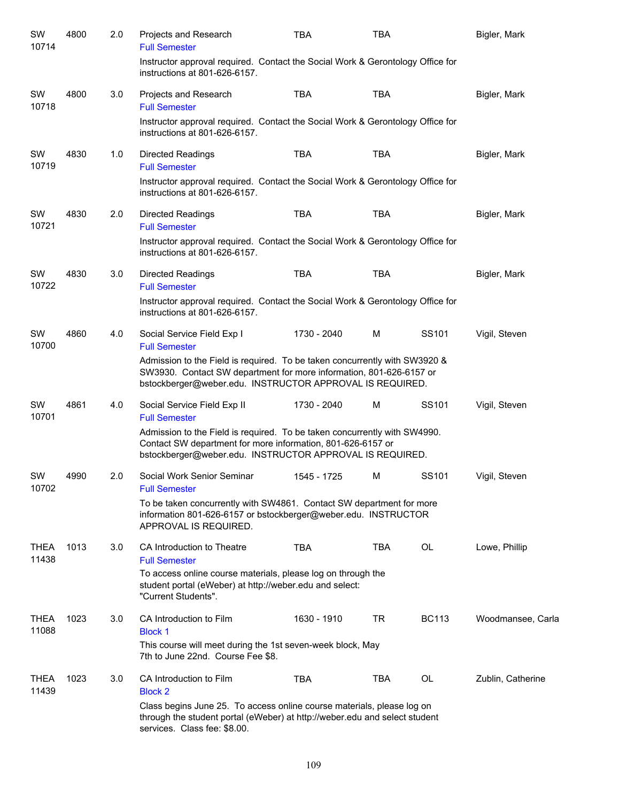| SW<br>10714          | 4800 | 2.0 | Projects and Research<br><b>Full Semester</b>                                                                                                                                                                 | <b>TBA</b>  | <b>TBA</b> |              | Bigler, Mark      |  |  |
|----------------------|------|-----|---------------------------------------------------------------------------------------------------------------------------------------------------------------------------------------------------------------|-------------|------------|--------------|-------------------|--|--|
|                      |      |     | Instructor approval required. Contact the Social Work & Gerontology Office for<br>instructions at 801-626-6157.                                                                                               |             |            |              |                   |  |  |
| SW<br>10718          | 4800 | 3.0 | Projects and Research<br><b>Full Semester</b>                                                                                                                                                                 | <b>TBA</b>  | <b>TBA</b> |              | Bigler, Mark      |  |  |
|                      |      |     | Instructor approval required. Contact the Social Work & Gerontology Office for<br>instructions at 801-626-6157.                                                                                               |             |            |              |                   |  |  |
| SW<br>10719          | 4830 | 1.0 | Directed Readings<br><b>Full Semester</b>                                                                                                                                                                     | <b>TBA</b>  | <b>TBA</b> |              | Bigler, Mark      |  |  |
|                      |      |     | Instructor approval required. Contact the Social Work & Gerontology Office for<br>instructions at 801-626-6157.                                                                                               |             |            |              |                   |  |  |
| SW<br>10721          | 4830 | 2.0 | <b>Directed Readings</b><br><b>Full Semester</b>                                                                                                                                                              | <b>TBA</b>  | <b>TBA</b> |              | Bigler, Mark      |  |  |
|                      |      |     | Instructor approval required. Contact the Social Work & Gerontology Office for<br>instructions at 801-626-6157.                                                                                               |             |            |              |                   |  |  |
| SW<br>10722          | 4830 | 3.0 | <b>Directed Readings</b><br><b>Full Semester</b>                                                                                                                                                              | <b>TBA</b>  | <b>TBA</b> |              | Bigler, Mark      |  |  |
|                      |      |     | Instructor approval required. Contact the Social Work & Gerontology Office for<br>instructions at 801-626-6157.                                                                                               |             |            |              |                   |  |  |
| SW<br>10700          | 4860 | 4.0 | Social Service Field Exp I<br><b>Full Semester</b>                                                                                                                                                            | 1730 - 2040 | M          | SS101        | Vigil, Steven     |  |  |
|                      |      |     | Admission to the Field is required. To be taken concurrently with SW3920 &<br>SW3930. Contact SW department for more information, 801-626-6157 or<br>bstockberger@weber.edu. INSTRUCTOR APPROVAL IS REQUIRED. |             |            |              |                   |  |  |
| SW<br>10701          | 4861 | 4.0 | Social Service Field Exp II<br><b>Full Semester</b>                                                                                                                                                           | 1730 - 2040 | М          | SS101        | Vigil, Steven     |  |  |
|                      |      |     | Admission to the Field is required. To be taken concurrently with SW4990.<br>Contact SW department for more information, 801-626-6157 or<br>bstockberger@weber.edu. INSTRUCTOR APPROVAL IS REQUIRED.          |             |            |              |                   |  |  |
| SW<br>10702          | 4990 | 2.0 | Social Work Senior Seminar<br><b>Full Semester</b>                                                                                                                                                            | 1545 - 1725 | M          | SS101        | Vigil, Steven     |  |  |
|                      |      |     | To be taken concurrently with SW4861. Contact SW department for more<br>information 801-626-6157 or bstockberger@weber.edu. INSTRUCTOR<br>APPROVAL IS REQUIRED.                                               |             |            |              |                   |  |  |
| <b>THEA</b><br>11438 | 1013 | 3.0 | CA Introduction to Theatre<br><b>Full Semester</b>                                                                                                                                                            | <b>TBA</b>  | TBA        | OL           | Lowe, Phillip     |  |  |
|                      |      |     | To access online course materials, please log on through the<br>student portal (eWeber) at http://weber.edu and select:<br>"Current Students".                                                                |             |            |              |                   |  |  |
| <b>THEA</b><br>11088 | 1023 | 3.0 | CA Introduction to Film<br><b>Block 1</b>                                                                                                                                                                     | 1630 - 1910 | TR         | <b>BC113</b> | Woodmansee, Carla |  |  |
|                      |      |     | This course will meet during the 1st seven-week block, May<br>7th to June 22nd. Course Fee \$8.                                                                                                               |             |            |              |                   |  |  |
| <b>THEA</b><br>11439 | 1023 | 3.0 | CA Introduction to Film<br><b>Block 2</b>                                                                                                                                                                     | <b>TBA</b>  | <b>TBA</b> | <b>OL</b>    | Zublin, Catherine |  |  |
|                      |      |     | Class begins June 25. To access online course materials, please log on<br>through the student portal (eWeber) at http://weber.edu and select student<br>services. Class fee: \$8.00.                          |             |            |              |                   |  |  |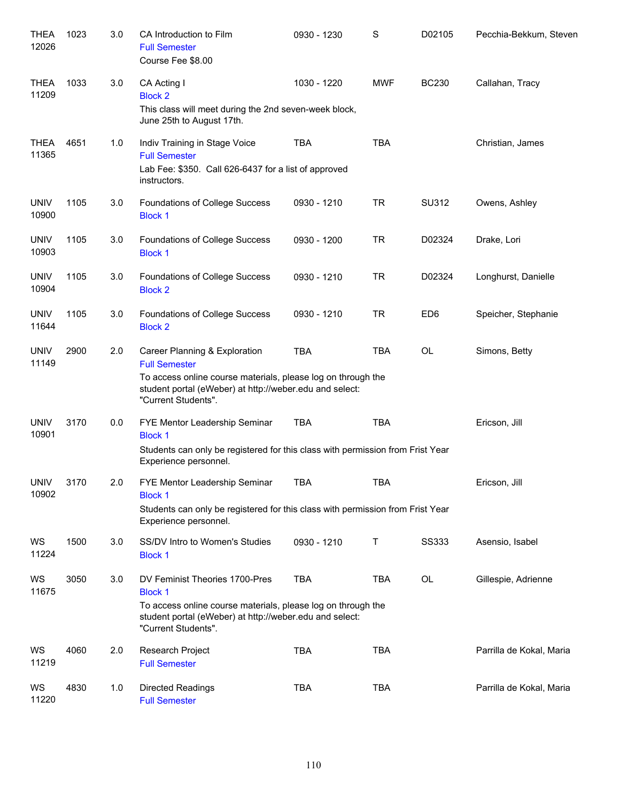| <b>THEA</b><br>12026 | 1023 | 3.0 | CA Introduction to Film<br><b>Full Semester</b><br>Course Fee \$8.00                                                                                                                                    | 0930 - 1230 | S          | D02105          | Pecchia-Bekkum, Steven   |
|----------------------|------|-----|---------------------------------------------------------------------------------------------------------------------------------------------------------------------------------------------------------|-------------|------------|-----------------|--------------------------|
| <b>THEA</b><br>11209 | 1033 | 3.0 | CA Acting I<br><b>Block 2</b><br>This class will meet during the 2nd seven-week block,<br>June 25th to August 17th.                                                                                     | 1030 - 1220 | <b>MWF</b> | <b>BC230</b>    | Callahan, Tracy          |
| <b>THEA</b><br>11365 | 4651 | 1.0 | Indiv Training in Stage Voice<br><b>Full Semester</b><br>Lab Fee: \$350. Call 626-6437 for a list of approved<br>instructors.                                                                           | <b>TBA</b>  | <b>TBA</b> |                 | Christian, James         |
| <b>UNIV</b><br>10900 | 1105 | 3.0 | Foundations of College Success<br><b>Block 1</b>                                                                                                                                                        | 0930 - 1210 | <b>TR</b>  | SU312           | Owens, Ashley            |
| <b>UNIV</b><br>10903 | 1105 | 3.0 | Foundations of College Success<br><b>Block 1</b>                                                                                                                                                        | 0930 - 1200 | <b>TR</b>  | D02324          | Drake, Lori              |
| <b>UNIV</b><br>10904 | 1105 | 3.0 | Foundations of College Success<br><b>Block 2</b>                                                                                                                                                        | 0930 - 1210 | <b>TR</b>  | D02324          | Longhurst, Danielle      |
| <b>UNIV</b><br>11644 | 1105 | 3.0 | Foundations of College Success<br><b>Block 2</b>                                                                                                                                                        | 0930 - 1210 | <b>TR</b>  | ED <sub>6</sub> | Speicher, Stephanie      |
| <b>UNIV</b><br>11149 | 2900 | 2.0 | Career Planning & Exploration<br><b>Full Semester</b><br>To access online course materials, please log on through the<br>student portal (eWeber) at http://weber.edu and select:<br>"Current Students". | <b>TBA</b>  | <b>TBA</b> | <b>OL</b>       | Simons, Betty            |
| <b>UNIV</b><br>10901 | 3170 | 0.0 | FYE Mentor Leadership Seminar<br><b>Block 1</b><br>Students can only be registered for this class with permission from Frist Year<br>Experience personnel.                                              | <b>TBA</b>  | <b>TBA</b> |                 | Ericson, Jill            |
| <b>UNIV</b><br>10902 | 3170 | 2.0 | FYE Mentor Leadership Seminar<br><b>Block 1</b><br>Students can only be registered for this class with permission from Frist Year<br>Experience personnel.                                              | TBA         | <b>TBA</b> |                 | Ericson, Jill            |
| WS<br>11224          | 1500 | 3.0 | SS/DV Intro to Women's Studies<br><b>Block 1</b>                                                                                                                                                        | 0930 - 1210 | Τ          | <b>SS333</b>    | Asensio, Isabel          |
| WS<br>11675          | 3050 | 3.0 | DV Feminist Theories 1700-Pres<br><b>Block 1</b><br>To access online course materials, please log on through the<br>student portal (eWeber) at http://weber.edu and select:<br>"Current Students".      | <b>TBA</b>  | TBA        | OL              | Gillespie, Adrienne      |
| WS<br>11219          | 4060 | 2.0 | Research Project<br><b>Full Semester</b>                                                                                                                                                                | <b>TBA</b>  | <b>TBA</b> |                 | Parrilla de Kokal, Maria |
| WS<br>11220          | 4830 | 1.0 | Directed Readings<br><b>Full Semester</b>                                                                                                                                                               | <b>TBA</b>  | <b>TBA</b> |                 | Parrilla de Kokal, Maria |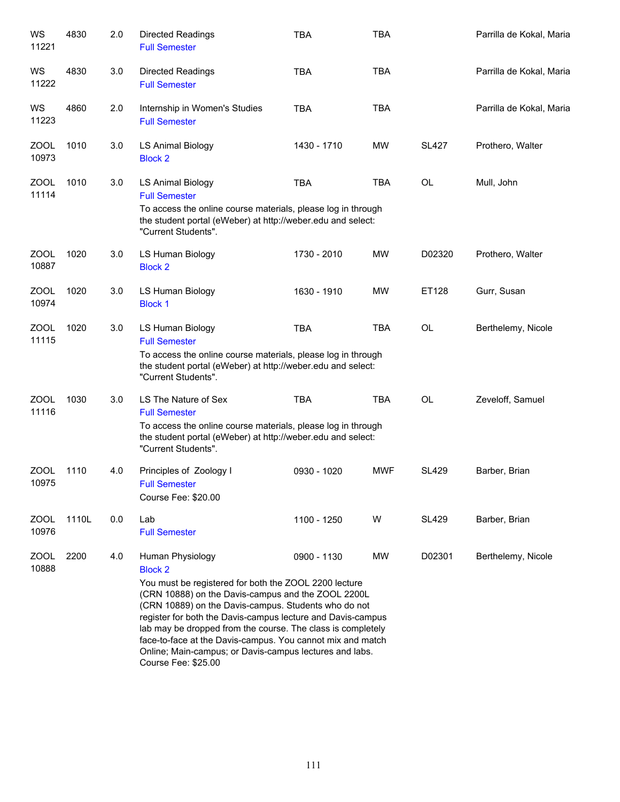| WS<br>11221          | 4830  | 2.0 | <b>Directed Readings</b><br><b>Full Semester</b>                                                                                                                                                                                                                                                                                                                                                                                                                                        | <b>TBA</b>  | <b>TBA</b> |              | Parrilla de Kokal, Maria |
|----------------------|-------|-----|-----------------------------------------------------------------------------------------------------------------------------------------------------------------------------------------------------------------------------------------------------------------------------------------------------------------------------------------------------------------------------------------------------------------------------------------------------------------------------------------|-------------|------------|--------------|--------------------------|
| WS<br>11222          | 4830  | 3.0 | <b>Directed Readings</b><br><b>Full Semester</b>                                                                                                                                                                                                                                                                                                                                                                                                                                        | <b>TBA</b>  | <b>TBA</b> |              | Parrilla de Kokal, Maria |
| WS<br>11223          | 4860  | 2.0 | Internship in Women's Studies<br><b>Full Semester</b>                                                                                                                                                                                                                                                                                                                                                                                                                                   | <b>TBA</b>  | <b>TBA</b> |              | Parrilla de Kokal, Maria |
| ZOOL<br>10973        | 1010  | 3.0 | LS Animal Biology<br><b>Block 2</b>                                                                                                                                                                                                                                                                                                                                                                                                                                                     | 1430 - 1710 | <b>MW</b>  | <b>SL427</b> | Prothero, Walter         |
| ZOOL<br>11114        | 1010  | 3.0 | <b>LS Animal Biology</b><br><b>Full Semester</b><br>To access the online course materials, please log in through<br>the student portal (eWeber) at http://weber.edu and select:<br>"Current Students".                                                                                                                                                                                                                                                                                  | <b>TBA</b>  | <b>TBA</b> | <b>OL</b>    | Mull, John               |
| ZOOL<br>10887        | 1020  | 3.0 | LS Human Biology<br><b>Block 2</b>                                                                                                                                                                                                                                                                                                                                                                                                                                                      | 1730 - 2010 | <b>MW</b>  | D02320       | Prothero, Walter         |
| ZOOL<br>10974        | 1020  | 3.0 | LS Human Biology<br><b>Block 1</b>                                                                                                                                                                                                                                                                                                                                                                                                                                                      | 1630 - 1910 | <b>MW</b>  | ET128        | Gurr, Susan              |
| ZOOL<br>11115        | 1020  | 3.0 | LS Human Biology<br><b>Full Semester</b><br>To access the online course materials, please log in through<br>the student portal (eWeber) at http://weber.edu and select:<br>"Current Students".                                                                                                                                                                                                                                                                                          | <b>TBA</b>  | <b>TBA</b> | <b>OL</b>    | Berthelemy, Nicole       |
| <b>ZOOL</b><br>11116 | 1030  | 3.0 | LS The Nature of Sex<br><b>Full Semester</b><br>To access the online course materials, please log in through<br>the student portal (eWeber) at http://weber.edu and select:<br>"Current Students".                                                                                                                                                                                                                                                                                      | <b>TBA</b>  | <b>TBA</b> | OL           | Zeveloff, Samuel         |
| <b>ZOOL</b><br>10975 | 1110  | 4.0 | Principles of Zoology I<br><b>Full Semester</b><br>Course Fee: \$20.00                                                                                                                                                                                                                                                                                                                                                                                                                  | 0930 - 1020 | <b>MWF</b> | <b>SL429</b> | Barber, Brian            |
| <b>ZOOL</b><br>10976 | 1110L | 0.0 | Lab<br><b>Full Semester</b>                                                                                                                                                                                                                                                                                                                                                                                                                                                             | 1100 - 1250 | W          | <b>SL429</b> | Barber, Brian            |
| ZOOL<br>10888        | 2200  | 4.0 | Human Physiology<br><b>Block 2</b><br>You must be registered for both the ZOOL 2200 lecture<br>(CRN 10888) on the Davis-campus and the ZOOL 2200L<br>(CRN 10889) on the Davis-campus. Students who do not<br>register for both the Davis-campus lecture and Davis-campus<br>lab may be dropped from the course. The class is completely<br>face-to-face at the Davis-campus. You cannot mix and match<br>Online; Main-campus; or Davis-campus lectures and labs.<br>Course Fee: \$25.00 | 0900 - 1130 | MW         | D02301       | Berthelemy, Nicole       |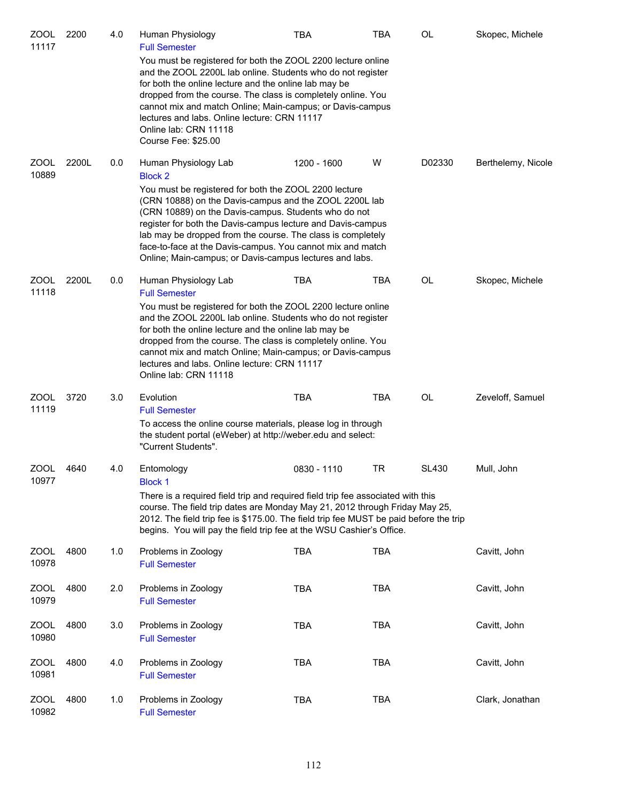| <b>ZOOL</b><br>11117 | 2200  | 4.0 | Human Physiology<br><b>Full Semester</b>                                                                                                                                                                                                                                                                                                                                                                                                   | <b>TBA</b>  | TBA        | OL           | Skopec, Michele    |
|----------------------|-------|-----|--------------------------------------------------------------------------------------------------------------------------------------------------------------------------------------------------------------------------------------------------------------------------------------------------------------------------------------------------------------------------------------------------------------------------------------------|-------------|------------|--------------|--------------------|
|                      |       |     | You must be registered for both the ZOOL 2200 lecture online<br>and the ZOOL 2200L lab online. Students who do not register<br>for both the online lecture and the online lab may be<br>dropped from the course. The class is completely online. You<br>cannot mix and match Online; Main-campus; or Davis-campus<br>lectures and labs. Online lecture: CRN 11117<br>Online lab: CRN 11118<br>Course Fee: \$25.00                          |             |            |              |                    |
| <b>ZOOL</b><br>10889 | 2200L | 0.0 | Human Physiology Lab<br><b>Block 2</b><br>You must be registered for both the ZOOL 2200 lecture<br>(CRN 10888) on the Davis-campus and the ZOOL 2200L lab<br>(CRN 10889) on the Davis-campus. Students who do not<br>register for both the Davis-campus lecture and Davis-campus<br>lab may be dropped from the course. The class is completely                                                                                            | 1200 - 1600 | W          | D02330       | Berthelemy, Nicole |
|                      |       |     | face-to-face at the Davis-campus. You cannot mix and match<br>Online; Main-campus; or Davis-campus lectures and labs.                                                                                                                                                                                                                                                                                                                      |             |            |              |                    |
| <b>ZOOL</b><br>11118 | 2200L | 0.0 | Human Physiology Lab<br><b>Full Semester</b><br>You must be registered for both the ZOOL 2200 lecture online<br>and the ZOOL 2200L lab online. Students who do not register<br>for both the online lecture and the online lab may be<br>dropped from the course. The class is completely online. You<br>cannot mix and match Online; Main-campus; or Davis-campus<br>lectures and labs. Online lecture: CRN 11117<br>Online lab: CRN 11118 | <b>TBA</b>  | TBA        | OL           | Skopec, Michele    |
| ZOOL<br>11119        | 3720  | 3.0 | Evolution<br><b>Full Semester</b><br>To access the online course materials, please log in through<br>the student portal (eWeber) at http://weber.edu and select:<br>"Current Students".                                                                                                                                                                                                                                                    | <b>TBA</b>  | <b>TBA</b> | <b>OL</b>    | Zeveloff, Samuel   |
| ZOOL<br>10977        | 4640  | 4.0 | Entomology<br>Block 1<br>There is a required field trip and required field trip fee associated with this<br>course. The field trip dates are Monday May 21, 2012 through Friday May 25,<br>2012. The field trip fee is \$175.00. The field trip fee MUST be paid before the trip<br>begins. You will pay the field trip fee at the WSU Cashier's Office.                                                                                   | 0830 - 1110 | TR         | <b>SL430</b> | Mull, John         |
| ZOOL<br>10978        | 4800  | 1.0 | Problems in Zoology<br><b>Full Semester</b>                                                                                                                                                                                                                                                                                                                                                                                                | <b>TBA</b>  | <b>TBA</b> |              | Cavitt, John       |
| ZOOL<br>10979        | 4800  | 2.0 | Problems in Zoology<br><b>Full Semester</b>                                                                                                                                                                                                                                                                                                                                                                                                | <b>TBA</b>  | <b>TBA</b> |              | Cavitt, John       |
| ZOOL<br>10980        | 4800  | 3.0 | Problems in Zoology<br><b>Full Semester</b>                                                                                                                                                                                                                                                                                                                                                                                                | <b>TBA</b>  | <b>TBA</b> |              | Cavitt, John       |
| ZOOL<br>10981        | 4800  | 4.0 | Problems in Zoology<br><b>Full Semester</b>                                                                                                                                                                                                                                                                                                                                                                                                | <b>TBA</b>  | TBA        |              | Cavitt, John       |
| ZOOL<br>10982        | 4800  | 1.0 | Problems in Zoology<br><b>Full Semester</b>                                                                                                                                                                                                                                                                                                                                                                                                | <b>TBA</b>  | TBA        |              | Clark, Jonathan    |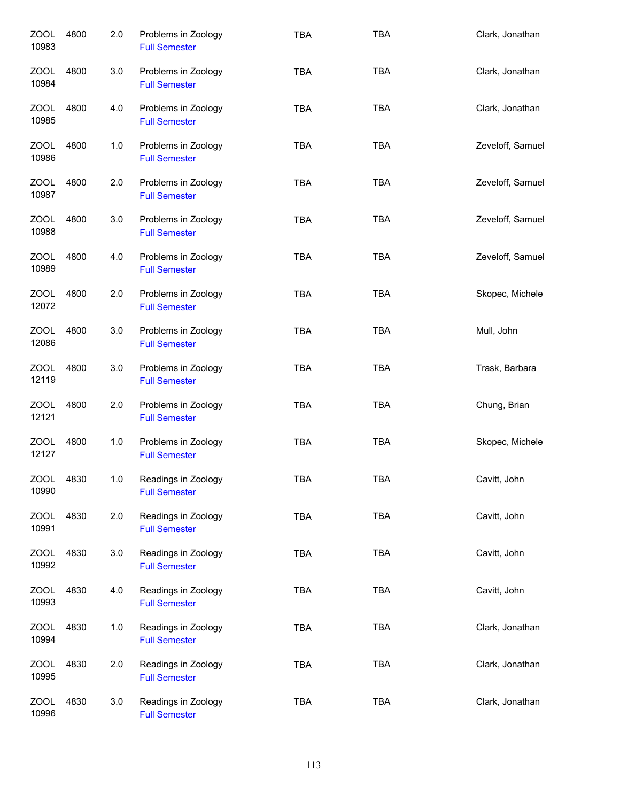| ZOOL<br>10983        | 4800 | 2.0 | Problems in Zoology<br><b>Full Semester</b> | <b>TBA</b> | <b>TBA</b> | Clark, Jonathan  |
|----------------------|------|-----|---------------------------------------------|------------|------------|------------------|
| <b>ZOOL</b><br>10984 | 4800 | 3.0 | Problems in Zoology<br><b>Full Semester</b> | <b>TBA</b> | <b>TBA</b> | Clark, Jonathan  |
| ZOOL<br>10985        | 4800 | 4.0 | Problems in Zoology<br><b>Full Semester</b> | <b>TBA</b> | <b>TBA</b> | Clark, Jonathan  |
| ZOOL<br>10986        | 4800 | 1.0 | Problems in Zoology<br><b>Full Semester</b> | <b>TBA</b> | <b>TBA</b> | Zeveloff, Samuel |
| ZOOL<br>10987        | 4800 | 2.0 | Problems in Zoology<br><b>Full Semester</b> | <b>TBA</b> | <b>TBA</b> | Zeveloff, Samuel |
| <b>ZOOL</b><br>10988 | 4800 | 3.0 | Problems in Zoology<br><b>Full Semester</b> | <b>TBA</b> | <b>TBA</b> | Zeveloff, Samuel |
| <b>ZOOL</b><br>10989 | 4800 | 4.0 | Problems in Zoology<br><b>Full Semester</b> | <b>TBA</b> | <b>TBA</b> | Zeveloff, Samuel |
| <b>ZOOL</b><br>12072 | 4800 | 2.0 | Problems in Zoology<br><b>Full Semester</b> | <b>TBA</b> | <b>TBA</b> | Skopec, Michele  |
| <b>ZOOL</b><br>12086 | 4800 | 3.0 | Problems in Zoology<br><b>Full Semester</b> | <b>TBA</b> | <b>TBA</b> | Mull, John       |
| <b>ZOOL</b><br>12119 | 4800 | 3.0 | Problems in Zoology<br><b>Full Semester</b> | <b>TBA</b> | <b>TBA</b> | Trask, Barbara   |
| <b>ZOOL</b><br>12121 | 4800 | 2.0 | Problems in Zoology<br><b>Full Semester</b> | <b>TBA</b> | <b>TBA</b> | Chung, Brian     |
| ZOOL<br>12127        | 4800 | 1.0 | Problems in Zoology<br><b>Full Semester</b> | <b>TBA</b> | <b>TBA</b> | Skopec, Michele  |
| <b>ZOOL</b><br>10990 | 4830 | 1.0 | Readings in Zoology<br><b>Full Semester</b> | TBA        | <b>TBA</b> | Cavitt, John     |
| <b>ZOOL</b><br>10991 | 4830 | 2.0 | Readings in Zoology<br><b>Full Semester</b> | <b>TBA</b> | TBA        | Cavitt, John     |
| ZOOL<br>10992        | 4830 | 3.0 | Readings in Zoology<br><b>Full Semester</b> | <b>TBA</b> | <b>TBA</b> | Cavitt, John     |
| <b>ZOOL</b><br>10993 | 4830 | 4.0 | Readings in Zoology<br><b>Full Semester</b> | <b>TBA</b> | <b>TBA</b> | Cavitt, John     |
| <b>ZOOL</b><br>10994 | 4830 | 1.0 | Readings in Zoology<br><b>Full Semester</b> | <b>TBA</b> | <b>TBA</b> | Clark, Jonathan  |
| <b>ZOOL</b><br>10995 | 4830 | 2.0 | Readings in Zoology<br><b>Full Semester</b> | <b>TBA</b> | <b>TBA</b> | Clark, Jonathan  |
| <b>ZOOL</b><br>10996 | 4830 | 3.0 | Readings in Zoology<br><b>Full Semester</b> | <b>TBA</b> | <b>TBA</b> | Clark, Jonathan  |